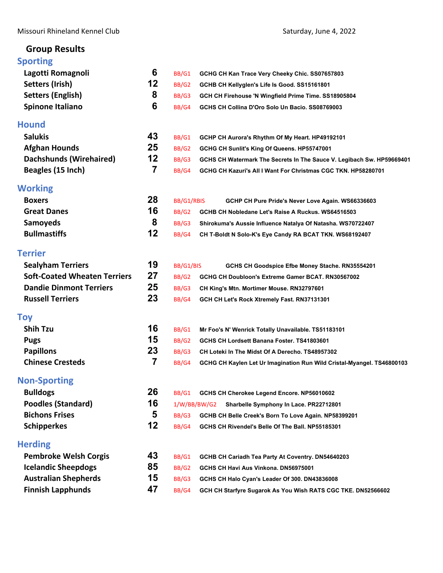# **Group Results**

# **[Sporting](#page-2-0)**

| <b>Sporting</b>                     |                |            |                                                                        |
|-------------------------------------|----------------|------------|------------------------------------------------------------------------|
| Lagotti Romagnoli                   | 6              | BB/G1      | GCHG CH Kan Trace Very Cheeky Chic. SS07657803                         |
| <b>Setters (Irish)</b>              | 12             | BB/G2      | GCHB CH Kellyglen's Life Is Good. SS15161801                           |
| <b>Setters (English)</b>            | 8              | BB/G3      | GCH CH Firehouse 'N Wingfield Prime Time. SS18905804                   |
| <b>Spinone Italiano</b>             | 6              | BB/G4      | GCHS CH Collina D'Oro Solo Un Bacio. SS08769003                        |
| <b>Hound</b>                        |                |            |                                                                        |
| <b>Salukis</b>                      | 43             | BB/G1      | GCHP CH Aurora's Rhythm Of My Heart. HP49192101                        |
| <b>Afghan Hounds</b>                | 25             | BB/G2      | GCHG CH Sunlit's King Of Queens. HP55747001                            |
| <b>Dachshunds (Wirehaired)</b>      | 12             | BB/G3      | GCHS CH Watermark The Secrets In The Sauce V. Legibach Sw. HP59669401  |
| Beagles (15 Inch)                   | $\overline{7}$ | BB/G4      | GCHG CH Kazuri's All I Want For Christmas CGC TKN. HP58280701          |
| <b>Working</b>                      |                |            |                                                                        |
| <b>Boxers</b>                       | 28             | BB/G1/RBIS | GCHP CH Pure Pride's Never Love Again. WS66336603                      |
| <b>Great Danes</b>                  | 16             | BB/G2      | GCHB CH Nobledane Let's Raise A Ruckus. WS64516503                     |
| <b>Samoyeds</b>                     | 8              | BB/G3      | Shirokuma's Aussie Influence Natalya Of Natasha. WS70722407            |
| <b>Bullmastiffs</b>                 | 12             | BB/G4      | CH T-Boldt N Solo-K's Eye Candy RA BCAT TKN. WS68192407                |
| <b>Terrier</b>                      |                |            |                                                                        |
| <b>Sealyham Terriers</b>            | 19             | BB/G1/BIS  | GCHS CH Goodspice Efbe Money Stache. RN35554201                        |
| <b>Soft-Coated Wheaten Terriers</b> | 27             | BB/G2      | GCHG CH Doubloon's Extreme Gamer BCAT. RN30567002                      |
| <b>Dandie Dinmont Terriers</b>      | 25             | BB/G3      | CH King's Mtn. Mortimer Mouse. RN32797601                              |
| <b>Russell Terriers</b>             | 23             | BB/G4      | GCH CH Let's Rock Xtremely Fast. RN37131301                            |
| <b>Toy</b>                          |                |            |                                                                        |
| <b>Shih Tzu</b>                     | 16             | BB/G1      | Mr Foo's N' Wenrick Totally Unavailable. TS51183101                    |
| <b>Pugs</b>                         | 15             | BB/G2      | GCHS CH Lordsett Banana Foster. TS41803601                             |
| <b>Papillons</b>                    | 23             | BB/G3      | CH Loteki In The Midst Of A Derecho. TS48957302                        |
| <b>Chinese Cresteds</b>             | 7              | BB/G4      | GCHG CH Kaylen Let Ur Imagination Run Wild Cristal-Myangel. TS46800103 |
| <b>Non-Sporting</b>                 |                |            |                                                                        |
| <b>Bulldogs</b>                     | 26             | BB/G1      | GCHS CH Cherokee Legend Encore. NP56010602                             |
| <b>Poodles (Standard)</b>           | 16             |            | 1/W/BB/BW/G2<br>Sharbelle Symphony In Lace. PR22712801                 |
| <b>Bichons Frises</b>               | 5              | BB/G3      | GCHB CH Belle Creek's Born To Love Again. NP58399201                   |
| <b>Schipperkes</b>                  | 12             | BB/G4      | GCHS CH Rivendel's Belle Of The Ball. NP55185301                       |
| <b>Herding</b>                      |                |            |                                                                        |
| <b>Pembroke Welsh Corgis</b>        | 43             | BB/G1      | GCHB CH Cariadh Tea Party At Coventry. DN54640203                      |
| <b>Icelandic Sheepdogs</b>          | 85             | BB/G2      | GCHS CH Havi Aus Vinkona. DN56975001                                   |
| <b>Australian Shepherds</b>         | 15             | BB/G3      | GCHS CH Halo Cyan's Leader Of 300. DN43836008                          |
| <b>Finnish Lapphunds</b>            | 47             | BB/G4      | GCH CH Starfyre Sugarok As You Wish RATS CGC TKE. DN52566602           |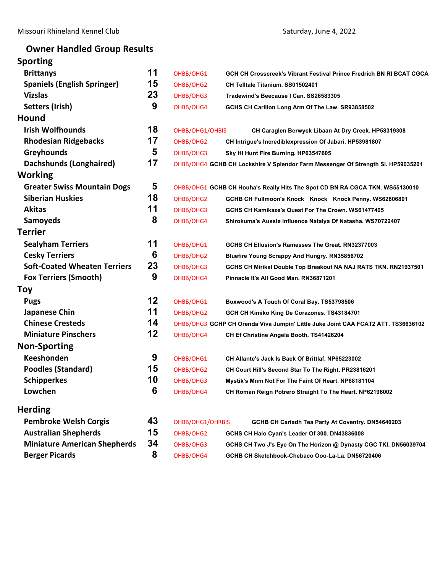# **Owner Handled Group Results**

| <b>Sporting</b>                     |    |                  |                                                                                   |
|-------------------------------------|----|------------------|-----------------------------------------------------------------------------------|
| <b>Brittanys</b>                    | 11 | OHBB/OHG1        | GCH CH Crosscreek's Vibrant Festival Prince Fredrich BN RI BCAT CGCA              |
| <b>Spaniels (English Springer)</b>  | 15 | OHBB/OHG2        | CH Telltale Titanium. SS01502401                                                  |
| <b>Vizslas</b>                      | 23 | OHBB/OHG3        | Tradewind's Beecause I Can. SS26583305                                            |
| Setters (Irish)                     | 9  | OHBB/OHG4        | GCHS CH Carillon Long Arm Of The Law. SR93858502                                  |
| <b>Hound</b>                        |    |                  |                                                                                   |
| <b>Irish Wolfhounds</b>             | 18 | OHBB/OHG1/OHBIS  | CH Caraglen Berwyck Libaan At Dry Creek. HP58319308                               |
| <b>Rhodesian Ridgebacks</b>         | 17 | OHBB/OHG2        | CH Intrigue's Incrediblexpression Of Jabari. HP53981807                           |
| <b>Greyhounds</b>                   | 5  | OHBB/OHG3        | Sky Hi Hunt Fire Burning. HP63547605                                              |
| <b>Dachshunds (Longhaired)</b>      | 17 |                  | OHBB/OHG4 GCHB CH Lockshire V Splendor Farm Messenger Of Strength SI. HP59035201  |
| Working                             |    |                  |                                                                                   |
| <b>Greater Swiss Mountain Dogs</b>  | 5  |                  | OHBB/OHG1 GCHB CH Houha's Really Hits The Spot CD BN RA CGCA TKN. WS55130010      |
| <b>Siberian Huskies</b>             | 18 | OHBB/OHG2        | GCHB CH Fullmoon's Knock Knock Knock Penny. WS62806801                            |
| <b>Akitas</b>                       | 11 | OHBB/OHG3        | GCHS CH Kamikaze's Quest For The Crown. WS61477405                                |
| <b>Samoyeds</b>                     | 8  | OHBB/OHG4        | Shirokuma's Aussie Influence Natalya Of Natasha. WS70722407                       |
| <b>Terrier</b>                      |    |                  |                                                                                   |
| <b>Sealyham Terriers</b>            | 11 | OHBB/OHG1        | GCHS CH Ellusion's Ramesses The Great. RN32377003                                 |
| <b>Cesky Terriers</b>               | 6  | OHBB/OHG2        | <b>Bluefire Young Scrappy And Hungry. RN35856702</b>                              |
| <b>Soft-Coated Wheaten Terriers</b> | 23 | OHBB/OHG3        | GCHS CH Mirikal Double Top Breakout NA NAJ RATS TKN. RN21937501                   |
| <b>Fox Terriers (Smooth)</b>        | 9  | OHBB/OHG4        | Pinnacle It's All Good Man. RN36871201                                            |
| <b>Toy</b>                          |    |                  |                                                                                   |
| <b>Pugs</b>                         | 12 | OHBB/OHG1        | Boxwood's A Touch Of Coral Bay. TS53798506                                        |
| Japanese Chin                       | 11 | OHBB/OHG2        | GCH CH Kimiko King De Corazones. TS43184701                                       |
| <b>Chinese Cresteds</b>             | 14 |                  | OHBB/OHG3 GCHP CH Orenda Viva Jumpin' Little Juke Joint CAA FCAT2 ATT. TS36636102 |
| <b>Miniature Pinschers</b>          | 12 | OHBB/OHG4        | CH Ef Christine Angela Booth. TS41426204                                          |
| <b>Non-Sporting</b>                 |    |                  |                                                                                   |
| <b>Keeshonden</b>                   | 9  | OHBB/OHG1        | CH Allante's Jack Is Back Of Brittlaf, NP65223002                                 |
| <b>Poodles (Standard)</b>           | 15 | OHBB/OHG2        | CH Court Hill's Second Star To The Right. PR23816201                              |
| <b>Schipperkes</b>                  | 10 | OHBB/OHG3        | Mystik's Mnm Not For The Faint Of Heart. NP68181104                               |
| Lowchen                             | 6  | OHBB/OHG4        | CH Roman Reign Potrero Straight To The Heart. NP62196002                          |
| <b>Herding</b>                      |    |                  |                                                                                   |
| <b>Pembroke Welsh Corgis</b>        | 43 | OHBB/OHG1/OHRBIS | GCHB CH Cariadh Tea Party At Coventry. DN54640203                                 |
| <b>Australian Shepherds</b>         | 15 | OHBB/OHG2        | GCHS CH Halo Cyan's Leader Of 300. DN43836008                                     |
| <b>Miniature American Shepherds</b> | 34 | OHBB/OHG3        | GCHS CH Two J's Eye On The Horizon @ Dynasty CGC TKI. DN56039704                  |
| <b>Berger Picards</b>               | 8  | OHBB/OHG4        | GCHB CH Sketchbook-Chebaco Ooo-La-La. DN56720406                                  |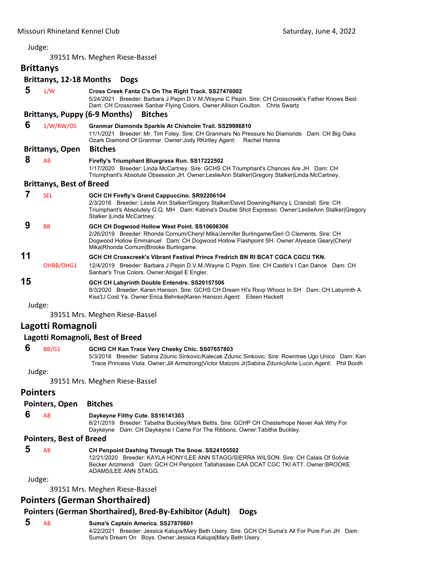<span id="page-2-0"></span>39151 Mrs. Meghen Riese‐Bassel

## **Brittanys Brittanys, 12‐18 Months Dogs 5** 1/W **Cross Creek Fanta C's On The Right Track. SS27476002** 5/24/2021 Breeder: Barbara J Pepin D.V.M./Wayne C Pepin. Sire: CH Crosscreek's Father Knows Best Dam: CH Crosscreek Sanbar Flying Colors. Owner:Allison Coulton. Chris Swartz **Brittanys, Puppy (6‐9 Months) Bitches**

 **6** 1/W/BW/OS **Granmar Diamonds Sparkle At Chisholm Trail. SS29986810** 11/1/2021 Breeder: Mr. Tim Foley. Sire: CH Granmars No Pressure No Diamonds Dam: CH Big Oaks Ozark Diamond Of Granmar. Owner:Jody RKirtley.Agent: Rachel Hanna **Brittanys, Open Bitches 8** AB **Firefly's Triumphant Bluegrass Run. SS17222502**

1/17/2020 Breeder: Linda McCartney. Sire: GCHS CH Triumphant's Chances Are JH Dam: CH Triumphant's Absolute Obsession JH. Owner:LeslieAnn Stalker|Gregory Stalker|Linda McCartney.

## **Brittanys, Best of Breed**

#### **7** SEL **GCH CH Firefly's Grand Cappuccino. SR92206104** 2/3/2016 Breeder: Leslie Ann Stalker/Gregory Stalker/David Downing/Nancy L Crandall. Sire: CH Triumphant's Absolutely G.Q. MH Dam: Kabina's Double Shot Expresso. Owner:LeslieAnn Stalker|Gregory Stalker |Linda McCartney.  **9** BB **GCH CH Dogwood Hollow West Point. SS10606306** 2/26/2019 Breeder: Rhonda Cornum/Cheryl Mika/Jennifer Burlingame/Geri O Clements. Sire: CH Dogwood Hollow Emmanuel Dam: CH Dogwood Hollow Flashpoint SH. Owner:Alyeace Geary|Cheryl Mika|Rhonda Cornum|Brooke Burlingame. **11 GCH CH Crosscreek's Vibrant Festival Prince Fredrich BN RI BCAT CGCA CGCU TKN.**  OHBB/OHG1 12/4/2019 Breeder: Barbara J Pepin D.V.M./Wayne C Pepin. Sire: CH Castle's I Can Dance Dam: CH Sanbar's True Colors. Owner:Abigail E Engler.

**15 GCH CH Labyrinth Double Entendre. SS20157506**

8/3/2020 Breeder: Karen Hanson. Sire: GCHS CH Dream Hi's Rsvp Whooz In SH Dam: CH Labyrinth A Kiss'Ll Cost Ya. Owner:Erica Behnke|Karen Hanson.Agent: Eileen Hackett

Judge:

39151 Mrs. Meghen Riese‐Bassel

## **Lagotti Romagnoli**

## **Lagotti Romagnoli, Best of Breed**

#### **6** BB/G1 **GCHG CH Kan Trace Very Cheeky Chic. SS07657803**

5/3/2018 Breeder: Sabina Zdunic Sinkovic/Kalecak Zdunic Sinkovic. Sire: Rowntree Ugo Unico Dam: Kan Trace Princess Viola. Owner:Jill Armstrong|Victor Malzoni Jr|Sabina Zdunic|Ante Lucin.Agent: Phil Booth

Judge:

39151 Mrs. Meghen Riese‐Bassel

## **Pointers**

## **Pointers, Open Bitches**

## **6** AB **Daykeyne Filthy Cute. SS16141303**

8/21/2019 Breeder: Tabatha Buckley/Mark Bettis. Sire: GCHP CH Chesterhope Never Ask Why For Daykeyne Dam: CH Daykeyne I Came For The Ribbons. Owner:Tabitha Buckley.

## **Pointers, Best of Breed**

| -5 | AB | CH Penpoint Dashing Through The Snow. SS24105502                                       |
|----|----|----------------------------------------------------------------------------------------|
|    |    | 12/21/2020 Breeder: KAYLA HONY/LEE ANN STAGG/SIERRA WILSON, Sire: CH Calais Of Solivia |
|    |    | Becker Arizmendi Dam: GCH CH Penpoint Tallahassee CAA DCAT CGC TKI ATT. Owner:BROOKE   |
|    |    | ADAMSILEE ANN STAGG.                                                                   |

Judge:

39151 Mrs. Meghen Riese‐Bassel

## **Pointers (German Shorthaired)**

## **Pointers (German Shorthaired), Bred‐By‐Exhibitor (Adult) Dogs**

 **5** AB **Suma's Captain America. SS27870601** 4/22/2021 Breeder: Jessica Kalupa/Mary Beth Usery. Sire: GCH CH Suma's All For Pure Fun JH Dam: Suma's Dream On Boys. Owner:Jessica Kalupa|Mary Beth Usery.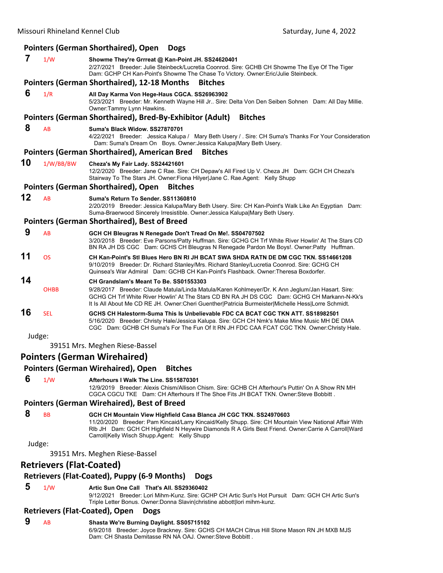|        |                                 | Pointers (German Shorthaired), Open<br><b>Dogs</b>                                                                                                                                                                                                                                                                                |
|--------|---------------------------------|-----------------------------------------------------------------------------------------------------------------------------------------------------------------------------------------------------------------------------------------------------------------------------------------------------------------------------------|
| 7      | 1/W                             | Showme They're Grrreat @ Kan-Point JH. SS24620401<br>2/27/2021 Breeder: Julie Steinbeck/Lucretia Coonrod. Sire: GCHB CH Showme The Eye Of The Tiger<br>Dam: GCHP CH Kan-Point's Showme The Chase To Victory. Owner:Eric/Julie Steinbeck.                                                                                          |
|        |                                 | <b>Pointers (German Shorthaired), 12-18 Months</b><br><b>Bitches</b>                                                                                                                                                                                                                                                              |
| 6      | 1/R                             | All Day Karma Von Hege-Haus CGCA. SS26963902<br>5/23/2021 Breeder: Mr. Kenneth Wayne Hill Jr Sire: Delta Von Den Seiben Sohnen Dam: All Day Millie.<br>Owner:Tammy Lynn Hawkins.                                                                                                                                                  |
|        |                                 | <b>Bitches</b><br>Pointers (German Shorthaired), Bred-By-Exhibitor (Adult)                                                                                                                                                                                                                                                        |
| 8      | AB                              | Suma's Black Widow, SS27870701<br>4/22/2021 Breeder: Jessica Kalupa / Mary Beth Usery / . Sire: CH Suma's Thanks For Your Consideration<br>Dam: Suma's Dream On Boys. Owner: Jessica Kalupa Mary Beth Usery.                                                                                                                      |
|        |                                 | <b>Pointers (German Shorthaired), American Bred</b><br><b>Bitches</b>                                                                                                                                                                                                                                                             |
| 10     | 1/W/BB/BW                       | Cheza's My Fair Lady. SS24421601<br>12/2/2020 Breeder: Jane C Rae. Sire: CH Depaw's All Fired Up V. Cheza JH Dam: GCH CH Cheza's<br>Stairway To The Stars JH. Owner: Fiona Hilyer Jane C. Rae. Agent: Kelly Shupp                                                                                                                 |
|        |                                 | <b>Pointers (German Shorthaired), Open</b><br><b>Bitches</b>                                                                                                                                                                                                                                                                      |
| 12     | AB                              | Suma's Return To Sender, SS11360810<br>2/20/2019 Breeder: Jessica Kalupa/Mary Beth Usery. Sire: CH Kan-Point's Walk Like An Egyptian Dam:<br>Suma-Braerwood Sincerely Irresistible. Owner: Jessica Kalupa Mary Beth Usery.                                                                                                        |
|        |                                 | <b>Pointers (German Shorthaired), Best of Breed</b>                                                                                                                                                                                                                                                                               |
| 9      | AB                              | GCH CH Bleugras N Renegade Don't Tread On Me!. SS04707502<br>3/20/2018 Breeder: Eve Parsons/Patty Huffman. Sire: GCHG CH Trf White River Howlin' At The Stars CD<br>BN RA JH DS CGC Dam: GCHS CH Bleugras N Renegade Pardon Me Boys!. Owner:Patty Huffman.                                                                        |
| 11     | <b>OS</b>                       | CH Kan-Point's Stl Blues Hero BN RI JH BCAT SWA SHDA RATN DE DM CGC TKN. SS14661208<br>9/10/2019 Breeder: Dr. Richard Stanley/Mrs. Richard Stanley/Lucretia Coonrod. Sire: GCHG CH<br>Quinsea's War Admiral Dam: GCHB CH Kan-Point's Flashback. Owner: Theresa Boxdorfer.                                                         |
| 14     |                                 | CH Grandslam's Meant To Be. SS01553303                                                                                                                                                                                                                                                                                            |
|        | <b>OHBB</b>                     | 9/28/2017 Breeder: Claude Matula/Linda Matula/Karen Kohlmeyer/Dr. K Ann Jeglum/Jan Hasart. Sire:<br>GCHG CH Trf White River Howlin' At The Stars CD BN RA JH DS CGC Dam: GCHG CH Markann-N-Kk's<br>It Is All About Me CD RE JH. Owner: Cheri Guenther   Patricia Burmeister   Michelle Hess   Lorre Schmidt.                      |
| 16     | <b>SEL</b>                      | GCHS CH Halestorm-Suma This Is Unbelievable FDC CA BCAT CGC TKN ATT. SS18982501<br>5/16/2020 Breeder: Christy Hale/Jessica Kalupa. Sire: GCH CH Nmk's Make Mine Music MH DE DMA<br>CGC Dam: GCHB CH Suma's For The Fun Of It RN JH FDC CAA FCAT CGC TKN. Owner: Christy Hale.                                                     |
| Judge: |                                 |                                                                                                                                                                                                                                                                                                                                   |
|        |                                 | 39151 Mrs. Meghen Riese-Bassel                                                                                                                                                                                                                                                                                                    |
|        |                                 | <b>Pointers (German Wirehaired)</b>                                                                                                                                                                                                                                                                                               |
|        |                                 | <b>Pointers (German Wirehaired), Open</b><br><b>Bitches</b>                                                                                                                                                                                                                                                                       |
| 6      | 1/W                             | Afterhours I Walk The Line, SS15870301<br>12/9/2019 Breeder: Alexis Chism/Allison Chism. Sire: GCHB CH Afterhour's Puttin' On A Show RN MH<br>CGCA CGCU TKE Dam: CH Afterhours If The Shoe Fits JH BCAT TKN. Owner: Steve Bobbitt.                                                                                                |
|        |                                 | Pointers (German Wirehaired), Best of Breed                                                                                                                                                                                                                                                                                       |
| 8      | BB                              | GCH CH Mountain View Highfield Casa Blanca JH CGC TKN. SS24970603<br>11/20/2020 Breeder: Pam Kincaid/Larry Kincaid/Kelly Shupp. Sire: CH Mountain View National Affair With<br>RIb JH Dam: GCH CH Highfield N Heywire Diamonds R A Girls Best Friend. Owner:Carrie A Carroll Ward<br>Carroll Kelly Wisch Shupp Agent: Kelly Shupp |
| Judge: |                                 |                                                                                                                                                                                                                                                                                                                                   |
|        |                                 | 39151 Mrs. Meghen Riese-Bassel                                                                                                                                                                                                                                                                                                    |
|        | <b>Retrievers (Flat-Coated)</b> |                                                                                                                                                                                                                                                                                                                                   |
|        |                                 | Retrievers (Flat-Coated), Puppy (6-9 Months)<br><b>Dogs</b>                                                                                                                                                                                                                                                                       |
| 5      | 1/W                             | Artic Sun One Call That's All. SS29360402<br>9/12/2021 Breeder: Lori Mihm-Kunz. Sire: GCHP CH Artic Sun's Hot Pursuit Dam: GCH CH Artic Sun's<br>Triple Letter Bonus. Owner: Donna Slavin christine abbott lori mihm-kunz.                                                                                                        |
| O      |                                 | <b>Retrievers (Flat-Coated), Open</b><br><b>Dogs</b>                                                                                                                                                                                                                                                                              |

 **9** AB **Shasta We're Burning Daylight. SS05715102** 6/9/2018 Breeder: Joyce Brackney. Sire: GCHS CH MACH Citrus Hill Stone Mason RN JH MXB MJS Dam: CH Shasta Demitasse RN NA OAJ. Owner:Steve Bobbitt .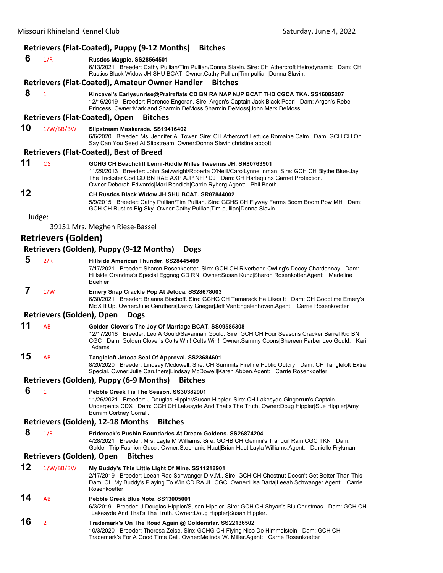# **Retrievers (Flat‐Coated), Puppy (9‐12 Months) Bitches**

| 6  | 1/R                       | Rustics Magpie. SS28564501                                                                                                                                                                                                                                                                                                      |
|----|---------------------------|---------------------------------------------------------------------------------------------------------------------------------------------------------------------------------------------------------------------------------------------------------------------------------------------------------------------------------|
|    |                           | 6/13/2021 Breeder: Cathy Pullian/Tim Pullian/Donna Slavin. Sire: CH Athercroft Heirodynamic Dam: CH<br>Rustics Black Widow JH SHU BCAT. Owner:Cathy Pullian Tim pullian Donna Slavin.                                                                                                                                           |
|    |                           | <b>Retrievers (Flat-Coated), Amateur Owner Handler</b><br><b>Bitches</b>                                                                                                                                                                                                                                                        |
| 8  | $\overline{1}$            | Kincavel's Earlysunrise@Praireflats CD BN RA NAP NJP BCAT THD CGCA TKA. SS16085207<br>12/16/2019 Breeder: Florence Engoran. Sire: Argon's Captain Jack Black Pearl Dam: Argon's Rebel<br>Princess. Owner: Mark and Sharmin DeMoss Sharmin DeMoss John Mark DeMoss.                                                              |
|    |                           | <b>Retrievers (Flat-Coated), Open</b><br><b>Bitches</b>                                                                                                                                                                                                                                                                         |
| 10 | 1/W/BB/BW                 | Slipstream Maskarade. SS19416402<br>6/6/2020 Breeder: Ms. Jennifer A. Tower. Sire: CH Athercroft Lettuce Romaine Calm Dam: GCH CH Oh<br>Say Can You Seed At Slipstream. Owner: Donna Slavin christine abbott.                                                                                                                   |
|    |                           | <b>Retrievers (Flat-Coated), Best of Breed</b>                                                                                                                                                                                                                                                                                  |
| 11 | <b>OS</b>                 | GCHG CH Beachcliff Lenni-Riddle Milles Tweenus JH. SR80763901<br>11/29/2013 Breeder: John Seivwright/Roberta O'Neill/CarolLynne Inman. Sire: GCH CH Blythe Blue-Jay<br>The Trickster God CD BN RAE AXP AJP NFP DJ Dam: CH Harlequins Garnet Protection.<br>Owner: Deborah Edwards Mari Rendich Carrie Ryberg. Agent: Phil Booth |
| 12 |                           | CH Rustics Black Widow JH SHU BCAT, SR87844002<br>5/9/2015 Breeder: Cathy Pullian/Tim Pullian. Sire: GCHS CH Flyway Farms Boom Boom Pow MH Dam:<br>GCH CH Rustics Big Sky. Owner:Cathy Pullian Tim pullian Donna Slavin.                                                                                                        |
|    | Judge:                    | 39151 Mrs. Meghen Riese-Bassel                                                                                                                                                                                                                                                                                                  |
|    | Retrievers (Golden)       |                                                                                                                                                                                                                                                                                                                                 |
|    |                           | Retrievers (Golden), Puppy (9-12 Months)<br><b>Dogs</b>                                                                                                                                                                                                                                                                         |
| 5  |                           |                                                                                                                                                                                                                                                                                                                                 |
|    | 2/R                       | Hillside American Thunder, SS28445409<br>7/17/2021 Breeder: Sharon Rosenkoetter. Sire: GCH CH Riverbend Owling's Decoy Chardonnay Dam:<br>Hillside Grandma's Special Eggnog CD RN. Owner:Susan Kunz Sharon Rosenkotter.Agent: Madeline<br><b>Buehler</b>                                                                        |
| 7  | 1/W                       | Emery Snap Crackle Pop At Jetoca. SS28678003<br>6/30/2021 Breeder: Brianna Bischoff. Sire: GCHG CH Tamarack He Likes It Dam: CH Goodtime Emery's<br>Mc'X It Up. Owner: Julie Caruthers Darcy Grieger Jeff VanEngelenhoven.Agent: Carrie Rosenkoetter                                                                            |
|    | Retrievers (Golden), Open | <b>Dogs</b>                                                                                                                                                                                                                                                                                                                     |
| 11 | AB                        | Golden Clover's The Joy Of Marriage BCAT. SS09585308<br>12/17/2018 Breeder: Leo A Gould/Savannah Gould. Sire: GCH CH Four Seasons Cracker Barrel Kid BN<br>CGC Dam: Golden Clover's Colts Win! Colts Win!. Owner:Sammy Coons Shereen Farber Leo Gould. Kari<br>Adams                                                            |
| 15 | AB                        | Tangleloft Jetoca Seal Of Approval. SS23684601<br>8/20/2020 Breeder: Lindsay Mcdowell. Sire: CH Summits Fireline Public Outcry Dam: CH Tangleloft Extra<br>Special. Owner: Julie Caruthers Lindsay McDowell Karen Abben.Agent: Carrie Rosenkoetter                                                                              |
|    |                           | Retrievers (Golden), Puppy (6-9 Months)<br><b>Bitches</b>                                                                                                                                                                                                                                                                       |
| 6  | $\overline{1}$            | Pebble Creek Tis The Season. SS30382901<br>11/26/2021 Breeder: J Douglas Hippler/Susan Hippler. Sire: CH Lakesyde Gingerrun's Captain<br>Underpants CDX Dam: GCH CH Lakesyde And That's The Truth. Owner: Doug Hippler Sue Hippler Amy<br>Burnim Cortney Corrall.                                                               |
|    |                           | Retrievers (Golden), 12-18 Months<br><b>Bitches</b>                                                                                                                                                                                                                                                                             |
| 8  | 1/R                       | <b>Priderock's Pushin Boundaries At Dream Goldens. SS26874204</b><br>4/28/2021 Breeder: Mrs. Layla M Williams. Sire: GCHB CH Gemini's Tranquil Rain CGC TKN Dam:<br>Golden Trip Fashion Gucci. Owner:Stephanie Haut Brian Haut Layla Williams.Agent: Danielle Frykman                                                           |
|    | Retrievers (Golden), Open | <b>Bitches</b>                                                                                                                                                                                                                                                                                                                  |
| 12 | 1/W/BB/BW                 | My Buddy's This Little Light Of Mine. SS11218901<br>2/17/2019 Breeder: Leeah Rae Schwanger D.V.M Sire: GCH CH Chestnut Doesn't Get Better Than This<br>Dam: CH My Buddy's Playing To Win CD RA JH CGC. Owner:Lisa Barta Leeah Schwanger.Agent: Carrie<br>Rosenkoetter                                                           |
| 14 | AB                        | Pebble Creek Blue Note. SS13005001<br>6/3/2019 Breeder: J Douglas Hippler/Susan Hippler. Sire: GCH CH Shyan's Blu Christmas Dam: GCH CH<br>Lakesyde And That's The Truth. Owner: Doug Hippler Susan Hippler.                                                                                                                    |
| 16 | $\overline{2}$            | Trademark's On The Road Again @ Goldenstar. SS22136502<br>10/3/2020 Breeder: Theresa Zeise. Sire: GCHG CH Flying Nico De Himmelstein Dam: GCH CH<br>Trademark's For A Good Time Call. Owner: Melinda W. Miller. Agent: Carrie Rosenkoetter                                                                                      |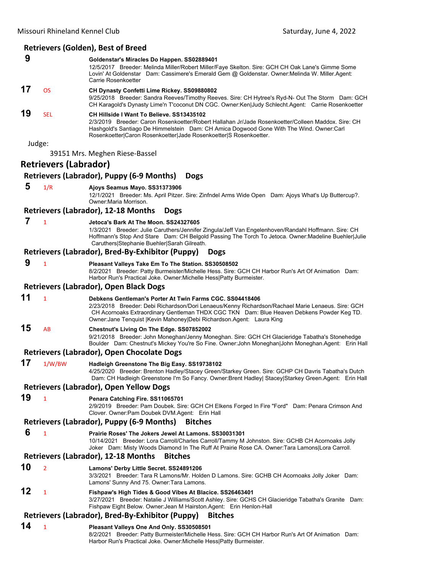# **Retrievers (Golden), Best of Breed**

|        |                              | <u>Retrievers</u> (Gorder), best or breed                                                                                                                                                                                                                                                                                              |
|--------|------------------------------|----------------------------------------------------------------------------------------------------------------------------------------------------------------------------------------------------------------------------------------------------------------------------------------------------------------------------------------|
| 9      |                              | Goldenstar's Miracles Do Happen. SS02889401<br>12/5/2017 Breeder: Melinda Miller/Robert Miller/Faye Skelton. Sire: GCH CH Oak Lane's Gimme Some<br>Lovin' At Goldenstar Dam: Cassimere's Emerald Gem @ Goldenstar. Owner: Melinda W. Miller. Agent:<br>Carrie Rosenkoetter                                                             |
| 17     | <b>OS</b>                    | CH Dynasty Confetti Lime Rickey. SS09880802<br>9/25/2018 Breeder: Sandra Reeves/Timothy Reeves. Sire: CH Hytree's Ryd-N- Out The Storm Dam: GCH<br>CH Karagold's Dynasty Lime'n T'coconut DN CGC. Owner: Ken Judy Schlecht. Agent: Carrie Rosenkoetter                                                                                 |
| 19     | <b>SEL</b>                   | CH Hillside I Want To Believe. SS13435102<br>2/3/2019 Breeder: Caron Rosenkoetter/Robert Hallahan Jr/Jade Rosenkoetter/Colleen Maddox, Sire: CH<br>Hashgold's Santiago De Himmelstein Dam: CH Amica Dogwood Gone With The Wind. Owner:Carl<br>Rosenkoetter Caron Rosenkoetter Jade Rosenkoetter S Rosenkoetter.                        |
| Judge: |                              | 39151 Mrs. Meghen Riese-Bassel                                                                                                                                                                                                                                                                                                         |
|        | <b>Retrievers (Labrador)</b> |                                                                                                                                                                                                                                                                                                                                        |
|        |                              | Retrievers (Labrador), Puppy (6-9 Months)<br><b>Dogs</b>                                                                                                                                                                                                                                                                               |
| 5      | 1/R                          | Ajoys Seamus Mayo. SS31373906<br>12/1/2021 Breeder: Ms. April Pitzer. Sire: Zinfndel Arms Wide Open Dam: Ajoys What's Up Buttercup?.<br>Owner: Maria Morrison.                                                                                                                                                                         |
|        |                              | Retrievers (Labrador), 12-18 Months<br><b>Dogs</b>                                                                                                                                                                                                                                                                                     |
| 7      | $\mathbf{1}$                 | Jetoca's Bark At The Moon. SS24327605<br>1/3/2021 Breeder: Julie Caruthers/Jennifer Zingula/Jeff Van Engelenhoven/Randahl Hoffmann. Sire: CH<br>Hoffmann's Stop And Stare Dam: CH Belgold Passing The Torch To Jetoca. Owner:Madeline Buehler Julie<br>Caruthers Stephanie Buehler Sarah Gilreath.                                     |
|        |                              | Retrievers (Labrador), Bred-By-Exhibitor (Puppy)<br><b>Dogs</b>                                                                                                                                                                                                                                                                        |
| 9      | $\mathbf{1}$                 | Pleasant Valleys Take Em To The Station. SS30508502<br>8/2/2021 Breeder: Patty Burmeister/Michelle Hess. Sire: GCH CH Harbor Run's Art Of Animation Dam:<br>Harbor Run's Practical Joke. Owner: Michelle Hess   Patty Burmeister.                                                                                                      |
|        |                              | <b>Retrievers (Labrador), Open Black Dogs</b>                                                                                                                                                                                                                                                                                          |
| 11     | $\mathbf{1}$                 | Debkens Gentleman's Porter At Twin Farms CGC. SS04418406<br>2/23/2018 Breeder: Debi Richardson/Dori Lenaeus/Kenny Richardson/Rachael Marie Lenaeus. Sire: GCH<br>CH Acornoaks Extraordinary Gentleman THDX CGC TKN Dam: Blue Heaven Debkens Powder Keg TD.<br>Owner: Jane Tenquist   Kevin Mahoney  Debi Richardson. Agent: Laura King |
| 15     | AB                           | Chestnut's Living On The Edge. SS07852002<br>9/21/2018 Breeder: John Moneghan/Jenny Moneghan. Sire: GCH CH Glacieridge Tabatha's Stonehedge<br>Boulder Dam: Chestnut's Mickey You're So Fine. Owner: John Moneghan John Moneghan.Agent: Erin Hall                                                                                      |
|        |                              | Retrievers (Labrador), Open Chocolate Dogs                                                                                                                                                                                                                                                                                             |
| 17     | 1/W/BW                       | Hadleigh Greenstone The Big Easy. SS19738102<br>4/25/2020 Breeder: Brenton Hadley/Stacey Green/Starkey Green. Sire: GCHP CH Davris Tabatha's Dutch<br>Dam: CH Hadleigh Greenstone I'm So Fancy. Owner:Brent Hadley  Stacey Starkey Green.Agent: Erin Hall                                                                              |
|        |                              | <b>Retrievers (Labrador), Open Yellow Dogs</b>                                                                                                                                                                                                                                                                                         |
| 19     | $\mathbf{1}$                 | Penara Catching Fire. SS11065701<br>2/9/2019 Breeder: Pam Doubek. Sire: GCH CH Elkens Forged In Fire "Ford" Dam: Penara Crimson And<br>Clover. Owner: Pam Doubek DVM. Agent: Erin Hall                                                                                                                                                 |
|        |                              | Retrievers (Labrador), Puppy (6-9 Months)<br><b>Bitches</b>                                                                                                                                                                                                                                                                            |
| 6      | $\mathbf{1}$                 | Prairie Roses' The Jokers Jewel At Lamons, SS30031301<br>10/14/2021 Breeder: Lora Carroll/Charles Carroll/Tammy M Johnston. Sire: GCHB CH Acornoaks Jolly<br>Joker Dam: Misty Woods Diamond In The Ruff At Prairie Rose CA. Owner: Tara Lamons Lora Carroll.                                                                           |
|        |                              | <b>Retrievers (Labrador), 12-18 Months</b><br><b>Bitches</b>                                                                                                                                                                                                                                                                           |
| 10     | $\overline{2}$               | Lamons' Derby Little Secret. SS24891206<br>3/3/2021 Breeder: Tara R Lamons/Mr. Holden D Lamons. Sire: GCHB CH Acornoaks Jolly Joker Dam:<br>Lamons' Sunny And 75. Owner: Tara Lamons.                                                                                                                                                  |
| 12     | $\mathbf{1}$                 | Fishpaw's High Tides & Good Vibes At Blacice. SS26463401<br>3/27/2021 Breeder: Natalie J Williams/Scott Ashley. Sire: GCHS CH Glacieridge Tabatha's Granite Dam:<br>Fishpaw Eight Below. Owner: Jean M Hairston. Agent: Erin Henlon-Hall                                                                                               |
|        |                              | Retrievers (Labrador), Bred-By-Exhibitor (Puppy)<br><b>Bitches</b>                                                                                                                                                                                                                                                                     |
| 14     | $\mathbf{1}$                 | Pleasant Valleys One And Only. SS30508501<br>8/2/2021 Breeder: Patty Burmeister/Michelle Hess. Sire: GCH CH Harbor Run's Art Of Animation Dam:<br>Harbor Run's Practical Joke. Owner: Michelle Hess   Patty Burmeister.                                                                                                                |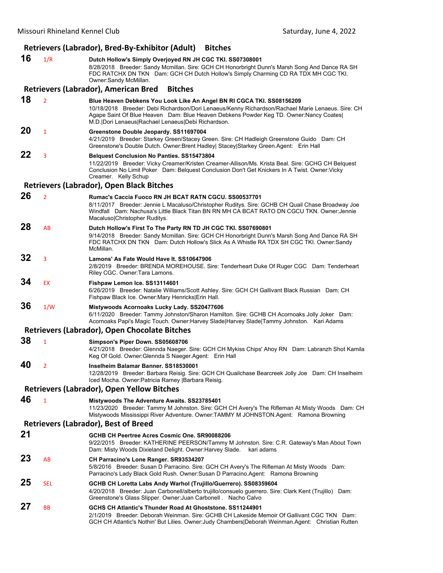# **Retrievers (Labrador), Bred‐By‐Exhibitor (Adult) Bitches**

**16** 1/R **Dutch Hollow's Simply Overjoyed RN JH CGC TKI. SS07308001** 8/28/2018 Breeder: Sandy Mcmillan. Sire: GCH CH Honorbright Dunn's Marsh Song And Dance RA SH FDC RATCHX DN TKN Dam: GCH CH Dutch Hollow's Simply Charming CD RA TDX MH CGC TKI. Owner:Sandy McMillan. **Retrievers (Labrador), American Bred Bitches 18** <sup>2</sup> **Blue Heaven Debkens You Look Like An Angel BN RI CGCA TKI. SS08156209** 10/18/2018 Breeder: Debi Richardson/Dori Lenaeus/Kenny Richardson/Rachael Marie Lenaeus. Sire: CH Agape Saint Of Blue Heaven Dam: Blue Heaven Debkens Powder Keg TD. Owner:Nancy Coates| M.D.|Dori Lenaeus|Rachael Lenaeus|Debi Richardson. **20** <sup>1</sup> **Greenstone Double Jeopardy. SS11697004** 4/21/2019 Breeder: Starkey Green/Stacey Green. Sire: CH Hadleigh Greenstone Guido Dam: CH Greenstone's Double Dutch. Owner:Brent Hadley| Stacey|Starkey Green.Agent: Erin Hall **22** <sup>3</sup> **Belquest Conclusion No Panties. SS15473804**

11/22/2019 Breeder: Vicky Creamer/Kristen Creamer-Allison/Ms. Krista Beal. Sire: GCHG CH Belquest Conclusion No Limit Poker Dam: Belquest Conclusion Don't Get Knickers In A Twist. Owner:Vicky Creamer. Kelly Schup

#### **Retrievers (Labrador), Open Black Bitches**

**26** <sup>2</sup> **Rumac's Caccia Fuoco RN JH BCAT RATN CGCU. SS00537701** 8/11/2017 Breeder: Jennie L Macaluso/Christopher Ruditys. Sire: GCHB CH Quail Chase Broadway Joe Windfall Dam: Nachusa's Little Black Titan BN RN MH CA BCAT RATO DN CGCU TKN. Owner:Jennie Macaluso|Christopher Ruditys. **28** AB **Dutch Hollow's First To The Party RN TD JH CGC TKI. SS07690801**

9/14/2018 Breeder: Sandy Mcmillan. Sire: GCH CH Honorbright Dunn's Marsh Song And Dance RA SH FDC RATCHX DN TKN Dam: Dutch Hollow's Slick As A Whistle RA TDX SH CGC TKI. Owner:Sandy McMillan.

## **32** <sup>3</sup> **Lamons' As Fate Would Have It. SS10647906**

2/8/2019 Breeder: BRENDA MOREHOUSE. Sire: Tenderheart Duke Of Ruger CGC Dam: Tenderheart Riley CGC. Owner:Tara Lamons.

## **34** EX **Fishpaw Lemon Ice. SS13114601**

6/26/2019 Breeder: Natalie Williams/Scott Ashley. Sire: GCH CH Gallivant Black Russian Dam: CH Fishpaw Black Ice. Owner:Mary Henricks|Erin Hall.

## **36** 1/W **Mistywoods Acornoaks Lucky Lady. SS20477606**

6/11/2020 Breeder: Tammy Johnston/Sharon Hamilton. Sire: GCHB CH Acornoaks Jolly Joker Dam: Acornoaks Papi's Magic Touch. Owner:Harvey Slade|Harvey Slade|Tammy Johnston. Kari Adams

## **Retrievers (Labrador), Open Chocolate Bitches**

**38** <sup>1</sup> **Simpson's Piper Down. SS05608706**

4/21/2018 Breeder: Glennda Naeger. Sire: GCH CH Mykiss Chips' Ahoy RN Dam: Labranzh Shot Kamila Keg Of Gold. Owner:Glennda S Naeger.Agent: Erin Hall

## **40** <sup>2</sup> **Inselheim Balamar Banner. SS18530001**

12/28/2019 Breeder: Barbara Reisig. Sire: GCH CH Quailchase Bearcreek Jolly Joe Dam: CH Inselheim Iced Mocha. Owner:Patricia Ramey |Barbara Reisig.

#### **Retrievers (Labrador), Open Yellow Bitches**

**46** <sup>1</sup> **Mistywoods The Adventure Awaits. SS23785401**

# 11/23/2020 Breeder: Tammy M Johnston. Sire: GCH CH Avery's The Rifleman At Misty Woods Dam: CH

Mistywoods Mississippi River Adventure. Owner:TAMMY M JOHNSTON.Agent: Ramona Browning

## **Retrievers (Labrador), Best of Breed**

**21 GCHB CH Peertree Acres Cosmic One. SR90088206** 9/22/2015 Breeder: KATHERINE PEERSON/Tammy M Johnston. Sire: C.R. Gateway's Man About Town Dam: Misty Woods Dixieland Delight. Owner:Harvey Slade. kari adams **23** AB **CH Parracino's Lone Ranger. SR93534207** 5/8/2016 Breeder: Susan D Parracino. Sire: GCH CH Avery's The Rifleman At Misty Woods Dam: Parracino's Lady Black Gold Rush. Owner:Susan D Parracino.Agent: Ramona Browning **25** SEL **GCHB CH Loretta Labs Andy Warhol (Trujillo/Guerrero). SS08359604** 4/20/2018 Breeder: Juan Carbonell/alberto trujillo/consuelo guerrero. Sire: Clark Kent (Trujillo) Dam: Greenstone's Glass Slipper. Owner:Juan Carbonell . Nacho Calvo **27** BB **GCHS CH Atlantic's Thunder Road At Ghoststone. SS11244901** 2/1/2019 Breeder: Deborah Weinman. Sire: GCHB CH Lakeside Memoir Of Gallivant CGC TKN Dam: GCH CH Atlantic's Nothin' But Lilies. Owner:Judy Chambers|Deborah Weinman.Agent: Christian Rutten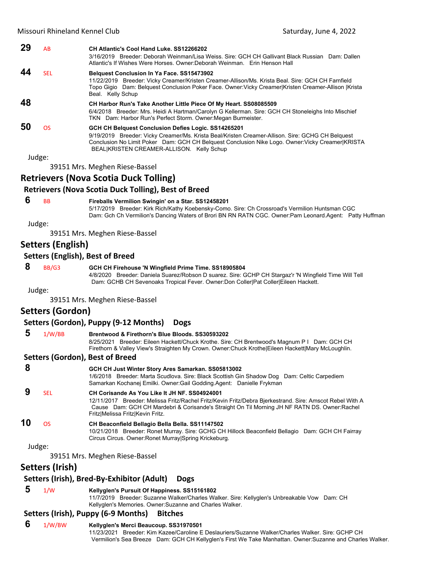| 29 | AB         | CH Atlantic's Cool Hand Luke, SS12266202<br>3/16/2019 Breeder: Deborah Weinman/Lisa Weiss, Sire: GCH CH Gallivant Black Russian Dam: Dallen<br>Atlantic's If Wishes Were Horses, Owner:Deborah Weinman. Erin Henson Hall                                                                                 |
|----|------------|----------------------------------------------------------------------------------------------------------------------------------------------------------------------------------------------------------------------------------------------------------------------------------------------------------|
| 44 | <b>SEL</b> | <b>Belquest Conclusion In Ya Face. SS15473902</b><br>11/22/2019 Breeder: Vicky Creamer/Kristen Creamer-Allison/Ms. Krista Beal. Sire: GCH CH Farnfield<br>Topo Gigio Dam: Belquest Conclusion Poker Face. Owner: Vicky Creamer Kristen Creamer-Allison  Krista<br>Beal. Kelly Schup                      |
| 48 |            | CH Harbor Run's Take Another Little Piece Of My Heart. SS08085509<br>6/4/2018 Breeder: Mrs. Heidi A Hartman/Carolyn G Kellerman. Sire: GCH CH Stoneleighs Into Mischief<br>TKN Dam: Harbor Run's Perfect Storm. Owner: Megan Burmeister.                                                                 |
| 50 | <b>OS</b>  | GCH CH Belquest Conclusion Defies Logic. SS14265201<br>9/19/2019 Breeder: Vicky Creamer/Ms. Krista Beal/Kristen Creamer-Allison. Sire: GCHG CH Belguest<br>Conclusion No Limit Poker Dam: GCH CH Belquest Conclusion Nike Logo. Owner: Vicky Creamer KRISTA<br>BEAL KRISTEN CREAMER-ALLISON. Kelly Schup |
|    | Judge:     |                                                                                                                                                                                                                                                                                                          |
|    |            | 39151 Mrs. Meghen Riese-Bassel                                                                                                                                                                                                                                                                           |

# **Retrievers (Nova Scotia Duck Tolling)**

#### **Retrievers (Nova Scotia Duck Tolling), Best of Breed**

## **6** BB **Fireballs Vermilion Swingin' on a Star. SS12458201**

5/17/2019 Breeder: Kirk Rich/Kathy Koebensky-Como. Sire: Ch Crossroad's Vermilion Huntsman CGC Dam: Gch Ch Vermilion's Dancing Waters of Brori BN RN RATN CGC. Owner:Pam Leonard.Agent: Patty Huffman

Judge:

39151 Mrs. Meghen Riese‐Bassel

## **Setters (English)**

## **Setters (English), Best of Breed**

## **8** BB/G3 **GCH CH Firehouse 'N Wingfield Prime Time. SS18905804**

4/8/2020 Breeder: Daniela Suarez/Robson D suarez. Sire: GCHP CH Stargaz'r 'N Wingfield Time Will Tell Dam: GCHB CH Sevenoaks Tropical Fever. Owner:Don Coller|Pat Coller|Eileen Hackett.

Judge:

39151 Mrs. Meghen Riese‐Bassel

## **Setters (Gordon)**

## **Setters (Gordon), Puppy (9‐12 Months) Dogs**

| ು  | 1/W/BB | Brentwood & Firethorn's Blue Bloods, SS30593202<br>Breeder: Eileen Hackett/Chuck Krothe. Sire: CH Brentwood's Magnum P I Dam: GCH CH<br>8/25/2021  |
|----|--------|----------------------------------------------------------------------------------------------------------------------------------------------------|
|    |        | Firethorn & Valley View's Straighten My Crown. Owner: Chuck Krothe Eileen Hackett Mary McLoughlin.                                                 |
|    |        | Setters (Gordon), Best of Breed                                                                                                                    |
| -8 |        | GCH CH Just Winter Story Ares Samarkan. SS05813002<br>1/6/2019 Prooder: Merte Caudleus, Circ: Pleak Coottish Cin Chadou: Dea Dem: Coltie Carpediam |

| 8  |     | GCH CH Just Winter Story Ares Samarkan. SS05813002<br>1/6/2018 Breeder: Marta Scudlova. Sire: Black Scottish Gin Shadow Dog Dam: Celtic Carpediem<br>Samarkan Kochanej Emilki. Owner: Gail Godding. Agent: Danielle Frykman                                                                    |
|----|-----|------------------------------------------------------------------------------------------------------------------------------------------------------------------------------------------------------------------------------------------------------------------------------------------------|
|    | SEL | CH Corisande As You Like It JH NF, SS04924001<br>12/11/2017 Breeder: Melissa Fritz/Rachel Fritz/Kevin Fritz/Debra Bjerkestrand. Sire: Amscot Rebel With A<br>Cause Dam: GCH CH Mardebri & Corisande's Straight On Til Morning JH NF RATN DS. Owner: Rachel<br>Fritz Melissa Fritz Kevin Fritz. |
| 10 | ΩS  | CH Beaconfield Bellagio Bella Bella. SS11147502<br>10/21/2018 Breeder: Ronet Murray. Sire: GCHG CH Hillock Beaconfield Bellagio Dam: GCH CH Fairray<br>Circus Circus. Owner: Ronet Murray Spring Krickeburg.                                                                                   |

Judge:

39151 Mrs. Meghen Riese‐Bassel

## **Setters (Irish)**

## **Setters (Irish), Bred‐By‐Exhibitor (Adult) Dogs**

## **5** 1/W **Kellyglen's Pursuit Of Happiness. SS15161802**

11/7/2019 Breeder: Suzanne Walker/Charles Walker. Sire: Kellyglen's Unbreakable Vow Dam: CH Kellyglen's Memories. Owner:Suzanne and Charles Walker.

## **Setters (Irish), Puppy (6‐9 Months) Bitches**

## **6** 1/W/BW **Kellyglen's Merci Beaucoup. SS31970501**

11/23/2021 Breeder: Kim Kazee/Caroline E Deslauriers/Suzanne Walker/Charles Walker. Sire: GCHP CH Vermilion's Sea Breeze Dam: GCH CH Kellyglen's First We Take Manhattan. Owner:Suzanne and Charles Walker.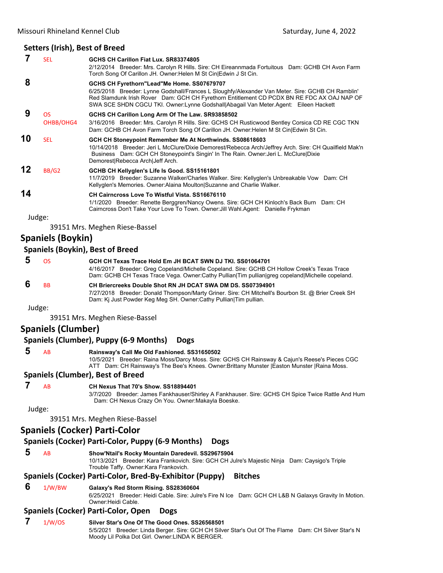## **Setters (Irish), Best of Breed**

|    | <b>SEL</b>      | GCHS CH Carillon Fiat Lux, SR83374805                                                                                                                                                                                                                                                                                               |
|----|-----------------|-------------------------------------------------------------------------------------------------------------------------------------------------------------------------------------------------------------------------------------------------------------------------------------------------------------------------------------|
|    |                 | 2/12/2014 Breeder: Mrs. Carolyn R Hills. Sire: CH Eireannmada Fortuitous Dam: GCHB CH Avon Farm<br>Torch Song Of Carillon JH. Owner: Helen M St Cin Edwin J St Cin.                                                                                                                                                                 |
| 8  |                 | GCHS CH Fyrethorn"Lead"Me Home. SS07679707<br>6/25/2018 Breeder: Lynne Godshall/Frances L Sloughfy/Alexander Van Meter. Sire: GCHB CH Ramblin'<br>Red Slamdunk Irish Rover Dam: GCH CH Fyrethorn Entitlement CD PCDX BN RE FDC AX OAJ NAP OF<br>SWA SCE SHDN CGCU TKI. Owner:Lynne Godshall Abagail Van Meter.Agent: Eileen Hackett |
| 9  | OS<br>OHBB/OHG4 | GCHS CH Carillon Long Arm Of The Law. SR93858502<br>3/16/2016 Breeder: Mrs. Carolyn R Hills. Sire: GCHS CH Rusticwood Bentley Corsica CD RE CGC TKN<br>Dam: GCHB CH Avon Farm Torch Song Of Carillon JH. Owner: Helen M St Cin Edwin St Cin.                                                                                        |
| 10 | <b>SEL</b>      | GCH CH Stoneypoint Remember Me At Northwinds. SS08618603<br>10/14/2018 Breeder: Jeri L McClure/Dixie Demorest/Rebecca Arch/Jeffrey Arch. Sire: CH Quailfield Mak'n<br>Business Dam: GCH CH Stoneypoint's Singin' In The Rain. Owner: Jeri L. McClure Dixie<br>Demorest Rebecca Arch Jeff Arch.                                      |
| 12 | BB/G2           | GCHB CH Kellyglen's Life Is Good. SS15161801<br>11/7/2019 Breeder: Suzanne Walker/Charles Walker. Sire: Kellyglen's Unbreakable Vow Dam: CH<br>Kellyglen's Memories. Owner: Alaina Moulton Suzanne and Charlie Walker.                                                                                                              |
| 14 |                 | <b>CH Cairncross Love To Wistful Vista, SS16676110</b><br>1/1/2020 Breeder: Renette Berggren/Nancy Owens. Sire: GCH CH Kinloch's Back Burn Dam: CH<br>Cairncross Don't Take Your Love To Town. Owner: Jill Wahl.Agent: Danielle Frykman                                                                                             |
|    | Judge:          |                                                                                                                                                                                                                                                                                                                                     |
|    |                 | 39151 Mrs. Meghen Riese-Bassel                                                                                                                                                                                                                                                                                                      |

## **Spaniels (Boykin)**

## **Spaniels (Boykin), Best of Breed**

| ns.       | GCH CH Texas Trace Hold Em JH BCAT SWN DJ TKI. SS01064701                                       |
|-----------|-------------------------------------------------------------------------------------------------|
|           | 4/16/2017 Breeder: Greg Copeland/Michelle Copeland. Sire: GCHB CH Hollow Creek's Texas Trace    |
|           | Dam: GCHB CH Texas Trace Vega. Owner:Cathy Pullian Tim pullian greg copeland Michelle copeland. |
| <b>RR</b> | CH Briercreeks Double Shot RN JH DCAT SWA DM DS, SS07394901                                     |

7/27/2018 Breeder: Donald Thompson/Marty Griner. Sire: CH Mitchell's Bourbon St. @ Brier Creek SH Dam: Kj Just Powder Keg Meg SH. Owner:Cathy Pullian|Tim pullian.

Judge:

39151 Mrs. Meghen Riese‐Bassel

## **Spaniels (Clumber)**

## **Spaniels (Clumber), Puppy (6‐9 Months) Dogs**

### **5** AB **Rainsway's Call Me Old Fashioned. SS31650502**

10/5/2021 Breeder: Raina Moss/Darcy Moss. Sire: GCHS CH Rainsway & Cajun's Reese's Pieces CGC ATT Dam: CH Rainsway's The Bee's Knees. Owner:Brittany Munster |Easton Munster |Raina Moss.

## **Spaniels (Clumber), Best of Breed**

# **7** AB **CH Nexus That 70's Show. SS18894401**

3/7/2020 Breeder: James Fankhauser/Shirley A Fankhauser. Sire: GCHS CH Spice Twice Rattle And Hum Dam: CH Nexus Crazy On You. Owner:Makayla Boeske.

Judge:

39151 Mrs. Meghen Riese‐Bassel

## **Spaniels (Cocker) Parti‐Color**

## **Spaniels (Cocker) Parti‐Color, Puppy (6‐9 Months) Dogs**

 **5** AB **Show'Ntail's Rocky Mountain Daredevil. SS29675904**

10/13/2021 Breeder: Kara Frankovich. Sire: GCH CH Julre's Majestic Ninja Dam: Caysigo's Triple Trouble Taffy. Owner:Kara Frankovich.

## **Spaniels (Cocker) Parti‐Color, Bred‐By‐Exhibitor (Puppy) Bitches**

## **6** 1/W/BW **Galaxy's Red Storm Rising. SS28360604**

6/25/2021 Breeder: Heidi Cable. Sire: Julre's Fire N Ice Dam: GCH CH L&B N Galaxys Gravity In Motion. Owner:Heidi Cable.

## **Spaniels (Cocker) Parti‐Color, Open Dogs**

 **7** 1/W/OS **Silver Star's One Of The Good Ones. SS26568501** 5/5/2021 Breeder: Linda Berger. Sire: GCH CH Silver Star's Out Of The Flame Dam: CH Silver Star's N Moody Lil Polka Dot Girl. Owner:LINDA K BERGER.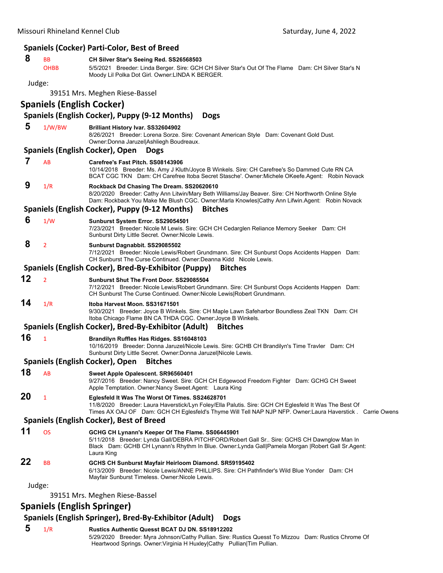|        |                                    | <b>Spaniels (Cocker) Parti-Color, Best of Breed</b>                                                                                                                                                                                                                   |
|--------|------------------------------------|-----------------------------------------------------------------------------------------------------------------------------------------------------------------------------------------------------------------------------------------------------------------------|
| 8      | ВB<br><b>OHBB</b>                  | CH Silver Star's Seeing Red. SS26568503<br>5/5/2021 Breeder: Linda Berger. Sire: GCH CH Silver Star's Out Of The Flame Dam: CH Silver Star's N<br>Moody Lil Polka Dot Girl. Owner: LINDA K BERGER.                                                                    |
| Judge: |                                    |                                                                                                                                                                                                                                                                       |
|        |                                    | 39151 Mrs. Meghen Riese-Bassel                                                                                                                                                                                                                                        |
|        | <b>Spaniels (English Cocker)</b>   |                                                                                                                                                                                                                                                                       |
|        |                                    | Spaniels (English Cocker), Puppy (9-12 Months)<br><b>Dogs</b>                                                                                                                                                                                                         |
| 5      | 1/W/BW                             | Brilliant History Ivar. SS32604902<br>8/26/2021 Breeder: Lorena Sorze. Sire: Covenant American Style Dam: Covenant Gold Dust.<br>Owner: Donna Jaruzel Ashliegh Boudreaux.                                                                                             |
|        |                                    | <b>Spaniels (English Cocker), Open</b><br><b>Dogs</b>                                                                                                                                                                                                                 |
| 7      | AB                                 | Carefree's Fast Pitch, SS08143906<br>10/14/2018 Breeder: Ms. Amy J Kluth/Joyce B Winkels. Sire: CH Carefree's So Dammed Cute RN CA<br>BCAT CGC TKN Dam: CH Carefree Itoba Secret Stasche'. Owner:Michele OKeefe.Agent: Robin Novack                                   |
| 9      | 1/R                                | Rockback Dd Chasing The Dream. SS20620610<br>8/20/2020 Breeder: Cathy Ann Litwin/Mary Beth Williams/Jay Beaver. Sire: CH Northworth Online Style<br>Dam: Rockback You Make Me Blush CGC. Owner:Marla Knowles Cathy Ann Lifwin.Agent: Robin Novack                     |
|        |                                    | Spaniels (English Cocker), Puppy (9-12 Months)<br><b>Bitches</b>                                                                                                                                                                                                      |
| 6      | 1/W                                | Sunburst System Error. SS29054501<br>7/23/2021 Breeder: Nicole M Lewis. Sire: GCH CH Cedarglen Reliance Memory Seeker Dam: CH<br>Sunburst Dirty Little Secret. Owner: Nicole Lewis.                                                                                   |
| 8      | $\overline{2}$                     | Sunburst Dagnabbit. SS29085502<br>7/12/2021 Breeder: Nicole Lewis/Robert Grundmann. Sire: CH Sunburst Oops Accidents Happen Dam:<br>CH Sunburst The Curse Continued, Owner:Deanna Kidd Nicole Lewis.                                                                  |
|        |                                    | Spaniels (English Cocker), Bred-By-Exhibitor (Puppy)<br><b>Bitches</b>                                                                                                                                                                                                |
| 12     | $\overline{2}$                     | Sunburst Shut The Front Door. SS29085504<br>7/12/2021 Breeder: Nicole Lewis/Robert Grundmann. Sire: CH Sunburst Oops Accidents Happen Dam:<br>CH Sunburst The Curse Continued. Owner: Nicole Lewis Robert Grundmann.                                                  |
| 14     | 1/R                                | Itoba Harvest Moon. SS31671501<br>9/30/2021 Breeder: Joyce B Winkels. Sire: CH Maple Lawn Safeharbor Boundless Zeal TKN Dam: CH<br>Itoba Chicago Flame BN CA THDA CGC. Owner: Joyce B Winkels.                                                                        |
|        |                                    | Spaniels (English Cocker), Bred-By-Exhibitor (Adult)<br><b>Bitches</b>                                                                                                                                                                                                |
| 16     | $\mathbf{1}$                       | Brandilyn Ruffles Has Ridges. SS16048103<br>10/16/2019 Breeder: Donna Jaruzel/Nicole Lewis. Sire: GCHB CH Brandilyn's Time Travler Dam: CH<br>Sunburst Dirty Little Secret. Owner: Donna Jaruzel Nicole Lewis.                                                        |
|        |                                    | Spaniels (English Cocker), Open<br><b>Bitches</b>                                                                                                                                                                                                                     |
| 18     | AB                                 | Sweet Apple Opalescent. SR96560401<br>9/27/2016 Breeder: Nancy Sweet. Sire: GCH CH Edgewood Freedom Fighter Dam: GCHG CH Sweet<br>Apple Temptation. Owner: Nancy Sweet. Agent: Laura King                                                                             |
| 20     | $\mathbf{1}$                       | Eglesfeld It Was The Worst Of Times. SS24628701<br>11/8/2020 Breeder: Laura Haverstick/Lyn Foley/Ella Palutis. Sire: GCH CH Eglesfeld It Was The Best Of<br>Times AX OAJ OF Dam: GCH CH Eglesfeld's Thyme Will Tell NAP NJP NFP. Owner:Laura Haverstick. Carrie Owens |
|        |                                    | <b>Spaniels (English Cocker), Best of Breed</b>                                                                                                                                                                                                                       |
| 11     | <b>OS</b>                          | GCHG CH Lynann's Keeper Of The Flame. SS06445901<br>5/11/2018 Breeder: Lynda Gall/DEBRA PITCHFORD/Robert Gall Sr Sire: GCHS CH Dawnglow Man In<br>Black Dam: GCHB CH Lynann's Rhythm In Blue. Owner: Lynda Gall Pamela Morgan   Robert Gall Sr. Agent:<br>Laura King  |
| 22     | <b>BB</b>                          | GCHS CH Sunburst Mayfair Heirloom Diamond. SR59195402<br>6/13/2009 Breeder: Nicole Lewis/ANNE PHILLIPS. Sire: CH Pathfinder's Wild Blue Yonder Dam: CH<br>Mayfair Sunburst Timeless. Owner: Nicole Lewis.                                                             |
| Judge: |                                    |                                                                                                                                                                                                                                                                       |
|        |                                    | 39151 Mrs. Meghen Riese-Bassel                                                                                                                                                                                                                                        |
|        | <b>Spaniels (English Springer)</b> |                                                                                                                                                                                                                                                                       |

# **Spaniels (English Springer), Bred‐By‐Exhibitor (Adult) Dogs**

 **5** 1/R **Rustics Authentic Quesst BCAT DJ DN. SS18912202** 5/29/2020 Breeder: Myra Johnson/Cathy Pullian. Sire: Rustics Quesst To Mizzou Dam: Rustics Chrome Of Heartwood Springs. Owner: Virginia H Huxley Cathy Pullian | Tim Pullian.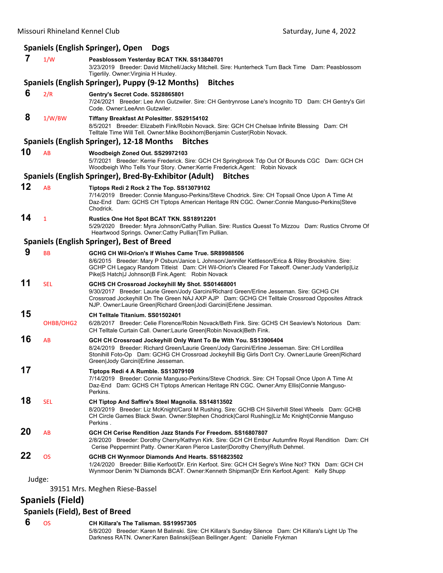# **Spaniels (English Springer), Open Dogs**

| 7      | 1/W        | Peasblossom Yesterday BCAT TKN. SS13840701<br>3/23/2019 Breeder: David Mitchell/Jacky Mitchell. Sire: Hunterheck Turn Back Time Dam: Peasblossom<br>Tigerlily. Owner: Virginia H Huxley.                                                                                                                                 |
|--------|------------|--------------------------------------------------------------------------------------------------------------------------------------------------------------------------------------------------------------------------------------------------------------------------------------------------------------------------|
|        |            | Spaniels (English Springer), Puppy (9-12 Months)<br><b>Bitches</b>                                                                                                                                                                                                                                                       |
| 6      | 2/R        | Gentry's Secret Code. SS28865801<br>7/24/2021 Breeder: Lee Ann Gutzwiler. Sire: CH Gentrynrose Lane's Incognito TD Dam: CH Gentry's Girl<br>Code. Owner: LeeAnn Gutzwiler.                                                                                                                                               |
| 8      | 1/W/BW     | Tiffany Breakfast At Polesitter. SS29154102<br>8/5/2021 Breeder: Elizabeth Fink/Robin Novack. Sire: GCH CH Chelsae Infinite Blessing Dam: CH<br>Telltale Time Will Tell. Owner: Mike Bockhorn Benjamin Custer Robin Novack.                                                                                              |
|        |            | Spaniels (English Springer), 12-18 Months<br><b>Bitches</b>                                                                                                                                                                                                                                                              |
| 10     | AB         | Woodbeigh Zoned Out. SS29972103<br>5/7/2021 Breeder: Kerrie Frederick. Sire: GCH CH Springbrook Tdp Out Of Bounds CGC Dam: GCH CH<br>Woodbeigh Who Tells Your Story. Owner: Kerrie Frederick. Agent: Robin Novack                                                                                                        |
|        |            | Spaniels (English Springer), Bred-By-Exhibitor (Adult)<br><b>Bitches</b>                                                                                                                                                                                                                                                 |
| 12     | AB         | Tiptops Redi 2 Rock 2 The Top. SS13079102<br>7/14/2019 Breeder: Connie Manguso-Perkins/Steve Chodrick. Sire: CH Topsail Once Upon A Time At<br>Daz-End Dam: GCHS CH Tiptops American Heritage RN CGC. Owner:Connie Manguso-Perkins Steve<br>Chodrick.                                                                    |
| 14     | 1          | <b>Rustics One Hot Spot BCAT TKN. SS18912201</b><br>5/29/2020 Breeder: Myra Johnson/Cathy Pullian. Sire: Rustics Quesst To Mizzou Dam: Rustics Chrome Of<br>Heartwood Springs. Owner: Cathy Pullian Tim Pullian.                                                                                                         |
|        |            | Spaniels (English Springer), Best of Breed                                                                                                                                                                                                                                                                               |
| 9      | <b>BB</b>  | GCHG CH Wil-Orion's If Wishes Came True. SR89988506<br>8/6/2015 Breeder: Mary P Osbun/Janice L Johnson/Jennifer Kettleson/Erica & Riley Brookshire. Sire:<br>GCHP CH Legacy Random Titleist Dam: CH Wil-Orion's Cleared For Takeoff. Owner: Judy Vanderlip Liz<br>Pike S Hatch J Johnson B Fink.Agent: Robin Novack      |
| 11     | <b>SEL</b> | GCHS CH Crossroad Jockeyhill My Shot. SS01468001<br>9/30/2017 Breeder: Laurie Green/Jody Garcini/Richard Green/Erline Jesseman. Sire: GCHG CH<br>Crossroad Jockeyhill On The Green NAJ AXP AJP Dam: GCHG CH Telltale Crossroad Opposites Attrack<br>NJP. Owner: Laurie Green Richard Green Jodi Garcini Erlene Jessiman. |
| 15     | OHBB/OHG2  | CH Telltale Titanium. SS01502401<br>6/28/2017 Breeder: Celie Florence/Robin Novack/Beth Fink. Sire: GCHS CH Seaview's Notorious Dam:<br>CH Telltale Curtain Call. Owner:Laurie Green Robin Novack Beth Fink.                                                                                                             |
| 16     | AB         | GCH CH Crossroad Jockeyhill Only Want To Be With You. SS13906404                                                                                                                                                                                                                                                         |
|        |            | 8/24/2019 Breeder: Richard Green/Laurie Green/Jody Garcini/Erline Jesseman. Sire: CH Lordillea<br>Stonihill Foto-Op Dam: GCHG CH Crossroad Jockeyhill Big Girls Don't Cry. Owner:Laurie Green Richard<br>Green Jody Garcini Erline Jesseman.                                                                             |
| 17     |            | Tiptops Redi 4 A Rumble. SS13079109<br>7/14/2019 Breeder: Connie Manguso-Perkins/Steve Chodrick. Sire: CH Topsail Once Upon A Time At<br>Daz-End Dam: GCHS CH Tiptops American Heritage RN CGC. Owner:Amy Ellis Connie Manguso-<br>Perkins.                                                                              |
| 18     | <b>SEL</b> | CH Tiptop And Saffire's Steel Magnolia. SS14813502<br>8/20/2019 Breeder: Liz McKnight/Carol M Rushing. Sire: GCHB CH Silverhill Steel Wheels Dam: GCHB<br>CH Circle Games Black Swan. Owner:Stephen Chodrick Carol Rushing Liz Mc Knight Connie Manguso<br>Perkins.                                                      |
| 20     | AB         | GCH CH Cerise Rendition Jazz Stands For Freedom. SS16807807<br>2/8/2020 Breeder: Dorothy Cherry/Kathryn Kirk. Sire: GCH CH Embur Autumfire Royal Rendition Dam: CH<br>Cerise Peppermint Patty. Owner: Karen Pierce Laster Dorothy Cherry Ruth Dehmel.                                                                    |
| 22     | <b>OS</b>  | GCHB CH Wynmoor Diamonds And Hearts. SS16823502<br>1/24/2020 Breeder: Billie Kerfoot/Dr. Erin Kerfoot. Sire: GCH CH Segre's Wine Not? TKN Dam: GCH CH<br>Wynmoor Denim 'N Diamonds BCAT. Owner:Kenneth Shipman Dr Erin Kerfoot.Agent: Kelly Shupp                                                                        |
| Judge: |            |                                                                                                                                                                                                                                                                                                                          |
|        |            | 39151 Mrs. Meghen Riese-Bassel                                                                                                                                                                                                                                                                                           |

**Spaniels (Field)**

# **Spaniels (Field), Best of Breed**

 **6** OS **CH Killara's The Talisman. SS19957305** 5/8/2020 Breeder: Karen M Balinski. Sire: CH Killara's Sunday Silence Dam: CH Killara's Light Up The Darkness RATN. Owner:Karen Balinski|Sean Bellinger.Agent: Danielle Frykman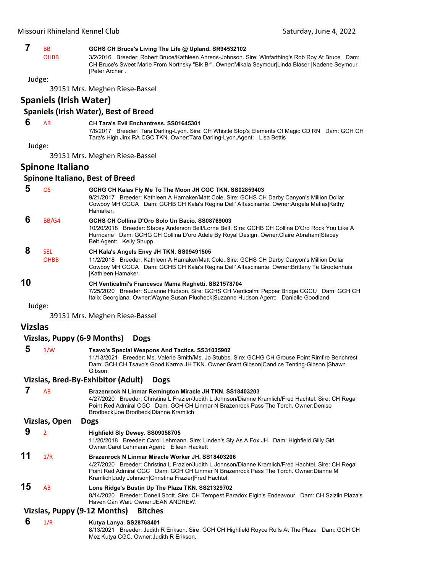## **7** BB **GCHS CH Bruce's Living The Life @ Upland. SR94532102**

OHBB 3/2/2016 Breeder: Robert Bruce/Kathleen Ahrens-Johnson. Sire: Winfarthing's Rob Roy At Bruce Dam: CH Bruce's Sweet Marie From Northsky "Blk Br". Owner:Mikala Seymour|Linda Blaser |Nadene Seymour |Peter Archer .

Judge:

39151 Mrs. Meghen Riese‐Bassel

## **Spaniels (Irish Water)**

## **Spaniels (Irish Water), Best of Breed**

## **6** AB **CH Tara's Evil Enchantress. SS01645301**

7/8/2017 Breeder: Tara Darling-Lyon. Sire: CH Whistle Stop's Elements Of Magic CD RN Dam: GCH CH Tara's High Jinx RA CGC TKN. Owner:Tara Darling-Lyon.Agent: Lisa Bettis

Judge:

39151 Mrs. Meghen Riese‐Bassel

## **Spinone Italiano**

### **Spinone Italiano, Best of Breed**

| 5 | OS                        | GCHG CH Kalas Fly Me To The Moon JH CGC TKN. SS02859403<br>9/21/2017 Breeder: Kathleen A Hamaker/Matt Cole. Sire: GCHS CH Darby Canyon's Million Dollar<br>Cowboy MH CGCA Dam: GCHB CH Kala's Regina Dell' Affascinante. Owner: Angela Matias   Kathy<br>Hamaker.          |
|---|---------------------------|----------------------------------------------------------------------------------------------------------------------------------------------------------------------------------------------------------------------------------------------------------------------------|
|   | BB/G4                     | GCHS CH Collina D'Oro Solo Un Bacio, SS08769003<br>10/20/2018 Breeder: Stacey Anderson Belt/Lorne Belt. Sire: GCHB CH Collina D'Oro Rock You Like A<br>Hurricane Dam: GCHG CH Collina D'oro Adele By Royal Design. Owner: Claire Abraham Stacey<br>Belt.Agent: Kelly Shupp |
|   | <b>SEL</b><br><b>OHBB</b> | CH Kala's Angels Envy JH TKN. SS09491505<br>11/2/2018 Breeder: Kathleen A Hamaker/Matt Cole. Sire: GCHS CH Darby Canyon's Million Dollar<br>Cowboy MH CGCA Dam: GCHB CH Kala's Regina Dell' Affascinante. Owner: Brittany Te Grootenhuis<br>lKathleen Hamaker.             |

**10 CH Venticalmi's Francesca Mama Raghetti. SS21578704**

7/25/2020 Breeder: Suzanne Hudson. Sire: GCHS CH Venticalmi Pepper Bridge CGCU Dam: GCH CH Italix Georgiana. Owner:Wayne|Susan Plucheck|Suzanne Hudson.Agent: Danielle Goodland

Judge:

39151 Mrs. Meghen Riese‐Bassel

## **Vizslas**

## **Vizslas, Puppy (6‐9 Months) Dogs**

 **5** 1/W **Tsavo's Special Weapons And Tactics. SS31035902**

11/13/2021 Breeder: Ms. Valerie Smith/Ms. Jo Stubbs. Sire: GCHG CH Grouse Point Rimfire Benchrest Dam: GCH CH Tsavo's Good Karma JH TKN. Owner:Grant Gibson|Candice Tenting-Gibson |Shawn Gibson.

#### **Vizslas, Bred‐By‐Exhibitor (Adult) Dogs**

## **7** AB **Brazenrock N Linmar Remington Miracle JH TKN. SS18403203** 4/27/2020 Breeder: Christina L Frazier/Judith L Johnson/Dianne Kramlich/Fred Hachtel. Sire: CH Regal Point Red Admiral CGC Dam: GCH CH Linmar N Brazenrock Pass The Torch. Owner:Denise Brodbeck|Joe Brodbeck|Dianne Kramlich. **Vizslas, Open Dogs**

 **9** <sup>2</sup> **Highfield Sly Dewey. SS09058705**

11/20/2018 Breeder: Carol Lehmann. Sire: Linden's Sly As A Fox JH Dam: Highfield Gilly Girl. Owner:Carol Lehmann.Agent: Eileen Hackett

**11** 1/R **Brazenrock N Linmar Miracle Worker JH. SS18403206** 4/27/2020 Breeder: Christina L Frazier/Judith L Johnson/Dianne Kramlich/Fred Hachtel. Sire: CH Regal Point Red Admiral CGC Dam: GCH CH Linmar N Brazenrock Pass The Torch. Owner:Dianne M Kramlich|Judy Johnson|Christina Frazier|Fred Hachtel. **15** AB **Lone Ridge's Bustin Up The Plaza TKN. SS21329702**

8/14/2020 Breeder: Donell Scott. Sire: CH Tempest Paradox Elgin's Endeavour Dam: CH Szizlin Plaza's Haven Can Wait. Owner:JEAN ANDREW.

## **Vizslas, Puppy (9‐12 Months) Bitches**

 **6** 1/R **Kutya Lanya. SS28768401** 8/13/2021 Breeder: Judith R Erikson. Sire: GCH CH Highfield Royce Rolls At The Plaza Dam: GCH CH Mez Kutya CGC. Owner:Judith R Erikson.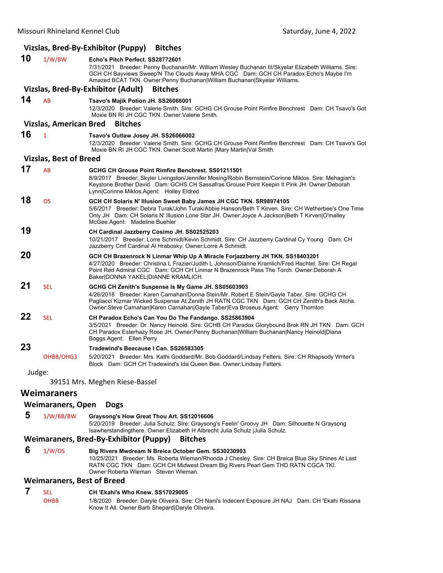|    |                                                | Vizslas, Bred-By-Exhibitor (Puppy)<br><b>Bitches</b>                                                                                                                                                                                                                                                                                   |
|----|------------------------------------------------|----------------------------------------------------------------------------------------------------------------------------------------------------------------------------------------------------------------------------------------------------------------------------------------------------------------------------------------|
| 10 | 1/W/BW                                         | Echo's Pitch Perfect, SS28772601<br>7/31/2021 Breeder: Penny Buchanan/Mr. William Wesley Buchanan III/Skyelar Elizabeth Williams. Sire:<br>GCH CH Bayviews Sweep'N The Clouds Away MHA CGC Dam: GCH CH Paradox Echo's Maybe I'm<br>Amazed BCAT TKN. Owner: Penny Buchanan William Buchanan Skyelar Williams.                           |
|    |                                                | Vizslas, Bred-By-Exhibitor (Adult)<br><b>Bitches</b>                                                                                                                                                                                                                                                                                   |
| 14 | <b>AB</b>                                      | Tsavo's Majik Potion JH. SS26066001<br>12/3/2020 Breeder: Valerie Smith. Sire: GCHG CH Grouse Point Rimfire Benchrest Dam: CH Tsavo's Got<br>Moxie BN RI JH CGC TKN, Owner: Valerie Smith.                                                                                                                                             |
|    | <b>Vizslas, American Bred</b>                  | <b>Bitches</b>                                                                                                                                                                                                                                                                                                                         |
| 16 | $\mathbf{1}$                                   | Tsavo's Outlaw Josey JH. SS26066002<br>12/3/2020 Breeder: Valerie Smith. Sire: GCHG CH Grouse Point Rimfire Benchrest Dam: CH Tsavo's Got<br>Moxie BN RI JH CGC TKN. Owner: Scott Martin   Mary Martin  Val Smith.                                                                                                                     |
|    | <b>Vizslas, Best of Breed</b>                  |                                                                                                                                                                                                                                                                                                                                        |
| 17 | AB                                             | GCHG CH Grouse Point Rimfire Benchrest, SS01211501<br>8/9/2017 Breeder: Skyler Livingston/Jennifer Mosing/Robin Bernstein/Corinne Miklos. Sire: Mehagian's<br>Keystone Brother David Dam: GCHS CH Sassafras Grouse Point Keepin It Pink JH. Owner: Deborah<br>Lynn Corinne Miklos.Agent: Holley Eldred                                 |
| 18 | <b>OS</b>                                      | GCH CH Solaris N' Illusion Sweet Baby James JH CGC TKN. SR98974105<br>5/6/2017 Breeder: Debra Turak/John Turak/Abbie Hanson/Beth T Kirven. Sire: CH Wetherbee's One Time<br>Only JH Dam: CH Solaris N' Illusion Lone Star JH. Owner: Joyce A Jackson Beth T Kirven O'malley<br>McGee.Agent: Madeline Buehler                           |
| 19 |                                                | CH Cardinal Jazzberry Cosimo JH. SS02525203<br>10/21/2017 Breeder: Lorre Schmidt/Kevin Schmidt. Sire: CH Jazzberry Cardinal Cy Young Dam: CH<br>Jazzberry Cmf Cardinal Al Hrabosky. Owner:Lorre A Schmidt.                                                                                                                             |
| 20 |                                                | GCH CH Brazenrock N Linmar Whip Up A Miracle Forjazzberry JH TKN. SS18403201<br>4/27/2020 Breeder: Christina L Frazier/Judith L Johnson/Dianne Kramlich/Fred Hachtel, Sire: CH Regal<br>Point Red Admiral CGC Dam: GCH CH Linmar N Brazenrock Pass The Torch. Owner:Deborah A<br>Baker DONNA YAKEL DIANNE KRAMLICH.                    |
| 21 | <b>SEL</b>                                     | GCHG CH Zenith's Suspense Is My Game JH. SS05603903<br>4/26/2018 Breeder: Karen Carnahan/Donna Stein/Mr. Robert E Stein/Gayle Taber. Sire: GCHG CH<br>Pagliacci Kizmar Wicked Suspense At Zenith JH RATN CGC TKN Dam: GCH CH Zenith's Back Atcha.<br>Owner:Steve Carnahan Karen Carnahan Gayle Taber Eva Broseus.Agent: Gerry Thornton |
| 22 | <b>SEL</b>                                     | CH Paradox Echo's Can You Do The Fandango. SS25863904<br>3/5/2021 Breeder: Dr. Nancy Heinold. Sire: GCHB CH Paradox Glorybound Brok RN JH TKN Dam: GCH<br>CH Paradox Esterhazy Rose JH. Owner:Penny Buchanan William Buchanan Nancy Heinold Diana<br>Boggs Agent: Ellen Perry                                                          |
| 23 |                                                | Tradewind's Beecause I Can. SS26583305                                                                                                                                                                                                                                                                                                 |
|    | OHBB/OHG3                                      | 5/20/2021 Breeder: Mrs. Kathi Goddard/Mr. Bob Goddard/Lindsay Fetters. Sire: CH Rhapsody Writer's<br>Block Dam: GCH CH Tradewind's Ida Queen Bee. Owner:Lindsay Fetters.                                                                                                                                                               |
|    | Judge:                                         |                                                                                                                                                                                                                                                                                                                                        |
|    |                                                | 39151 Mrs. Meghen Riese-Bassel                                                                                                                                                                                                                                                                                                         |
|    | <b>Weimaraners</b><br><b>Weimaraners, Open</b> | <b>Dogs</b>                                                                                                                                                                                                                                                                                                                            |
| 5  | 1/W/BB/BW                                      | Graysong's How Great Thou Art. SS12016606                                                                                                                                                                                                                                                                                              |
|    |                                                |                                                                                                                                                                                                                                                                                                                                        |

5/20/2019 Breeder: Julia Schulz. Sire: Graysong's Feelin' Groovy JH Dam: Silhouette N Graysong Isawherstandingthere. Owner:Elizabeth H Albrecht Julia Schulz |Julia Schulz.

# **Weimaraners, Bred‐By‐Exhibitor (Puppy) Bitches**

 **6** 1/W/OS **Big Rivers Mwdream N Breica October Gem. SS30230903** 10/25/2021 Breeder: Ms. Roberta Wieman/Rhonda J Chesley. Sire: CH Breica Blue Sky Shines At Last RATN CGC TKN Dam: GCH CH Midwest Dream Big Rivers Pearl Gem THD RATN CGCA TKI. Owner:Roberta Wieman Steven Wieman.

#### **Weimaraners, Best of Breed**

| <b>SEL</b>  | CH 'Ekahi's Who Knew, SS17029005                                                                   |
|-------------|----------------------------------------------------------------------------------------------------|
| <b>OHBB</b> | 1/8/2020 Breeder: Daryle Oliveira. Sire: CH Nani's Indecent Exposure JH NAJ Dam: CH 'Ekahi Rissana |
|             | Know It All. Owner:Barb Shepard Daryle Oliveira.                                                   |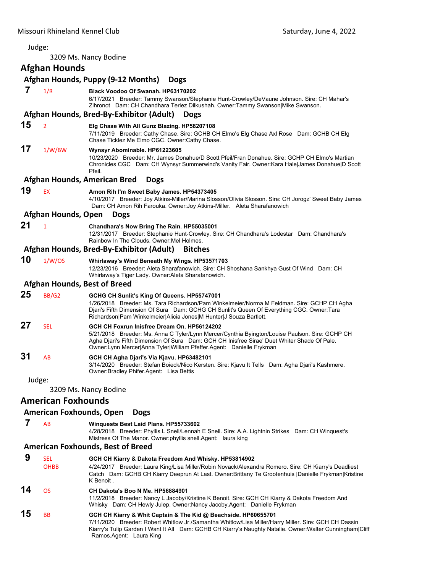<span id="page-13-0"></span>

| Judge: |                           |                                                                                                                                                                                                                                                                                                                       |  |  |  |
|--------|---------------------------|-----------------------------------------------------------------------------------------------------------------------------------------------------------------------------------------------------------------------------------------------------------------------------------------------------------------------|--|--|--|
|        | 3209 Ms. Nancy Bodine     |                                                                                                                                                                                                                                                                                                                       |  |  |  |
|        | <b>Afghan Hounds</b>      |                                                                                                                                                                                                                                                                                                                       |  |  |  |
|        |                           | Afghan Hounds, Puppy (9-12 Months)<br><b>Dogs</b>                                                                                                                                                                                                                                                                     |  |  |  |
| 7      | 1/R                       | Black Voodoo Of Swanah. HP63170202<br>6/17/2021 Breeder: Tammy Swanson/Stephanie Hunt-Crowley/DeVaune Johnson. Sire: CH Mahar's<br>Zihronot Dam: CH Chandhara Terlez Dilkushah. Owner:Tammy Swanson Mike Swanson.                                                                                                     |  |  |  |
|        |                           | Afghan Hounds, Bred-By-Exhibitor (Adult)<br><b>Dogs</b>                                                                                                                                                                                                                                                               |  |  |  |
| 15     | $\overline{2}$            | Elg Chase With All Gunz Blazing. HP58207108<br>7/11/2019 Breeder: Cathy Chase. Sire: GCHB CH Elmo's Elg Chase Axl Rose Dam: GCHB CH Elg<br>Chase Ticklez Me Elmo CGC. Owner Cathy Chase.                                                                                                                              |  |  |  |
| 17     | 1/W/BW                    | Wynsyr Abominable. HP61223605<br>10/23/2020 Breeder: Mr. James Donahue/D Scott Pfeil/Fran Donahue. Sire: GCHP CH Elmo's Martian<br>Chronicles CGC Dam: CH Wynsyr Summerwind's Vanity Fair. Owner:Kara Hale James Donahue D Scott<br>Pfeil.                                                                            |  |  |  |
|        |                           | Afghan Hounds, American Bred<br><b>Dogs</b>                                                                                                                                                                                                                                                                           |  |  |  |
| 19     | EX                        | Amon Rih I'm Sweet Baby James. HP54373405<br>4/10/2017 Breeder: Joy Atkins-Miller/Marina Slosson/Olivia Slosson. Sire: CH Jorogz' Sweet Baby James<br>Dam: CH Amon Rih Farouka. Owner: Joy Atkins-Miller. Aleta Sharafanowich                                                                                         |  |  |  |
|        | Afghan Hounds, Open       | <b>Dogs</b>                                                                                                                                                                                                                                                                                                           |  |  |  |
| 21     | $\overline{1}$            | Chandhara's Now Bring The Rain. HP55035001<br>12/31/2017 Breeder: Stephanie Hunt-Crowley. Sire: CH Chandhara's Lodestar Dam: Chandhara's<br>Rainbow In The Clouds. Owner: Mel Holmes.                                                                                                                                 |  |  |  |
|        |                           | Afghan Hounds, Bred-By-Exhibitor (Adult)<br><b>Bitches</b>                                                                                                                                                                                                                                                            |  |  |  |
| 10     | 1/W/OS                    | Whirlaway's Wind Beneath My Wings. HP53571703<br>12/23/2016 Breeder: Aleta Sharafanowich. Sire: CH Shoshana Sankhya Gust Of Wind Dam: CH<br>Whirlaway's Tiger Lady. Owner: Aleta Sharafanowich.                                                                                                                       |  |  |  |
|        |                           | <b>Afghan Hounds, Best of Breed</b>                                                                                                                                                                                                                                                                                   |  |  |  |
| 25     | <b>BB/G2</b>              | GCHG CH Sunlit's King Of Queens. HP55747001<br>1/26/2018 Breeder: Ms. Tara Richardson/Pam Winkelmeier/Norma M Feldman. Sire: GCHP CH Agha<br>Djari's Fifth Dimension Of Sura Dam: GCHG CH Sunlit's Queen Of Everything CGC. Owner:Tara<br>Richardson Pam Winkelmeier Alicia Jones M Hunter J Souza Bartlett.          |  |  |  |
| 27     | <b>SEL</b>                | GCH CH Foxrun Inisfree Dream On. HP56124202<br>5/21/2018 Breeder: Ms. Anna C Tyler/Lynn Mercer/Cynthia Byington/Louise Paulson. Sire: GCHP CH<br>Agha Djari's Fifth Dimension Of Sura Dam: GCH CH Inisfree Sirae' Duet Whiter Shade Of Pale.<br>Owner: Lynn Mercer Anna Tyler William Pfeffer Agent: Danielle Frykman |  |  |  |
| 31     | AB                        | GCH CH Agha Djari's Via Kjavu. HP63482101<br>3/14/2020 Breeder: Stefan Boieck/Nico Kersten. Sire: Kjavu It Tells Dam: Agha Djari's Kashmere.<br>Owner: Bradley Phifer. Agent: Lisa Bettis                                                                                                                             |  |  |  |
| Judge: |                           |                                                                                                                                                                                                                                                                                                                       |  |  |  |
|        |                           | 3209 Ms. Nancy Bodine                                                                                                                                                                                                                                                                                                 |  |  |  |
|        | <b>American Foxhounds</b> |                                                                                                                                                                                                                                                                                                                       |  |  |  |

# **American Foxhounds, Open Dogs**

 **7** AB **Winquests Best Laid Plans. HP55733602**

4/28/2018 Breeder: Phyllis L Snell/Lennah E Snell. Sire: A.A. Lightnin Strikes Dam: CH Winquest's Mistress Of The Manor. Owner:phyllis snell.Agent: laura king

## **American Foxhounds, Best of Breed**

|    | <b>SEL</b>  | GCH CH Kiarry & Dakota Freedom And Whisky. HP53814902                                                                                                                                                                                                                                                          |
|----|-------------|----------------------------------------------------------------------------------------------------------------------------------------------------------------------------------------------------------------------------------------------------------------------------------------------------------------|
|    | <b>OHBB</b> | 4/24/2017 Breeder: Laura King/Lisa Miller/Robin Novack/Alexandra Romero. Sire: CH Kiarry's Deadliest<br>Catch Dam: GCHB CH Kiarry Deeprun At Last. Owner: Brittany Te Grootenhuis   Danielle Frykman  Kristine<br>K Benoit.                                                                                    |
| 14 | OS.         | CH Dakota's Boo N Me. HP56884901<br>11/2/2018 Breeder: Nancy L Jacoby/Kristine K Benoit. Sire: GCH CH Kiarry & Dakota Freedom And<br>Whisky Dam: CH Hewly Julep. Owner: Nancy Jacoby Agent: Danielle Frykman                                                                                                   |
| 15 | <b>BB</b>   | GCH CH Kiarry & Whit Captain & The Kid @ Beachside. HP60655701<br>7/11/2020 Breeder: Robert Whitlow Jr./Samantha Whitlow/Lisa Miller/Harry Miller. Sire: GCH CH Dassin<br>Kiarry's Tulip Garden I Want It All Dam: GCHB CH Kiarry's Naughty Natalie. Owner: Walter Cunningham Cliff<br>Ramos Agent: Laura King |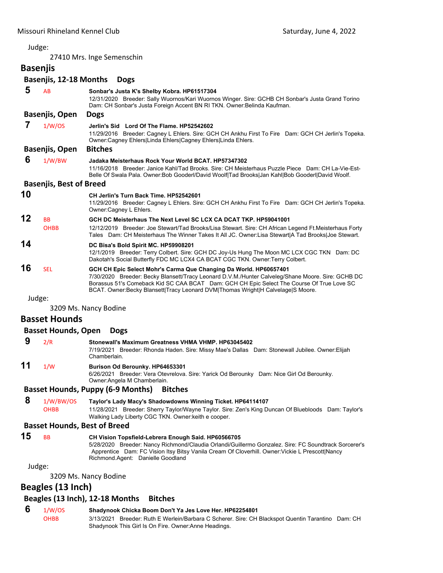27410 Mrs. Inge Semenschin

| <b>Basenjis</b> |                                     |                                                                                                                                                                                                                                                                                                                                                        |
|-----------------|-------------------------------------|--------------------------------------------------------------------------------------------------------------------------------------------------------------------------------------------------------------------------------------------------------------------------------------------------------------------------------------------------------|
|                 | Basenjis, 12-18 Months              | <b>Dogs</b>                                                                                                                                                                                                                                                                                                                                            |
| 5               | AB                                  | Sonbar's Justa K's Shelby Kobra. HP61517304<br>12/31/2020 Breeder: Sally Wuornos/Kari Wuornos Winger. Sire: GCHB CH Sonbar's Justa Grand Torino<br>Dam: CH Sonbar's Justa Foreign Accent BN RI TKN. Owner: Belinda Kaufman.                                                                                                                            |
|                 | Basenjis, Open                      | <b>Dogs</b>                                                                                                                                                                                                                                                                                                                                            |
| 7               | 1/W/OS                              | Jerlin's Sid Lord Of The Flame, HP52542602<br>11/29/2016 Breeder: Cagney L Ehlers. Sire: GCH CH Ankhu First To Fire Dam: GCH CH Jerlin's Topeka.<br>Owner:Cagney Ehlers Linda Ehlers Cagney Ehlers Linda Ehlers.                                                                                                                                       |
|                 | Basenjis, Open                      | <b>Bitches</b>                                                                                                                                                                                                                                                                                                                                         |
| 6               | 1/W/BW                              | Jadaka Meisterhaus Rock Your World BCAT. HP57347302<br>11/16/2018 Breeder: Janice Kahl/Tad Brooks, Sire: CH Meisterhaus Puzzle Piece Dam: CH La-Vie-Est-<br>Belle Of Swala Pala. Owner: Bob Gooderl/David Woolf Tad Brooks Jan Kahl Bob Gooderl David Woolf.                                                                                           |
|                 | <b>Basenjis, Best of Breed</b>      |                                                                                                                                                                                                                                                                                                                                                        |
| 10              |                                     | CH Jerlin's Turn Back Time. HP52542601<br>11/29/2016 Breeder: Cagney L Ehlers. Sire: GCH CH Ankhu First To Fire Dam: GCH CH Jerlin's Topeka.<br>Owner:Cagney L Ehlers.                                                                                                                                                                                 |
| 12              | <b>BB</b><br><b>OHBB</b>            | GCH DC Meisterhaus The Next Level SC LCX CA DCAT TKP. HP59041001<br>12/12/2019 Breeder: Joe Stewart/Tad Brooks/Lisa Stewart. Sire: CH African Legend Ft.Meisterhaus Forty<br>Tales Dam: CH Meisterhaus The Winner Takes It All JC. Owner: Lisa Stewart   A Tad Brooks   Joe Stewart.                                                                   |
| 14              |                                     | DC Bisa's Bold Spirit MC. HP59908201<br>12/1/2019 Breeder: Terry Colbert. Sire: GCH DC Joy-Us Hung The Moon MC LCX CGC TKN Dam: DC<br>Dakotah's Social Butterfly FDC MC LCX4 CA BCAT CGC TKN. Owner: Terry Colbert.                                                                                                                                    |
| 16              | <b>SEL</b>                          | GCH CH Epic Select Mohr's Carma Que Changing Da World. HP60657401<br>7/30/2020 Breeder: Becky Blansett/Tracy Leonard D.V.M./Hunter Calveleg/Shane Moore. Sire: GCHB DC<br>Borassus 51's Comeback Kid SC CAA BCAT Dam: GCH CH Epic Select The Course Of True Love SC<br>BCAT. Owner:Becky Blansett Tracy Leonard DVM Thomas Wright H Calvelage S Moore. |
| Judge:          |                                     |                                                                                                                                                                                                                                                                                                                                                        |
|                 |                                     | 3209 Ms. Nancy Bodine                                                                                                                                                                                                                                                                                                                                  |
|                 | <b>Basset Hounds</b>                |                                                                                                                                                                                                                                                                                                                                                        |
|                 | <b>Basset Hounds, Open</b>          | <b>Dogs</b>                                                                                                                                                                                                                                                                                                                                            |
| 9               | 2/R                                 | Stonewall's Maximum Greatness VHMA VHMP, HP63045402<br>7/19/2021 Breeder: Rhonda Haden. Sire: Missy Mae's Dallas Dam: Stonewall Jubilee. Owner: Elijah<br>Chamberlain.                                                                                                                                                                                 |
| 11              | 1/W                                 | Burison Od Berounky. HP64653301<br>6/26/2021 Breeder: Vera Otevrelova. Sire: Yarick Od Berounky Dam: Nice Girl Od Berounky.<br>Owner: Angela M Chamberlain.                                                                                                                                                                                            |
|                 |                                     | <b>Basset Hounds, Puppy (6-9 Months)</b><br><b>Bitches</b>                                                                                                                                                                                                                                                                                             |
| 8               | 1/W/BW/OS<br><b>OHBB</b>            | Taylor's Lady Macy's Shadowdowns Winning Ticket. HP64114107<br>11/28/2021 Breeder: Sherry Taylor/Wayne Taylor. Sire: Zen's King Duncan Of Bluebloods Dam: Taylor's<br>Walking Lady Liberty CGC TKN. Owner: keith e cooper.                                                                                                                             |
|                 | <b>Basset Hounds, Best of Breed</b> |                                                                                                                                                                                                                                                                                                                                                        |
| 15              | <b>BB</b>                           | CH Vision Topsfield-Lebrera Enough Said. HP60566705<br>5/28/2020 Breeder: Nancy Richmond/Claudia Orlandi/Guillermo Gonzalez. Sire: FC Soundtrack Sorcerer's<br>Apprentice Dam: FC Vision Itsy Bitsy Vanila Cream Of Cloverhill. Owner: Vickie L Prescott Nancy<br>Richmond Agent: Danielle Goodland                                                    |
| Judge:          |                                     |                                                                                                                                                                                                                                                                                                                                                        |
|                 |                                     | 3209 Ms. Nancy Bodine                                                                                                                                                                                                                                                                                                                                  |
|                 | Beagles (13 Inch)                   |                                                                                                                                                                                                                                                                                                                                                        |
|                 |                                     | Beagles (13 Inch), 12-18 Months<br><b>Bitches</b>                                                                                                                                                                                                                                                                                                      |
| 6               | 1/W/OS<br><b>OHBB</b>               | Shadynook Chicka Boom Don't Ya Jes Love Her. HP62254801<br>3/13/2021 Breeder: Ruth E Werlein/Barbara C Scherer. Sire: CH Blackspot Quentin Tarantino Dam: CH<br>Shadynook This Girl Is On Fire. Owner: Anne Headings.                                                                                                                                  |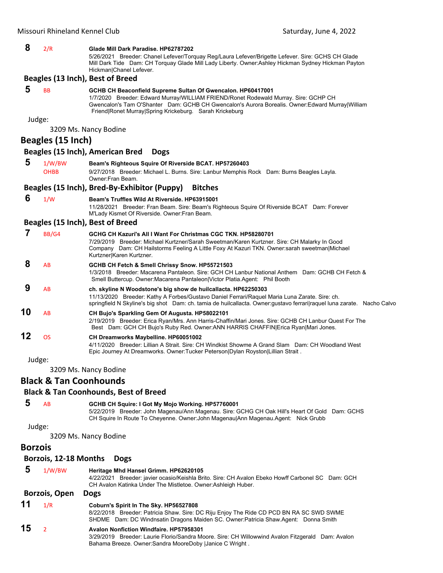| 8              | 2/R                               | Glade Mill Dark Paradise. HP62787202<br>5/26/2021 Breeder: Chanel Lefever/Torquay Reg/Laura Lefever/Brigette Lefever. Sire: GCHS CH Glade<br>Mill Dark Tide Dam: CH Torquay Glade Mill Lady Liberty. Owner:Ashley Hickman Sydney Hickman Payton                                                                  |
|----------------|-----------------------------------|------------------------------------------------------------------------------------------------------------------------------------------------------------------------------------------------------------------------------------------------------------------------------------------------------------------|
|                |                                   | Hickman Chanel Lefever.<br>Beagles (13 Inch), Best of Breed                                                                                                                                                                                                                                                      |
| 5              | <b>BB</b>                         | GCHB CH Beaconfield Supreme Sultan Of Gwencalon. HP60417001<br>1/7/2020 Breeder: Edward Murray/WILLIAM FRIEND/Ronet Rodewald Murray. Sire: GCHP CH<br>Gwencalon's Tam O'Shanter Dam: GCHB CH Gwencalon's Aurora Borealis. Owner:Edward Murray William<br>Friend Ronet Murray Spring Krickeburg. Sarah Krickeburg |
| Judge:         |                                   | 3209 Ms. Nancy Bodine                                                                                                                                                                                                                                                                                            |
|                | Beagles (15 Inch)                 |                                                                                                                                                                                                                                                                                                                  |
|                |                                   | Beagles (15 Inch), American Bred<br><b>Dogs</b>                                                                                                                                                                                                                                                                  |
| 5              | 1/W/BW                            | Beam's Righteous Squire Of Riverside BCAT. HP57260403                                                                                                                                                                                                                                                            |
|                | <b>OHBB</b>                       | 9/27/2018 Breeder: Michael L. Burns. Sire: Lanbur Memphis Rock Dam: Burns Beagles Layla.<br>Owner: Fran Beam.                                                                                                                                                                                                    |
|                |                                   | Beagles (15 Inch), Bred-By-Exhibitor (Puppy)<br><b>Bitches</b>                                                                                                                                                                                                                                                   |
| 6              | 1/W                               | Beam's Truffles Wild At Riverside, HP63915001<br>11/28/2021 Breeder: Fran Beam. Sire: Beam's Righteous Squire Of Riverside BCAT Dam: Forever<br>M'Lady Kismet Of Riverside. Owner: Fran Beam.                                                                                                                    |
|                |                                   | Beagles (15 Inch), Best of Breed                                                                                                                                                                                                                                                                                 |
| 7              | BB/G4                             | GCHG CH Kazuri's All I Want For Christmas CGC TKN. HP58280701<br>7/29/2019 Breeder: Michael Kurtzner/Sarah Sweetman/Karen Kurtzner. Sire: CH Malarky In Good<br>Company Dam: CH Hailstorms Feeling A Little Foxy At Kazuri TKN. Owner:sarah sweetman Michael<br>Kurtzner Karen Kurtzner.                         |
| 8              | AB                                | GCHB CH Fetch & Smell Chrissy Snow. HP55721503<br>1/3/2018 Breeder: Macarena Pantaleon. Sire: GCH CH Lanbur National Anthem Dam: GCHB CH Fetch &<br>Smell Buttercup. Owner: Macarena Pantaleon   Victor Platia. Agent: Phil Booth                                                                                |
| 9              | AB                                | ch. skyline N Woodstone's big show de huilcallacta. HP62250303<br>11/13/2020 Breeder: Kathy A Forbes/Gustavo Daniel Ferrari/Raquel Maria Luna Zarate. Sire: ch.<br>springfield N Skyline's big shot Dam: ch. tamia de huilcallacta. Owner: gustavo ferrari raquel luna zarate. Nacho Calvo                       |
| 10             | AB                                | CH Bujo's Sparkling Gem Of Augusta. HP58022101<br>2/19/2019 Breeder: Erica Ryan/Mrs. Ann Harris-Chaffin/Mari Jones. Sire: GCHB CH Lanbur Quest For The<br>Best Dam: GCH CH Bujo's Ruby Red. Owner:ANN HARRIS CHAFFIN Erica Ryan Mari Jones.                                                                      |
| 12             | <b>OS</b>                         | CH Dreamworks Maybelline. HP60051002<br>4/11/2020 Breeder: Lillian A Strait. Sire: CH Windkist Showme A Grand Slam Dam: CH Woodland West<br>Epic Journey At Dreamworks. Owner:Tucker Peterson Dylan Royston Lillian Strait.                                                                                      |
| Judge:         |                                   |                                                                                                                                                                                                                                                                                                                  |
|                |                                   | 3209 Ms. Nancy Bodine                                                                                                                                                                                                                                                                                            |
|                | <b>Black &amp; Tan Coonhounds</b> |                                                                                                                                                                                                                                                                                                                  |
|                |                                   | <b>Black &amp; Tan Coonhounds, Best of Breed</b>                                                                                                                                                                                                                                                                 |
| 5              | AB                                | GCHB CH Squire: I Got My Mojo Working. HP57760001<br>5/22/2019 Breeder: John Magenau/Ann Magenau. Sire: GCHG CH Oak Hill's Heart Of Gold Dam: GCHS<br>CH Squire In Route To Cheyenne. Owner: John Magenau Ann Magenau.Agent: Nick Grubb                                                                          |
| Judge:         |                                   | 3209 Ms. Nancy Bodine                                                                                                                                                                                                                                                                                            |
| <b>Borzois</b> |                                   |                                                                                                                                                                                                                                                                                                                  |
|                | Borzois, 12-18 Months             | <b>Dogs</b>                                                                                                                                                                                                                                                                                                      |
| 5              | 1/W/BW                            | Heritage Mhd Hansel Grimm. HP62620105                                                                                                                                                                                                                                                                            |
|                |                                   | 4/22/2021 Breeder: javier ocasio/Keishla Brito. Sire: CH Avalon Ebeko Howff Carbonel SC Dam: GCH<br>CH Avalon Katinka Under The Mistletoe. Owner: Ashleigh Huber.                                                                                                                                                |
|                | <b>Borzois, Open</b>              | <b>Dogs</b>                                                                                                                                                                                                                                                                                                      |
| 11             | 1/R                               | Coburn's Spirit In The Sky. HP56527808<br>8/22/2018 Breeder: Patricia Shaw. Sire: DC Riju Enjoy The Ride CD PCD BN RA SC SWD SWME<br>SHDME Dam: DC Windnsatin Dragons Maiden SC. Owner: Patricia Shaw. Agent: Donna Smith                                                                                        |
| 15             | $\overline{2}$                    | <b>Avalon Nonfiction Windfaire. HP57958301</b><br>3/29/2019 Breeder: Laurie Florio/Sandra Moore. Sire: CH Willowwind Avalon Fitzgerald Dam: Avalon<br>Bahama Breeze. Owner:Sandra MooreDoby  Janice C Wright.                                                                                                    |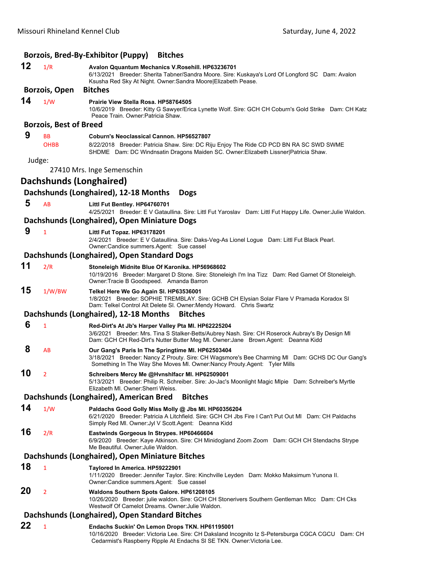|        |                               | Borzois, Bred-By-Exhibitor (Puppy)<br><b>Bitches</b>                                                                                                                                                                                          |
|--------|-------------------------------|-----------------------------------------------------------------------------------------------------------------------------------------------------------------------------------------------------------------------------------------------|
| 12     | 1/R                           | Avalon Qquantum Mechanics V.Rosehill. HP63236701<br>6/13/2021 Breeder: Sherita Tabner/Sandra Moore. Sire: Kuskaya's Lord Of Longford SC Dam: Avalon<br>Ksusha Red Sky At Night. Owner: Sandra Moore Elizabeth Pease.                          |
|        | Borzois, Open                 | <b>Bitches</b>                                                                                                                                                                                                                                |
| 14     | 1/W                           | Prairie View Stella Rosa. HP58764505<br>10/6/2019 Breeder: Kitty G Sawyer/Erica Lynette Wolf. Sire: GCH CH Coburn's Gold Strike Dam: CH Katz<br>Peace Train, Owner: Patricia Shaw.                                                            |
|        | <b>Borzois, Best of Breed</b> |                                                                                                                                                                                                                                               |
| 9      | <b>BB</b><br><b>OHBB</b>      | Coburn's Neoclassical Cannon, HP56527807<br>8/22/2018 Breeder: Patricia Shaw. Sire: DC Riju Enjoy The Ride CD PCD BN RA SC SWD SWME<br>SHDME Dam: DC Windnsatin Dragons Maiden SC. Owner: Elizabeth Lissner   Patricia Shaw.                  |
| Judge: |                               | 27410 Mrs. Inge Semenschin                                                                                                                                                                                                                    |
|        | Dachshunds (Longhaired)       |                                                                                                                                                                                                                                               |
|        |                               | Dachshunds (Longhaired), 12-18 Months<br><b>Dogs</b>                                                                                                                                                                                          |
| 5      | AB                            | Littl Fut Bentley. HP64760701                                                                                                                                                                                                                 |
|        |                               | 4/25/2021 Breeder: E V Gataullina. Sire: Littl Fut Yaroslav Dam: Littl Fut Happy Life. Owner: Julie Waldon.                                                                                                                                   |
|        |                               | Dachshunds (Longhaired), Open Miniature Dogs                                                                                                                                                                                                  |
| 9      | 1                             | Littl Fut Topaz. HP63178201<br>2/4/2021 Breeder: E V Gataullina. Sire: Daks-Veg-As Lionel Logue Dam: Littl Fut Black Pearl.<br>Owner: Candice summers. Agent: Sue cassel                                                                      |
|        |                               | Dachshunds (Longhaired), Open Standard Dogs                                                                                                                                                                                                   |
| 11     | 2/R                           | Stoneleigh Midnite Blue Of Karonika. HP56968602<br>10/19/2016 Breeder: Margaret D Stone. Sire: Stoneleigh I'm Ina Tizz Dam: Red Garnet Of Stoneleigh.<br>Owner: Tracie B Goodspeed. Amanda Barron                                             |
| 15     | 1/W/BW                        | Telkel Here We Go Again SI. HP63536001<br>1/8/2021 Breeder: SOPHIE TREMBLAY. Sire: GCHB CH Elysian Solar Flare V Pramada Koradox SI<br>Dam: Telkel Control Alt Delete SI. Owner: Mendy Howard. Chris Swartz                                   |
|        |                               | Dachshunds (Longhaired), 12-18 Months<br><b>Bitches</b>                                                                                                                                                                                       |
| 6      | $\mathbf{1}$                  | Red-Dirt's At Jb's Harper Valley Pta MI. HP62225204<br>3/6/2021 Breeder: Mrs. Tina S Stalker-Betts/Aubrey Nash. Sire: CH Roserock Aubray's By Design MI<br>Dam: GCH CH Red-Dirt's Nutter Butter Meg MI. Owner: Jane Brown. Agent: Deanna Kidd |
| 8      | AB                            | Our Gang's Paris In The Springtime MI. HP62503404<br>3/18/2021 Breeder: Nancy Z Prouty. Sire: CH Wagsmore's Bee Charming MI Dam: GCHS DC Our Gang's<br>Something In The Way She Moves MI. Owner: Nancy Prouty. Agent: Tyler Mills             |
| 10     | $\overline{2}$                | Schreibers Mercy Me @Hvnshlfacr Ml. HP62509001<br>5/13/2021 Breeder: Philip R. Schreiber. Sire: Jo-Jac's Moonlight Magic Mipie Dam: Schreiber's Myrtle<br>Elizabeth MI. Owner: Sherri Weiss.                                                  |
|        |                               | Dachshunds (Longhaired), American Bred<br><b>Bitches</b>                                                                                                                                                                                      |
| 14     | 1/W                           | Paldachs Good Golly Miss Molly @ Jbs Ml. HP60356204<br>6/21/2020 Breeder: Patricia A Litchfield. Sire: GCH CH Jbs Fire I Can't Put Out MI Dam: CH Paldachs<br>Simply Red MI. Owner: Jyl V Scott. Agent: Deanna Kidd                           |
| 16     | 2/R                           | Eastwinds Gorgeous In Strypes. HP60466604<br>6/9/2020 Breeder: Kaye Atkinson. Sire: CH Minidogland Zoom Zoom Dam: GCH CH Stendachs Strype<br>Me Beautiful. Owner: Julie Waldon.                                                               |
|        |                               | Dachshunds (Longhaired), Open Miniature Bitches                                                                                                                                                                                               |
| 18     | $\mathbf{1}$                  | Taylored In America. HP59222901<br>1/11/2020 Breeder: Jennifer Taylor. Sire: Kinchville Leyden Dam: Mokko Maksimum Yunona II.<br>Owner: Candice summers Agent: Sue cassel                                                                     |
| 20     | $\overline{2}$                | Waldons Southern Spots Galore. HP61208105<br>10/26/2020 Breeder: julie waldon. Sire: GCH CH Stonerivers Southern Gentleman Mlcc Dam: CH Cks<br>Westwolf Of Camelot Dreams. Owner: Julie Waldon.                                               |
|        |                               | Dachshunds (Longhaired), Open Standard Bitches                                                                                                                                                                                                |
| 22     | 1                             | Endachs Suckin' On Lemon Drops TKN. HP61195001<br>10/16/2020 Breeder: Victoria Lee. Sire: CH Daksland Incognito Iz S-Petersburga CGCA CGCU Dam: CH<br>Cedarmist's Raspberry Ripple At Endachs SI SE TKN. Owner: Victoria Lee.                 |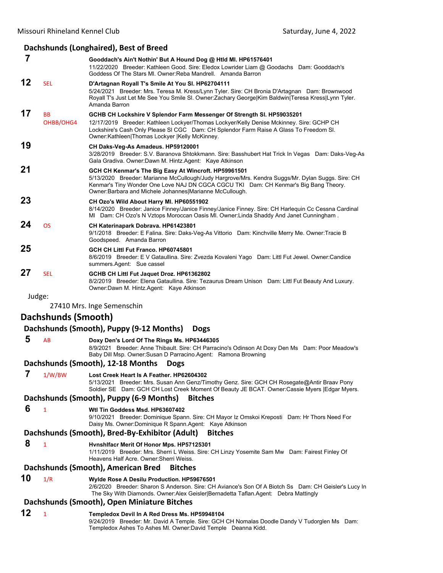#### **Dachshunds (Longhaired), Best of Breed 7 Gooddach's Ain't Nothin' But A Hound Dog @ Htld Ml. HP61576401** 11/22/2020 Breeder: Kathleen Good. Sire: Eledox Lowrider Liam @ Goodachs Dam: Gooddach's Goddess Of The Stars Ml. Owner:Reba Mandrell. Amanda Barron **12** SEL **D'Artagnan Royall T's Smile At You Sl. HP62704111** 5/24/2021 Breeder: Mrs. Teresa M. Kress/Lynn Tyler. Sire: CH Bronia D'Artagnan Dam: Brownwood Royall T's Just Let Me See You Smile Sl. Owner:Zachary George|Kim Baldwin|Teresa Kress|Lynn Tyler. Amanda Barron **17** BB **GCHB CH Lockshire V Splendor Farm Messenger Of Strength Sl. HP59035201** OHBB/OHG4 12/17/2019 Breeder: Kathleen Lockyer/Thomas Lockyer/Kelly Denise Mckinney. Sire: GCHP CH Lockshire's Cash Only Please Sl CGC Dam: CH Splendor Farm Raise A Glass To Freedom Sl. Owner:Kathleen|Thomas Lockyer |Kelly McKinney. **19 CH Daks-Veg-As Amadeus. HP59120001** 3/28/2019 Breeder: S.V. Baranova Shtokkmann. Sire: Basshubert Hat Trick In Vegas Dam: Daks-Veg-As Gala Gradiva. Owner:Dawn M. Hintz.Agent: Kaye Atkinson **21 GCH CH Kenmar's The Big Easy At Wincroft. HP59961501** 5/13/2020 Breeder: Marianne McCullough/Judy Hargrove/Mrs. Kendra Suggs/Mr. Dylan Suggs. Sire: CH Kenmar's Tiny Wonder One Love NAJ DN CGCA CGCU TKI Dam: CH Kenmar's Big Bang Theory. Owner:Barbara and Michele Johannes|Marianne McCullough. **23 CH Ozo's Wild About Harry Ml. HP60551902** 8/14/2020 Breeder: Janice Finney/Janice Finney/Janice Finney. Sire: CH Harlequin Cc Cessna Cardinal Ml Dam: CH Ozo's N Vztops Moroccan Oasis Ml. Owner:Linda Shaddy And Janet Cunningham . **24** OS **CH Katerinapark Dobrava. HP61423801** 9/1/2018 Breeder: E Falina. Sire: Daks-Veg-As Vittorio Dam: Kinchville Merry Me. Owner:Tracie B Goodspeed. Amanda Barron **25 GCH CH Littl Fut Franco. HP60745801** 8/6/2019 Breeder: E V Gataullina. Sire: Zvezda Kovaleni Yago Dam: Littl Fut Jewel. Owner:Candice summers.Agent: Sue cassel **27** SEL **GCHB CH Littl Fut Jaquet Droz. HP61362802** 8/2/2019 Breeder: Elena Gataullina. Sire: Tezaurus Dream Unison Dam: Littl Fut Beauty And Luxury. Owner:Dawn M. Hintz.Agent: Kaye Atkinson Judge:

27410 Mrs. Inge Semenschin

## **Dachshunds (Smooth)**

## **Dachshunds (Smooth), Puppy (9‐12 Months) Dogs**

 **5** AB **Doxy Den's Lord Of The Rings Ms. HP63446305**

8/9/2021 Breeder: Anne Thibault. Sire: CH Parracino's Odinson At Doxy Den Ms Dam: Poor Meadow's Baby Dill Msp. Owner:Susan D Parracino.Agent: Ramona Browning

## **Dachshunds (Smooth), 12‐18 Months Dogs**

 **7** 1/W/BW **Lost Creek Heart Is A Feather. HP62604302** 5/13/2021 Breeder: Mrs. Susan Ann Genz/Timothy Genz. Sire: GCH CH Rosegate@Antir Braav Pony Soldier SE Dam: GCH CH Lost Creek Moment Of Beauty JE BCAT. Owner:Cassie Myers |Edgar Myers.

## **Dachshunds (Smooth), Puppy (6‐9 Months) Bitches**

 **6** <sup>1</sup> **Wtl Tin Goddess Msd. HP63607402**

9/10/2021 Breeder: Dominique Spann. Sire: CH Mayor Iz Omskoi Kreposti Dam: Hr Thors Need For Daisy Ms. Owner:Dominique R Spann.Agent: Kaye Atkinson

## **Dachshunds (Smooth), Bred‐By‐Exhibitor (Adult) Bitches**

## **8** <sup>1</sup> **Hvnshlfacr Merit Of Honor Mps. HP57125301**

1/11/2019 Breeder: Mrs. Sherri L Weiss. Sire: CH Linzy Yosemite Sam Mw Dam: Fairest Finley Of Heavens Half Acre. Owner:Sherri Weiss.

## **Dachshunds (Smooth), American Bred Bitches**

**10** 1/R **Wylde Rose A Desilu Production. HP59676501**

2/6/2020 Breeder: Sharon S Anderson. Sire: CH Aviance's Son Of A Biotch Ss Dam: CH Geisler's Lucy In The Sky With Diamonds. Owner:Alex Geisler|Bernadetta Taflan.Agent: Debra Mattingly

#### **Dachshunds (Smooth), Open Miniature Bitches**

## **12** <sup>1</sup> **Templedox Devil In A Red Dress Ms. HP59948104**

9/24/2019 Breeder: Mr. David A Temple. Sire: GCH CH Nomalas Doodle Dandy V Tudorglen Ms Dam: Templedox Ashes To Ashes Ml. Owner:David Temple Deanna Kidd.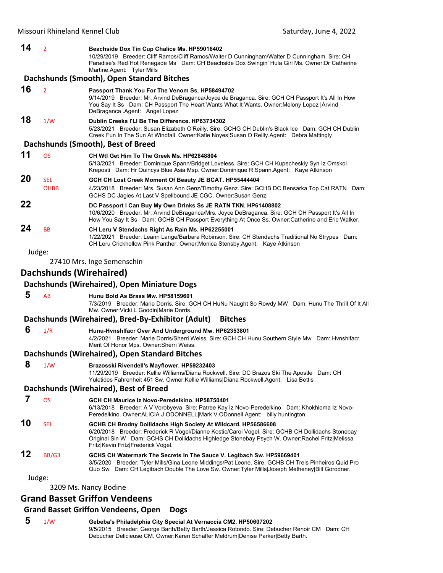| 14 | $\overline{2}$          | Beachside Dox Tin Cup Chalice Ms. HP59016402<br>10/29/2019 Breeder: Cliff Ramos/Cliff Ramos/Walter D Cunningham/Walter D Cunningham. Sire: CH<br>Paradise's Red Hot Renegade Ms Dam: CH Beachside Dox Swingin' Hula Girl Ms. Owner: Dr Catherine<br>Martine.Agent: Tyler Mills                              |
|----|-------------------------|-------------------------------------------------------------------------------------------------------------------------------------------------------------------------------------------------------------------------------------------------------------------------------------------------------------|
|    |                         | Dachshunds (Smooth), Open Standard Bitches                                                                                                                                                                                                                                                                  |
| 16 | $\overline{2}$          | Passport Thank You For The Venom Ss. HP58494702<br>9/14/2019 Breeder: Mr. Arvind DeBraganca/Joyce de Braganca. Sire: GCH CH Passport It's All In How<br>You Say It Ss Dam: CH Passport The Heart Wants What It Wants. Owner: Melony Lopez   Arvind<br>DeBraganca Agent: Angel Lopez                         |
| 18 | 1/W                     | Dublin Creeks I'LI Be The Difference, HP63734302<br>5/23/2021 Breeder: Susan Elizabeth O'Reilly. Sire: GCHG CH Dublin's Black Ice Dam: GCH CH Dublin<br>Creek Fun In The Sun At Windfall. Owner:Katie Noyes Susan O Reilly.Agent: Debra Mattingly                                                           |
|    |                         | Dachshunds (Smooth), Best of Breed                                                                                                                                                                                                                                                                          |
| 11 | <b>OS</b>               | CH Wtl Get Him To The Greek Ms. HP62848804<br>5/13/2021 Breeder: Dominique Spann/Bridget Loveless. Sire: GCH CH Kupecheskiy Syn Iz Omskoi<br>Kreposti Dam: Hr Quincys Blue Asia Msp. Owner:Dominique R Spann.Agent: Kaye Atkinson                                                                           |
| 20 | <b>SEL</b>              | GCH CH Lost Creek Moment Of Beauty JE BCAT. HP55444404                                                                                                                                                                                                                                                      |
|    | <b>OHBB</b>             | 4/23/2018 Breeder: Mrs. Susan Ann Genz/Timothy Genz. Sire: GCHB DC Bensarka Top Cat RATN Dam:<br>GCHS DC Jagies At Last V Spellbound JE CGC. Owner:Susan Genz.                                                                                                                                              |
| 22 |                         | DC Passport I Can Buy My Own Drinks Ss JE RATN TKN. HP61408802<br>10/6/2020 Breeder: Mr. Arvind DeBraganca/Mrs. Joyce DeBraganca. Sire: GCH CH Passport It's All In<br>How You Say It Ss Dam: GCHB CH Passport Everything At Once Ss. Owner:Catherine and Eric Walker.                                      |
| 24 | BB                      | CH Leru V Stendachs Right As Rain Ms. HP62255001<br>1/22/2021 Breeder: Leann Lange/Barbara Robinson. Sire: CH Stendachs Traditional No Strypes Dam:<br>CH Leru Crickhollow Pink Panther. Owner: Monica Stensby. Agent: Kaye Atkinson                                                                        |
|    | Judge:                  |                                                                                                                                                                                                                                                                                                             |
|    |                         | 27410 Mrs. Inge Semenschin                                                                                                                                                                                                                                                                                  |
|    | Dachshunds (Wirehaired) |                                                                                                                                                                                                                                                                                                             |
|    |                         | Dachshunds (Wirehaired), Open Miniature Dogs                                                                                                                                                                                                                                                                |
| 5  | AB                      | Hunu Bold As Brass Mw. HP58159601                                                                                                                                                                                                                                                                           |
|    |                         | 7/3/2019 Breeder: Marie Dorris. Sire: GCH CH HuNu Naught So Rowdy MW Dam: Hunu The Thrill Of It All<br>Mw. Owner: Vicki L Goodin Marie Dorris.                                                                                                                                                              |
|    |                         | Dachshunds (Wirehaired), Bred-By-Exhibitor (Adult)<br><b>Bitches</b>                                                                                                                                                                                                                                        |
| 6  | 1/R                     | Hunu-Hvnshlfacr Over And Underground Mw. HP62353801<br>4/2/2021 Breeder: Marie Dorris/Sherri Weiss. Sire: GCH CH Hunu Southern Style Mw Dam: Hvnshlfacr<br>Merit Of Honor Mps. Owner: Sherri Weiss.                                                                                                         |
|    |                         | Dachshunds (Wirehaired), Open Standard Bitches                                                                                                                                                                                                                                                              |
| 8  | 1/W                     | Brazosski Rivendell's Mayflower. HP59232403<br>11/29/2019 Breeder: Kellie Williams/Diana Rockwell. Sire: DC Brazos Ski The Apostle Dam: CH<br>Yuletides Fahrenheit 451 Sw. Owner: Kellie Williams   Diana Rockwell. Agent: Lisa Bettis                                                                      |
|    |                         | Dachshunds (Wirehaired), Best of Breed                                                                                                                                                                                                                                                                      |
| 7  | <b>OS</b>               | GCH CH Maurice Iz Novo-Peredelkino. HP58750401<br>6/13/2018 Breeder: A V Vorobyeva. Sire: Patree Kay Iz Novo-Peredelkino Dam: Khokhloma Iz Novo-<br>Peredelkino. Owner: ALICIA J ODONNELL Mark V ODonnell. Agent: billy huntington                                                                          |
| 10 | <b>SEL</b>              | GCHB CH Brodny Dollidachs High Society At Wildcard. HP56586608<br>6/20/2018 Breeder: Frederick R Vogel/Dianne Kostic/Carol Vogel. Sire: GCHB CH Dollidachs Stonebay<br>Original Sin W Dam: GCHS CH Dollidachs Highledge Stonebay Psych W. Owner: Rachel Fritz Melissa<br>Fritz Kevin Fritz Frederick Vogel. |
| 12 | BB/G3                   | GCHS CH Watermark The Secrets In The Sauce V. Legibach Sw. HP59669401<br>3/5/2020 Breeder: Tyler Mills/Gina Leone Middings/Pat Leone. Sire: GCHB CH Treis Pinheiros Quid Pro<br>Quo Sw Dam: CH Legibach Double The Love Sw. Owner:Tyler Mills Joseph Metheney Bill Gorodner.                                |
|    | Judge:                  |                                                                                                                                                                                                                                                                                                             |
|    |                         |                                                                                                                                                                                                                                                                                                             |

3209 Ms. Nancy Bodine

# **Grand Basset Griffon Vendeens**

## **Grand Basset Griffon Vendeens, Open Dogs**

 **5** 1/W **Gebeba's Philadelphia City Special At Vernaccia CM2. HP50607202** 9/5/2015 Breeder: George Barth/Betty Barth/Jessica Rotondo. Sire: Debucher Renoir CM Dam: CH Debucher Delicieuse CM. Owner:Karen Schaffer Meldrum|Denise Parker|Betty Barth.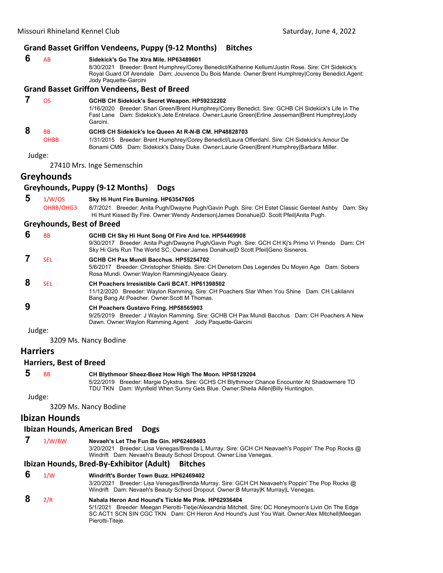## **Grand Basset Griffon Vendeens, Puppy (9‐12 Months) Bitches**

- **6** AB **Sidekick's Go The Xtra Mile. HP63489601** 8/30/2021 Breeder: Brent Humphrey/Corey Benedict/Katherine Kellum/Justin Rose. Sire: CH Sidekick's
	- Royal Guard Of Arendale Dam: Jouvence Du Bois Mande. Owner:Brent Humphrey|Corey Benedict.Agent: Jody Paquette-Garcini

#### **Grand Basset Griffon Vendeens, Best of Breed**

## **7** OS **GCHB CH Sidekick's Secret Weapon. HP59232202** 1/16/2020 Breeder: Shari Green/Brent Humphrey/Corey Benedict. Sire: GCHB CH Sidekick's Life In The Fast Lane Dam: Sidekick's Jete Entrelace. Owner:Laurie Green|Erline Jesseman|Brent Humphrey|Jody Garcini.  **8** BB **GCHS CH Sidekick's Ice Queen At R-N-B CM. HP48828703** OHBB 1/31/2015 Breeder: Brent Humphrey/Corey Benedict/Laura Offerdahl. Sire: CH Sidekick's Amour De Bonami CM6 Dam: Sidekick's Daisy Duke. Owner:Laurie Green|Brent Humphrey|Barbara Miller. Judge: 27410 Mrs. Inge Semenschin **Greyhounds Greyhounds, Puppy (9‐12 Months) Dogs 5** 1/W/OS **Sky Hi Hunt Fire Burning. HP63547605** OHBB/OHG3 8/7/2021 Breeder: Anita Pugh/Dwayne Pugh/Gavin Pugh. Sire: CH Estet Classic Genteel Ashby Dam: Sky Hi Hunt Kissed By Fire. Owner:Wendy Anderson|James Donahue|D. Scott Pfeil|Anita Pugh. **Greyhounds, Best of Breed 6** BB **GCHB CH Sky Hi Hunt Song Of Fire And Ice. HP54469908** 9/30/2017 Breeder: Anita Pugh/Dwayne Pugh/Gavin Pugh. Sire: GCH CH Kj's Primo Vi Prendo Dam: CH Sky Hi Girls Run The World SC. Owner: James Donahue|D Scott Pfeil|Geno Sisneros.

 **7** SEL **GCHB CH Pax Mundi Bacchus. HP55254702**

5/6/2017 Breeder: Christopher Shields. Sire: CH Denetorn Des Legendes Du Moyen Age Dam: Sobers Rosa Mundi. Owner:Waylon Ramming|Alyeace Geary.

 **8** SEL **CH Poachers Irresistible Carli BCAT. HP61398502**

11/12/2020 Breeder: Waylon Ramming. Sire: CH Poachers Star When You Shine Dam: CH Lakilanni Bang Bang At Poacher. Owner:Scott M Thomas.

## **9 CH Poachers Gustavo Fring. HP58565903**

9/25/2019 Breeder: J Waylon Ramming. Sire: GCHB CH Pax Mundi Bacchus Dam: CH Poachers A New Dawn. Owner:Waylon Ramming.Agent: Jody Paquette-Garcini

Judge:

3209 Ms. Nancy Bodine

## **Harriers**

## **Harriers, Best of Breed**

 **5** BB **CH Blythmoor Sheez-Beez How High The Moon. HP58129204**

5/22/2019 Breeder: Margie Dykstra. Sire: GCHS CH Blythmoor Chance Encounter At Shadowmere TD TDU TKN Dam: Wynfield When Sunny Gets Blue. Owner:Sheila Allen|Billy Huntington.

Judge:

3209 Ms. Nancy Bodine

## **Ibizan Hounds**

#### **Ibizan Hounds, American Bred Dogs**

## **7** 1/W/BW **Nevaeh's Let The Fun Be Gin. HP62469403**

3/20/2021 Breeder: Lisa Venegas/Brenda L Murray. Sire: GCH CH Neavaeh's Poppin' The Pop Rocks @ Windrift Dam: Nevaeh's Beauty School Dropout. Owner:Lisa Venegas.

#### **Ibizan Hounds, Bred‐By‐Exhibitor (Adult) Bitches**

## **6** 1/W **Windrift's Border Town Buzz. HP62469402**

3/20/2021 Breeder: Lisa Venegas/Brenda Murray. Sire: GCH CH Neavaeh's Poppin' The Pop Rocks @ Windrift Dam: Nevaeh's Beauty School Dropout. Owner:B Murray|K Murray|L Venegas.

# **8** 2/R **Nahala Heron And Hound's Tickle Me Pink. HP62936404**

5/1/2021 Breeder: Meegan Pierotti-Tietje/Alexandria Mitchell. Sire: DC Honeymoon's Livin On The Edge SC ACT1 SCN SIN CGC TKN Dam: CH Heron And Hound's Just You Wait. Owner:Alex Mitchell|Meegan Pierotti-Titeje.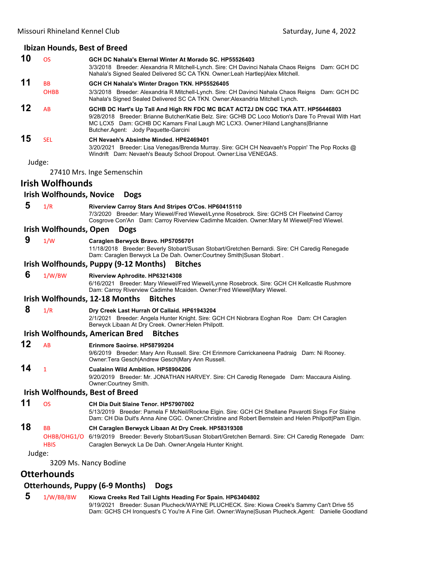|        | <b>Ibizan Hounds, Best of Breed</b>     |                                                                                                                                                                                                                                                                                                                    |
|--------|-----------------------------------------|--------------------------------------------------------------------------------------------------------------------------------------------------------------------------------------------------------------------------------------------------------------------------------------------------------------------|
| 10     | <b>OS</b>                               | GCH DC Nahala's Eternal Winter At Morado SC, HP55526403<br>3/3/2018 Breeder: Alexandria R Mitchell-Lynch. Sire: CH Davinci Nahala Chaos Reigns Dam: GCH DC<br>Nahala's Signed Sealed Delivered SC CA TKN. Owner: Leah Hartlep Alex Mitchell.                                                                       |
| 11     | <b>BB</b>                               | GCH CH Nahala's Winter Dragon TKN. HP55526405                                                                                                                                                                                                                                                                      |
|        | <b>OHBB</b>                             | 3/3/2018 Breeder: Alexandria R Mitchell-Lynch. Sire: CH Davinci Nahala Chaos Reigns Dam: GCH DC<br>Nahala's Signed Sealed Delivered SC CA TKN. Owner: Alexandria Mitchell Lynch.                                                                                                                                   |
| 12     | AB                                      | GCHB DC Hart's Up Tall And High RN FDC MC BCAT ACT2J DN CGC TKA ATT. HP56446803<br>9/28/2018 Breeder: Brianne Butcher/Katie Belz. Sire: GCHB DC Loco Motion's Dare To Prevail With Hart<br>MC LCX5 Dam: GCHB DC Kamars Final Laugh MC LCX3. Owner: Hiland Langhans Brianne<br>Butcher.Agent: Jody Paquette-Garcini |
| 15     | <b>SEL</b>                              | CH Nevaeh's Absinthe Minded, HP62469401<br>3/20/2021 Breeder: Lisa Venegas/Brenda Murray. Sire: GCH CH Neavaeh's Poppin' The Pop Rocks @<br>Windrift Dam: Nevaeh's Beauty School Dropout. Owner: Lisa VENEGAS.                                                                                                     |
| Judge: |                                         |                                                                                                                                                                                                                                                                                                                    |
|        |                                         | 27410 Mrs. Inge Semenschin                                                                                                                                                                                                                                                                                         |
|        | <b>Irish Wolfhounds</b>                 |                                                                                                                                                                                                                                                                                                                    |
|        | <b>Irish Wolfhounds, Novice</b>         | <b>Dogs</b>                                                                                                                                                                                                                                                                                                        |
| 5      | 1/R                                     | Riverview Carroy Stars And Stripes O'Cos. HP60415110<br>7/3/2020 Breeder: Mary Wiewel/Fred Wiewel/Lynne Rosebrock. Sire: GCHS CH Fleetwind Carroy<br>Cosgrove Con'An Dam: Carroy Riverview Cadimhe Mcaiden. Owner: Mary M Wiewel Fred Wiewel.                                                                      |
|        | Irish Wolfhounds, Open                  | <b>Dogs</b>                                                                                                                                                                                                                                                                                                        |
| 9      | 1/W                                     | Caraglen Berwyck Bravo. HP57056701<br>11/18/2018 Breeder: Beverly Stobart/Susan Stobart/Gretchen Bernardi. Sire: CH Caredig Renegade<br>Dam: Caraglen Berwyck La De Dah. Owner: Courtney Smith Susan Stobart.                                                                                                      |
|        |                                         | Irish Wolfhounds, Puppy (9-12 Months)<br><b>Bitches</b>                                                                                                                                                                                                                                                            |
| 6      | 1/W/BW                                  | Riverview Aphrodite. HP63214308<br>6/16/2021 Breeder: Mary Wiewel/Fred Wiewel/Lynne Rosebrock. Sire: GCH CH Kellcastle Rushmore<br>Dam: Carroy Riverview Cadimhe Mcaiden. Owner: Fred Wiewel Mary Wiewel.                                                                                                          |
|        |                                         | Irish Wolfhounds, 12-18 Months<br><b>Bitches</b>                                                                                                                                                                                                                                                                   |
| 8      | 1/R                                     | Dry Creek Last Hurrah Of Callaid. HP61943204<br>2/1/2021 Breeder: Angela Hunter Knight. Sire: GCH CH Niobrara Eoghan Roe Dam: CH Caraglen<br>Berwyck Libaan At Dry Creek. Owner: Helen Philpott.                                                                                                                   |
|        |                                         | <b>Irish Wolfhounds, American Bred</b><br><b>Bitches</b>                                                                                                                                                                                                                                                           |
| 12     | AB                                      | Erinmore Saoirse, HP58799204<br>9/6/2019 Breeder: Mary Ann Russell. Sire: CH Erinmore Carrickaneena Padraig Dam: Ni Rooney.<br>Owner: Tera Gesch Andrew Gesch Mary Ann Russell.                                                                                                                                    |
| 14     |                                         | Cualainn Wild Ambition. HP58904206<br>9/20/2019 Breeder: Mr. JONATHAN HARVEY. Sire: CH Caredig Renegade Dam: Maccaura Aisling.<br>Owner:Courtney Smith.                                                                                                                                                            |
|        |                                         | <b>Irish Wolfhounds, Best of Breed</b>                                                                                                                                                                                                                                                                             |
| 11     | <b>OS</b>                               | CH Dia Duit Slaine Tenor. HP57907002<br>5/13/2019 Breeder: Pamela F McNeil/Rockne Elgin. Sire: GCH CH Shellane Pavarotti Sings For Slaine<br>Dam: CH Dia Duit's Anna Aine CGC. Owner: Christine and Robert Bernstein and Helen Philpott Pam Elgin.                                                                 |
| 18     | <b>BB</b><br>OHBB/OHG1/O<br><b>HBIS</b> | CH Caraglen Berwyck Libaan At Dry Creek. HP58319308<br>6/19/2019 Breeder: Beverly Stobart/Susan Stobart/Gretchen Bernardi. Sire: CH Caredig Renegade Dam:<br>Caraglen Berwyck La De Dah. Owner: Angela Hunter Knight.                                                                                              |
| Judge: |                                         |                                                                                                                                                                                                                                                                                                                    |
|        |                                         | 3209 Ms. Nancy Bodine                                                                                                                                                                                                                                                                                              |
|        | Otterhounds                             | <b>Otterhounds, Puppy (6-9 Months)</b><br><b>Dogs</b>                                                                                                                                                                                                                                                              |
|        |                                         |                                                                                                                                                                                                                                                                                                                    |

 **5** 1/W/BB/BW **Kiowa Creeks Red Tail Lights Heading For Spain. HP63404802** 9/19/2021 Breeder: Susan Plucheck/WAYNE PLUCHECK. Sire: Kiowa Creek's Sammy Can't Drive 55 Dam: GCHS CH Ironquest's C You're A Fine Girl. Owner:Wayne|Susan Plucheck.Agent: Danielle Goodland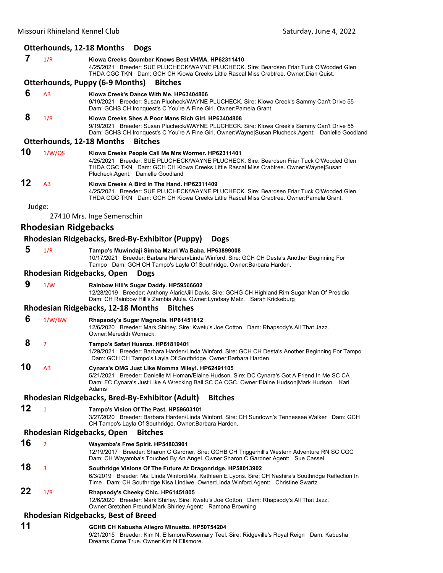## **Otterhounds, 12‐18 Months Dogs**

| 7  | 1/R                         | Kiowa Creeks Qcumber Knows Best VHMA. HP62311410<br>4/25/2021 Breeder: SUE PLUCHECK/WAYNE PLUCHECK. Sire: Beardsen Friar Tuck O'Wooded Glen<br>THDA CGC TKN Dam: GCH CH Kiowa Creeks Little Rascal Miss Crabtree. Owner:Dian Quist.                                         |
|----|-----------------------------|-----------------------------------------------------------------------------------------------------------------------------------------------------------------------------------------------------------------------------------------------------------------------------|
|    |                             | <b>Otterhounds, Puppy (6-9 Months)</b><br><b>Bitches</b>                                                                                                                                                                                                                    |
| 6  | <b>AB</b>                   | Kiowa Creek's Dance With Me. HP63404806<br>9/19/2021 Breeder: Susan Plucheck/WAYNE PLUCHECK. Sire: Kiowa Creek's Sammy Can't Drive 55<br>Dam: GCHS CH Ironquest's C You're A Fine Girl. Owner: Pamela Grant.                                                                |
| 8  | 1/R                         | Kiowa Creeks Shes A Poor Mans Rich Girl. HP63404808<br>9/19/2021 Breeder: Susan Plucheck/WAYNE PLUCHECK. Sire: Kiowa Creek's Sammy Can't Drive 55<br>Dam: GCHS CH Ironquest's C You're A Fine Girl. Owner: Wayne Susan Plucheck. Agent: Danielle Goodland                   |
|    |                             | <b>Bitches</b><br><b>Otterhounds, 12-18 Months</b>                                                                                                                                                                                                                          |
| 10 | 1/W/OS                      | Kiowa Creeks People Call Me Mrs Wormer. HP62311401<br>4/25/2021 Breeder: SUE PLUCHECK/WAYNE PLUCHECK. Sire: Beardsen Friar Tuck O'Wooded Glen<br>THDA CGC TKN Dam: GCH CH Kiowa Creeks Little Rascal Miss Crabtree. Owner: Wayne Susan<br>Plucheck.Agent: Danielle Goodland |
| 12 | AB                          | Kiowa Creeks A Bird In The Hand. HP62311409<br>4/25/2021 Breeder: SUE PLUCHECK/WAYNE PLUCHECK. Sire: Beardsen Friar Tuck O'Wooded Glen<br>THDA CGC TKN Dam: GCH CH Kiowa Creeks Little Rascal Miss Crabtree. Owner:Pamela Grant.                                            |
|    | Judge:                      |                                                                                                                                                                                                                                                                             |
|    |                             | 27410 Mrs. Inge Semenschin                                                                                                                                                                                                                                                  |
|    | <b>Rhodesian Ridgebacks</b> |                                                                                                                                                                                                                                                                             |
|    |                             | Rhodesian Ridgebacks, Bred-By-Exhibitor (Puppy)<br><b>Dogs</b>                                                                                                                                                                                                              |
| 5  | 1/R                         | Tampo's Muwindaji Simba Mzuri Wa Baba. HP63899008<br>10/17/2021 Breeder: Barbara Harden/Linda Winford. Sire: GCH CH Desta's Another Beginning For<br>Tampo Dam: GCH CH Tampo's Layla Of Southridge. Owner: Barbara Harden.                                                  |
|    |                             | Rhodesian Ridgebacks, Open<br><b>Dogs</b>                                                                                                                                                                                                                                   |
| 9  | 1/W                         | Rainbow Hill's Sugar Daddy. HP59566602<br>12/28/2019 Breeder: Anthony Alario/Jill Davis. Sire: GCHG CH Highland Rim Sugar Man Of Presidio<br>Dam: CH Rainbow Hill's Zambia Alula. Owner: Lyndsay Metz. Sarah Krickeburg                                                     |
|    |                             | <b>Rhodesian Ridgebacks, 12-18 Months</b><br><b>Bitches</b>                                                                                                                                                                                                                 |
| 6  | 1/W/BW                      | Rhapsody's Sugar Magnolia. HP61451812<br>12/6/2020 Breeder: Mark Shirley. Sire: Kwetu's Joe Cotton Dam: Rhapsody's All That Jazz.<br>Owner: Meredith Womack.                                                                                                                |
| 8  | 2                           | Tampo's Safari Huanza. HP61819401<br>1/29/2021 Breeder: Barbara Harden/Linda Winford. Sire: GCH CH Desta's Another Beginning For Tampo<br>Dam: GCH CH Tampo's Layla Of Southridge. Owner: Barbara Harden.                                                                   |
| 10 | AB                          | Cynara's OMG Just Like Momma Miley!. HP62491105<br>5/21/2021 Breeder: Danielle M Homan/Elaine Hudson. Sire: DC Cynara's Got A Friend In Me SC CA<br>Dam: FC Cynara's Just Like A Wrecking Ball SC CA CGC. Owner:Elaine Hudson Mark Hudson. Kari<br>Adams                    |
|    |                             | Rhodesian Ridgebacks, Bred-By-Exhibitor (Adult)<br><b>Bitches</b>                                                                                                                                                                                                           |
| 12 | 1                           | Tampo's Vision Of The Past. HP59603101<br>3/27/2020 Breeder: Barbara Harden/Linda Winford. Sire: CH Sundown's Tennessee Walker Dam: GCH<br>CH Tampo's Layla Of Southridge. Owner: Barbara Harden.                                                                           |
|    |                             | Rhodesian Ridgebacks, Open<br><b>Bitches</b>                                                                                                                                                                                                                                |
| 16 | $\overline{2}$              | Wayamba's Free Spirit. HP54803901<br>12/19/2017 Breeder: Sharon C Gardner. Sire: GCHB CH Triggerhill's Western Adventure RN SC CGC<br>Dam: CH Wayamba's Touched By An Angel. Owner: Sharon C Gardner. Agent: Sue Cassel                                                     |
| 18 | 3                           | Southridge Visions Of The Future At Dragonridge. HP58013902<br>6/3/2019 Breeder: Ms. Linda Winford/Ms. Kathleen E Lyons. Sire: CH Nashira's Southridge Reflection In<br>Time Dam: CH Southridge Kisa Lindiwe. Owner: Linda Winford. Agent: Christine Swartz                 |
| 22 | 1/R                         | Rhapsody's Cheeky Chic. HP61451805<br>12/6/2020 Breeder: Mark Shirley. Sire: Kwetu's Joe Cotton Dam: Rhapsody's All That Jazz.<br>Owner: Gretchen Freund Mark Shirley.Agent: Ramona Browning                                                                                |
|    |                             | <b>Rhodesian Ridgebacks, Best of Breed</b>                                                                                                                                                                                                                                  |
| 11 |                             | GCHB CH Kabusha Allegro Minuetto. HP50754204                                                                                                                                                                                                                                |

9/21/2015 Breeder: Kim N. Ellsmore/Rosemary Teel. Sire: Ridgeville's Royal Reign Dam: Kabusha

Dreams Come True. Owner:Kim N Ellsmore.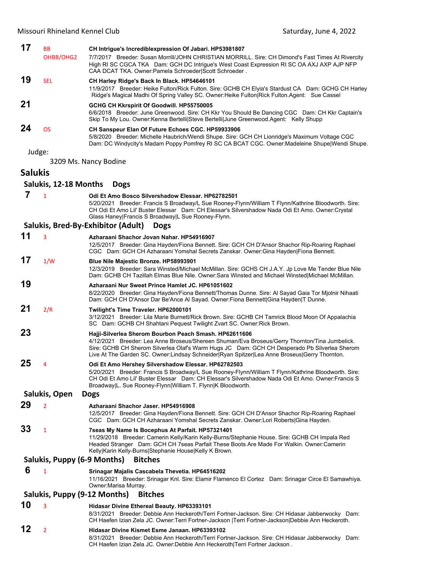| 17             | <b>BB</b>                                      | CH Intrigue's Incrediblexpression Of Jabari. HP53981807                                                                                                                                                                                                                                                                                                 |  |  |
|----------------|------------------------------------------------|---------------------------------------------------------------------------------------------------------------------------------------------------------------------------------------------------------------------------------------------------------------------------------------------------------------------------------------------------------|--|--|
|                | OHBB/OHG2                                      | 7/7/2017 Breeder: Susan Morrill/JOHN CHRISTIAN MORRILL. Sire: CH Dimond's Fast Times At Rivercity<br>High RI SC CGCA TKA Dam: GCH DC Intrigue's West Coast Expression RI SC OA AXJ AXP AJP NFP<br>CAA DCAT TKA. Owner: Pamela Schroeder Scott Schroeder.                                                                                                |  |  |
| 19             | <b>SEL</b>                                     | CH Harley Ridge's Back In Black. HP54646101<br>11/9/2017 Breeder: Heike Fulton/Rick Fulton. Sire: GCHB CH Elyia's Stardust CA Dam: GCHG CH Harley<br>Ridge's Magical Madhi Of Spring Valley SC. Owner: Heike Fulton Rick Fulton Agent: Sue Cassel                                                                                                       |  |  |
| 21             |                                                | GCHG CH Kkrspirit Of Goodwill. HP55750005<br>6/6/2018 Breeder: June Greenwood. Sire: CH Kkr You Should Be Dancing CGC Dam: CH Kkr Captain's<br>Skip To My Lou. Owner:Kenna Bertelli Steve Bertelli June Greenwood.Agent: Kelly Shupp                                                                                                                    |  |  |
| 24             | <b>OS</b>                                      | CH Sanspeur Elan Of Future Echoes CGC. HP59933906<br>5/8/2020 Breeder: Michelle Haubrich/Wendi Shupe. Sire: GCH CH Lionridge's Maximum Voltage CGC<br>Dam: DC Windycity's Madam Poppy Pomfrey RI SC CA BCAT CGC. Owner: Madeleine Shupe Wendi Shupe.                                                                                                    |  |  |
|                | Judge:                                         |                                                                                                                                                                                                                                                                                                                                                         |  |  |
|                |                                                | 3209 Ms. Nancy Bodine                                                                                                                                                                                                                                                                                                                                   |  |  |
| <b>Salukis</b> |                                                |                                                                                                                                                                                                                                                                                                                                                         |  |  |
|                | Salukis, 12-18 Months                          | <b>Dogs</b>                                                                                                                                                                                                                                                                                                                                             |  |  |
| 7              | $\mathbf{1}$                                   | Odi Et Amo Bosco Silvershadow Elessar. HP62782501<br>5/20/2021 Breeder: Francis S Broadway/L Sue Rooney-Flynn/William T Flynn/Kathrine Bloodworth. Sire:<br>CH Odi Et Amo Lil' Buster Elessar Dam: CH Elessar's Silvershadow Nada Odi Et Amo. Owner: Crystal<br>Glass Haney Francis S Broadway L Sue Rooney-Flynn.                                      |  |  |
|                |                                                | Salukis, Bred-By-Exhibitor (Adult)<br><b>Dogs</b>                                                                                                                                                                                                                                                                                                       |  |  |
| 11             | 3                                              | Azharaani Shachor Jovan Nahar, HP54916907                                                                                                                                                                                                                                                                                                               |  |  |
|                |                                                | 12/5/2017 Breeder: Gina Hayden/Fiona Bennett. Sire: GCH CH D'Ansor Shachor Rip-Roaring Raphael<br>CGC Dam: GCH CH Azharaani Yomshal Secrets Zanskar. Owner: Gina Hayden Fiona Bennett.                                                                                                                                                                  |  |  |
| 17             | 1/W                                            | Blue Nile Majestic Bronze. HP58993901<br>12/3/2019 Breeder: Sara Winsted/Michael McMillan. Sire: GCHS CH J.A.Y. Jp Love Me Tender Blue Nile<br>Dam: GCHB CH Tazillah Elmas Blue Nile. Owner:Sara Winsted and Michael Winsted Michael McMillan.                                                                                                          |  |  |
| 19             |                                                | Azharaani Nur Sweet Prince Hamlet JC. HP61051602<br>8/22/2020 Breeder: Gina Hayden/Fiona Bennett/Thomas Dunne. Sire: Al Sayad Gaia Tor Mjolnir Nihaati<br>Dam: GCH CH D'Ansor Dar Be'Ance Al Sayad. Owner: Fiona Bennett Gina Hayden T Dunne.                                                                                                           |  |  |
| 21             | 2/R                                            | Twilight's Time Traveler. HP62000101<br>3/12/2021 Breeder: Lila Marie Burnett/Rick Brown. Sire: GCHB CH Tamrick Blood Moon Of Appalachia<br>SC Dam: GCHB CH Shahtani Pequest Twilight Zvart SC. Owner: Rick Brown.                                                                                                                                      |  |  |
| 23             |                                                | Hajji-Silverlea Sherom Bourbon Peach Smash. HP62611606<br>4/12/2021 Breeder: Lea Anne Broseus/Shereen Shuman/Eva Broseus/Gerry Thornton/Tina Jumbelick.<br>Sire: GCHB CH Sherom Silverlea Olaf's Warm Hugs JC Dam: GCH CH Desperado Pb Silverlea Sherom<br>Live At The Garden SC. Owner:Lindsay Schneider Ryan Spitzer Lea Anne Broseus Gerry Thornton. |  |  |
| 25             | 4                                              | Odi Et Amo Hershey Silvershadow Elessar. HP62782503<br>5/20/2021 Breeder: Francis S Broadway/L Sue Rooney-Flynn/William T Flynn/Kathrine Bloodworth. Sire:<br>CH Odi Et Amo Lil' Buster Elessar Dam: CH Elessar's Silvershadow Nada Odi Et Amo. Owner: Francis S<br>Broadway L. Sue Rooney-Flynn William T. Flynn K Bloodworth.                         |  |  |
|                | Salukis, Open                                  | <b>Dogs</b>                                                                                                                                                                                                                                                                                                                                             |  |  |
| 29             | $\overline{2}$                                 | Azharaani Shachor Jaser, HP54916908<br>12/5/2017 Breeder: Gina Hayden/Fiona Bennett. Sire: GCH CH D'Ansor Shachor Rip-Roaring Raphael<br>CGC Dam: GCH CH Azharaani Yomshal Secrets Zanskar. Owner:Lori Roberts Gina Hayden.                                                                                                                             |  |  |
| 33             | $\mathbf{1}$                                   | 7seas My Name Is Bocephus At Parfait. HP57321401<br>11/29/2018 Breeder: Camerin Kelly/Karin Kelly-Burns/Stephanie House. Sire: GCHB CH Impala Red<br>Headed Stranger Dam: GCH CH 7seas Parfait These Boots Are Made For Walkin. Owner:Camerin<br>Kelly Karin Kelly-Burns Stephanie House Kelly K Brown.                                                 |  |  |
|                | Salukis, Puppy (6-9 Months)                    | <b>Bitches</b>                                                                                                                                                                                                                                                                                                                                          |  |  |
| 6              | $\mathbf{1}$                                   | Srinagar Majalis Cascabela Thevetia. HP64516202<br>11/16/2021 Breeder: Srinagar Knl. Sire: Elamir Flamenco El Cortez Dam: Srinagar Circe El Samawhiya.<br>Owner: Marisa Murray.                                                                                                                                                                         |  |  |
|                | Salukis, Puppy (9-12 Months)<br><b>Bitches</b> |                                                                                                                                                                                                                                                                                                                                                         |  |  |
| 10             | 3                                              | <b>Hidasar Divine Ethereal Beauty. HP63393101</b><br>8/31/2021 Breeder: Debbie Ann Heckeroth/Terri Fortner-Jackson. Sire: CH Hidasar Jabberwocky Dam:<br>CH Haefen Izian Zela JC. Owner: Terri Fortner-Jackson   Terri Fortner-Jackson  Debbie Ann Heckeroth.                                                                                           |  |  |
| 12             | $\overline{2}$                                 | Hidasar Divine Kismet Esme Janaan. HP63393102                                                                                                                                                                                                                                                                                                           |  |  |

8/31/2021 Breeder: Debbie Ann Heckeroth/Terri Fortner-Jackson. Sire: CH Hidasar Jabberwocky Dam:

CH Haefen Izian Zela JC. Owner:Debbie Ann Heckeroth|Terri Fortner Jackson .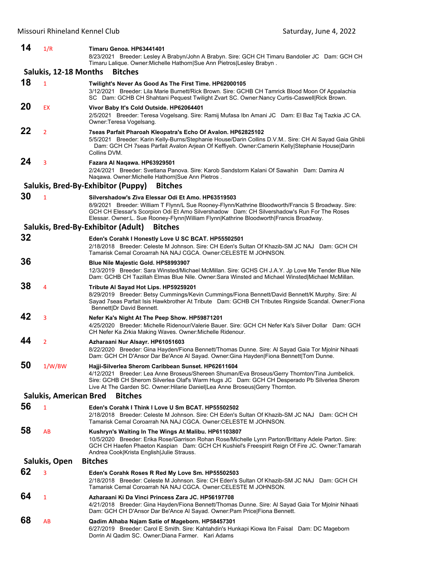| 14 | 1/R                           | Timaru Genoa. HP63441401<br>8/23/2021 Breeder: Lesley A Brabyn/John A Brabyn. Sire: GCH CH Timaru Bandolier JC Dam: GCH CH<br>Timaru Lalique. Owner: Michelle Hathorn Sue Ann Pietros Lesley Brabyn.                                                                                                                                             |
|----|-------------------------------|--------------------------------------------------------------------------------------------------------------------------------------------------------------------------------------------------------------------------------------------------------------------------------------------------------------------------------------------------|
|    | Salukis, 12-18 Months         | <b>Bitches</b>                                                                                                                                                                                                                                                                                                                                   |
|    |                               |                                                                                                                                                                                                                                                                                                                                                  |
| 18 | $\mathbf{1}$                  | Twilight's Never As Good As The First Time. HP62000105<br>3/12/2021 Breeder: Lila Marie Burnett/Rick Brown. Sire: GCHB CH Tamrick Blood Moon Of Appalachia<br>SC Dam: GCHB CH Shahtani Pequest Twilight Zvart SC. Owner:Nancy Curtis-Caswell Rick Brown.                                                                                         |
| 20 | EX                            | Vivor Baby It's Cold Outside. HP62064401<br>2/5/2021 Breeder: Teresa Vogelsang. Sire: Ramij Mufasa Ibn Amani JC Dam: El Baz Taj Tazkia JC CA.<br>Owner: Teresa Vogelsang.                                                                                                                                                                        |
| 22 | $\overline{2}$                | 7seas Parfait Pharoah Kleopatra's Echo Of Avalon. HP62825102<br>5/5/2021 Breeder: Karin Kelly-Burns/Stephanie House/Darin Collins D.V.M Sire: CH Al Sayad Gaia Ghibli<br>Dam: GCH CH 7seas Parfait Avalon Arjean Of Keffiyeh. Owner:Camerin Kelly Stephanie House Darin<br>Collins DVM.                                                          |
| 24 | 3                             | Fazara Al Naqawa. HP63929501<br>2/24/2021 Breeder: Svetlana Panova. Sire: Karob Sandstorm Kalani Of Sawahin Dam: Damira Al<br>Naqawa. Owner: Michelle Hathorn Sue Ann Pietros.                                                                                                                                                                   |
|    |                               | Salukis, Bred-By-Exhibitor (Puppy)<br><b>Bitches</b>                                                                                                                                                                                                                                                                                             |
| 30 | $\mathbf{1}$                  | Silvershadow's Ziva Elessar Odi Et Amo, HP63519503<br>8/9/2021 Breeder: William T Flynn/L Sue Rooney-Flynn/Kathrine Bloodworth/Francis S Broadway. Sire:<br>GCH CH Elessar's Scorpion Odi Et Amo Silvershadow Dam: CH Silvershadow's Run For The Roses<br>Elessar. Owner:L. Sue Rooney-Flynn William Flynn Kathrine Bloodworth Francis Broadway. |
|    |                               | Salukis, Bred-By-Exhibitor (Adult)<br><b>Bitches</b>                                                                                                                                                                                                                                                                                             |
| 32 |                               | Eden's Corahk I Honestly Love U SC BCAT. HP55502501<br>2/18/2018 Breeder: Celeste M Johnson. Sire: CH Eden's Sultan Of Khazib-SM JC NAJ Dam: GCH CH<br>Tamarisk Cemal Coroarrah NA NAJ CGCA. Owner: CELESTE M JOHNSON.                                                                                                                           |
| 36 |                               | Blue Nile Majestic Gold. HP58993907<br>12/3/2019 Breeder: Sara Winsted/Michael McMillan. Sire: GCHS CH J.A.Y. Jp Love Me Tender Blue Nile<br>Dam: GCHB CH Tazillah Elmas Blue Nile. Owner:Sara Winsted and Michael Winsted Michael McMillan.                                                                                                     |
| 38 | 4                             | Tribute Al Sayad Hot Lips. HP59259201<br>8/29/2019 Breeder: Betsy Cummings/Kevin Cummings/Fiona Bennett/David Bennett/K Murphy. Sire: Al<br>Sayad 7seas Parfait Isis Hawkbrother At Tribute Dam: GCHB CH Tributes Ringside Scandal. Owner: Fiona<br>Bennett Dr David Bennett.                                                                    |
| 42 | 3                             | Nefer Ka's Night At The Peep Show. HP59871201<br>4/25/2020 Breeder: Michelle Ridenour/Valerie Bauer. Sire: GCH CH Nefer Ka's Silver Dollar Dam: GCH<br>CH Nefer Ka Zrkia Making Waves. Owner: Michelle Ridenour.                                                                                                                                 |
| 44 | $\overline{2}$                | Azharaani Nur Alsayr. HP61051603<br>8/22/2020 Breeder: Gina Hayden/Fiona Bennett/Thomas Dunne. Sire: Al Sayad Gaia Tor Mjolnir Nihaati<br>Dam: GCH CH D'Ansor Dar Be'Ance Al Sayad. Owner:Gina Hayden Fiona Bennett Tom Dunne.                                                                                                                   |
| 50 | 1/W/BW                        | Hajji-Silverlea Sherom Caribbean Sunset. HP62611604<br>4/12/2021 Breeder: Lea Anne Broseus/Shereen Shuman/Eva Broseus/Gerry Thornton/Tina Jumbelick.<br>Sire: GCHB CH Sherom Silverlea Olaf's Warm Hugs JC Dam: GCH CH Desperado Pb Silverlea Sherom<br>Live At The Garden SC. Owner: Hilarie Daniel Lea Anne Broseus Gerry Thornton.            |
|    | <b>Salukis, American Bred</b> | <b>Bitches</b>                                                                                                                                                                                                                                                                                                                                   |
| 56 | $\mathbf{1}$                  | Eden's Corahk I Think I Love U Sm BCAT. HP55502502<br>2/18/2018 Breeder: Celeste M Johnson. Sire: CH Eden's Sultan Of Khazib-SM JC NAJ Dam: GCH CH<br>Tamarisk Cemal Coroarrah NA NAJ CGCA, Owner:CELESTE M JOHNSON,                                                                                                                             |
| 58 | AB                            | Kushryn's Waiting In The Wings At Malibu. HP61103807<br>10/5/2020 Breeder: Erika Rose/Garrison Rohan Rose/Michelle Lynn Parton/Brittany Adele Parton. Sire:<br>GCH CH Haefen Phaeton Kaspian Dam: GCH CH Kushiel's Freespirit Reign Of Fire JC. Owner: Tamarah<br>Andrea Cook Krista English Julie Strauss.                                      |
|    | Salukis, Open                 | <b>Bitches</b>                                                                                                                                                                                                                                                                                                                                   |
| 62 | 3                             | Eden's Corahk Roses R Red My Love Sm. HP55502503<br>2/18/2018 Breeder: Celeste M Johnson. Sire: CH Eden's Sultan Of Khazib-SM JC NAJ Dam: GCH CH<br>Tamarisk Cemal Coroarrah NA NAJ CGCA. Owner: CELESTE M JOHNSON.                                                                                                                              |
| 64 | 1                             | Azharaani Ki Da Vinci Princess Zara JC. HP56197708<br>4/21/2018 Breeder: Gina Hayden/Fiona Bennett/Thomas Dunne. Sire: Al Sayad Gaia Tor Mjolnir Nihaati<br>Dam: GCH CH D'Ansor Dar Be'Ance Al Sayad. Owner:Pam Price Fiona Bennett.                                                                                                             |
| 68 | AB                            | Qadim Alhaba Najam Satie of Mageborn. HP58457301<br>6/27/2019 Breeder: Carol E Smith. Sire: Kahtahdin's Hunkapi Kiowa Ibn Faisal Dam: DC Mageborn<br>Dorrin Al Qadim SC. Owner:Diana Farmer. Kari Adams                                                                                                                                          |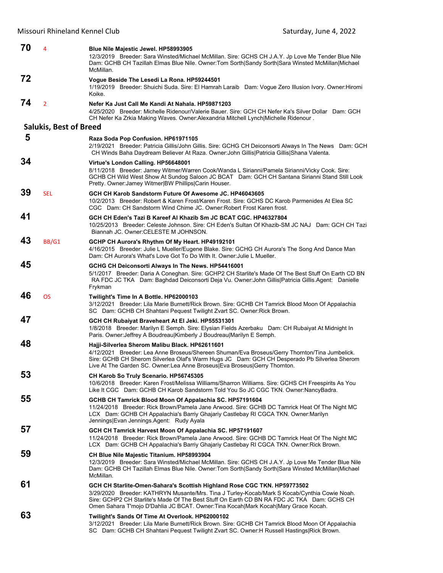| 70 | 4                             | <b>Blue Nile Majestic Jewel. HP58993905</b><br>12/3/2019 Breeder: Sara Winsted/Michael McMillan. Sire: GCHS CH J.A.Y. Jp Love Me Tender Blue Nile<br>Dam: GCHB CH Tazillah Elmas Blue Nile. Owner: Tom Sorth Sandy Sorth Sara Winsted McMillan Michael<br>McMillan.                                                                                           |
|----|-------------------------------|---------------------------------------------------------------------------------------------------------------------------------------------------------------------------------------------------------------------------------------------------------------------------------------------------------------------------------------------------------------|
| 72 |                               | Vogue Beside The Lesedi La Rona. HP59244501<br>1/19/2019 Breeder: Shuichi Suda. Sire: El Hamrah Laraib Dam: Voque Zero Illusion Ivory. Owner: Hiromi<br>Koike.                                                                                                                                                                                                |
| 74 | $\overline{2}$                | Nefer Ka Just Call Me Kandi At Nahala. HP59871203<br>4/25/2020 Breeder: Michelle Ridenour/Valerie Bauer. Sire: GCH CH Nefer Ka's Silver Dollar Dam: GCH<br>CH Nefer Ka Zrkia Making Waves. Owner: Alexandria Mitchell Lynch Michelle Ridenour.                                                                                                                |
|    | <b>Salukis, Best of Breed</b> |                                                                                                                                                                                                                                                                                                                                                               |
| 5  |                               | Raza Soda Pop Confusion. HP61971105<br>2/19/2021 Breeder: Patricia Gillis/John Gillis. Sire: GCHG CH Deiconsorti Always In The News Dam: GCH<br>CH Winds Baha Daydream Believer At Raza. Owner: John Gillis   Patricia Gillis   Shana Valenta.                                                                                                                |
| 34 |                               | Virtue's London Calling. HP56648001<br>8/11/2018 Breeder: Jamey Witmer/Warren Cook/Wanda L Sirianni/Pamela Sirianni/Vicky Cook. Sire:<br>GCHB CH Wild West Show At Sundog Saloon JC BCAT Dam: GCH CH Santana Sirianni Stand Still Look<br>Pretty. Owner: Jamey Witmer BW Phillips Carin Houser.                                                               |
| 39 | <b>SEL</b>                    | GCH CH Karob Sandstorm Future Of Awesome JC, HP46043605<br>10/2/2013 Breeder: Robert & Karen Frost/Karen Frost, Sire: GCHS DC Karob Parmenides At Elea SC<br>CGC Dam: CH Sandstorm Wind Chime JC. Owner: Robert Frost Karen frost.                                                                                                                            |
| 41 |                               | GCH CH Eden's Tazi B Kareef AI Khazib Sm JC BCAT CGC, HP46327804<br>10/25/2013 Breeder: Celeste Johnson. Sire: CH Eden's Sultan Of Khazib-SM JC NAJ Dam: GCH CH Tazi<br>Biannah JC. Owner: CELESTE M JOHNSON.                                                                                                                                                 |
| 43 | BB/G1                         | GCHP CH Aurora's Rhythm Of My Heart. HP49192101<br>4/16/2015 Breeder: Julie L Mueller/Eugene Blake. Sire: GCHG CH Aurora's The Song And Dance Man<br>Dam: CH Aurora's What's Love Got To Do With It. Owner: Julie L Mueller.                                                                                                                                  |
| 45 |                               | GCHG CH Deiconsorti Always In The News. HP54416001<br>5/1/2017 Breeder: Daria A Coneghan. Sire: GCHP2 CH Starlite's Made Of The Best Stuff On Earth CD BN<br>RA FDC JC TKA Dam: Baghdad Deiconsorti Deja Vu. Owner: John Gillis   Patricia Gillis. Agent: Danielle<br>Frykman                                                                                 |
| 46 | <b>OS</b>                     | Twilight's Time In A Bottle. HP62000103<br>3/12/2021 Breeder: Lila Marie Burnett/Rick Brown. Sire: GCHB CH Tamrick Blood Moon Of Appalachia<br>SC Dam: GCHB CH Shahtani Pequest Twilight Zvart SC. Owner: Rick Brown.                                                                                                                                         |
| 47 |                               | GCH CH Rubaiyat Braveheart At El Jeki. HP55531301<br>1/8/2018 Breeder: Marilyn E Semph. Sire: Elysian Fields Azerbaku Dam: CH Rubaiyat At Midnight In<br>Paris. Owner: Jeffrey A Boudreau Kimberly J Boudreau Marilyn E Semph.                                                                                                                                |
| 48 |                               | Hajji-Silverlea Sherom Malibu Black. HP62611601<br>4/12/2021 Breeder: Lea Anne Broseus/Shereen Shuman/Eva Broseus/Gerry Thornton/Tina Jumbelick.<br>Sire: GCHB CH Sherom Silverlea Olaf's Warm Hugs JC Dam: GCH CH Desperado Pb Silverlea Sherom<br>Live At The Garden SC. Owner: Lea Anne Broseus  Eva Broseus  Gerry Thornton.                              |
| 53 |                               | CH Karob So Truly Scenario. HP56745305<br>10/6/2018 Breeder: Karen Frost/Melissa Williams/Sharron Williams. Sire: GCHS CH Freespirits As You<br>Like It CGC Dam: GCHB CH Karob Sandstorm Told You So JC CGC TKN. Owner:NancyBadra.                                                                                                                            |
| 55 |                               | GCHB CH Tamrick Blood Moon Of Appalachia SC. HP57191604<br>11/24/2018 Breeder: Rick Brown/Pamela Jane Arwood. Sire: GCHB DC Tamrick Heat Of The Night MC<br>LCX Dam: GCHB CH Appalachia's Barriy Ghajariy Castlebay RI CGCA TKN. Owner: Marilyn<br>Jennings Evan Jennings.Agent: Rudy Ayala                                                                   |
| 57 |                               | GCH CH Tamrick Harvest Moon Of Appalachia SC. HP57191607<br>11/24/2018 Breeder: Rick Brown/Pamela Jane Arwood. Sire: GCHB DC Tamrick Heat Of The Night MC<br>LCX Dam: GCHB CH Appalachia's Barriy Ghajariy Castlebay RI CGCA TKN. Owner: Rick Brown.                                                                                                          |
| 59 |                               | CH Blue Nile Majestic Titanium. HP58993904<br>12/3/2019 Breeder: Sara Winsted/Michael McMillan. Sire: GCHS CH J.A.Y. Jp Love Me Tender Blue Nile<br>Dam: GCHB CH Tazillah Elmas Blue Nile. Owner: Tom Sorth Sandy Sorth Sara Winsted McMillan Michael<br>McMillan.                                                                                            |
| 61 |                               | GCH CH Starlite-Omen-Sahara's Scottish Highland Rose CGC TKN. HP59773502<br>3/29/2020 Breeder: KATHRYN Musante/Mrs. Tina J Turley-Kocab/Mark S Kocab/Cynthia Cowie Noah.<br>Sire: GCHP2 CH Starlite's Made Of The Best Stuff On Earth CD BN RA FDC JC TKA Dam: GCHS CH<br>Omen Sahara T'mojo D'Dahlia JC BCAT. Owner: Tina Kocah Mark Kocah Mary Grace Kocah. |
| 63 |                               | Twilight's Sands Of Time At Overlook. HP62000102<br>3/12/2021 Breeder: Lila Marie Burnett/Rick Brown. Sire: GCHB CH Tamrick Blood Moon Of Appalachia                                                                                                                                                                                                          |

SC Dam: GCHB CH Shahtani Pequest Twilight Zvart SC. Owner:H Russell Hastings|Rick Brown.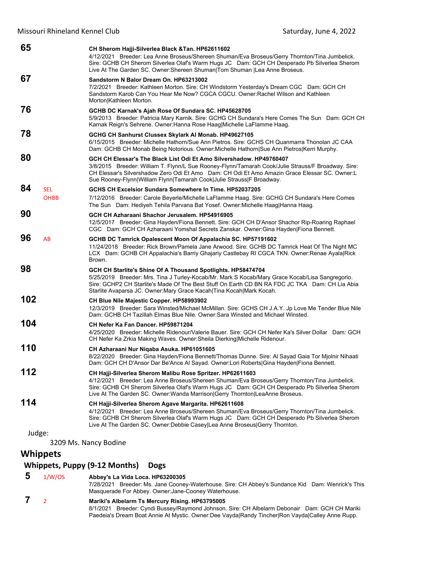| 65                              | CH Sherom Hajji-Silverlea Black & Tan. HP62611602<br>4/12/2021 Breeder: Lea Anne Broseus/Shereen Shuman/Eva Broseus/Gerry Thornton/Tina Jumbelick.<br>Sire: GCHB CH Sherom Silverlea Olaf's Warm Hugs JC Dam: GCH CH Desperado Pb Silverlea Sherom<br>Live At The Garden SC. Owner: Shereen Shuman Tom Shuman  Lea Anne Broseus.                    |
|---------------------------------|-----------------------------------------------------------------------------------------------------------------------------------------------------------------------------------------------------------------------------------------------------------------------------------------------------------------------------------------------------|
| 67                              | Sandstorm N Balor Dream On. HP63213002<br>7/2/2021 Breeder: Kathleen Morton. Sire: CH Windstorm Yesterday's Dream CGC Dam: GCH CH<br>Sandstorm Karob Can You Hear Me Now? CGCA CGCU. Owner: Rachel Wilson and Kathleen<br>Morton Kathleen Morton.                                                                                                   |
| 76                              | GCHB DC Karnak's Ajah Rose Of Sundara SC. HP45628705<br>5/9/2013 Breeder: Patricia Mary Karnik. Sire: GCHG CH Sundara's Here Comes The Sun Dam: GCH CH<br>Karnak Reign's Sehrene. Owner: Hanna Rose Haag Michelle LaFlamme Haag.                                                                                                                    |
| 78                              | GCHG CH Sanhurst Clussex Skylark Al Monab. HP49627105<br>6/15/2015 Breeder: Michelle Hathorn/Sue Ann Pietros. Sire: GCHS CH Quanmarra Thonolan JC CAA<br>Dam: GCHB CH Monab Being Notorious. Owner: Michelle Hathorn Sue Ann Pietros Kerri Murphy.                                                                                                  |
| 80                              | GCH CH Elessar's The Black List Odi Et Amo Silvershadow, HP49760407<br>3/8/2015 Breeder: William T. Flynn/L Sue Rooney-Flynn/Tamarah Cook/Julie Strauss/F Broadway. Sire:<br>CH Elessar's Silvershadow Zero Odi Et Amo Dam: CH Odi Et Amo Amazin Grace Elessar SC. Owner:L<br>Sue Rooney-Flynn William Flynn Tamarah Cook Julie Strauss F Broadway. |
| 84<br><b>SEL</b><br><b>OHBB</b> | GCHS CH Excelsior Sundara Somewhere In Time, HP52037205<br>7/12/2016 Breeder: Carole Beyerle/Michelle LaFlamme Haag. Sire: GCHG CH Sundara's Here Comes<br>The Sun Dam: Hediyeh Tehila Parvana Bat Yosef. Owner: Michelle Haag Hanna Haag.                                                                                                          |
| 90                              | GCH CH Azharaani Shachor Jerusalem, HP54916905<br>12/5/2017 Breeder: Gina Hayden/Fiona Bennett. Sire: GCH CH D'Ansor Shachor Rip-Roaring Raphael<br>CGC Dam: GCH CH Azharaani Yomshal Secrets Zanskar. Owner: Gina Hayden Fiona Bennett.                                                                                                            |
| 96<br>AB                        | GCHB DC Tamrick Opalescent Moon Of Appalachia SC. HP57191602<br>11/24/2018 Breeder: Rick Brown/Pamela Jane Arwood. Sire: GCHB DC Tamrick Heat Of The Night MC<br>LCX Dam: GCHB CH Appalachia's Barriy Ghajariy Castlebay RI CGCA TKN. Owner: Renae Ayala Rick<br>Brown.                                                                             |
| 98                              | GCH CH Starlite's Shine Of A Thousand Spotlights. HP58474704<br>5/25/2019 Breeder: Mrs. Tina J Turley-Kocab/Mr. Mark S Kocab/Mary Grace Kocab/Lisa Sangregorio.<br>Sire: GCHP2 CH Starlite's Made Of The Best Stuff On Earth CD BN RA FDC JC TKA Dam: CH Lia Abia<br>Starlite Avaparsa JC. Owner: Mary Grace Kacah Tina Kocah Mark Kocah.           |
| 102                             | CH Blue Nile Majestic Copper. HP58993902<br>12/3/2019 Breeder: Sara Winsted/Michael McMillan. Sire: GCHS CH J.A.Y. Jp Love Me Tender Blue Nile<br>Dam: GCHB CH Tazillah Elmas Blue Nile. Owner: Sara Winsted and Michael Winsted.                                                                                                                   |
| 104                             | CH Nefer Ka Fan Dancer, HP59871204<br>4/25/2020 Breeder: Michelle Ridenour/Valerie Bauer, Sire: GCH CH Nefer Ka's Silver Dollar Dam: GCH<br>CH Nefer Ka Zrkia Making Waves. Owner: Sheila Dierking Michelle Ridenour.                                                                                                                               |
| 110                             | CH Azharaani Nur Niqaba Asuka. HP61051605<br>8/22/2020 Breeder: Gina Hayden/Fiona Bennett/Thomas Dunne. Sire: Al Sayad Gaia Tor Mjolnir Nihaati<br>Dam: GCH CH D'Ansor Dar Be'Ance Al Sayad. Owner:Lori Roberts Gina Hayden Fiona Bennett.                                                                                                          |
| 112                             | CH Hajji-Silverlea Sherom Malibu Rose Spritzer. HP62611603<br>4/12/2021 Breeder: Lea Anne Broseus/Shereen Shuman/Eva Broseus/Gerry Thornton/Tina Jumbelick.<br>Sire: GCHB CH Sherom Silverlea Olaf's Warm Hugs JC Dam: GCH CH Desperado Pb Silverlea Sherom<br>Live At The Garden SC. Owner: Wanda Marrison Gerry Thornton   LeaAnne Broseus.       |
| 114                             | CH Hajji-Silverlea Sherom Agave Margarita. HP62611608<br>4/12/2021 Breeder: Lea Anne Broseus/Shereen Shuman/Eva Broseus/Gerry Thornton/Tina Jumbelick.<br>Sire: GCHB CH Sherom Silverlea Olaf's Warm Hugs JC Dam: GCH CH Desperado Pb Silverlea Sherom<br>Live At The Garden SC. Owner:Debbie Casey Lea Anne Broseus Gerry Thornton.                |
|                                 |                                                                                                                                                                                                                                                                                                                                                     |

3209 Ms. Nancy Bodine

## **Whippets**

## **Whippets, Puppy (9‐12 Months) Dogs**

## **5** 1/W/OS **Abbey's La Vida Loca. HP63200305**

7/28/2021 Breeder: Ms. Jane Cooney-Waterhouse. Sire: CH Abbey's Sundance Kid Dam: Wenrick's This Masquerade For Abbey. Owner:Jane-Cooney Waterhouse.

#### **7** <sup>2</sup> **Mariki's Albelarm Ts Mercury Rising. HP63795005** 8/1/2021 Breeder: Cyndi Bussey/Raymond Johnson. Sire: CH Albelarm Debonair Dam: GCH CH Mariki Paedeia's Dream Boat Annie At Mystic. Owner:Dee Vayda|Randy Tincher|Ron Vayda|Calley Anne Rupp.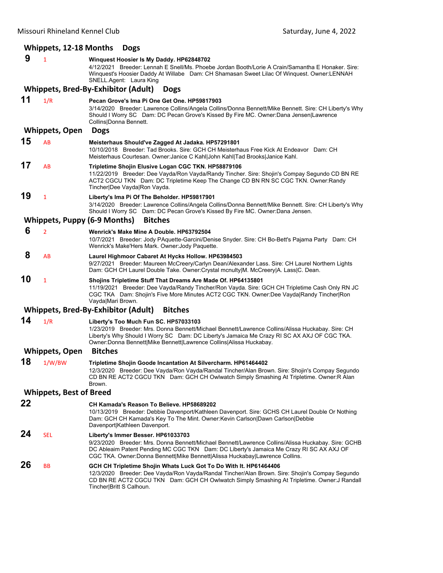# **Whippets, 12‐18 Months Dogs**

| 9  | $\mathbf{1}$                   | Winguest Hoosier Is My Daddy. HP62848702<br>4/12/2021 Breeder: Lennah E Snell/Ms. Phoebe Jordan Booth/Lorie A Crain/Samantha E Honaker. Sire:<br>Winquest's Hoosier Daddy At Willabe Dam: CH Shamasan Sweet Lilac Of Winquest. Owner:LENNAH<br>SNELL.Agent: Laura King                                             |
|----|--------------------------------|--------------------------------------------------------------------------------------------------------------------------------------------------------------------------------------------------------------------------------------------------------------------------------------------------------------------|
|    |                                | Whippets, Bred-By-Exhibitor (Adult)<br><b>Dogs</b>                                                                                                                                                                                                                                                                 |
| 11 | 1/R                            | Pecan Grove's Ima Pi One Get One. HP59817903<br>3/14/2020 Breeder: Lawrence Collins/Angela Collins/Donna Bennett/Mike Bennett. Sire: CH Liberty's Why<br>Should I Worry SC Dam: DC Pecan Grove's Kissed By Fire MC. Owner:Dana Jensen Lawrence<br>Collins Donna Bennett.                                           |
|    | <b>Whippets, Open</b>          | <b>Dogs</b>                                                                                                                                                                                                                                                                                                        |
| 15 | AB                             | Meisterhaus Should've Zagged At Jadaka. HP57291801<br>10/10/2018 Breeder: Tad Brooks, Sire: GCH CH Meisterhaus Free Kick At Endeavor Dam: CH<br>Meisterhaus Courtesan. Owner: Janice C Kahl John Kahl Tad Brooks Janice Kahl.                                                                                      |
| 17 | AB                             | Tripletime Shojin Elusive Logan CGC TKN. HP58879106<br>11/22/2019 Breeder: Dee Vayda/Ron Vayda/Randy Tincher. Sire: Shojin's Compay Segundo CD BN RE<br>ACT2 CGCU TKN Dam: DC Tripletime Keep The Change CD BN RN SC CGC TKN. Owner:Randy<br>Tincher Dee Vayda Ron Vayda.                                          |
| 19 | 1                              | Liberty's Ima Pi Of The Beholder. HP59817901<br>3/14/2020 Breeder: Lawrence Collins/Angela Collins/Donna Bennett/Mike Bennett. Sire: CH Liberty's Why<br>Should I Worry SC Dam: DC Pecan Grove's Kissed By Fire MC. Owner:Dana Jensen.                                                                             |
|    |                                | <b>Whippets, Puppy (6-9 Months)</b><br><b>Bitches</b>                                                                                                                                                                                                                                                              |
| 6  | $\overline{2}$                 | Wenrick's Make Mine A Double. HP63792504<br>10/7/2021 Breeder: Jody PAquette-Garcini/Denise Snyder. Sire: CH Bo-Bett's Pajama Party Dam: CH<br>Wenrick's Make'Hers Mark. Owner: Jody Paquette.                                                                                                                     |
| 8  | AB                             | Laurel Highmoor Cabaret At Hycks Hollow. HP63984503<br>9/27/2021 Breeder: Maureen McCreery/Carlyn Dean/Alexander Lass. Sire: CH Laurel Northern Lights<br>Dam: GCH CH Laurel Double Take. Owner:Crystal mcnulty M. McCreery A. Lass C. Dean.                                                                       |
| 10 | 1                              | Shojins Tripletime Stuff That Dreams Are Made Of. HP64135801<br>11/19/2021 Breeder: Dee Vayda/Randy Tincher/Ron Vayda. Sire: GCH CH Tripletime Cash Only RN JC<br>CGC TKA Dam: Shojin's Five More Minutes ACT2 CGC TKN. Owner:Dee Vayda Randy Tincher Ron<br>Vayda Mari Brown.                                     |
|    |                                | Whippets, Bred-By-Exhibitor (Adult)<br><b>Bitches</b>                                                                                                                                                                                                                                                              |
| 14 | 1/R                            | Liberty's Too Much Fun SC. HP57033103<br>1/23/2019 Breeder: Mrs. Donna Bennett/Michael Bennett/Lawrence Collins/Alissa Huckabay. Sire: CH<br>Liberty's Why Should I Worry SC Dam: DC Liberty's Jamaica Me Crazy RI SC AX AXJ OF CGC TKA.<br>Owner: Donna Bennett Mike Bennett Lawrence Collins Alissa Huckabay.    |
|    | <b>Whippets, Open</b>          | <b>Bitches</b>                                                                                                                                                                                                                                                                                                     |
| 18 | 1/W/BW                         | Tripletime Shojin Goode Incantation At Silvercharm. HP61464402<br>12/3/2020 Breeder: Dee Vayda/Ron Vayda/Randal Tincher/Alan Brown. Sire: Shojin's Compay Segundo<br>CD BN RE ACT2 CGCU TKN Dam: GCH CH Owlwatch Simply Smashing At Tripletime. Owner:R Alan<br>Brown.                                             |
|    | <b>Whippets, Best of Breed</b> |                                                                                                                                                                                                                                                                                                                    |
| 22 |                                | CH Kamada's Reason To Believe, HP58689202<br>10/13/2019 Breeder: Debbie Davenport/Kathleen Davenport. Sire: GCHS CH Laurel Double Or Nothing<br>Dam: GCH CH Kamada's Key To The Mint. Owner: Kevin Carlson Dawn Carlson Debbie<br>Davenport Kathleen Davenport.                                                    |
| 24 | SEL                            | Liberty's Immer Besser. HP61033703<br>9/23/2020 Breeder: Mrs. Donna Bennett/Michael Bennett/Lawrence Collins/Alissa Huckabay. Sire: GCHB<br>DC Ableaim Patent Pending MC CGC TKN Dam: DC Liberty's Jamaica Me Crazy RI SC AX AXJ OF<br>CGC TKA. Owner:Donna Bennett Mike Bennett Alissa Huckabay Lawrence Collins. |
| 26 | BB                             | GCH CH Tripletime Shojin Whats Luck Got To Do With It. HP61464406<br>12/3/2020 Breeder: Dee Vayda/Ron Vayda/Randal Tincher/Alan Brown. Sire: Shojin's Compay Segundo<br>CD BN RE ACT2 CGCU TKN Dam: GCH CH Owlwatch Simply Smashing At Tripletime. Owner:J Randall<br>Tincher Britt S Calhoun.                     |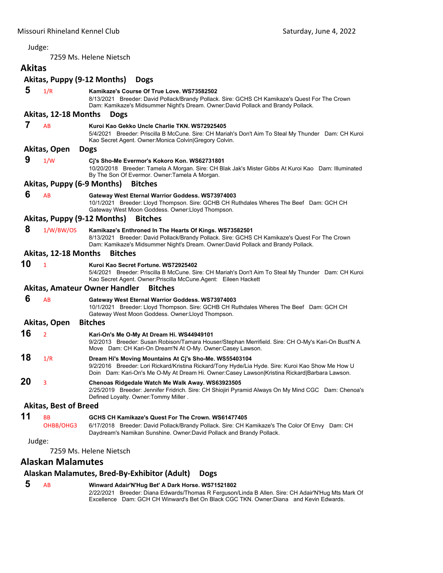7259 Ms. Helene Nietsch

# <span id="page-27-0"></span>**Akitas**

## **Akitas, Puppy (9‐12 Months) Dogs 5** 1/R **Kamikaze's Course Of True Love. WS73582502** 8/13/2021 Breeder: David Pollack/Brandy Pollack. Sire: GCHS CH Kamikaze's Quest For The Crown Dam: Kamikaze's Midsummer Night's Dream. Owner:David Pollack and Brandy Pollack. **Akitas, 12‐18 Months Dogs 7** AB **Kuroi Kao Gekko Uncle Charlie TKN. WS72925405** 5/4/2021 Breeder: Priscilla B McCune. Sire: CH Mariah's Don't Aim To Steal My Thunder Dam: CH Kuroi Kao Secret Agent. Owner:Monica Colvin|Gregory Colvin. **Akitas, Open Dogs 9** 1/W **Cj's Sho-Me Evermor's Kokoro Kon. WS62731801** 10/20/2018 Breeder: Tamela A Morgan. Sire: CH Blak Jak's Mister Gibbs At Kuroi Kao Dam: Illuminated By The Son Of Evermor. Owner:Tamela A Morgan. **Akitas, Puppy (6‐9 Months) Bitches 6** AB **Gateway West Eternal Warrior Goddess. WS73974003** 10/1/2021 Breeder: Lloyd Thompson. Sire: GCHB CH Ruthdales Wheres The Beef Dam: GCH CH Gateway West Moon Goddess. Owner:Lloyd Thompson. **Akitas, Puppy (9‐12 Months) Bitches 8** 1/W/BW/OS **Kamikaze's Enthroned In The Hearts Of Kings. WS73582501** 8/13/2021 Breeder: David Pollack/Brandy Pollack. Sire: GCHS CH Kamikaze's Quest For The Crown Dam: Kamikaze's Midsummer Night's Dream. Owner:David Pollack and Brandy Pollack. **Akitas, 12‐18 Months Bitches 10** <sup>1</sup> **Kuroi Kao Secret Fortune. WS72925402** 5/4/2021 Breeder: Priscilla B McCune. Sire: CH Mariah's Don't Aim To Steal My Thunder Dam: CH Kuroi Kao Secret Agent. Owner:Priscilla McCune.Agent: Eileen Hackett **Akitas, Amateur Owner Handler Bitches 6** AB **Gateway West Eternal Warrior Goddess. WS73974003** 10/1/2021 Breeder: Lloyd Thompson. Sire: GCHB CH Ruthdales Wheres The Beef Dam: GCH CH Gateway West Moon Goddess. Owner:Lloyd Thompson. **Akitas, Open Bitches 16** <sup>2</sup> **Kari-On's Me O-My At Dream Hi. WS44949101** 9/2/2013 Breeder: Susan Robison/Tamara Houser/Stephan Merrifield. Sire: CH O-My's Kari-On Bust'N A Move Dam: CH Kari-On Dream'N At O-My. Owner:Casey Lawson. **18** 1/R **Dream Hi's Moving Mountains At Cj's Sho-Me. WS55403104** 9/2/2016 Breeder: Lori Rickard/Kristina Rickard/Tony Hyde/Lia Hyde. Sire: Kuroi Kao Show Me How U Doin Dam: Kari-On's Me O-My At Dream Hi. Owner:Casey Lawson|Kristina Rickard|Barbara Lawson. **20** <sup>3</sup> **Chenoas Ridgedale Watch Me Walk Away. WS63923505** 2/25/2019 Breeder: Jennifer Fridrich. Sire: CH Shiojiri Pyramid Always On My Mind CGC Dam: Chenoa's Defined Loyalty. Owner:Tommy Miller . **Akitas, Best of Breed 11** BB **GCHS CH Kamikaze's Quest For The Crown. WS61477405** OHBB/OHG3 6/17/2018 Breeder: David Pollack/Brandy Pollack. Sire: CH Kamikaze's The Color Of Envy Dam: CH Daydream's Namikan Sunshine. Owner:David Pollack and Brandy Pollack. Judge: 7259 Ms. Helene Nietsch

## **Alaskan Malamutes**

## **Alaskan Malamutes, Bred‐By‐Exhibitor (Adult) Dogs**

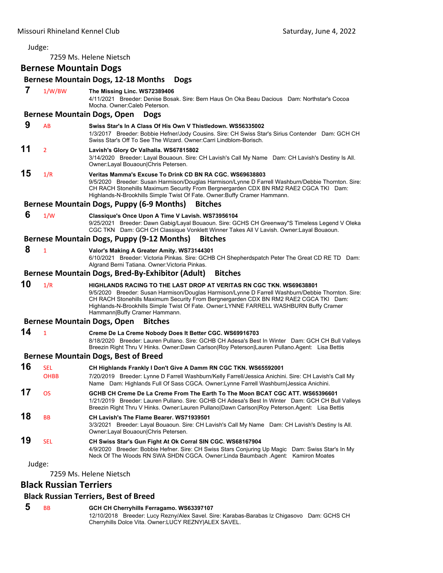7259 Ms. Helene Nietsch

## **Bernese Mountain Dogs**

## **Bernese Mountain Dogs, 12‐18 Months Dogs 7** 1/W/BW **The Missing Linc. WS72389406** 4/11/2021 Breeder: Denise Bosak. Sire: Bern Haus On Oka Beau Dacious Dam: Northstar's Cocoa Mocha. Owner:Caleb Peterson. **Bernese Mountain Dogs, Open Dogs 9** AB **Swiss Star's In A Class Of His Own V Thistledown. WS56335002** 1/3/2017 Breeder: Bobbie Hefner/Jody Cousins. Sire: CH Swiss Star's Sirius Contender Dam: GCH CH Swiss Star's Off To See The Wizard. Owner:Carri Lindblom-Borisch. **11** <sup>2</sup> **Lavish's Glory Or Valhalla. WS67815802** 3/14/2020 Breeder: Layal Bouaoun. Sire: CH Lavish's Call My Name Dam: CH Lavish's Destiny Is All. Owner:Layal Bouaoun|Chris Petersen. **15** 1/R **Veritas Mamma's Excuse To Drink CD BN RA CGC. WS69638803** 9/5/2020 Breeder: Susan Harmison/Douglas Harmison/Lynne D Farrell Washburn/Debbie Thornton. Sire: CH RACH Stonehills Maximum Security From Bergnergarden CDX BN RM2 RAE2 CGCA TKI Dam: Highlands-N-Brookhills Simple Twist Of Fate. Owner:Buffy Cramer Hammann. **Bernese Mountain Dogs, Puppy (6‐9 Months) Bitches 6** 1/W **Classique's Once Upon A Time V Lavish. WS73956104** 9/25/2021 Breeder: Dawn Gabig/Layal Bouaoun. Sire: GCHS CH Greenway"S Timeless Legend V Oleka CGC TKN Dam: GCH CH Classique Vonklett Winner Takes All V Lavish. Owner:Layal Bouaoun. **Bernese Mountain Dogs, Puppy (9‐12 Months) Bitches 8** <sup>1</sup> **Valor's Making A Greater Amity. WS73144301** 6/10/2021 Breeder: Victoria Pinkas. Sire: GCHB CH Shepherdspatch Peter The Great CD RE TD Dam: Algrand Berni Tatiana. Owner:Victoria Pinkas. **Bernese Mountain Dogs, Bred‐By‐Exhibitor (Adult) Bitches 10** 1/R **HIGHLANDS RACING TO THE LAST DROP AT VERITAS RN CGC TKN. WS69638801** 9/5/2020 Breeder: Susan Harmison/Douglas Harmison/Lynne D Farrell Washburn/Debbie Thornton. Sire: CH RACH Stonehills Maximum Security From Bergnergarden CDX BN RM2 RAE2 CGCA TKI Dam: Highlands-N-Brookhills Simple Twist Of Fate. Owner:LYNNE FARRELL WASHBURN Buffy Cramer Hammann|Buffy Cramer Hammann. **Bernese Mountain Dogs, Open Bitches 14** <sup>1</sup> **Creme De La Creme Nobody Does It Better CGC. WS69916703** 8/18/2020 Breeder: Lauren Pullano. Sire: GCHB CH Adesa's Best In Winter Dam: GCH CH Bull Valleys Breezin Right Thru V Hinks. Owner:Dawn Carlson|Roy Peterson|Lauren Pullano.Agent: Lisa Bettis **Bernese Mountain Dogs, Best of Breed 16** SEL **CH Highlands Frankly I Don't Give A Damm RN CGC TKN. WS65592001** OHBB 7/20/2019 Breeder: Lynne D Farrell Washburn/Kelly Farrell/Jessica Anichini. Sire: CH Lavish's Call My Name Dam: Highlands Full Of Sass CGCA. Owner:Lynne Farrell Washburn|Jessica Anichini. **17** OS **GCHB CH Creme De La Creme From The Earth To The Moon BCAT CGC ATT. WS65396601** 1/21/2019 Breeder: Lauren Pullano. Sire: GCHB CH Adesa's Best In Winter Dam: GCH CH Bull Valleys Breezin Right Thru V Hinks. Owner:Lauren Pullano|Dawn Carlson|Roy Peterson.Agent: Lisa Bettis **18** BB **CH Lavish's The Flame Bearer. WS71939501** 3/3/2021 Breeder: Layal Bouaoun. Sire: CH Lavish's Call My Name Dam: CH Lavish's Destiny Is All. Owner:Layal Bouaoun|Chris Petersen. **19** SEL **CH Swiss Star's Gun Fight At Ok Corral SIN CGC. WS68167904** 4/9/2020 Breeder: Bobbie Hefner. Sire: CH Swiss Stars Conjuring Up Magic Dam: Swiss Star's In My Neck Of The Woods RN SWA SHDN CGCA. Owner:Linda Baumbach .Agent: Kamiron Moates Judge: 7259 Ms. Helene Nietsch **Black Russian Terriers Black Russian Terriers, Best of Breed**

 **5** BB **GCH CH Cherryhills Ferragamo. WS63397107** 12/10/2018 Breeder: Lucy Rezny/Alex Savel. Sire: Karabas-Barabas Iz Chigasovo Dam: GCHS CH Cherryhills Dolce Vita. Owner:LUCY REZNY|ALEX SAVEL.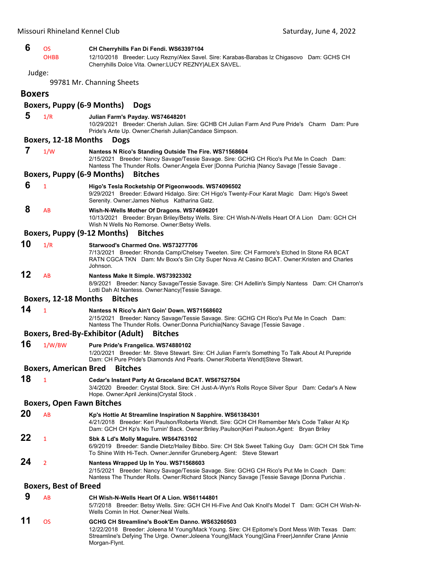| 6             | <b>OS</b><br><b>OHBB</b>          | CH Cherryhills Fan Di Fendi. WS63397104<br>12/10/2018 Breeder: Lucy Rezny/Alex Savel. Sire: Karabas-Barabas Iz Chigasovo Dam: GCHS CH                                                                                                                              |
|---------------|-----------------------------------|--------------------------------------------------------------------------------------------------------------------------------------------------------------------------------------------------------------------------------------------------------------------|
|               |                                   | Cherryhills Dolce Vita. Owner:LUCY REZNY ALEX SAVEL.                                                                                                                                                                                                               |
| Judge:        |                                   |                                                                                                                                                                                                                                                                    |
|               |                                   | 99781 Mr. Channing Sheets                                                                                                                                                                                                                                          |
| <b>Boxers</b> |                                   |                                                                                                                                                                                                                                                                    |
|               | Boxers, Puppy (6-9 Months)        | <b>Dogs</b>                                                                                                                                                                                                                                                        |
| 5             | 1/R                               | Julian Farm's Payday. WS74648201                                                                                                                                                                                                                                   |
|               |                                   | 10/29/2021 Breeder: Cherish Julian. Sire: GCHB CH Julian Farm And Pure Pride's Charm Dam: Pure<br>Pride's Ante Up. Owner: Cherish Julian   Candace Simpson.                                                                                                        |
|               | Boxers, 12-18 Months              | <b>Dogs</b>                                                                                                                                                                                                                                                        |
| 7             | 1/W                               | Nantess N Rico's Standing Outside The Fire. WS71568604<br>2/15/2021 Breeder: Nancy Savage/Tessie Savage. Sire: GCHG CH Rico's Put Me In Coach Dam:<br>Nantess The Thunder Rolls. Owner:Angela Ever  Donna Purichia  Nancy Savage  Tessie Savage.                   |
|               | <b>Boxers, Puppy (6-9 Months)</b> | <b>Bitches</b>                                                                                                                                                                                                                                                     |
| 6             | $\mathbf{1}$                      | Higo's Tesla Rocketship Of Pigeonwoods. WS74096502<br>9/29/2021 Breeder: Edward Hidalgo. Sire: CH Higo's Twenty-Four Karat Magic Dam: Higo's Sweet<br>Serenity. Owner: James Niehus Katharina Gatz.                                                                |
| 8             | AB                                | Wish-N-Wells Mother Of Dragons. WS74696201<br>10/13/2021 Breeder: Bryan Briley/Betsy Wells. Sire: CH Wish-N-Wells Heart Of A Lion Dam: GCH CH<br>Wish N Wells No Remorse. Owner: Betsy Wells.                                                                      |
|               | Boxers, Puppy (9-12 Months)       | <b>Bitches</b>                                                                                                                                                                                                                                                     |
| 10            | 1/R                               | Starwood's Charmed One. WS73277706<br>7/13/2021 Breeder: Rhonda Camp/Chelsey Tweeten. Sire: CH Farmore's Etched In Stone RA BCAT<br>RATN CGCA TKN Dam: Mv Boxx's Sin City Super Nova At Casino BCAT. Owner: Kristen and Charles<br>Johnson.                        |
| 12            | AB                                | Nantess Make It Simple. WS73923302<br>8/9/2021 Breeder: Nancy Savage/Tessie Savage. Sire: CH Adellin's Simply Nantess Dam: CH Charron's<br>Lotti Dah At Nantess. Owner: Nancy   Tessie Savage.                                                                     |
|               | Boxers, 12-18 Months              | <b>Bitches</b>                                                                                                                                                                                                                                                     |
| 14            | $\mathbf{1}$                      | Nantess N Rico's Ain't Goin' Down. WS71568602<br>2/15/2021 Breeder: Nancy Savage/Tessie Savage. Sire: GCHG CH Rico's Put Me In Coach Dam:<br>Nantess The Thunder Rolls. Owner:Donna Purichia Nancy Savage  Tessie Savage.                                          |
|               |                                   | <b>Boxers, Bred-By-Exhibitor (Adult)</b><br><b>Bitches</b>                                                                                                                                                                                                         |
| 16            | 1/W/BW                            | Pure Pride's Frangelica. WS74880102<br>1/20/2021 Breeder: Mr. Steve Stewart. Sire: CH Julian Farm's Something To Talk About At Purepride<br>Dam: CH Pure Pride's Diamonds And Pearls. Owner: Roberta Wendt Steve Stewart.                                          |
|               |                                   | <b>Boxers, American Bred Bitches</b>                                                                                                                                                                                                                               |
| 18            | $\mathbf{1}$                      | Cedar's Instant Party At Graceland BCAT. WS67527504<br>3/4/2020 Breeder: Crystal Stock. Sire: CH Just-A-Wyn's Rolls Royce Silver Spur Dam: Cedar's A New<br>Hope. Owner: April Jenkins Crystal Stock.                                                              |
|               | <b>Boxers, Open Fawn Bitches</b>  |                                                                                                                                                                                                                                                                    |
| 20            | AB                                | Kp's Hottie At Streamline Inspiration N Sapphire. WS61384301<br>4/21/2018 Breeder: Keri Paulson/Roberta Wendt. Sire: GCH CH Remember Me's Code Talker At Kp<br>Dam: GCH CH Kp's No Turnin' Back. Owner: Briley. Paulson Keri Paulson. Agent: Bryan Briley          |
| 22            | 1                                 | Sbk & Ld's Molly Maguire. WS64763102<br>6/9/2019 Breeder: Sandie Dietz/Hailey Bibbo. Sire: CH Sbk Sweet Talking Guy Dam: GCH CH Sbk Time<br>To Shine With Hi-Tech. Owner: Jennifer Gruneberg. Agent: Steve Stewart                                                 |
| 24            | $\overline{2}$                    | Nantess Wrapped Up In You. WS71568603<br>2/15/2021 Breeder: Nancy Savage/Tessie Savage. Sire: GCHG CH Rico's Put Me In Coach Dam:<br>Nantess The Thunder Rolls. Owner: Richard Stock   Nancy Savage   Tessie Savage   Donna Purichia.                              |
|               | <b>Boxers, Best of Breed</b>      |                                                                                                                                                                                                                                                                    |
| 9             | AB                                | CH Wish-N-Wells Heart Of A Lion. WS61144801<br>5/7/2018 Breeder: Betsy Wells. Sire: GCH CH Hi-Five And Oak Knoll's Model T Dam: GCH CH Wish-N-<br>Wells Comin In Hot. Owner: Neal Wells.                                                                           |
| 11            | <b>OS</b>                         | GCHG CH Streamline's Book'Em Danno. WS63260503<br>12/22/2018 Breeder: Joleena M Young/Mack Young. Sire: CH Epitome's Dont Mess With Texas Dam:<br>Streamline's Defying The Urge. Owner: Joleena Young Mack Young Gina Freer Jennifer Crane  Annie<br>Morgan-Flynt. |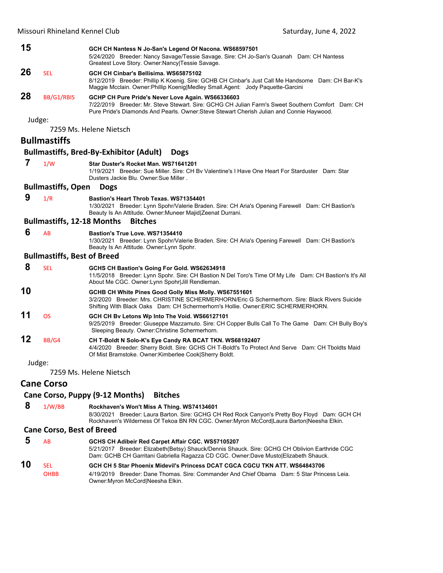| 15     |                                    | GCH CH Nantess N Jo-San's Legend Of Nacona. WS68597501<br>5/24/2020 Breeder: Nancy Savage/Tessie Savage. Sire: CH Jo-San's Quanah Dam: CH Nantess<br>Greatest Love Story. Owner: Nancy   Tessie Savage.                                            |
|--------|------------------------------------|----------------------------------------------------------------------------------------------------------------------------------------------------------------------------------------------------------------------------------------------------|
| 26     | <b>SEL</b>                         | GCH CH Cinbar's Bellisima, WS65875102<br>8/12/2019 Breeder: Phillip K Koenig. Sire: GCHB CH Cinbar's Just Call Me Handsome Dam: CH Bar-K's<br>Maggie Mcclain. Owner: Phillip Koenig Medley Small. Agent: Jody Paquette-Garcini                     |
| 28     | BB/G1/RBIS                         | GCHP CH Pure Pride's Never Love Again. WS66336603<br>7/22/2019 Breeder: Mr. Steve Stewart. Sire: GCHG CH Julian Farm's Sweet Southern Comfort Dam: CH<br>Pure Pride's Diamonds And Pearls. Owner: Steve Stewart Cherish Julian and Connie Haywood. |
| Judge: |                                    |                                                                                                                                                                                                                                                    |
|        |                                    | 7259 Ms. Helene Nietsch                                                                                                                                                                                                                            |
|        | <b>Bullmastiffs</b>                |                                                                                                                                                                                                                                                    |
|        |                                    | <b>Bullmastiffs, Bred-By-Exhibitor (Adult)</b><br><b>Dogs</b>                                                                                                                                                                                      |
| 7      | 1/W                                | Star Duster's Rocket Man. WS71641201<br>1/19/2021 Breeder: Sue Miller, Sire: CH By Valentine's I Have One Heart For Starduster Dam: Star<br>Dusters Jackie Blu. Owner: Sue Miller.                                                                 |
|        | <b>Bullmastiffs, Open</b>          | <b>Dogs</b>                                                                                                                                                                                                                                        |
| 9      | 1/R                                | <b>Bastion's Heart Throb Texas, WS71354401</b><br>1/30/2021 Breeder: Lynn Spohr/Valerie Braden. Sire: CH Aria's Opening Farewell Dam: CH Bastion's<br>Beauty Is An Attitude. Owner: Muneer Majid Zeenat Durrani.                                   |
|        | <b>Bullmastiffs, 12-18 Months</b>  | <b>Bitches</b>                                                                                                                                                                                                                                     |
| 6      | AB                                 | Bastion's True Love. WS71354410<br>1/30/2021 Breeder: Lynn Spohr/Valerie Braden. Sire: CH Aria's Opening Farewell Dam: CH Bastion's<br>Beauty Is An Attitude. Owner: Lynn Spohr.                                                                   |
|        | <b>Bullmastiffs, Best of Breed</b> |                                                                                                                                                                                                                                                    |
| 8      | <b>SEL</b>                         | GCHS CH Bastion's Going For Gold. WS62634918<br>11/5/2018 Breeder: Lynn Spohr. Sire: CH Bastion N Del Toro's Time Of My Life Dam: CH Bastion's It's All<br>About Me CGC. Owner: Lynn Spohr Jill Rendleman.                                         |
| 10     |                                    | GCHB CH White Pines Good Golly Miss Molly. WS67551601<br>3/2/2020 Breeder: Mrs. CHRISTINE SCHERMERHORN/Eric G Schermerhorn. Sire: Black Rivers Suicide<br>Shifting With Black Oaks Dam: CH Schermerhorn's Hollie. Owner: ERIC SCHERMERHORN.        |
| 11     | <b>OS</b>                          | GCH CH By Letons Wp Into The Void. WS66127101<br>9/25/2019 Breeder: Giuseppe Mazzamuto. Sire: CH Copper Bulls Call To The Game Dam: CH Bully Boy's<br>Sleeping Beauty. Owner: Christine Schermerhorn.                                              |
| 12     | BB/G4                              | CH T-Boldt N Solo-K's Eye Candy RA BCAT TKN. WS68192407<br>4/4/2020 Breeder: Sherry Boldt. Sire: GCHS CH T-Boldt's To Protect And Serve Dam: CH Tboldts Maid<br>Of Mist Bramstoke. Owner: Kimberlee Cook Sherry Boldt.                             |
| Judge: |                                    |                                                                                                                                                                                                                                                    |
|        |                                    | 7259 Ms. Helene Nietsch                                                                                                                                                                                                                            |
|        | <b>Cane Corso</b>                  |                                                                                                                                                                                                                                                    |
|        |                                    |                                                                                                                                                                                                                                                    |

## **Cane Corso, Puppy (9‐12 Months) Bitches**

 **8** 1/W/BB **Rockhaven's Won't Miss A Thing. WS74134601** 8/30/2021 Breeder: Laura Barton. Sire: GCHG CH Red Rock Canyon's Pretty Boy Floyd Dam: GCH CH Rockhaven's Wilderness Of Tekoa BN RN CGC. Owner:Myron McCord|Laura Barton|Neesha Elkin.

## **Cane Corso, Best of Breed**

|    | AB          | GCHS CH Adibeir Red Carpet Affair CGC. WS57105207                                                                                                                                     |
|----|-------------|---------------------------------------------------------------------------------------------------------------------------------------------------------------------------------------|
|    |             | 5/21/2017 Breeder: Elizabeth(Betsy) Shauck/Dennis Shauck. Sire: GCHG CH Oblivion Earthride CGC<br>Dam: GCHB CH Garritani Gabriella Ragazza CD CGC. Owner:Dave Musto Elizabeth Shauck. |
| 10 | <b>SEL</b>  | GCH CH 5 Star Phoenix Midevil's Princess DCAT CGCA CGCU TKN ATT. WS64843706                                                                                                           |
|    | <b>OHBB</b> | 4/19/2019 Breeder: Dane Thomas. Sire: Commander And Chief Obama Dam: 5 Star Princess Leia.<br>Owner: Myron McCord Neesha Elkin.                                                       |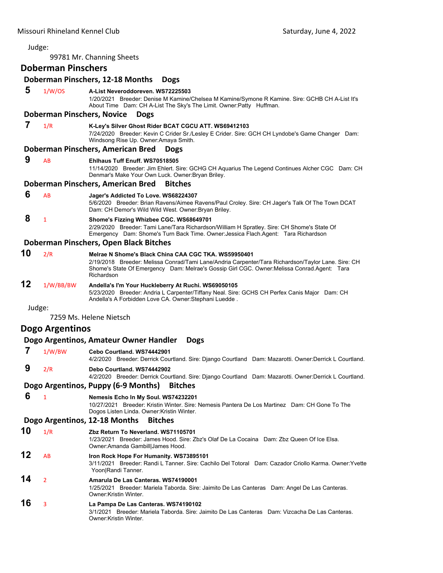99781 Mr. Channing Sheets

**Doberman Pinschers**

## **Doberman Pinschers, 12‐18 Months Dogs 5** 1/W/OS **A-List Neveroddoreven. WS72225503** 1/20/2021 Breeder: Denise M Kamine/Chelsea M Kamine/Symone R Kamine. Sire: GCHB CH A-List It's About Time Dam: CH A-List The Sky's The Limit. Owner:Patty Huffman. **Doberman Pinschers, Novice Dogs 7** 1/R **K-Ley's Silver Ghost Rider BCAT CGCU ATT. WS69412103** 7/24/2020 Breeder: Kevin C Crider Sr./Lesley E Crider. Sire: GCH CH Lyndobe's Game Changer Dam: Windsong Rise Up. Owner:Amaya Smith. **Doberman Pinschers, American Bred Dogs 9** AB **Ehlhaus Tuff Enuff. WS70518505** 11/14/2020 Breeder: Jim Ehlert. Sire: GCHG CH Aquarius The Legend Continues Alcher CGC Dam: CH Denmar's Make Your Own Luck. Owner:Bryan Briley. **Doberman Pinschers, American Bred Bitches 6** AB **Jager's Addicted To Love. WS68224307** 5/6/2020 Breeder: Brian Ravens/Aimee Ravens/Paul Croley. Sire: CH Jager's Talk Of The Town DCAT Dam: CH Demor's Wild Wild West. Owner:Bryan Briley.  **8** <sup>1</sup> **Shome's Fizzing Whizbee CGC. WS68649701** 2/29/2020 Breeder: Tami Lane/Tara Richardson/William H Spratley. Sire: CH Shome's State Of Emergency Dam: Shome's Turn Back Time. Owner:Jessica Flach.Agent: Tara Richardson **Doberman Pinschers, Open Black Bitches 10** 2/R **Melrae N Shome's Black China CAA CGC TKA. WS59950401** 2/19/2018 Breeder: Melissa Conrad/Tami Lane/Andria Carpenter/Tara Richardson/Taylor Lane. Sire: CH Shome's State Of Emergency Dam: Melrae's Gossip Girl CGC. Owner:Melissa Conrad.Agent: Tara Richardson **12** 1/W/BB/BW **Andella's I'm Your Huckleberry At Ruchi. WS69050105** 5/23/2020 Breeder: Andria L Carpenter/Tiffany Neal. Sire: GCHS CH Perfex Canis Major Dam: CH Andella's A Forbidden Love CA. Owner:Stephani Luedde . Judge: 7259 Ms. Helene Nietsch **Dogo Argentinos Dogo Argentinos, Amateur Owner Handler Dogs 7** 1/W/BW **Cebo Courtland. WS74442901** 4/2/2020 Breeder: Derrick Courtland. Sire: Django Courtland Dam: Mazarotti. Owner:Derrick L Courtland.  **9** 2/R **Debo Courtland. WS74442902** 4/2/2020 Breeder: Derrick Courtland. Sire: Django Courtland Dam: Mazarotti. Owner:Derrick L Courtland. **Dogo Argentinos, Puppy (6‐9 Months) Bitches 6** <sup>1</sup> **Nemesis Echo In My Soul. WS74232201** 10/27/2021 Breeder: Kristin Winter. Sire: Nemesis Pantera De Los Martinez Dam: CH Gone To The Dogos Listen Linda. Owner:Kristin Winter. **Dogo Argentinos, 12‐18 Months Bitches 10** 1/R **Zbz Return To Neverland. WS71105701** 1/23/2021 Breeder: James Hood. Sire: Zbz's Olaf De La Cocaina Dam: Zbz Queen Of Ice Elsa.

- Owner:Amanda Gambill|James Hood. **12** AB **Iron Rock Hope For Humanity. WS73895101** 3/11/2021 Breeder: Randi L Tanner. Sire: Cachilo Del Totoral Dam: Cazador Criollo Karma. Owner:Yvette Yoon|Randi Tanner. **14** <sup>2</sup> **Amarula De Las Canteras. WS74190001**
	- 1/25/2021 Breeder: Mariela Taborda. Sire: Jaimito De Las Canteras Dam: Angel De Las Canteras. Owner:Kristin Winter.

#### **16** <sup>3</sup> **La Pampa De Las Canteras. WS74190102** 3/1/2021 Breeder: Mariela Taborda. Sire: Jaimito De Las Canteras Dam: Vizcacha De Las Canteras. Owner:Kristin Winter.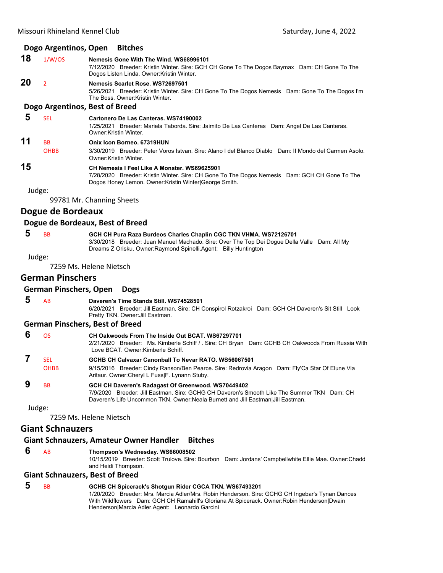#### **Dogo Argentinos, Open Bitches**

#### **18** 1/W/OS **Nemesis Gone With The Wind. WS68996101**

7/12/2020 Breeder: Kristin Winter. Sire: GCH CH Gone To The Dogos Baymax Dam: CH Gone To The Dogos Listen Linda. Owner:Kristin Winter.

## **20** <sup>2</sup> **Nemesis Scarlet Rose. WS72697501**

5/26/2021 Breeder: Kristin Winter. Sire: CH Gone To The Dogos Nemesis Dam: Gone To The Dogos I'm The Boss. Owner:Kristin Winter.

#### **Dogo Argentinos, Best of Breed**

## **5** SEL **Cartonero De Las Canteras. WS74190002**

1/25/2021 Breeder: Mariela Taborda. Sire: Jaimito De Las Canteras Dam: Angel De Las Canteras. Owner:Kristin Winter.

## **11** BB **Onix Icon Borneo. 67319HUN**

OHBB 3/30/2019 Breeder: Peter Voros Istvan. Sire: Alano I del Blanco Diablo Dam: II Mondo del Carmen Asolo. Owner:Kristin Winter.

## **15 CH Nemesis I Feel Like A Monster. WS69625901**

7/28/2020 Breeder: Kristin Winter. Sire: CH Gone To The Dogos Nemesis Dam: GCH CH Gone To The Dogos Honey Lemon. Owner:Kristin Winter|George Smith.

Judge:

99781 Mr. Channing Sheets

## **Dogue de Bordeaux**

## **Dogue de Bordeaux, Best of Breed**

 **5** BB **GCH CH Pura Raza Burdeos Charles Chaplin CGC TKN VHMA. WS72126701** 3/30/2018 Breeder: Juan Manuel Machado. Sire: Over The Top Dei Dogue Della Valle Dam: All My Dreams Z Orisku. Owner:Raymond Spinelli.Agent: Billy Huntington

Judge:

7259 Ms. Helene Nietsch

## **German Pinschers**

#### **German Pinschers, Open Dogs**

 **5** AB **Daveren's Time Stands Still. WS74528501** 6/20/2021 Breeder: Jill Eastman. Sire: CH Conspirol Rotzakroi Dam: GCH CH Daveren's Sit Still Look Pretty TKN. Owner:Jill Eastman.

#### **German Pinschers, Best of Breed**

| ΩS          | CH Oakwoods From The Inside Out BCAT, WS67297701<br>2/21/2020 Breeder: Ms. Kimberle Schiff / . Sire: CH Bryan Dam: GCHB CH Oakwoods From Russia With<br>Love BCAT. Owner:Kimberle Schiff.                                           |
|-------------|-------------------------------------------------------------------------------------------------------------------------------------------------------------------------------------------------------------------------------------|
| <b>SFI</b>  | GCHB CH Calvaxar Canonball To Nevar RATO, WS56067501                                                                                                                                                                                |
| <b>OHBB</b> | 9/15/2016 Breeder: Cindy Ranson/Ben Pearce. Sire: Redrovia Aragon Dam: Fly'Ca Star Of Elune Via<br>Aritaur. Owner: Cheryl L Fuss F. Lynann Stuby.                                                                                   |
| ВB          | GCH CH Daveren's Radagast Of Greenwood. WS70449402<br>7/9/2020 Breeder: Jill Eastman, Sire: GCHG CH Daveren's Smooth Like The Summer TKN Dam: CH<br>Daveren's Life Uncommon TKN. Owner:Neala Burnett and Jill Eastman Jill Eastman. |

Judge:

7259 Ms. Helene Nietsch

## **Giant Schnauzers**

## **Giant Schnauzers, Amateur Owner Handler Bitches**

 **6** AB **Thompson's Wednesday. WS66008502**

10/15/2019 Breeder: Scott Trulove. Sire: Bourbon Dam: Jordans' Campbellwhite Ellie Mae. Owner:Chadd and Heidi Thompson.

#### **Giant Schnauzers, Best of Breed**

#### **5** BB **GCHB CH Spicerack's Shotgun Rider CGCA TKN. WS67493201** 1/20/2020 Breeder: Mrs. Marcia Adler/Mrs. Robin Henderson. Sire: GCHG CH Ingebar's Tynan Dances With Wildflowers Dam: GCH CH Ramahill's Gloriana At Spicerack. Owner:Robin Henderson|Dwain Henderson|Marcia Adler.Agent: Leonardo Garcini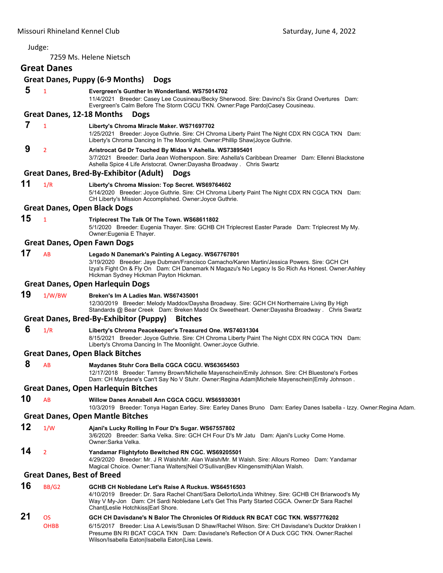# Judge: 7259 Ms. Helene Nietsch **Great Danes Great Danes, Puppy (6‐9 Months) Dogs**

## **5** <sup>1</sup> **Evergreen's Gunther In Wonderlland. WS75014702**

11/4/2021 Breeder: Casey Lee Cousineau/Becky Sherwood. Sire: Davinci's Six Grand Overtures Dam: Evergreen's Calm Before The Storm CGCU TKN. Owner:Page Pardo|Casey Cousineau.

#### **Great Danes, 12‐18 Months Dogs**

- **7** <sup>1</sup> **Liberty's Chroma Miracle Maker. WS71697702**
	- 1/25/2021 Breeder: Joyce Guthrie. Sire: CH Chroma Liberty Paint The Night CDX RN CGCA TKN Dam: Liberty's Chroma Dancing In The Moonlight. Owner:Phillip Shaw|Joyce Guthrie.
- **9** <sup>2</sup> **Aristrocat Gd Dr Touched By Midas V Ashella. WS73895401** 3/7/2021 Breeder: Darla Jean Wotherspoon. Sire: Ashella's Caribbean Dreamer Dam: Ellenni Blackstone Ashella Spice 4 Life Aristocrat. Owner:Dayasha Broadway . Chris Swartz

## **Great Danes, Bred‐By‐Exhibitor (Adult) Dogs**

**11** 1/R **Liberty's Chroma Mission: Top Secret. WS69764602** 5/14/2020 Breeder: Joyce Guthrie. Sire: CH Chroma Liberty Paint The Night CDX RN CGCA TKN Dam: CH Liberty's Mission Accomplished. Owner:Joyce Guthrie.

## **Great Danes, Open Black Dogs**

## **15** <sup>1</sup> **Triplecrest The Talk Of The Town. WS68611802**

5/1/2020 Breeder: Eugenia Thayer. Sire: GCHB CH Triplecrest Easter Parade Dam: Triplecrest My My. Owner:Eugenia E Thayer.

#### **Great Danes, Open Fawn Dogs**

**17** AB **Legado N Danemark's Painting A Legacy. WS67767801** 3/19/2020 Breeder: Jaye Dubman/Francisco Camacho/Karen Martin/Jessica Powers. Sire: GCH CH

Izya's Fight On & Fly On Dam: CH Danemark N Magazu's No Legacy Is So Rich As Honest. Owner:Ashley Hickman Sydney Hickman Payton Hickman.

#### **Great Danes, Open Harlequin Dogs**

**19** 1/W/BW **Breken's Im A Ladies Man. WS67435001**

12/30/2019 Breeder: Melody Maddox/Daysha Broadway. Sire: GCH CH Northernaire Living By High Standards @ Bear Creek Dam: Breken Madd Ox Sweetheart. Owner:Dayasha Broadway . Chris Swartz

## **Great Danes, Bred‐By‐Exhibitor (Puppy) Bitches**

 **6** 1/R **Liberty's Chroma Peacekeeper's Treasured One. WS74031304**

8/15/2021 Breeder: Joyce Guthrie. Sire: CH Chroma Liberty Paint The Night CDX RN CGCA TKN Dam: Liberty's Chroma Dancing In The Moonlight. Owner:Joyce Guthrie.

## **Great Danes, Open Black Bitches**

 **8** AB **Maydanes Stuhr Cora Bella CGCA CGCU. WS63654503**

12/17/2018 Breeder: Tammy Brown/Michelle Mayenschein/Emily Johnson. Sire: CH Bluestone's Forbes Dam: CH Maydane's Can't Say No V Stuhr. Owner:Regina Adam|Michele Mayenschein|Emily Johnson .

## **Great Danes, Open Harlequin Bitches**

**10** AB **Willow Danes Annabell Ann CGCA CGCU. WS65930301**

10/3/2019 Breeder: Tonya Hagan Earley. Sire: Earley Danes Bruno Dam: Earley Danes Isabella - Izzy. Owner:Regina Adam.

#### **Great Danes, Open Mantle Bitches**

- **12** 1/W **Ajani's Lucky Rolling In Four D's Sugar. WS67557802** 3/6/2020 Breeder: Sarka Velka. Sire: GCH CH Four D's Mr Jatu Dam: Ajani's Lucky Come Home. Owner:Sarka Velka.
- **14** <sup>2</sup> **Yandamar Flightyfoto Bewitched RN CGC. WS69205501**

4/29/2020 Breeder: Mr. J R Walsh/Mr. Alan Walsh/Mr. M Walsh. Sire: Allours Romeo Dam: Yandamar Magical Choice. Owner:Tiana Walters|Neil O'Sullivan|Bev Klingensmith|Alan Walsh.

## **Great Danes, Best of Breed**

**16** BB/G2 **GCHB CH Nobledane Let's Raise A Ruckus. WS64516503** 4/10/2019 Breeder: Dr. Sara Rachel Chant/Sara Dellorto/Linda Whitney. Sire: GCHB CH Briarwood's My Way V My-Jon Dam: CH Sardi Nobledane Let's Get This Party Started CGCA. Owner:Dr Sara Rachel Chant|Leslie Hotchkiss|Earl Shore. **21** OS **GCH CH Davisdane's N Balor The Chronicles Of Ridduck RN BCAT CGC TKN. WS57776202** OHBB 6/15/2017 Breeder: Lisa A Lewis/Susan D Shaw/Rachel Wilson. Sire: CH Davisdane's Ducktor Drakken I Presume BN RI BCAT CGCA TKN Dam: Davisdane's Reflection Of A Duck CGC TKN. Owner:Rachel Wilson/Isabella Eaton|Isabella Eaton|Lisa Lewis.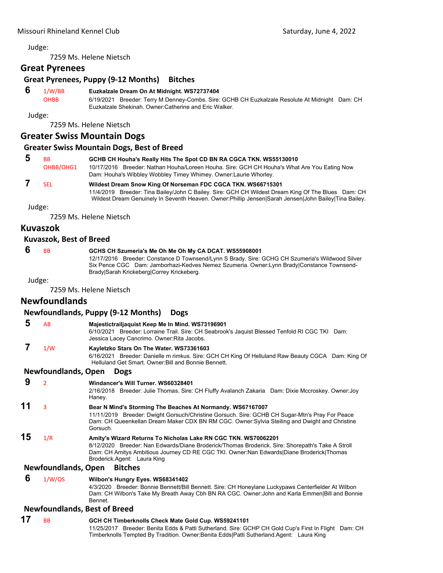7259 Ms. Helene Nietsch

## **Great Pyrenees**

## **Great Pyrenees, Puppy (9‐12 Months) Bitches**

#### **6** 1/W/BB **Euzkalzale Dream On At Midnight. WS72737404**

OHBB 6/19/2021 Breeder: Terry M Denney-Combs. Sire: GCHB CH Euzkalzale Resolute At Midnight Dam: CH Euzkalzale Shekinah. Owner:Catherine and Eric Walker.

Judge:

7259 Ms. Helene Nietsch

## **Greater Swiss Mountain Dogs**

## **Greater Swiss Mountain Dogs, Best of Breed**

| -5 | <b>BB</b> | GCHB CH Houha's Really Hits The Spot CD BN RA CGCA TKN. WS55130010                          |
|----|-----------|---------------------------------------------------------------------------------------------|
|    | OHBB/OHG1 | 10/17/2016 Breeder: Nathan Houha/Loreen Houha. Sire: GCH CH Houha's What Are You Eating Now |
|    |           | Dam: Houha's Wibbley Wobbley Timey Whimey. Owner: Laurie Whorley.                           |

## **7** SEL **Wildest Dream Snow King Of Norseman FDC CGCA TKN. WS66715301**

11/4/2019 Breeder: Tina Bailey/John C Bailey. Sire: GCH CH Wildest Dream King Of The Blues Dam: CH Wildest Dream Genuinely In Seventh Heaven. Owner:Phillip Jensen|Sarah Jensen|John Bailey|Tina Bailey.

Judge:

7259 Ms. Helene Nietsch

## **Kuvaszok**

## **Kuvaszok, Best of Breed**

## **6** BB **GCHS CH Szumeria's Me Oh Me Oh My CA DCAT. WS55908001**

12/17/2016 Breeder: Constance D Townsend/Lynn S Brady. Sire: GCHG CH Szumeria's Wildwood Silver Six Pence CGC Dam: Jamborhazi-Kedves Nemez Szumeria. Owner:Lynn Brady|Constance Townsend-Brady|Sarah Krickeberg|Correy Krickeberg.

Judge:

7259 Ms. Helene Nietsch

## **Newfoundlands**

## **Newfoundlands, Puppy (9‐12 Months) Dogs**

 **5** AB **Majestictrailjaquist Keep Me In Mind. WS73196901** 6/10/2021 Breeder: Lorraine Trail. Sire: CH Seabrook's Jaquist Blessed Tenfold RI CGC TKI Dam: Jessica Lacey Cancrimo. Owner:Rita Jacobs.

## **7** 1/W **Kayletzko Stars On The Water. WS73361603**

6/16/2021 Breeder: Danielle m rimkus. Sire: GCH CH King Of Helluland Raw Beauty CGCA Dam: King Of Helluland Get Smart. Owner:Bill and Bonnie Bennett.

## **Newfoundlands, Open Dogs**

```
 9 2 Windancer's Will Turner. WS60328401
```
2/16/2018 Breeder: Julie Thomas. Sire: CH Fluffy Avalanch Zakaria Dam: Dixie Mccroskey. Owner:Joy Haney.

## **11** <sup>3</sup> **Bear N Mind's Storming The Beaches At Normandy. WS67167007**

11/11/2019 Breeder: Dwight Gorsuch/Christine Gorsuch. Sire: GCHB CH Sugar-Mtn's Pray For Peace Dam: CH Queenkellan Dream Maker CDX BN RM CGC. Owner:Sylvia Steiling and Dwight and Christine Gorsuch.

# **15** 1/R **Amity's Wizard Returns To Nicholas Lake RN CGC TKN. WS70062201**

8/12/2020 Breeder: Nan Edwards/Diane Broderick/Thomas Broderick. Sire: Shorepath's Take A Stroll Dam: CH Amitys Ambitious Journey CD RE CGC TKI. Owner:Nan Edwards|Diane Broderick|Thomas Broderick.Agent: Laura King

## **Newfoundlands, Open Bitches**

#### **6** 1/W/OS **Wilbon's Hungry Eyes. WS68341402**

4/3/2020 Breeder: Bonnie Bennett/Bill Bennett. Sire: CH Honeylane Luckypaws Centerfielder At Wilbon Dam: CH Wilbon's Take My Breath Away Cbh BN RA CGC. Owner:John and Karla Emmen|Bill and Bonnie Bennet.

## **Newfoundlands, Best of Breed**

**17** BB **GCH CH Timberknolls Check Mate Gold Cup. WS59241101** 11/25/2017 Breeder: Benita Edds & Patti Sutherland. Sire: GCHP CH Gold Cup's First In Flight Dam: CH Timberknolls Tempted By Tradition. Owner:Benita Edds|Patti Sutherland.Agent: Laura King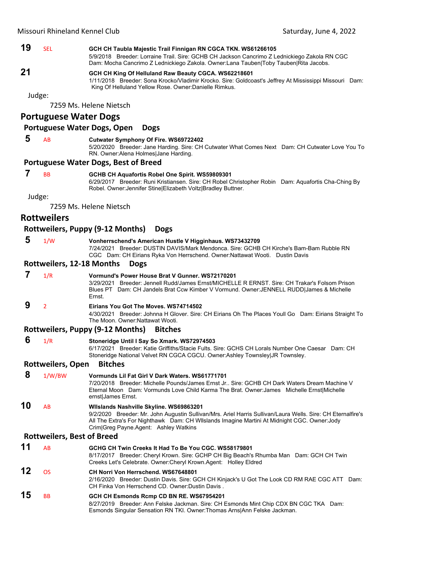## **19** SEL **GCH CH Taubla Majestic Trail Finnigan RN CGCA TKN. WS61266105**

5/9/2018 Breeder: Lorraine Trail. Sire: GCHB CH Jackson Cancrimo Z Lednickiego Zakola RN CGC Dam: Mocha Cancrimo Z Lednickiego Zakola. Owner:Lana Tauben|Toby Tauben|Rita Jacobs.

# **21 GCH CH King Of Helluland Raw Beauty CGCA. WS62218601**

1/11/2018 Breeder: Sona Krocko/Vladimir Krocko. Sire: Goldcoast's Jeffrey At Mississippi Missouri Dam: King Of Helluland Yellow Rose. Owner:Danielle Rimkus.

Judge:

7259 Ms. Helene Nietsch

## **Portuguese Water Dogs**

#### **Portuguese Water Dogs, Open Dogs**

## **5** AB **Cutwater Symphony Of Fire. WS69722402**

5/20/2020 Breeder: Jane Harding. Sire: CH Cutwater What Comes Next Dam: CH Cutwater Love You To RN. Owner:Alena Holmes|Jane Harding.

#### **Portuguese Water Dogs, Best of Breed**

## **7** BB **GCHB CH Aquafortis Robel One Spirit. WS59809301**

6/29/2017 Breeder: Runi Kristiansen. Sire: CH Robel Christopher Robin Dam: Aquafortis Cha-Ching By Robel. Owner:Jennifer Stine|Elizabeth Voltz|Bradley Buttner.

Judge:

7259 Ms. Helene Nietsch

## **Rottweilers**

## **Rottweilers, Puppy (9‐12 Months) Dogs**

#### **5** 1/W **Vonherrschend's American Hustle V Higginhaus. WS73432709** 7/24/2021 Breeder: DUSTIN DAVIS/Mark Mendonca. Sire: GCHB CH Kirche's Bam-Bam Rubble RN CGC Dam: CH Eirians Ryka Von Herrschend. Owner:Nattawat Wooti. Dustin Davis

#### **Rottweilers, 12‐18 Months Dogs**

#### **7** 1/R **Vormund's Power House Brat V Gunner. WS72170201** 3/29/2021 Breeder: Jennell Rudd/James Ernst/MICHELLE R ERNST. Sire: CH Trakar's Folsom Prison Blues PT Dam: CH Jandels Brat Ccw Kimber V Vormund. Owner:JENNELL RUDD|James & Michelle Ernst.

## **9** <sup>2</sup> **Eirians You Got The Moves. WS74714502**

4/30/2021 Breeder: Johnna H Glover. Sire: CH Eirians Oh The Places Youll Go Dam: Eirians Straight To The Moon. Owner:Nattawat Wooti.

## **Rottweilers, Puppy (9‐12 Months) Bitches**

 **6** 1/R **Stoneridge Until I Say So Xmark. WS72974503**

6/17/2021 Breeder: Katie Griffiths/Stacie Fults. Sire: GCHS CH Lorals Number One Caesar Dam: CH Stoneridge National Velvet RN CGCA CGCU. Owner:Ashley Townsley|JR Townsley.

## **Rottweilers, Open Bitches**

 **8** 1/W/BW **Vormunds Lil Fat Girl V Dark Waters. WS61771701** 7/20/2018 Breeder: Michelle Pounds/James Ernst Jr.. Sire: GCHB CH Dark Waters Dream Machine V Eternal Moon Dam: Vormunds Love Child Karma The Brat. Owner:James Michelle Ernst|Michelle ernst|James Ernst. **10** AB **Wllslands Nashville Skyline. WS69863201**

# 9/2/2020 Breeder: Mr. John Augustin Sullivan/Mrs. Ariel Harris Sullivan/Laura Wells. Sire: CH Eternalfire's

All The Extra's For Nighthawk Dam: CH Wllslands Imagine Martini At Midnight CGC. Owner:Jody Crim|Greg Payne.Agent: Ashley Watkins

## **Rottweilers, Best of Breed**

| 15 | <b>B<sub>B</sub></b> | GCH CH Esmonds Rcmp CD BN RE. WS67954201                                                                                                                                                                           |
|----|----------------------|--------------------------------------------------------------------------------------------------------------------------------------------------------------------------------------------------------------------|
| 12 | ns.                  | CH Norri Von Herrschend, WS67648801<br>2/16/2020 Breeder: Dustin Davis. Sire: GCH CH Kinjack's U Got The Look CD RM RAE CGC ATT Dam:<br>CH Finka Von Herrschend CD. Owner: Dustin Davis.                           |
| 11 | <b>AR</b>            | GCHG CH Twin Creeks It Had To Be You CGC, WS58179801<br>8/17/2017 Breeder: Cheryl Krown. Sire: GCHP CH Big Beach's Rhumba Man Dam: GCH CH Twin<br>Creeks Let's Celebrate. Owner: Cheryl Krown Agent: Holley Eldred |

8/27/2019 Breeder: Ann Felske Jackman. Sire: CH Esmonds Mint Chip CDX BN CGC TKA Dam: Esmonds Singular Sensation RN TKI. Owner:Thomas Arns|Ann Felske Jackman.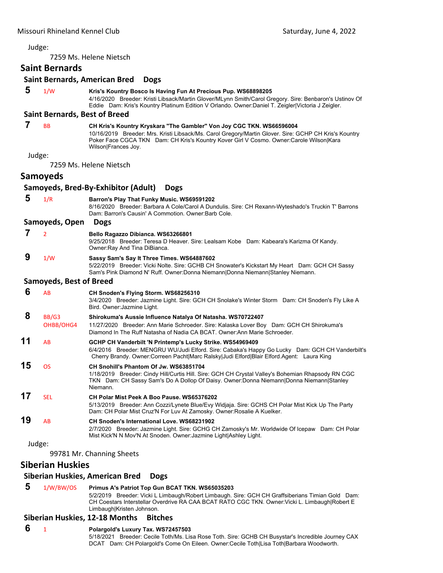|    |                                      | 7259 Ms. Helene Nietsch                                                                                                                                                                                                                                                                         |
|----|--------------------------------------|-------------------------------------------------------------------------------------------------------------------------------------------------------------------------------------------------------------------------------------------------------------------------------------------------|
|    | <b>Saint Bernards</b>                |                                                                                                                                                                                                                                                                                                 |
|    |                                      | <b>Saint Bernards, American Bred</b><br><b>Dogs</b>                                                                                                                                                                                                                                             |
| 5  | 1/W                                  | Kris's Kountry Bosco Is Having Fun At Precious Pup. WS68898205<br>4/16/2020 Breeder: Kristi Libsack/Martin Glover/MLynn Smith/Carol Gregory. Sire: Benbaron's Ustinov Of<br>Eddie Dam: Kris's Kountry Platinum Edition V Orlando. Owner:Daniel T. Zeigler Victoria J Zeigler.                   |
|    | <b>Saint Bernards, Best of Breed</b> |                                                                                                                                                                                                                                                                                                 |
| 7  | <b>BB</b>                            | CH Kris's Kountry Kryskara "The Gambler" Von Joy CGC TKN. WS66596004<br>10/16/2019 Breeder: Mrs. Kristi Libsack/Ms. Carol Gregory/Martin Glover. Sire: GCHP CH Kris's Kountry<br>Poker Face CGCA TKN Dam: CH Kris's Kountry Kover Girl V Cosmo. Owner:Carole Wilson Kara<br>Wilson Frances Joy. |
|    | Judge:                               |                                                                                                                                                                                                                                                                                                 |
|    |                                      | 7259 Ms. Helene Nietsch                                                                                                                                                                                                                                                                         |
|    | <b>Samoyeds</b>                      |                                                                                                                                                                                                                                                                                                 |
|    |                                      | Samoyeds, Bred-By-Exhibitor (Adult)<br><b>Dogs</b>                                                                                                                                                                                                                                              |
| 5  | 1/R                                  | Barron's Play That Funky Music. WS69591202<br>8/16/2020 Breeder: Barbara A Cole/Carol A Dundulis. Sire: CH Rexann-Wyteshado's Truckin T' Barrons<br>Dam: Barron's Causin' A Commotion. Owner: Barb Cole.                                                                                        |
|    | Samoyeds, Open                       | <b>Dogs</b>                                                                                                                                                                                                                                                                                     |
| 7  | $\overline{2}$                       | Bello Ragazzo Dibianca. WS63266801<br>9/25/2018 Breeder: Teresa D Heaver. Sire: Lealsam Kobe Dam: Kabeara's Karizma Of Kandy.<br>Owner: Ray And Tina DiBianca.                                                                                                                                  |
| 9  | 1/W                                  | Sassy Sam's Say It Three Times. WS64887602<br>5/22/2019 Breeder: Vicki Nolte. Sire: GCHB CH Snowater's Kickstart My Heart Dam: GCH CH Sassy<br>Sam's Pink Diamond N' Ruff. Owner:Donna Niemann Donna Niemann Stanley Niemann.                                                                   |
|    | <b>Samoyeds, Best of Breed</b>       |                                                                                                                                                                                                                                                                                                 |
| 6  | AB                                   | CH Snoden's Flying Storm. WS68256310<br>3/4/2020 Breeder: Jazmine Light. Sire: GCH CH Snolake's Winter Storm Dam: CH Snoden's Fly Like A<br>Bird. Owner: Jazmine Light.                                                                                                                         |
| 8  | BB/G3                                | Shirokuma's Aussie Influence Natalya Of Natasha. WS70722407                                                                                                                                                                                                                                     |
|    | OHBB/OHG4                            | 11/27/2020 Breeder: Ann Marie Schroeder. Sire: Kalaska Lover Boy Dam: GCH CH Shirokuma's<br>Diamond In The Ruff Natasha of Nadia CA BCAT, Owner: Ann Marie Schroeder,                                                                                                                           |
| 11 | AB                                   | GCHP CH Vanderbilt 'N Printemp's Lucky Strike. WS54969409<br>6/4/2016 Breeder: MENGRU WU/Judi Elford. Sire: Cabaka's Happy Go Lucky Dam: GCH CH Vanderbilt's<br>Cherry Brandy. Owner:Correen Pacht Marc Ralsky Judi Elford Blair Elford.Agent: Laura King                                       |
| 15 | <b>OS</b>                            | CH Snohill's Phantom Of Jw. WS63851704<br>1/18/2019 Breeder: Cindy Hill/Curtis Hill. Sire: GCH CH Crystal Valley's Bohemian Rhapsody RN CGC<br>TKN Dam: CH Sassy Sam's Do A Dollop Of Daisy. Owner:Donna Niemann Donna Niemann Stanley<br>Niemann.                                              |
| 17 | <b>SEL</b>                           | CH Polar Mist Peek A Boo Pause, WS65376202<br>5/13/2019 Breeder: Ann Cozzi/Lynete Blue/Evy Widjaja. Sire: GCHS CH Polar Mist Kick Up The Party<br>Dam: CH Polar Mist Cruz'N For Luv At Zamosky. Owner: Rosalie A Kuelker.                                                                       |
| 19 | AB                                   | <b>CH Snoden's International Love, WS68231902</b><br>2/7/2020 Breeder: Jazmine Light. Sire: GCHG CH Zamosky's Mr. Worldwide Of Icepaw Dam: CH Polar<br>Mist Kick'N N Mov'N At Snoden. Owner: Jazmine Light Ashley Light.                                                                        |
|    | Judge:                               |                                                                                                                                                                                                                                                                                                 |
|    |                                      | 99781 Mr. Channing Sheets                                                                                                                                                                                                                                                                       |
|    | <b>Siberian Huskies</b>              |                                                                                                                                                                                                                                                                                                 |
|    |                                      | Ciborian Huckies, American Brod, Doce                                                                                                                                                                                                                                                           |

# **Siberian Huskies, American Bred Dogs**

# **5** 1/W/BW/OS **Primus A's Patriot Top Gun BCAT TKN. WS65035203**

5/2/2019 Breeder: Vicki L Limbaugh/Robert Limbaugh. Sire: GCH CH Graffsiberians Timian Gold Dam: CH Coestars Interstellar Overdrive RA CAA BCAT RATO CGC TKN. Owner:Vicki L. Limbaugh|Robert E Limbaugh|Kristen Johnson.

#### **Siberian Huskies, 12‐18 Months Bitches**

#### **6** <sup>1</sup> **Polargold's Luxury Tax. WS72457503**

5/18/2021 Breeder: Cecile Toth/Ms. Lisa Rose Toth. Sire: GCHB CH Busystar's Incredible Journey CAX DCAT Dam: CH Polargold's Come On Eileen. Owner:Cecile Toth|Lisa Toth|Barbara Woodworth.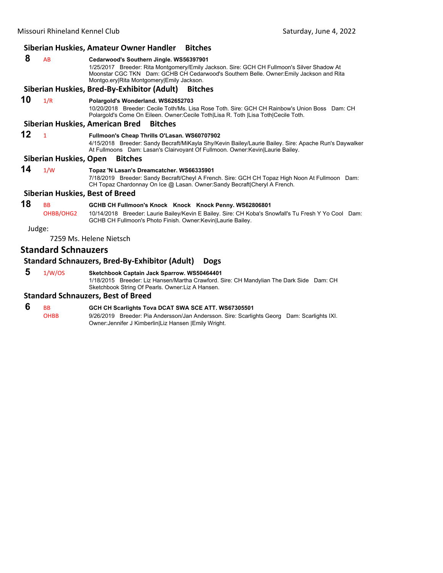|                                        | Siberian Huskies, Amateur Owner Handler<br><b>Bitches</b> |                                                                                                                                                                                                                                                                               |  |
|----------------------------------------|-----------------------------------------------------------|-------------------------------------------------------------------------------------------------------------------------------------------------------------------------------------------------------------------------------------------------------------------------------|--|
| 8                                      | AB                                                        | Cedarwood's Southern Jingle. WS56397901<br>1/25/2017 Breeder: Rita Montgomery/Emily Jackson. Sire: GCH CH Fullmoon's Silver Shadow At<br>Moonstar CGC TKN Dam: GCHB CH Cedarwood's Southern Belle. Owner: Emily Jackson and Rita<br>Montgo.ery Rita Montgomery Emily Jackson. |  |
|                                        |                                                           | Siberian Huskies, Bred-By-Exhibitor (Adult) Bitches                                                                                                                                                                                                                           |  |
| 10                                     | 1/R                                                       | Polargold's Wonderland. WS62652703<br>10/20/2018 Breeder: Cecile Toth/Ms. Lisa Rose Toth. Sire: GCH CH Rainbow's Union Boss Dam: CH<br>Polargold's Come On Eileen. Owner:Cecile Toth Lisa R. Toth  Lisa Toth Cecile Toth.                                                     |  |
|                                        |                                                           | Siberian Huskies, American Bred<br><b>Bitches</b>                                                                                                                                                                                                                             |  |
| 12                                     | $\mathbf{1}$                                              | Fullmoon's Cheap Thrills O'Lasan. WS60707902<br>4/15/2018 Breeder: Sandy Becraft/MiKayla Shy/Kevin Bailey/Laurie Bailey. Sire: Apache Run's Daywalker<br>At Fullmoons Dam: Lasan's Clairvoyant Of Fullmoon. Owner: Kevin Laurie Bailey.                                       |  |
|                                        | Siberian Huskies, Open                                    | <b>Bitches</b>                                                                                                                                                                                                                                                                |  |
| 14                                     | 1/W                                                       | Topaz 'N Lasan's Dreamcatcher. WS66335901<br>7/18/2019 Breeder: Sandy Becraft/Cheyl A French. Sire: GCH CH Topaz High Noon At Fullmoon Dam:<br>CH Topaz Chardonnay On Ice @ Lasan. Owner:Sandy Becraft Cheryl A French.                                                       |  |
| <b>Siberian Huskies, Best of Breed</b> |                                                           |                                                                                                                                                                                                                                                                               |  |
| 18                                     | <b>BB</b><br>OHBB/OHG2                                    | GCHB CH Fullmoon's Knock Knock Knock Penny. WS62806801<br>10/14/2018 Breeder: Laurie Bailey/Kevin E Bailey. Sire: CH Koba's Snowfall's Tu Fresh Y Yo Cool Dam:<br>GCHB CH Fullmoon's Photo Finish. Owner: Kevin Laurie Bailey.                                                |  |
| Judge:                                 |                                                           |                                                                                                                                                                                                                                                                               |  |
|                                        |                                                           | 7259 Ms. Helene Nietsch                                                                                                                                                                                                                                                       |  |

# **Standard Schnauzers**

# **Standard Schnauzers, Bred‐By‐Exhibitor (Adult) Dogs**

 **5** 1/W/OS **Sketchbook Captain Jack Sparrow. WS50464401**

1/18/2015 Breeder: Liz Hansen/Martha Crawford. Sire: CH Mandylian The Dark Side Dam: CH Sketchbook String Of Pearls. Owner:Liz A Hansen.

# **Standard Schnauzers, Best of Breed**

| - 6 | BB   | GCH CH Scarlights Tova DCAT SWA SCE ATT. WS67305501                                         |
|-----|------|---------------------------------------------------------------------------------------------|
|     | ОНВВ | 9/26/2019 Breeder: Pia Andersson/Jan Andersson. Sire: Scarlights Georg Dam: Scarlights IXI. |
|     |      | Owner: Jennifer J Kimberlin Liz Hansen IEmily Wright.                                       |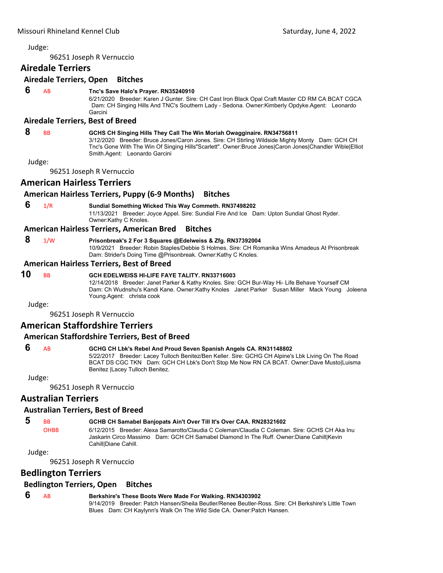96251 Joseph R Vernuccio

# **Airedale Terriers**

#### **Airedale Terriers, Open Bitches**

 **6** AB **Tnc's Save Halo's Prayer. RN35240910**

6/21/2020 Breeder: Karen J Gunter. Sire: CH Cast Iron Black Opal Craft Master CD RM CA BCAT CGCA Dam: CH Singing Hills And TNC's Southern Lady - Sedona. Owner:Kimberly Opdyke.Agent: Leonardo Garcini

#### **Airedale Terriers, Best of Breed**

#### **8** BB **GCHS CH Singing Hills They Call The Win Moriah Owagginaire. RN34756811**

3/12/2020 Breeder: Bruce Jones/Caron Jones. Sire: CH Stirling Wildside Mighty Monty Dam: GCH CH Tnc's Gone With The Win Of Singing Hills"Scarlett". Owner:Bruce Jones|Caron Jones|Chandler Wible|Elliot Smith.Agent: Leonardo Garcini

Judge:

96251 Joseph R Vernuccio

#### **American Hairless Terriers**

#### **American Hairless Terriers, Puppy (6‐9 Months) Bitches**

 **6** 1/R **Sundial Something Wicked This Way Commeth. RN37498202** 11/13/2021 Breeder: Joyce Appel. Sire: Sundial Fire And Ice Dam: Upton Sundial Ghost Ryder. Owner:Kathy C Knoles.

#### **American Hairless Terriers, American Bred Bitches**

#### **8** 1/W **Prisonbreak's 2 For 3 Squares @Edelweiss & Zfg. RN37392004**

10/9/2021 Breeder: Robin Staples/Debbie S Holmes. Sire: CH Romanika Wins Amadeus At Prisonbreak Dam: Strider's Doing Time @Prisonbreak. Owner:Kathy C Knoles.

#### **American Hairless Terriers, Best of Breed**

#### **10** BB **GCH EDELWEISS HI-LIFE FAYE TALITY. RN33716003**

12/14/2018 Breeder: Janet Parker & Kathy Knoles. Sire: GCH Bur-Way Hi- Life Behave Yourself CM Dam: Ch Wudnshu's Kandi Kane. Owner:Kathy Knoles Janet Parker Susan Miller Mack Young Joleena Young.Agent: christa cook

Judge:

96251 Joseph R Vernuccio

#### **American Staffordshire Terriers**

#### **American Staffordshire Terriers, Best of Breed**

# **6** AB **GCHG CH Lbk's Rebel And Proud Seven Spanish Angels CA. RN31148802**

5/22/2017 Breeder: Lacey Tulloch Benitez/Ben Keller. Sire: GCHG CH Alpine's Lbk Living On The Road BCAT DS CGC TKN Dam: GCH CH Lbk's Don't Stop Me Now RN CA BCAT. Owner:Dave Musto|Luisma Benitez |Lacey Tulloch Benitez.

Judge:

96251 Joseph R Vernuccio

# **Australian Terriers**

#### **Australian Terriers, Best of Breed**

- **5** BB **GCHB CH Samabel Banjopats Ain't Over Till It's Over CAA. RN28321602**
	- OHBB 6/12/2015 Breeder: Alexa Samarotto/Claudia C Coleman/Claudia C Coleman. Sire: GCHS CH Aka Inu Jaskarin Circo Massimo Dam: GCH CH Samabel Diamond In The Ruff. Owner:Diane Cahill|Kevin Cahill|Diane Cahill.

Judge:

96251 Joseph R Vernuccio

### **Bedlington Terriers**

#### **Bedlington Terriers, Open Bitches**

# **6** AB **Berkshire's These Boots Were Made For Walking. RN34303902**

9/14/2019 Breeder: Patch Hansen/Sheila Beutler/Renee Beutler-Ross. Sire: CH Berkshire's Little Town Blues Dam: CH Kaylynn's Walk On The Wild Side CA. Owner:Patch Hansen.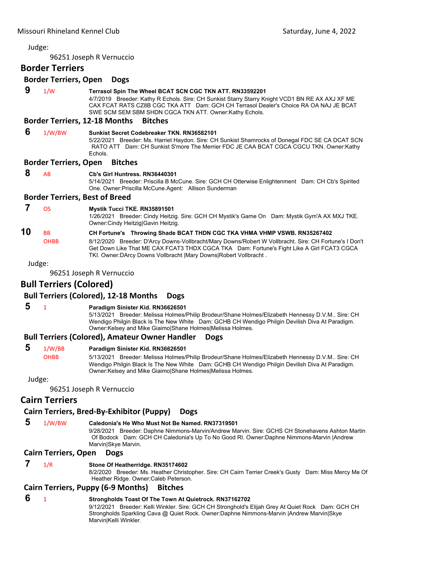96251 Joseph R Vernuccio

#### **Border Terriers**

#### **Border Terriers, Open Dogs**

| 9  | 1/W                            | Terrasol Spin The Wheel BCAT SCN CGC TKN ATT. RN33592201<br>4/7/2019 Breeder: Kathy R Echols. Sire: CH Sunkist Starry Starry Knight VCD1 BN RE AX AXJ XF ME<br>CAX FCAT RATS CZ8B CGC TKA ATT Dam: GCH CH Terrasol Dealer's Choice RA OA NAJ JE BCAT<br>SWE SCM SEM SBM SHDN CGCA TKN ATT. Owner: Kathy Echols.                                       |
|----|--------------------------------|-------------------------------------------------------------------------------------------------------------------------------------------------------------------------------------------------------------------------------------------------------------------------------------------------------------------------------------------------------|
|    |                                | <b>Border Terriers, 12-18 Months</b><br><b>Bitches</b>                                                                                                                                                                                                                                                                                                |
| 6  | 1/W/BW                         | Sunkist Secret Codebreaker TKN, RN36582101<br>5/22/2021 Breeder: Ms. Harriet Haydon. Sire: CH Sunkist Shamrocks of Donegal FDC SE CA DCAT SCN<br>RATO ATT Dam: CH Sunkist S'more The Merrier FDC JE CAA BCAT CGCA CGCU TKN. Owner:Kathy<br>Echols.                                                                                                    |
|    | <b>Border Terriers, Open</b>   | <b>Bitches</b>                                                                                                                                                                                                                                                                                                                                        |
| 8  | AB                             | Cb's Girl Huntress, RN36440301<br>5/14/2021 Breeder: Priscilla B McCune. Sire: GCH CH Otterwise Enlightenment Dam: CH Cb's Spirited<br>One. Owner: Priscilla McCune. Agent: Allison Sunderman                                                                                                                                                         |
|    |                                | <b>Border Terriers, Best of Breed</b>                                                                                                                                                                                                                                                                                                                 |
|    | <b>OS</b>                      | Mystik Tucci TKE. RN35891501<br>1/26/2021 Breeder: Cindy Heitzig. Sire: GCH CH Mystik's Game On Dam: Mystik Gym'A AX MXJ TKE.<br>Owner: Cindy Heitzig Gavin Heitzig.                                                                                                                                                                                  |
| 10 | <b>BB</b><br><b>OHBB</b>       | CH Fortune's Throwing Shade BCAT THDN CGC TKA VHMA VHMP VSWB. RN35267402<br>8/12/2020 Breeder: D'Arcy Downs-Vollbracht/Mary Downs/Robert W Vollbracht. Sire: CH Fortune's I Don't<br>Get Down Like That ME CAX FCAT3 THDX CGCA TKA Dam: Fortune's Fight Like A Girl FCAT3 CGCA<br>TKI. Owner: DArcy Downs Vollbracht   Mary Downs  Robert Vollbracht. |
|    | Judge:                         |                                                                                                                                                                                                                                                                                                                                                       |
|    |                                | 96251 Joseph R Vernuccio                                                                                                                                                                                                                                                                                                                              |
|    | <b>Bull Terriers (Colored)</b> | $D \cdot \text{II}$ Temisma (Calcus J), 49, 40, Mansha                                                                                                                                                                                                                                                                                                |

#### **Bull Terriers (Colored), 12‐18 Months Dogs**

#### **5** <sup>1</sup> **Paradigm Sinister Kid. RN36626501**

5/13/2021 Breeder: Melissa Holmes/Philip Brodeur/Shane Holmes/Elizabeth Hennessy D.V.M.. Sire: CH Wendigo Philgin Black Is The New White Dam: GCHB CH Wendigo Philgin Devilish Diva At Paradigm. Owner:Kelsey and Mike Giaimo|Shane Holmes|Melissa Holmes.

#### **Bull Terriers (Colored), Amateur Owner Handler Dogs**

#### **5** 1/W/BB **Paradigm Sinister Kid. RN36626501**

OHBB 5/13/2021 Breeder: Melissa Holmes/Philip Brodeur/Shane Holmes/Elizabeth Hennessy D.V.M.. Sire: CH Wendigo Philgin Black Is The New White Dam: GCHB CH Wendigo Philgin Devilish Diva At Paradigm. Owner:Kelsey and Mike Giaimo|Shane Holmes|Melissa Holmes.

#### Judge:

96251 Joseph R Vernuccio

# **Cairn Terriers**

#### **Cairn Terriers, Bred‐By‐Exhibitor (Puppy) Dogs**

 **5** 1/W/BW **Caledonia's He Who Must Not Be Named. RN37319501** 9/28/2021 Breeder: Daphne Nimmons-Marvin/Andrew Marvin. Sire: GCHS CH Stonehavens Ashton Martin Of Bodock Dam: GCH CH Caledonia's Up To No Good RI. Owner:Daphne Nimmons-Marvin |Andrew Marvin|Skye Marvin.

#### **Cairn Terriers, Open Dogs**

### **7** 1/R **Stone Of Heatherridge. RN35174602**

8/2/2020 Breeder: Ms. Heather Christopher. Sire: CH Cairn Terrier Creek's Gusty Dam: Miss Mercy Me Of Heather Ridge. Owner:Caleb Peterson.

#### **Cairn Terriers, Puppy (6‐9 Months) Bitches**

# **6** <sup>1</sup> **Strongholds Toast Of The Town At Quietrock. RN37162702**

9/12/2021 Breeder: Kelli Winkler. Sire: GCH CH Stronghold's Elijah Grey At Quiet Rock Dam: GCH CH Strongholds Sparkling Cava @ Quiet Rock. Owner:Daphne Nimmons-Marvin |Andrew Marvin|Skye Marvin|Kelli Winkler.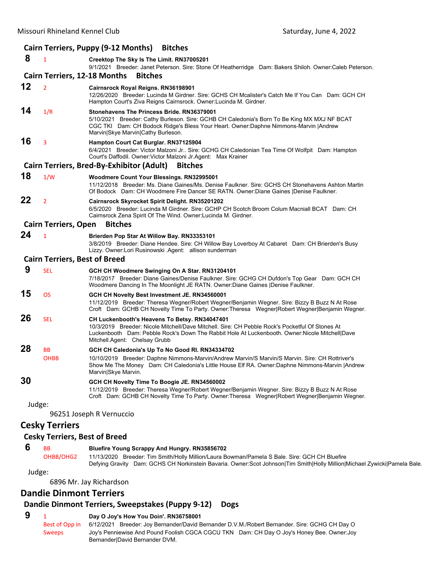#### Missouri Rhineland Kennel Club **Club** *Missouri Rhineland Kennel Club*  **Saturday**, June 4, 2022 **Cairn Terriers, Puppy (9‐12 Months) Bitches 8** <sup>1</sup> **Creektop The Sky Is The Limit. RN37005201** 9/1/2021 Breeder: Janet Peterson. Sire: Stone Of Heatherridge Dam: Bakers Shiloh. Owner:Caleb Peterson. **Cairn Terriers, 12‐18 Months Bitches 12** <sup>2</sup> **Cairnsrock Royal Reigns. RN36198901** 12/26/2020 Breeder: Lucinda M Girdner. Sire: GCHS CH Mcalister's Catch Me If You Can Dam: GCH CH Hampton Court's Ziva Reigns Cairnsrock. Owner:Lucinda M. Girdner. **14** 1/R **Stonehavens The Princess Bride. RN36379001** 5/10/2021 Breeder: Cathy Burleson. Sire: GCHB CH Caledonia's Born To Be King MX MXJ NF BCAT CGC TKI Dam: CH Bodock Ridge's Bless Your Heart. Owner:Daphne Nimmons-Marvin |Andrew Marvin|Skye Marvin|Cathy Burleson. **16** <sup>3</sup> **Hampton Court Cat Burglar. RN37125904** 6/4/2021 Breeder: Victor Malzoni Jr.. Sire: GCHG CH Caledonian Tea Time Of Wolfpit Dam: Hampton Court's Daffodil. Owner:Victor Malzoni Jr.Agent: Max Krainer **Cairn Terriers, Bred‐By‐Exhibitor (Adult) Bitches 18** 1/W **Woodmere Count Your Blessings. RN32995001** 11/12/2018 Breeder: Ms. Diane Gaines/Ms. Denise Faulkner. Sire: GCHS CH Stonehavens Ashton Martin Of Bodock Dam: CH Woodmere Fire Dancer SE RATN. Owner:Diane Gaines |Denise Faulkner. **22** <sup>2</sup> **Cairnsrock Skyrocket Spirit Delight. RN35201202** 6/5/2020 Breeder: Lucinda M Girdner. Sire: GCHP CH Scotch Broom Colum Macniall BCAT Dam: CH Cairnsrock Zena Spirit Of The Wind. Owner:Lucinda M. Girdner. **Cairn Terriers, Open Bitches 24** <sup>1</sup> **Brierden Pop Star At Willow Bay. RN33353101** 3/8/2019 Breeder: Diane Hendee. Sire: CH Willow Bay Loverboy At Cabaret Dam: CH Brierden's Busy Lizzy. Owner:Lori Rusinowski .Agent: allison sunderman **Cairn Terriers, Best of Breed 9** SEL **GCH CH Woodmere Swinging On A Star. RN31204101** 7/18/2017 Breeder: Diane Gaines/Denise Faulkner. Sire: GCHG CH Dufdon's Top Gear Dam: GCH CH Woodmere Dancing In The Moonlight JE RATN. Owner:Diane Gaines |Denise Faulkner. **15** OS **GCH CH Novelty Best Investment JE. RN34560001** 11/12/2019 Breeder: Theresa Wegner/Robert Wegner/Benjamin Wegner. Sire: Bizzy B Buzz N At Rose Croft Dam: GCHB CH Novelty Time To Party. Owner:Theresa Wegner|Robert Wegner|Benjamin Wegner. **26** SEL **CH Luckenbooth's Heavens To Betsy. RN34047401** 10/3/2019 Breeder: Nicole Mitchell/Dave Mitchell. Sire: CH Pebble Rock's Pocketful Of Stones At Luckenbooth Dam: Pebble Rock's Down The Rabbit Hole At Luckenbooth. Owner:Nicole Mitchell|Dave Mitchell.Agent: Chelsay Grubb **28** BB **GCH CH Caledonia's Up To No Good RI. RN34334702** OHBB 10/10/2019 Breeder: Daphne Nimmons-Marvin/Andrew Marvin/S Marvin/S Marvin. Sire: CH Rottriver's Show Me The Money Dam: CH Caledonia's Little House Elf RA. Owner:Daphne Nimmons-Marvin |Andrew Marvin|Skye Marvin. **30 GCH CH Novelty Time To Boogie JE. RN34560002** 11/12/2019 Breeder: Theresa Wegner/Robert Wegner/Benjamin Wegner. Sire: Bizzy B Buzz N At Rose Croft Dam: GCHB CH Novelty Time To Party. Owner:Theresa Wegner|Robert Wegner|Benjamin Wegner. Judge: 96251 Joseph R Vernuccio **Cesky Terriers**

#### **Cesky Terriers, Best of Breed**

| 6 BB |           | <b>Bluefire Young Scrappy And Hungry. RN35856702</b>                                                                      |
|------|-----------|---------------------------------------------------------------------------------------------------------------------------|
|      | OHBB/OHG2 | 11/13/2020 Breeder: Tim Smith/Holly Million/Laura Bowman/Pamela S Bale. Sire: GCH CH Bluefire                             |
|      |           | Defying Gravity Dam: GCHS CH Norkinstein Bavaria. Owner:Scot Johnson Tim Smith Holly Million Michael Zywicki Pamela Bale. |

Judge:

6896 Mr. Jay Richardson

# **Dandie Dinmont Terriers**

#### **Dandie Dinmont Terriers, Sweepstakes (Puppy 9‐12) Dogs**

 **9** <sup>1</sup> **Day O Joy's How You Doin'. RN36758001**

Best of Opp in 6/12/2021 Breeder: Joy Bernander/David Bernander D.V.M./Robert Bernander. Sire: GCHG CH Day O Sweeps Joy's Penniewise And Pound Foolish CGCA CGCU TKN Dam: CH Day O Joy's Honey Bee. Owner:Joy Bernander|David Bernander DVM.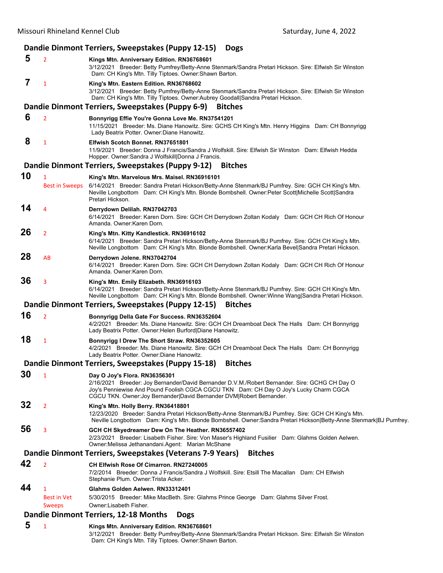|    |                                                     | Dandie Dinmont Terriers, Sweepstakes (Puppy 12-15)<br><b>Dogs</b>                                                                                                                                                                                                                               |
|----|-----------------------------------------------------|-------------------------------------------------------------------------------------------------------------------------------------------------------------------------------------------------------------------------------------------------------------------------------------------------|
| 5  | $\overline{2}$                                      | Kings Mtn. Anniversary Edition. RN36768601<br>3/12/2021 Breeder: Betty Pumfrey/Betty-Anne Stenmark/Sandra Pretari Hickson. Sire: Elfwish Sir Winston<br>Dam: CH King's Mtn. Tilly Tiptoes. Owner: Shawn Barton.                                                                                 |
| 7  | $\mathbf{1}$                                        | King's Mtn. Eastern Edition. RN36768602<br>3/12/2021 Breeder: Betty Pumfrey/Betty-Anne Stenmark/Sandra Pretari Hickson. Sire: Elfwish Sir Winston<br>Dam: CH King's Mtn. Tilly Tiptoes. Owner:Aubrey Goodall Sandra Pretari Hickson.                                                            |
|    |                                                     | Dandie Dinmont Terriers, Sweepstakes (Puppy 6-9)<br><b>Bitches</b>                                                                                                                                                                                                                              |
| 6  | $\overline{2}$                                      | Bonnyrigg Effie You're Gonna Love Me. RN37541201<br>11/15/2021 Breeder: Ms. Diane Hanowitz. Sire: GCHS CH King's Mtn. Henry Higgins Dam: CH Bonnyrigg<br>Lady Beatrix Potter. Owner: Diane Hanowitz.                                                                                            |
| 8  | $\mathbf{1}$                                        | Elfwish Scotch Bonnet, RN37651801<br>11/9/2021 Breeder: Donna J Francis/Sandra J Wolfskill. Sire: Elfwish Sir Winston Dam: Elfwish Hedda<br>Hopper. Owner: Sandra J Wolfskill Donna J Francis.                                                                                                  |
|    |                                                     | Dandie Dinmont Terriers, Sweepstakes (Puppy 9-12) Bitches                                                                                                                                                                                                                                       |
| 10 | $\mathbf{1}$                                        | King's Mtn. Marvelous Mrs. Maisel. RN36916101                                                                                                                                                                                                                                                   |
|    | <b>Best in Sweeps</b>                               | 6/14/2021 Breeder: Sandra Pretari Hickson/Betty-Anne Stenmark/BJ Pumfrey. Sire: GCH CH King's Mtn.<br>Neville Longbottom Dam: CH King's Mtn. Blonde Bombshell. Owner: Peter Scott Michelle Scott Sandra<br>Pretari Hickson.                                                                     |
| 14 | $\overline{4}$                                      | Derrydown Delilah. RN37042703<br>6/14/2021 Breeder: Karen Dorn. Sire: GCH CH Derrydown Zoltan Kodaly Dam: GCH CH Rich Of Honour<br>Amanda, Owner:Karen Dorn.                                                                                                                                    |
| 26 | $\overline{2}$                                      | King's Mtn. Kitty Kandlestick. RN36916102<br>6/14/2021 Breeder: Sandra Pretari Hickson/Betty-Anne Stenmark/BJ Pumfrey. Sire: GCH CH King's Mtn.<br>Neville Longbottom Dam: CH King's Mtn. Blonde Bombshell. Owner: Karla Bevel Sandra Pretari Hickson.                                          |
| 28 | AB                                                  | Derrydown Jolene. RN37042704<br>6/14/2021 Breeder: Karen Dorn. Sire: GCH CH Derrydown Zoltan Kodaly Dam: GCH CH Rich Of Honour<br>Amanda. Owner:Karen Dorn.                                                                                                                                     |
| 36 | 3                                                   | King's Mtn. Emily Elizabeth. RN36916103<br>6/14/2021 Breeder: Sandra Pretari Hickson/Betty-Anne Stenmark/BJ Pumfrey. Sire: GCH CH King's Mtn.<br>Neville Longbottom Dam: CH King's Mtn. Blonde Bombshell. Owner: Winne Wang Sandra Pretari Hickson.                                             |
|    |                                                     | Dandie Dinmont Terriers, Sweepstakes (Puppy 12-15)<br><b>Bitches</b>                                                                                                                                                                                                                            |
| 16 | $\overline{2}$                                      | Bonnyrigg Della Gate For Success. RN36352604<br>4/2/2021 Breeder: Ms. Diane Hanowitz. Sire: GCH CH Dreamboat Deck The Halls Dam: CH Bonnyrigg<br>Lady Beatrix Potter. Owner: Helen Burford Diane Hanowitz.                                                                                      |
| 18 | $\mathbf{1}$                                        | Bonnyrigg I Drew The Short Straw. RN36352605<br>4/2/2021 Breeder: Ms. Diane Hanowitz. Sire: GCH CH Dreamboat Deck The Halls Dam: CH Bonnyrigg<br>Lady Beatrix Potter. Owner: Diane Hanowitz.                                                                                                    |
|    |                                                     | Dandie Dinmont Terriers, Sweepstakes (Puppy 15-18)<br><b>Bitches</b>                                                                                                                                                                                                                            |
| 30 | $\mathbf{1}$                                        | Day O Joy's Flora. RN36356301<br>2/16/2021 Breeder: Joy Bernander/David Bernander D.V.M./Robert Bernander. Sire: GCHG CH Day O<br>Joy's Penniewise And Pound Foolish CGCA CGCU TKN Dam: CH Day O Joy's Lucky Charm CGCA<br>CGCU TKN. Owner: Joy Bernander David Bernander DVM Robert Bernander. |
| 32 | $\overline{2}$                                      | King's Mtn. Holly Berry. RN36418801<br>12/23/2020 Breeder: Sandra Pretari Hickson/Betty-Anne Stenmark/BJ Pumfrey. Sire: GCH CH King's Mtn.<br>Neville Longbottom Dam: King's Mtn. Blonde Bombshell. Owner: Sandra Pretari Hickson Betty-Anne Stenmark BJ Pumfrey.                               |
| 56 | 3                                                   | GCH CH Skyedreamer Dew On The Heather. RN36557402<br>2/23/2021 Breeder: Lisabeth Fisher. Sire: Von Maser's Highland Fusilier Dam: Glahms Golden Aelwen.<br>Owner: Melissa Jethanandani. Agent: Marian McShane                                                                                   |
|    |                                                     | Dandie Dinmont Terriers, Sweepstakes (Veterans 7-9 Years)<br><b>Bitches</b>                                                                                                                                                                                                                     |
| 42 | $\overline{2}$                                      | <b>CH Elfwish Rose Of Cimarron. RN27240005</b><br>7/2/2014 Breeder: Donna J Francis/Sandra J Wolfskill. Sire: Etsill The Macallan Dam: CH Elfwish<br>Stephanie Plum. Owner: Trista Acker.                                                                                                       |
| 44 | $\mathbf{1}$<br><b>Best in Vet</b><br><b>Sweeps</b> | Glahms Golden Aelwen, RN33312401<br>5/30/2015 Breeder: Mike MacBeth. Sire: Glahms Prince George Dam: Glahms Silver Frost.<br>Owner:Lisabeth Fisher.                                                                                                                                             |
|    |                                                     | Dandie Dinmont Terriers, 12-18 Months<br><b>Dogs</b>                                                                                                                                                                                                                                            |
| 5  | 1                                                   | Kings Mtn. Anniversary Edition. RN36768601                                                                                                                                                                                                                                                      |

#### 3/12/2021 Breeder: Betty Pumfrey/Betty-Anne Stenmark/Sandra Pretari Hickson. Sire: Elfwish Sir Winston Dam: CH King's Mtn. Tilly Tiptoes. Owner:Shawn Barton.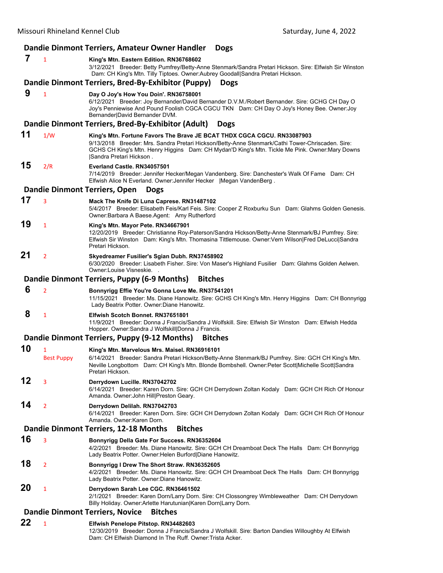|    |                        | Dandie Dinmont Terriers, Amateur Owner Handler<br><b>Dogs</b>                                                                                                                                                                                                                                            |
|----|------------------------|----------------------------------------------------------------------------------------------------------------------------------------------------------------------------------------------------------------------------------------------------------------------------------------------------------|
| 7  | $\mathbf{1}$           | King's Mtn. Eastern Edition. RN36768602<br>3/12/2021 Breeder: Betty Pumfrey/Betty-Anne Stenmark/Sandra Pretari Hickson. Sire: Elfwish Sir Winston<br>Dam: CH King's Mtn. Tilly Tiptoes. Owner:Aubrey Goodall Sandra Pretari Hickson.                                                                     |
|    |                        | Dandie Dinmont Terriers, Bred-By-Exhibitor (Puppy)<br><b>Dogs</b>                                                                                                                                                                                                                                        |
| 9  | $\mathbf{1}$           | Day O Joy's How You Doin'. RN36758001<br>6/12/2021 Breeder: Joy Bernander/David Bernander D.V.M./Robert Bernander. Sire: GCHG CH Day O<br>Joy's Penniewise And Pound Foolish CGCA CGCU TKN Dam: CH Day O Joy's Honey Bee. Owner: Joy<br>Bernander David Bernander DVM.                                   |
|    |                        | Dandie Dinmont Terriers, Bred-By-Exhibitor (Adult)<br><b>Dogs</b>                                                                                                                                                                                                                                        |
| 11 | 1/W                    | King's Mtn. Fortune Favors The Brave JE BCAT THDX CGCA CGCU. RN33087903<br>9/13/2018 Breeder: Mrs. Sandra Pretari Hickson/Betty-Anne Stenmark/Cathi Tower-Chriscaden. Sire:<br>GCHS CH King's Mtn. Henry Higgins Dam: CH Mydan'D King's Mtn. Tickle Me Pink. Owner:Mary Downs<br>Sandra Pretari Hickson. |
| 15 | 2/R                    | Everland Castle, RN34057501<br>7/14/2019 Breeder: Jennifer Hecker/Megan Vandenberg. Sire: Danchester's Walk Of Fame Dam: CH<br>Elfwish Alice N Everland. Owner: Jennifer Hecker   Megan Vanden Berg.                                                                                                     |
|    |                        | <b>Dandie Dinmont Terriers, Open</b><br><b>Dogs</b>                                                                                                                                                                                                                                                      |
| 17 | 3                      | Mack The Knife Di Luna Caprese. RN31487102<br>5/4/2017 Breeder: Elisabeth Feis/Karl Feis. Sire: Cooper Z Roxburku Sun Dam: Glahms Golden Genesis.<br>Owner: Barbara A Baese. Agent: Amy Rutherford                                                                                                       |
| 19 | $\mathbf{1}$           | King's Mtn. Mayor Pete. RN34667901<br>12/20/2019 Breeder: Christianne Roy-Paterson/Sandra Hickson/Betty-Anne Stenmark/BJ Pumfrey. Sire:<br>Elfwish Sir Winston Dam: King's Mtn. Thomasina Tittlemouse. Owner:Vern Wilson Fred DeLucci Sandra<br>Pretari Hickson.                                         |
| 21 | $\overline{2}$         | Skyedreamer Fusilier's Sgian Dubh. RN37458902<br>6/30/2020 Breeder: Lisabeth Fisher. Sire: Von Maser's Highland Fusilier Dam: Glahms Golden Aelwen.<br>Owner:Louise Visneskie.                                                                                                                           |
|    |                        | Dandie Dinmont Terriers, Puppy (6-9 Months)<br><b>Bitches</b>                                                                                                                                                                                                                                            |
| 6  | $\overline{2}$         | Bonnyrigg Effie You're Gonna Love Me. RN37541201<br>11/15/2021 Breeder: Ms. Diane Hanowitz. Sire: GCHS CH King's Mtn. Henry Higgins Dam: CH Bonnyrigg<br>Lady Beatrix Potter. Owner: Diane Hanowitz.                                                                                                     |
| 8  | $\mathbf{1}$           | Elfwish Scotch Bonnet, RN37651801<br>11/9/2021 Breeder: Donna J Francis/Sandra J Wolfskill. Sire: Elfwish Sir Winston Dam: Elfwish Hedda<br>Hopper. Owner: Sandra J Wolfskill Donna J Francis.                                                                                                           |
|    |                        | Dandie Dinmont Terriers, Puppy (9-12 Months)<br><b>Bitches</b>                                                                                                                                                                                                                                           |
| 10 | 1<br><b>Best Puppy</b> | King's Mtn. Marvelous Mrs. Maisel. RN36916101<br>6/14/2021 Breeder: Sandra Pretari Hickson/Betty-Anne Stenmark/BJ Pumfrey. Sire: GCH CH King's Mtn.<br>Neville Longbottom Dam: CH King's Mtn. Blonde Bombshell. Owner:Peter Scott Michelle Scott Sandra<br>Pretari Hickson.                              |
| 12 | 3                      | Derrydown Lucille. RN37042702<br>6/14/2021 Breeder: Karen Dorn. Sire: GCH CH Derrydown Zoltan Kodaly Dam: GCH CH Rich Of Honour<br>Amanda. Owner: John Hill Preston Geary.                                                                                                                               |
| 14 | $\overline{2}$         | Derrydown Delilah. RN37042703<br>6/14/2021 Breeder: Karen Dorn. Sire: GCH CH Derrydown Zoltan Kodaly Dam: GCH CH Rich Of Honour<br>Amanda. Owner:Karen Dorn.                                                                                                                                             |
|    |                        | Dandie Dinmont Terriers, 12-18 Months<br><b>Bitches</b>                                                                                                                                                                                                                                                  |
| 16 | 3                      | Bonnyrigg Della Gate For Success. RN36352604<br>4/2/2021 Breeder: Ms. Diane Hanowitz. Sire: GCH CH Dreamboat Deck The Halls Dam: CH Bonnyrigg<br>Lady Beatrix Potter. Owner: Helen Burford Diane Hanowitz.                                                                                               |
| 18 | $\overline{2}$         | Bonnyrigg I Drew The Short Straw. RN36352605<br>4/2/2021 Breeder: Ms. Diane Hanowitz. Sire: GCH CH Dreamboat Deck The Halls Dam: CH Bonnyrigg<br>Lady Beatrix Potter. Owner: Diane Hanowitz.                                                                                                             |
| 20 | $\mathbf{1}$           | Derrydown Sarah Lee CGC. RN36461502<br>2/1/2021 Breeder: Karen Dorn/Larry Dorn. Sire: CH Clossongrey Wimbleweather Dam: CH Derrydown<br>Billy Holiday. Owner: Arlette Harutunian Karen Dorn Larry Dorn.                                                                                                  |
|    |                        | <b>Dandie Dinmont Terriers, Novice</b><br><b>Bitches</b>                                                                                                                                                                                                                                                 |
| 22 | $\mathbf{1}$           | Elfwish Penelope Pitstop. RN34482603<br>12/30/2019 Breeder: Donna J Francis/Sandra J Wolfskill. Sire: Barton Dandies Willoughby At Elfwish<br>Dam: CH Elfwish Diamond In The Ruff. Owner: Trista Acker.                                                                                                  |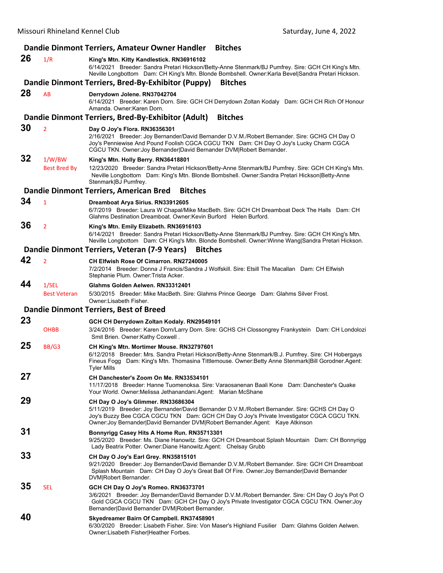|    |                               | Dandie Dinmont Terriers, Amateur Owner Handler<br><b>Bitches</b>                                                                                                                                                                                                                                                   |
|----|-------------------------------|--------------------------------------------------------------------------------------------------------------------------------------------------------------------------------------------------------------------------------------------------------------------------------------------------------------------|
| 26 | 1/R                           | King's Mtn. Kitty Kandlestick. RN36916102<br>6/14/2021 Breeder: Sandra Pretari Hickson/Betty-Anne Stenmark/BJ Pumfrey. Sire: GCH CH King's Mtn.<br>Neville Longbottom Dam: CH King's Mtn. Blonde Bombshell. Owner: Karla Bevel Sandra Pretari Hickson.                                                             |
|    |                               | Dandie Dinmont Terriers, Bred-By-Exhibitor (Puppy)<br><b>Bitches</b>                                                                                                                                                                                                                                               |
| 28 | AB                            | Derrydown Jolene. RN37042704<br>6/14/2021 Breeder: Karen Dorn. Sire: GCH CH Derrydown Zoltan Kodaly Dam: GCH CH Rich Of Honour<br>Amanda, Owner:Karen Dorn.                                                                                                                                                        |
|    |                               | Dandie Dinmont Terriers, Bred-By-Exhibitor (Adult)<br><b>Bitches</b>                                                                                                                                                                                                                                               |
| 30 | $\overline{2}$                | Day O Joy's Flora. RN36356301<br>2/16/2021 Breeder: Joy Bernander/David Bernander D.V.M./Robert Bernander. Sire: GCHG CH Day O<br>Joy's Penniewise And Pound Foolish CGCA CGCU TKN Dam: CH Day O Joy's Lucky Charm CGCA<br>CGCU TKN. Owner: Joy Bernander David Bernander DVM Robert Bernander.                    |
| 32 | 1/W/BW<br><b>Best Bred By</b> | King's Mtn. Holly Berry. RN36418801<br>12/23/2020 Breeder: Sandra Pretari Hickson/Betty-Anne Stenmark/BJ Pumfrey. Sire: GCH CH King's Mtn.<br>Neville Longbottom Dam: King's Mtn. Blonde Bombshell. Owner: Sandra Pretari Hickson Betty-Anne<br>Stenmark   BJ Pumfrey.                                             |
|    |                               | Dandie Dinmont Terriers, American Bred<br><b>Bitches</b>                                                                                                                                                                                                                                                           |
| 34 | $\mathbf{1}$                  | Dreamboat Arya Sirius. RN33912605<br>6/7/2019 Breeder: Laura W Chapal/Mike MacBeth. Sire: GCH CH Dreamboat Deck The Halls Dam: CH<br>Glahms Destination Dreamboat, Owner: Kevin Burford Helen Burford.                                                                                                             |
| 36 | $\overline{2}$                | King's Mtn. Emily Elizabeth. RN36916103<br>6/14/2021 Breeder: Sandra Pretari Hickson/Betty-Anne Stenmark/BJ Pumfrey. Sire: GCH CH King's Mtn.<br>Neville Longbottom Dam: CH King's Mtn. Blonde Bombshell. Owner: Winne Wang Sandra Pretari Hickson.                                                                |
|    |                               | Dandie Dinmont Terriers, Veteran (7-9 Years)<br><b>Bitches</b>                                                                                                                                                                                                                                                     |
| 42 | $\overline{2}$                | <b>CH Elfwish Rose Of Cimarron, RN27240005</b><br>7/2/2014 Breeder: Donna J Francis/Sandra J Wolfskill. Sire: Etsill The Macallan Dam: CH Elfwish<br>Stephanie Plum. Owner: Trista Acker.                                                                                                                          |
| 44 | 1/SEL<br><b>Best Veteran</b>  | Glahms Golden Aelwen, RN33312401<br>5/30/2015 Breeder: Mike MacBeth. Sire: Glahms Prince George Dam: Glahms Silver Frost.<br>Owner:Lisabeth Fisher.                                                                                                                                                                |
|    |                               | <b>Dandie Dinmont Terriers, Best of Breed</b>                                                                                                                                                                                                                                                                      |
| 23 |                               | GCH CH Derrydown Zoltan Kodaly. RN29549101                                                                                                                                                                                                                                                                         |
|    | <b>OHBB</b>                   | 3/24/2016 Breeder: Karen Dorn/Larry Dorn. Sire: GCHS CH Clossongrey Frankystein Dam: CH Londolozi<br>Smit Brien. Owner: Kathy Coxwell.                                                                                                                                                                             |
| 25 | BB/G3                         | CH King's Mtn. Mortimer Mouse. RN32797601<br>6/12/2018 Breeder: Mrs. Sandra Pretari Hickson/Betty-Anne Stenmark/B.J. Pumfrey. Sire: CH Hobergays<br>Fineus Fogg Dam: King's Mtn. Thomasina Tittlemouse. Owner: Betty Anne Stenmark [Bill Gorodner. Agent:<br><b>Tyler Mills</b>                                    |
| 27 |                               | CH Danchester's Zoom On Me. RN33534101<br>11/17/2018 Breeder: Hanne Tuomenoksa. Sire: Varaosanenan Baali Kone Dam: Danchester's Quake<br>Your World. Owner: Melissa Jethanandani. Agent: Marian McShane                                                                                                            |
| 29 |                               | CH Day O Joy's Glimmer. RN33686304<br>5/11/2019 Breeder: Joy Bernander/David Bernander D.V.M./Robert Bernander. Sire: GCHS CH Day O<br>Joy's Buzzy Bee CGCA CGCU TKN Dam: GCH CH Day O Joy's Private Investigator CGCA CGCU TKN.<br>Owner: Joy Bernander David Bernander DVM Robert Bernander.Agent: Kaye Atkinson |
| 31 |                               | Bonnyrigg Casey Hits A Home Run. RN35713301<br>9/25/2020 Breeder: Ms. Diane Hanowitz. Sire: GCH CH Dreamboat Splash Mountain Dam: CH Bonnyrigg<br>Lady Beatrix Potter. Owner: Diane Hanowitz. Agent: Chelsay Grubb                                                                                                 |
| 33 |                               | CH Day O Joy's Earl Grey. RN35815101<br>9/21/2020 Breeder: Joy Bernander/David Bernander D.V.M./Robert Bernander. Sire: GCH CH Dreamboat<br>Splash Mountain Dam: CH Day O Joy's Great Ball Of Fire. Owner: Joy Bernander   David Bernander<br>DVM Robert Bernander.                                                |
| 35 | <b>SEL</b>                    | GCH CH Day O Joy's Romeo. RN36373701<br>3/6/2021 Breeder: Joy Bernander/David Bernander D.V.M./Robert Bernander. Sire: CH Day O Joy's Pot O<br>Gold CGCA CGCU TKN Dam: GCH CH Day O Joy's Private Investigator CGCA CGCU TKN. Owner: Joy<br>Bernander David Bernander DVM Robert Bernander.                        |
| 40 |                               | Skyedreamer Bairn Of Campbell. RN37458901<br>6/30/2020 Breeder: Lisabeth Fisher. Sire: Von Maser's Highland Fusilier Dam: Glahms Golden Aelwen.<br>Owner:Lisabeth Fisher Heather Forbes.                                                                                                                           |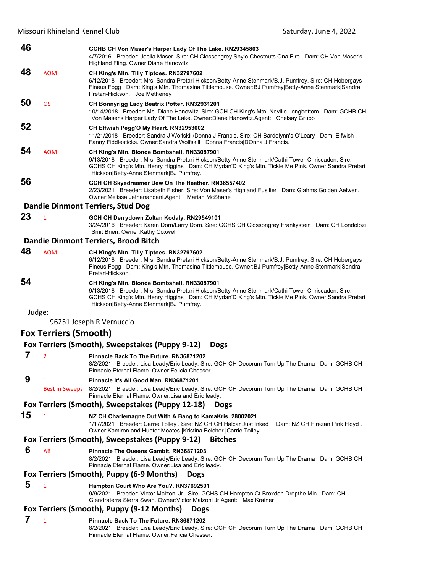Missouri Rhineland Kennel Club **Missouri Rhineland Kennel Club Saturday**, June 4, 2022

| 46                                                        |                              | GCHB CH Von Maser's Harper Lady Of The Lake. RN29345803<br>4/7/2016 Breeder: Joella Maser. Sire: CH Clossongrey Shylo Chestnuts Ona Fire Dam: CH Von Maser's<br>Highland Fling. Owner: Diane Hanowitz.                                                                                           |  |
|-----------------------------------------------------------|------------------------------|--------------------------------------------------------------------------------------------------------------------------------------------------------------------------------------------------------------------------------------------------------------------------------------------------|--|
| 48                                                        | <b>AOM</b>                   | CH King's Mtn. Tilly Tiptoes. RN32797602<br>6/12/2018 Breeder: Mrs. Sandra Pretari Hickson/Betty-Anne Stenmark/B.J. Pumfrey. Sire: CH Hobergays<br>Fineus Fogg Dam: King's Mtn. Thomasina Tittlemouse. Owner: BJ Pumfrey Betty-Anne Stenmark Sandra<br>Pretari-Hickson. Joe Metheney             |  |
| 50                                                        | <b>OS</b>                    | CH Bonnyrigg Lady Beatrix Potter. RN32931201<br>10/14/2018 Breeder: Ms. Diane Hanowitz. Sire: GCH CH King's Mtn. Neville Longbottom Dam: GCHB CH<br>Von Maser's Harper Lady Of The Lake. Owner: Diane Hanowitz. Agent: Chelsay Grubb                                                             |  |
| 52                                                        |                              | CH Elfwish Pegg'O My Heart. RN32953002<br>11/21/2018 Breeder: Sandra J Wolfskill/Donna J Francis. Sire: CH Bardolynn's O'Leary Dam: Elfwish<br>Fanny Fiddlesticks. Owner: Sandra Wolfskill Donna Francis   DOnna J Francis.                                                                      |  |
| 54                                                        | <b>AOM</b>                   | CH King's Mtn. Blonde Bombshell. RN33087901<br>9/13/2018 Breeder: Mrs. Sandra Pretari Hickson/Betty-Anne Stenmark/Cathi Tower-Chriscaden. Sire:<br>GCHS CH King's Mtn. Henry Higgins Dam: CH Mydan'D King's Mtn. Tickle Me Pink. Owner:Sandra Pretari<br>Hickson Betty-Anne Stenmark BJ Pumfrey. |  |
| 56                                                        |                              | GCH CH Skyedreamer Dew On The Heather. RN36557402<br>2/23/2021 Breeder: Lisabeth Fisher. Sire: Von Maser's Highland Fusilier Dam: Glahms Golden Aelwen.<br>Owner: Melissa Jethanandani. Agent: Marian McShane                                                                                    |  |
|                                                           |                              | <b>Dandie Dinmont Terriers, Stud Dog</b>                                                                                                                                                                                                                                                         |  |
| 23                                                        | $\mathbf{1}$                 | GCH CH Derrydown Zoltan Kodaly. RN29549101<br>3/24/2016 Breeder: Karen Dorn/Larry Dorn. Sire: GCHS CH Clossongrey Frankystein Dam: CH Londolozi<br>Smit Brien. Owner: Kathy Coxwel                                                                                                               |  |
|                                                           |                              | <b>Dandie Dinmont Terriers, Brood Bitch</b>                                                                                                                                                                                                                                                      |  |
| 48                                                        | <b>AOM</b>                   | CH King's Mtn. Tilly Tiptoes. RN32797602<br>6/12/2018 Breeder: Mrs. Sandra Pretari Hickson/Betty-Anne Stenmark/B.J. Pumfrey. Sire: CH Hobergays<br>Fineus Fogg Dam: King's Mtn. Thomasina Tittlemouse. Owner: BJ Pumfrey Betty-Anne Stenmark Sandra<br>Pretari-Hickson.                          |  |
| 54                                                        |                              | CH King's Mtn. Blonde Bombshell. RN33087901<br>9/13/2018 Breeder: Mrs. Sandra Pretari Hickson/Betty-Anne Stenmark/Cathi Tower-Chriscaden. Sire:<br>GCHS CH King's Mtn. Henry Higgins Dam: CH Mydan'D King's Mtn. Tickle Me Pink. Owner:Sandra Pretari<br>Hickson Betty-Anne Stenmark BJ Pumfrey. |  |
| Judge:                                                    |                              |                                                                                                                                                                                                                                                                                                  |  |
|                                                           |                              | 96251 Joseph R Vernuccio                                                                                                                                                                                                                                                                         |  |
|                                                           | <b>Fox Terriers (Smooth)</b> |                                                                                                                                                                                                                                                                                                  |  |
|                                                           |                              | Fox Terriers (Smooth), Sweepstakes (Puppy 9-12)<br><b>Dogs</b>                                                                                                                                                                                                                                   |  |
| 7                                                         | $\overline{2}$               | Pinnacle Back To The Future, RN36871202                                                                                                                                                                                                                                                          |  |
|                                                           |                              | 8/2/2021 Breeder: Lisa Leady/Eric Leady. Sire: GCH CH Decorum Turn Up The Drama Dam: GCHB CH<br>Pinnacle Eternal Flame. Owner: Felicia Chesser.                                                                                                                                                  |  |
| 9                                                         | 1                            | Pinnacle It's All Good Man, RN36871201                                                                                                                                                                                                                                                           |  |
|                                                           | <b>Best in Sweeps</b>        | 8/2/2021 Breeder: Lisa Leady/Eric Leady. Sire: GCH CH Decorum Turn Up The Drama Dam: GCHB CH<br>Pinnacle Eternal Flame. Owner: Lisa and Eric leady.<br>Fox Terriers (Smooth), Sweepstakes (Puppy 12-18)                                                                                          |  |
|                                                           |                              | <b>Dogs</b>                                                                                                                                                                                                                                                                                      |  |
| 15                                                        | $\mathbf{1}$                 | NZ CH Charlemagne Out With A Bang to KamaKris. 28002021<br>1/17/2021 Breeder: Carrie Tolley . Sire: NZ CH CH Halcar Just Inked<br>Dam: NZ CH Firezan Pink Floyd.<br>Owner: Kamiron and Hunter Moates   Kristina Belcher   Carrie Tolley.                                                         |  |
|                                                           |                              | Fox Terriers (Smooth), Sweepstakes (Puppy 9-12)<br><b>Bitches</b>                                                                                                                                                                                                                                |  |
| 6                                                         | AB                           | Pinnacle The Queens Gambit. RN36871203<br>8/2/2021 Breeder: Lisa Leady/Eric Leady. Sire: GCH CH Decorum Turn Up The Drama Dam: GCHB CH<br>Pinnacle Eternal Flame. Owner: Lisa and Eric leady.                                                                                                    |  |
|                                                           |                              | Fox Terriers (Smooth), Puppy (6-9 Months)<br><b>Dogs</b>                                                                                                                                                                                                                                         |  |
| 5                                                         | 1                            | Hampton Court Who Are You?. RN37692501<br>9/9/2021 Breeder: Victor Malzoni Jr Sire: GCHS CH Hampton Ct Broxden Dropthe Mic Dam: CH<br>Glendraterra Sierra Swan. Owner: Victor Malzoni Jr. Agent: Max Krainer                                                                                     |  |
| Fox Terriers (Smooth), Puppy (9-12 Months)<br><b>Dogs</b> |                              |                                                                                                                                                                                                                                                                                                  |  |
| 7                                                         | 1                            | Pinnacle Back To The Future. RN36871202<br>8/2/2021 Breeder: Lisa Leady/Eric Leady. Sire: GCH CH Decorum Turn Up The Drama Dam: GCHB CH<br>Pinnacle Eternal Flame. Owner: Felicia Chesser.                                                                                                       |  |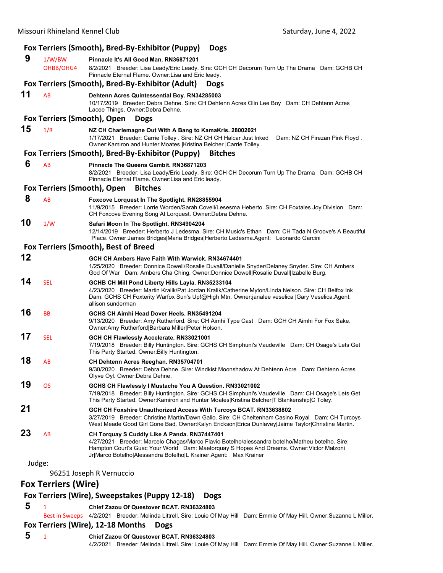|    |                                    | Fox Terriers (Smooth), Bred-By-Exhibitor (Puppy)<br><b>Dogs</b>                                                                                                                                                                                                                                                  |
|----|------------------------------------|------------------------------------------------------------------------------------------------------------------------------------------------------------------------------------------------------------------------------------------------------------------------------------------------------------------|
| 9  | 1/W/BW<br>OHBB/OHG4                | Pinnacle It's All Good Man. RN36871201<br>8/2/2021 Breeder: Lisa Leady/Eric Leady. Sire: GCH CH Decorum Turn Up The Drama Dam: GCHB CH<br>Pinnacle Eternal Flame. Owner Lisa and Eric leady.                                                                                                                     |
|    |                                    | Fox Terriers (Smooth), Bred-By-Exhibitor (Adult)<br><b>Dogs</b>                                                                                                                                                                                                                                                  |
| 11 | AB                                 | Dehtenn Acres Quintessential Boy. RN34285003<br>10/17/2019 Breeder: Debra Dehne. Sire: CH Dehtenn Acres Olin Lee Boy Dam: CH Dehtenn Acres<br>Lacee Things. Owner: Debra Dehne.                                                                                                                                  |
|    | <b>Fox Terriers (Smooth), Open</b> | <b>Dogs</b>                                                                                                                                                                                                                                                                                                      |
| 15 | 1/R                                | NZ CH Charlemagne Out With A Bang to KamaKris. 28002021<br>1/17/2021 Breeder: Carrie Tolley . Sire: NZ CH CH Halcar Just Inked<br>Dam: NZ CH Firezan Pink Floyd.<br>Owner: Kamiron and Hunter Moates   Kristina Belcher   Carrie Tolley.                                                                         |
|    |                                    | Fox Terriers (Smooth), Bred-By-Exhibitor (Puppy)<br><b>Bitches</b>                                                                                                                                                                                                                                               |
| 6  | AB                                 | Pinnacle The Queens Gambit, RN36871203<br>8/2/2021 Breeder: Lisa Leady/Eric Leady. Sire: GCH CH Decorum Turn Up The Drama Dam: GCHB CH<br>Pinnacle Eternal Flame. Owner: Lisa and Eric leady.                                                                                                                    |
|    | Fox Terriers (Smooth), Open        | <b>Bitches</b>                                                                                                                                                                                                                                                                                                   |
| 8  | AB                                 | Foxcove Lorquest In The Spotlight. RN28855904<br>11/9/2015 Breeder: Lorrie Worden/Sarah Covell/Lesesma Heberto. Sire: CH Foxtales Joy Division Dam:<br>CH Foxcove Evening Song At Lorquest. Owner: Debra Dehne.                                                                                                  |
| 10 | 1/W                                | Safari Moon In The Spotlight. RN34904204<br>12/14/2019 Breeder: Herberto J Ledesma. Sire: CH Music's Ethan Dam: CH Tada N Groove's A Beautiful<br>Place. Owner: James Bridges Maria Bridges Herberto Ledesma.Agent: Leonardo Garcini                                                                             |
|    |                                    | Fox Terriers (Smooth), Best of Breed                                                                                                                                                                                                                                                                             |
| 12 |                                    | GCH CH Ambers Have Faith With Warwick, RN34674401<br>1/25/2020 Breeder: Donnice Dowell/Rosalie Duvall/Danielle Snyder/Delaney Snyder. Sire: CH Ambers<br>God Of War Dam: Ambers Cha Ching. Owner:Donnice Dowell Rosalie Duvall Izabelle Burg.                                                                    |
| 14 | <b>SEL</b>                         | GCHB CH Mill Pond Liberty Hills Layla. RN35233104<br>4/23/2020 Breeder: Martin Kralik/Pat Jordan Kralik/Catherine Myton/Linda Nelson. Sire: CH Belfox Ink<br>Dam: GCHS CH Foxterity Warfox Sun's Up!@High Mtn. Owner:janalee veselica  Gary Veselica.Agent:<br>allison sunderman                                 |
| 16 | BB                                 | GCHS CH Aimhi Head Dover Heels, RN35491204<br>9/13/2020 Breeder: Amy Rutherford. Sire: CH Aimhi Type Cast Dam: GCH CH Aimhi For Fox Sake.<br>Owner:Amy Rutherford Barbara Miller Peter Holson.                                                                                                                   |
| 17 | SEL                                | GCH CH Flawlessly Accelerate. RN33021001<br>7/19/2018 Breeder: Billy Huntington, Sire: GCHS CH Simphuni's Vaudeville Dam: CH Osage's Lets Get<br>This Party Started. Owner: Billy Huntington.                                                                                                                    |
| 18 | AB                                 | CH Dehtenn Acres Reeghan. RN35704701<br>9/30/2020 Breeder: Debra Dehne. Sire: Windkist Moonshadow At Dehtenn Acre Dam: Dehtenn Acres<br>Olyve Oyl. Owner: Debra Dehne.                                                                                                                                           |
| 19 | OS                                 | GCHS CH Flawlessly I Mustache You A Question. RN33021002<br>7/19/2018 Breeder: Billy Huntington. Sire: GCHS CH Simphuni's Vaudeville Dam: CH Osage's Lets Get<br>This Party Started. Owner: Kamiron and Hunter Moates Kristina Belcher   T Blankenship C Toley.                                                  |
| 21 |                                    | GCH CH Foxshire Unauthorized Access With Turcoys BCAT. RN33638802<br>3/27/2019 Breeder: Christine Martin/Dawn Gallo. Sire: CH Cheltenham Casino Royal Dam: CH Turcoys<br>West Meade Good Girl Gone Bad. Owner:Kalyn Erickson Erica Dunlavey Jaime Taylor Christine Martin.                                       |
| 23 | AB                                 | CH Torquay S Cuddly Like A Panda. RN37447401<br>4/27/2021 Breeder: Marcelo Chagas/Marco Flavio Botelho/alessandra botelho/Matheu botelho. Sire:<br>Hampton Court's Guac Your World Dam: Maetorquay S Hopes And Dreams. Owner: Victor Malzoni<br>Jr Marco Botelho Alessandra Botelho L Krainer Agent: Max Krainer |
|    | undao.                             |                                                                                                                                                                                                                                                                                                                  |

96251 Joseph R Vernuccio

# **Fox Terriers (Wire)**

# **Fox Terriers (Wire), Sweepstakes (Puppy 12‐18) Dogs**

# **5** <sup>1</sup> **Chief Zazou Of Questover BCAT. RN36324803**

Best in Sweeps 4/2/2021 Breeder: Melinda Littrell. Sire: Louie Of May Hill Dam: Emmie Of May Hill. Owner:Suzanne L Miller.

# **Fox Terriers (Wire), 12‐18 Months Dogs**

# **5** <sup>1</sup> **Chief Zazou Of Questover BCAT. RN36324803**

4/2/2021 Breeder: Melinda Littrell. Sire: Louie Of May Hill Dam: Emmie Of May Hill. Owner:Suzanne L Miller.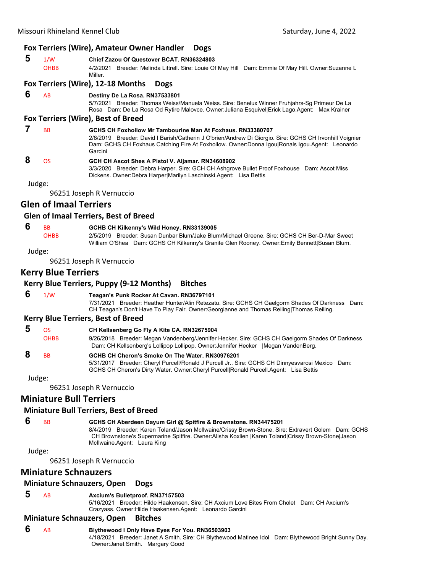#### **Fox Terriers (Wire), Amateur Owner Handler Dogs**

# **5** 1/W **Chief Zazou Of Questover BCAT. RN36324803**

4/2/2021 Breeder: Melinda Littrell. Sire: Louie Of May Hill Dam: Emmie Of May Hill. Owner:Suzanne L Miller.

#### **Fox Terriers (Wire), 12‐18 Months Dogs**

#### **6** AB **Destiny De La Rosa. RN37533801**

5/7/2021 Breeder: Thomas Weiss/Manuela Weiss. Sire: Benelux Winner Fruhjahrs-Sg Primeur De La Rosa Dam: De La Rosa Od Rytire Malovce. Owner:Juliana Esquivel|Erick Lago.Agent: Max Krainer

#### **Fox Terriers (Wire), Best of Breed**

 **7** BB **GCHS CH Foxhollow Mr Tambourine Man At Foxhaus. RN33380707** 2/8/2019 Breeder: David I Barish/Catherin J O'brien/Andrew Di Giorgio. Sire: GCHS CH Irvonhill Voignier Dam: GCHS CH Foxhaus Catching Fire At Foxhollow. Owner:Donna Igou|Ronals Igou.Agent: Leonardo Garcini  **8** OS **GCH CH Ascot Shes A Pistol V. Aljamar. RN34608902**

# 3/3/2020 Breeder: Debra Harper. Sire: GCH CH Ashgrove Bullet Proof Foxhouse Dam: Ascot Miss

Dickens. Owner:Debra Harper|Marilyn Laschinski.Agent: Lisa Bettis

Judge:

96251 Joseph R Vernuccio

# **Glen of Imaal Terriers**

#### **Glen of Imaal Terriers, Best of Breed**

#### **6** BB **GCHB CH Kilkenny's Wild Honey. RN33139005**

OHBB 2/5/2019 Breeder: Susan Dunbar Blum/Jake Blum/Michael Greene. Sire: GCHS CH Ber-D-Mar Sweet William O'Shea Dam: GCHS CH Kilkenny's Granite Glen Rooney. Owner:Emily Bennett|Susan Blum.

Judge:

96251 Joseph R Vernuccio

# **Kerry Blue Terriers**

# **Kerry Blue Terriers, Puppy (9‐12 Months) Bitches**

### **6** 1/W **Teagan's Punk Rocker At Cavan. RN36797101**

7/31/2021 Breeder: Heather Hunter/Alin Retezatu. Sire: GCHS CH Gaelgorm Shades Of Darkness Dam: CH Teagan's Don't Have To Play Fair. Owner:Georgianne and Thomas Reiling|Thomas Reiling.

#### **Kerry Blue Terriers, Best of Breed**

| ΩS                   | CH Kellsenberg Go Fly A Kite CA. RN32675904                                                                                                                                                                                               |
|----------------------|-------------------------------------------------------------------------------------------------------------------------------------------------------------------------------------------------------------------------------------------|
| <b>OHBB</b>          | 9/26/2018 Breeder: Megan Vandenberg/Jennifer Hecker. Sire: GCHS CH Gaelgorm Shades Of Darkness<br>Dam: CH Kellsenberg's Lollipop Lollipop. Owner: Jennifer Hecker   Megan VandenBerg.                                                     |
| <b>B<sub>B</sub></b> | GCHB CH Cheron's Smoke On The Water, RN30976201<br>5/31/2017 Breeder: Cheryl Purcell/Ronald J Purcell Jr Sire: GCHS CH Dinnyesvarosi Mexico Dam:<br>GCHS CH Cheron's Dirty Water. Owner: Cheryl Purcell Ronald Purcell Agent: Lisa Bettis |

Judge:

96251 Joseph R Vernuccio

# **Miniature Bull Terriers**

#### **Miniature Bull Terriers, Best of Breed**

# **6** BB **GCHS CH Aberdeen Dayum Girl @ Spitfire & Brownstone. RN34475201**

8/4/2019 Breeder: Karen Toland/Jason McIlwaine/Crissy Brown-Stone. Sire: Extravert Golem Dam: GCHS CH Brownstone's Supermarine Spitfire. Owner:Alisha Koxlien |Karen Toland|Crissy Brown-Stone|Jason McIlwaine.Agent: Laura King

Judge:

96251 Joseph R Vernuccio

#### **Miniature Schnauzers**

#### **Miniature Schnauzers, Open Dogs**

#### **5** AB **Axcium's Bulletproof. RN37157503**

5/16/2021 Breeder: Hilde Haakensen. Sire: CH Axcium Love Bites From Cholet Dam: CH Axcium's Crazyass. Owner:Hilde Haakensen.Agent: Leonardo Garcini

#### **Miniature Schnauzers, Open Bitches**

- **6** AB **Blythewood I Only Have Eyes For You. RN36503903**
	- 4/18/2021 Breeder: Janet A Smith. Sire: CH Blythewood Matinee Idol Dam: Blythewood Bright Sunny Day. Owner:Janet Smith. Margary Good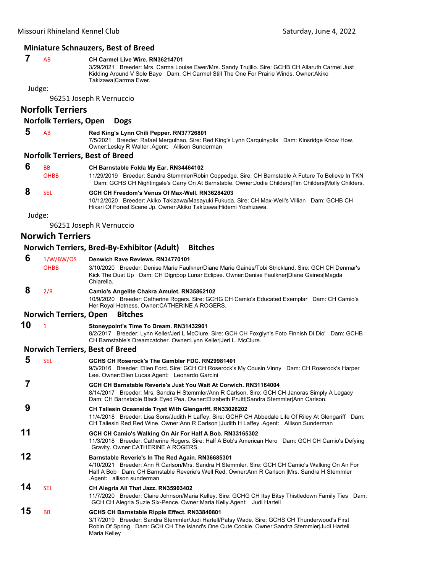#### **Miniature Schnauzers, Best of Breed**

#### **7** AB **CH Carmel Live Wire. RN36214701**

3/29/2021 Breeder: Mrs. Carma Louise Ewer/Mrs. Sandy Trujillo. Sire: GCHB CH Allaruth Carmel Just Kidding Around V Sole Baye Dam: CH Carmel Still The One For Prairie Winds. Owner:Akiko Takizawa|Carrma Ewer.

Judge:

96251 Joseph R Vernuccio

# **Norfolk Terriers**

#### **Norfolk Terriers, Open Dogs**

 **5** AB **Red King's Lynn Chili Pepper. RN37726801**

7/5/2021 Breeder: Rafael Mergulhao. Sire: Red King's Lynn Carquinyolis Dam: Kinsridge Know How. Owner:Lesley R Walter .Agent: Allison Sunderman

#### **Norfolk Terriers, Best of Breed**

| <b>B<sub>B</sub></b> | CH Barnstable Folda My Ear. RN34464102                                                                |
|----------------------|-------------------------------------------------------------------------------------------------------|
| <b>OHBB</b>          | 11/29/2019 Breeder: Sandra Stemmler/Robin Coppedge. Sire: CH Barnstable A Future To Believe In TKN    |
|                      | Dam: GCHS CH Nightingale's Carry On At Barnstable. Owner: Jodie Childers Tim Childers Molly Childers. |
| SFI.                 | GCH CH Freedom's Venus Of Max-Well, RN36284203                                                        |
|                      | 10/12/2020 Breeder: Akiko Takizawa/Masayuki Fukuda. Sire: CH Max-Well's Villian Dam: GCHB CH          |
|                      | Hikari Of Forest Scene Jp. Owner: Akiko Takizawa   Hidemi Yoshizawa.                                  |

Judge:

96251 Joseph R Vernuccio

# **Norwich Terriers**

## **Norwich Terriers, Bred‐By‐Exhibitor (Adult) Bitches**

| 6  | 1/W/BW/OS<br><b>OHBB</b>      | Denwich Rave Reviews, RN34770101<br>3/10/2020 Breeder: Denise Marie Faulkner/Diane Marie Gaines/Tobi Strickland, Sire: GCH CH Denmar's<br>Kick The Dust Up Dam: CH Dignpop Lunar Eclipse. Owner: Denise Faulkner Diane Gaines Magda<br>Chiarella.                                    |
|----|-------------------------------|--------------------------------------------------------------------------------------------------------------------------------------------------------------------------------------------------------------------------------------------------------------------------------------|
| 8  | 2/R                           | Camio's Angelite Chakra Amulet. RN35862102<br>10/9/2020 Breeder: Catherine Rogers. Sire: GCHG CH Camio's Educated Exemplar Dam: CH Camio's<br>Her Royal Hotness. Owner:CATHERINE A ROGERS.                                                                                           |
|    | <b>Norwich Terriers, Open</b> | <b>Bitches</b>                                                                                                                                                                                                                                                                       |
| 10 | $\mathbf{1}$                  | Stoneypoint's Time To Dream. RN31432901<br>8/2/2017 Breeder: Lynn Keller/Jeri L McClure. Sire: GCH CH Foxglyn's Foto Finnish Di Dio' Dam: GCHB<br>CH Barnstable's Dreamcatcher. Owner: Lynn Keller Jeri L. McClure.                                                                  |
|    |                               | <b>Norwich Terriers, Best of Breed</b>                                                                                                                                                                                                                                               |
| 5  | <b>SEL</b>                    | GCHS CH Roserock's The Gambler FDC, RN29981401<br>9/3/2016 Breeder: Ellen Ford. Sire: GCH CH Roserock's My Cousin Vinny Dam: CH Roserock's Harper<br>Lee. Owner: Ellen Lucas. Agent: Leonardo Garcini                                                                                |
| 7  |                               | GCH CH Barnstable Reverie's Just You Wait At Corwich, RN31164004<br>8/14/2017 Breeder: Mrs. Sandra H Stemmler/Ann R Carlson. Sire: GCH CH Janoras Simply A Legacy<br>Dam: CH Barnstable Black Eyed Pea. Owner: Elizabeth Pruitt Sandra Stemmler Ann Carlson.                         |
| 9  |                               | <b>CH Taliesin Oceanside Tryst With Glengariff. RN33026202</b><br>11/4/2018 Breeder: Lisa Sons/Judith H Laffey. Sire: GCHP CH Abbedale Life Of Riley At Glengariff Dam:<br>CH Taliesin Red Red Wine. Owner: Ann R Carlson   Judith H Laffey . Agent: Allison Sunderman               |
| 11 |                               | GCH CH Camio's Walking On Air For Half A Bob. RN33165302<br>11/3/2018 Breeder: Catherine Rogers. Sire: Half A Bob's American Hero Dam: GCH CH Camio's Defying<br>Gravity. Owner:CATHERINE A ROGERS.                                                                                  |
| 12 |                               | Barnstable Reverie's In The Red Again. RN36685301<br>4/10/2021 Breeder: Ann R Carlson/Mrs. Sandra H Stemmler. Sire: GCH CH Camio's Walking On Air For<br>Half A Bob Dam: CH Barnstable Reverie's Well Red. Owner: Ann R Carlson   Mrs. Sandra H Stemmler<br>Agent: allison sunderman |
| 14 | <b>SEL</b>                    | CH Alegria All That Jazz. RN35903402<br>11/7/2020 Breeder: Claire Johnson/Maria Kelley. Sire: GCHG CH Itsy Bitsy Thistledown Family Ties Dam:<br>GCH CH Alegria Suzie Six-Pence. Owner: Maria Kelly Agent: Judi Hartell                                                              |
| 15 | <b>BB</b>                     | GCHS CH Barnstable Ripple Effect. RN33840801<br>3/17/2019 Breeder: Sandra Stemmler/Judi Hartell/Patsy Wade. Sire: GCHS CH Thunderwood's First<br>Robin Of Spring Dam: GCH CH The Island's One Cute Cookie. Owner: Sandra Stemmler Judi Hartell.<br>Maria Kelley                      |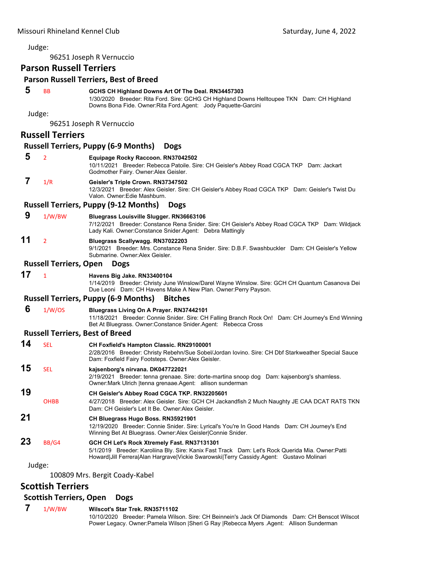96251 Joseph R Vernuccio

# **Parson Russell Terriers**

#### **Parson Russell Terriers, Best of Breed**

# **5** BB **GCHS CH Highland Downs Art Of The Deal. RN34457303**

1/30/2020 Breeder: Rita Ford. Sire: GCHG CH Highland Downs Helltoupee TKN Dam: CH Highland Downs Bona Fide. Owner:Rita Ford.Agent: Jody Paquette-Garcini

Judge:

96251 Joseph R Vernuccio

### **Russell Terriers**

#### **Russell Terriers, Puppy (6‐9 Months) Dogs**

|  | Equipage Rocky Raccoon. RN37042502 |
|--|------------------------------------|
|--|------------------------------------|

10/11/2021 Breeder: Rebecca Patoile. Sire: CH Geisler's Abbey Road CGCA TKP Dam: Jackart Godmother Fairy. Owner:Alex Geisler.

#### **7** 1/R **Geisler's Triple Crown. RN37347502**

12/3/2021 Breeder: Alex Geisler. Sire: CH Geisler's Abbey Road CGCA TKP Dam: Geisler's Twist Du Valon. Owner:Edie Mashburn.

#### **Russell Terriers, Puppy (9‐12 Months) Dogs**

#### **9** 1/W/BW **Bluegrass Louisville Slugger. RN36663106**

7/12/2021 Breeder: Constance Rena Snider. Sire: CH Geisler's Abbey Road CGCA TKP Dam: Wildjack Lady Kali. Owner:Constance Snider.Agent: Debra Mattingly

# **11** <sup>2</sup> **Bluegrass Scallywagg. RN37022203**

9/1/2021 Breeder: Mrs. Constance Rena Snider. Sire: D.B.F. Swashbuckler Dam: CH Geisler's Yellow Submarine. Owner:Alex Geisler.

#### **Russell Terriers, Open Dogs**

#### **17** <sup>1</sup> **Havens Big Jake. RN33400104**

1/14/2019 Breeder: Christy June Winslow/Darel Wayne Winslow. Sire: GCH CH Quantum Casanova Dei Due Leoni Dam: CH Havens Make A New Plan. Owner:Perry Payson.

#### **Russell Terriers, Puppy (6‐9 Months) Bitches**

#### **6** 1/W/OS **Bluegrass Living On A Prayer. RN37442101**

11/18/2021 Breeder: Connie Snider. Sire: CH Falling Branch Rock On! Dam: CH Journey's End Winning Bet At Bluegrass. Owner:Constance Snider.Agent: Rebecca Cross

#### **Russell Terriers, Best of Breed**

#### **14** SEL **CH Foxfield's Hampton Classic. RN29100001**

2/28/2016 Breeder: Christy Rebehn/Sue Sobel/Jordan Iovino. Sire: CH Dbf Starkweather Special Sauce Dam: Foxfield Fairy Footsteps. Owner:Alex Geisler.

# **15** SEL **kajsenborg's nirvana. DK047722021**

2/19/2021 Breeder: tenna grenaae. Sire: dorte-martina snoop dog Dam: kajsenborg's shamless. Owner:Mark Ulrich |tenna grenaae.Agent: allison sunderman

# **19 CH Geisler's Abbey Road CGCA TKP. RN32205601**

OHBB 4/27/2018 Breeder: Alex Geisler. Sire: GCH CH Jackandfish 2 Much Naughty JE CAA DCAT RATS TKN Dam: CH Geisler's Let It Be. Owner:Alex Geisler.

# **21 CH Bluegrass Hugo Boss. RN35921901**

12/19/2020 Breeder: Connie Snider. Sire: Lyrical's You're In Good Hands Dam: CH Journey's End Winning Bet At Bluegrass. Owner:Alex Geisler|Connie Snider.

# **23** BB/G4 **GCH CH Let's Rock Xtremely Fast. RN37131301**

5/1/2019 Breeder: Karoliina Bly. Sire: Kanix Fast Track Dam: Let's Rock Querida Mia. Owner:Patti Howard|Jill Ferrera|Alan Hargrave|Vickie Swarowski|Terry Cassidy.Agent: Gustavo Molinari

#### Judge:

100809 Mrs. Bergit Coady‐Kabel

# **Scottish Terriers**

#### **Scottish Terriers, Open Dogs**

 **7** 1/W/BW **Wilscot's Star Trek. RN35711102**

10/10/2020 Breeder: Pamela Wilson. Sire: CH Beinnein's Jack Of Diamonds Dam: CH Benscot Wilscot Power Legacy. Owner:Pamela Wilson |Sheri G Ray |Rebecca Myers .Agent: Allison Sunderman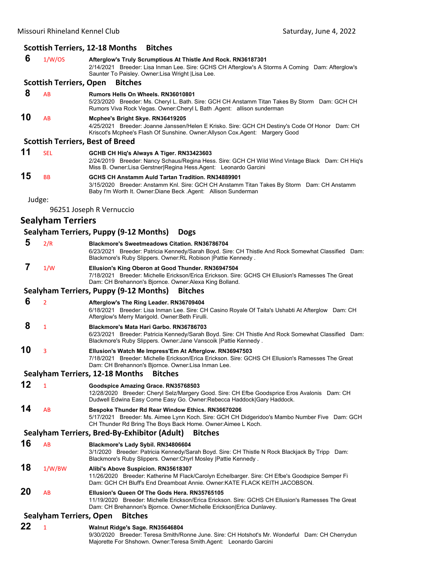#### **Scottish Terriers, 12‐18 Months Bitches**

 **6** 1/W/OS **Afterglow's Truly Scrumptious At Thistle And Rock. RN36187301** 2/14/2021 Breeder: Lisa Inman Lee. Sire: GCHS CH Afterglow's A Storms A Coming Dam: Afterglow's Saunter To Paisley. Owner:Lisa Wright |Lisa Lee. **Scottish Terriers, Open Bitches 8** AB **Rumors Hells On Wheels. RN36010801** 5/23/2020 Breeder: Ms. Cheryl L. Bath. Sire: GCH CH Anstamm Titan Takes By Storm Dam: GCH CH Rumors Viva Rock Vegas. Owner:Cheryl L Bath .Agent: allison sunderman **10** AB **Mcphee's Bright Skye. RN36419205** 4/25/2021 Breeder: Joanne Janssen/Helen E Krisko. Sire: GCH CH Destiny's Code Of Honor Dam: CH Kriscot's Mcphee's Flash Of Sunshine. Owner:Allyson Cox.Agent: Margery Good **Scottish Terriers, Best of Breed 11** SEL **GCHB CH Hiq's Always A Tiger. RN33423603** 2/24/2019 Breeder: Nancy Schaus/Regina Hess. Sire: GCH CH Wild Wind Vintage Black Dam: CH Hiq's Miss B. Owner:Lisa Gerstner|Regina Hess.Agent: Leonardo Garcini **15** BB **GCHS CH Anstamm Auld Tartan Tradition. RN34889901** 3/15/2020 Breeder: Anstamm Knl. Sire: GCH CH Anstamm Titan Takes By Storm Dam: CH Anstamm Baby I'm Worth It. Owner:Diane Beck .Agent: Allison Sunderman Judge: 96251 Joseph R Vernuccio **Sealyham Terriers Sealyham Terriers, Puppy (9‐12 Months) Dogs 5** 2/R **Blackmore's Sweetmeadows Citation. RN36786704** 6/23/2021 Breeder: Patricia Kennedy/Sarah Boyd. Sire: CH Thistle And Rock Somewhat Classified Dam: Blackmore's Ruby Slippers. Owner:RL Robison |Pattie Kennedy.  **7** 1/W **Ellusion's King Oberon at Good Thunder. RN36947504** 7/18/2021 Breeder: Michelle Erickson/Erica Erickson. Sire: GCHS CH Ellusion's Ramesses The Great Dam: CH Brehannon's Bjornce. Owner:Alexa King Bolland. **Sealyham Terriers, Puppy (9‐12 Months) Bitches 6** <sup>2</sup> **Afterglow's The Ring Leader. RN36709404** 6/18/2021 Breeder: Lisa Inman Lee. Sire: CH Casino Royale Of Taita's Ushabti At Afterglow Dam: CH Afterglow's Merry Marigold. Owner:Beth Firulli.  **8** <sup>1</sup> **Blackmore's Mata Hari Garbo. RN36786703** 6/23/2021 Breeder: Patricia Kennedy/Sarah Boyd. Sire: CH Thistle And Rock Somewhat Classified Dam: Blackmore's Ruby Slippers. Owner:Jane Vanscoik |Pattie Kennedy . **10** <sup>3</sup> **Ellusion's Watch Me Impress'Em At Afterglow. RN36947503** 7/18/2021 Breeder: Michelle Erickson/Erica Erickson. Sire: GCHS CH Ellusion's Ramesses The Great Dam: CH Brehannon's Bjornce. Owner:Lisa Inman Lee. **Sealyham Terriers, 12‐18 Months Bitches 12** <sup>1</sup> **Goodspice Amazing Grace. RN35768503** 12/28/2020 Breeder: Cheryl Selz/Margery Good. Sire: CH Efbe Goodsprice Eros Avalonis Dam: CH Dudwell Edwina Easy Come Easy Go. Owner:Rebecca Haddock|Gary Haddock. **14** AB **Bespoke Thunder Rd Rear Window Ethics. RN36670206** 5/17/2021 Breeder: Ms. Aimee Lynn Koch. Sire: GCH CH Didgeridoo's Mambo Number Five Dam: GCH CH Thunder Rd Bring The Boys Back Home. Owner:Aimee L Koch. **Sealyham Terriers, Bred‐By‐Exhibitor (Adult) Bitches 16** AB **Blackmore's Lady Sybil. RN34806604** 3/1/2020 Breeder: Patricia Kennedy/Sarah Boyd. Sire: CH Thistle N Rock Blackjack By Tripp Dam: Blackmore's Ruby Slippers. Owner:Chyrl Mosley |Pattie Kennedy . **18** 1/W/BW **Alibi's Above Suspicion. RN35618307** 11/26/2020 Breeder: Katherine M Flack/Carolyn Echelbarger. Sire: CH Efbe's Goodspice Semper Fi Dam: GCH CH Bluff's End Dreamboat Annie. Owner:KATE FLACK KEITH JACOBSON. **20** AB **Ellusion's Queen Of The Gods Hera. RN35765105** 11/19/2020 Breeder: Michelle Erickson/Erica Erickson. Sire: GCHS CH Ellusion's Ramesses The Great Dam: CH Brehannon's Bjornce. Owner:Michelle Erickson|Erica Dunlavey. **Sealyham Terriers, Open Bitches 22** <sup>1</sup> **Walnut Ridge's Sage. RN35646804** 9/30/2020 Breeder: Teresa Smith/Ronne June. Sire: CH Hotshot's Mr. Wonderful Dam: CH Cherrydun

Majorette For Shshown. Owner:Teresa Smith.Agent: Leonardo Garcini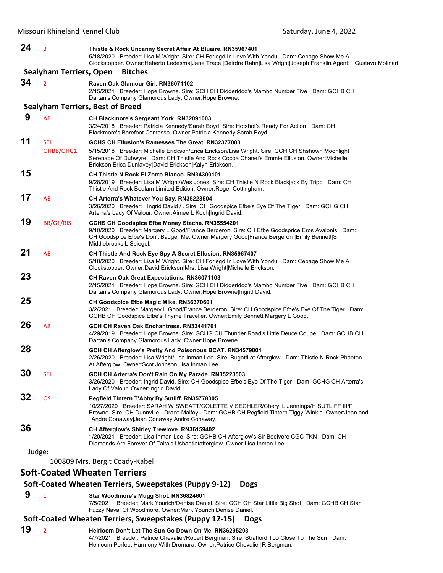| 24     | 3                       | Thistle & Rock Uncanny Secret Affair At Bluaire. RN35967401<br>5/18/2020 Breeder: Lisa M Wright. Sire: CH Forlegd In Love With Yondu Dam: Cepage Show Me A<br>Clockstopper. Owner:Heberto Ledesma Jane Trace  Deirdre Rahn Lisa Wright Joseph Franklin.Agent: Gustavo Molinari                               |
|--------|-------------------------|--------------------------------------------------------------------------------------------------------------------------------------------------------------------------------------------------------------------------------------------------------------------------------------------------------------|
|        | Sealyham Terriers, Open | <b>Bitches</b>                                                                                                                                                                                                                                                                                               |
| 34     | $\overline{2}$          | Raven Oak Glamour Girl. RN36071102<br>2/15/2021 Breeder: Hope Browne. Sire: GCH CH Didgeridoo's Mambo Number Five Dam: GCHB CH<br>Dartan's Company Glamorous Lady. Owner: Hope Browne.                                                                                                                       |
|        |                         | <b>Sealyham Terriers, Best of Breed</b>                                                                                                                                                                                                                                                                      |
| 9      | AB                      | CH Blackmore's Sergeant York. RN32091003<br>3/24/2018 Breeder: Patricia Kennedy/Sarah Boyd. Sire: Hotshot's Ready For Action Dam: CH<br>Blackmore's Barefoot Contessa. Owner: Patricia Kennedy Sarah Boyd.                                                                                                   |
| 11     | <b>SEL</b><br>OHBB/OHG1 | GCHS CH Ellusion's Ramesses The Great, RN32377003<br>5/15/2018 Breeder: Michelle Erickson/Erica Erickson/Lisa Wright. Sire: GCH CH Shshown Moonlight<br>Serenade Of Dubwyre Dam: CH Thistle And Rock Cocoa Chanel's Emmie Ellusion. Owner:Michelle<br>Erickson Erica Dunlavey David Erickson Kalyn Erickson. |
| 15     |                         | <b>CH Thistle N Rock El Zorro Blanco. RN34300101</b><br>9/28/2019 Breeder: Lisa M Wright/Wes Jones. Sire: CH Thistle N Rock Blackjack By Tripp Dam: CH<br>Thistle And Rock Bedlam Limited Edition. Owner: Roger Cottingham.                                                                                  |
| 17     | AB                      | CH Arterra's Whatever You Say. RN35223504<br>3/26/2020 Breeder: Ingrid David / Sire: CH Goodspice Efbe's Eye Of The Tiger Dam: GCHG CH<br>Arterra's Lady Of Valour. Owner:Aimee L Koch Ingrid David.                                                                                                         |
| 19     | BB/G1/BIS               | GCHS CH Goodspice Efbe Money Stache. RN35554201<br>9/10/2020 Breeder: Margery L Good/France Bergeron. Sire: CH Efbe Goodsprice Eros Avalonis Dam:<br>CH Goodspice Efbe's Don't Badger Me. Owner: Margery Good France Bergeron  Emily Bennett S<br>Middlebrooks L Spiegel.                                    |
| 21     | AB                      | CH Thistle And Rock Eye Spy A Secret Ellusion. RN35967407<br>5/18/2020 Breeder: Lisa M Wright. Sire: CH Forlegd In Love With Yondu Dam: Cepage Show Me A<br>Clockstopper. Owner:David Erickson Mrs. Lisa Wright Michelle Erickson.                                                                           |
| 23     |                         | <b>CH Raven Oak Great Expectations. RN36071103</b><br>2/15/2021 Breeder: Hope Browne. Sire: GCH CH Didgeridoo's Mambo Number Five Dam: GCHB CH<br>Dartan's Company Glamorous Lady. Owner: Hope Browne Ingrid David.                                                                                          |
| 25     |                         | CH Goodspice Efbe Magic Mike. RN36370601<br>3/2/2021 Breeder: Margery L Good/France Bergeron. Sire: CH Goodspice Efbe's Eye Of The Tiger Dam:<br>GCHB CH Goodspice Efbe's Thyme Traveller. Owner: Emily Bennett Margery L Good.                                                                              |
| 26     | AB                      | GCH CH Raven Oak Enchantress, RN33441701<br>4/29/2019 Breeder: Hope Browne. Sire: GCHG CH Thunder Road's Little Deuce Coupe Dam: GCHB CH<br>Dartan's Company Glamorous Lady. Owner: Hope Browne.                                                                                                             |
| 28     |                         | GCH CH Afterglow's Pretty And Poisonous BCAT. RN34579801<br>2/26/2020 Breeder: Lisa Wright/Lisa Inman Lee. Sire: Bugatti at Afterglow Dam: Thistle N Rock Phaeton<br>At Afterglow. Owner:Scot Johnson Lisa Inman Lee.                                                                                        |
| 30     | <b>SEL</b>              | GCH CH Arterra's Don't Rain On My Parade. RN35223503<br>3/26/2020 Breeder: Ingrid David. Sire: CH Goodspice Efbe's Eye Of The Tiger Dam: GCHG CH Arterra's<br>Lady Of Valour. Owner: Ingrid David.                                                                                                           |
| 32     | <b>OS</b>               | Pegfield Tintern T'Abby By Sutliff. RN35778305<br>10/27/2020 Breeder: SARAH W SWEATT/COLETTE V SECHLER/Cheryl L Jennings/H SUTLIFF III/P<br>Browne. Sire: CH Dunnville Draco Malfoy Dam: GCHB CH Pegfield Tintern Tiggy-Winkle. Owner: Jean and<br>Andre Conaway Jean Conaway Andre Conaway.                 |
| 36     |                         | CH Afterglow's Shirley Trewlove. RN36159402<br>1/20/2021 Breeder: Lisa Inman Lee. Sire: GCHB CH Afterglow's Sir Bedivere CGC TKN Dam: CH<br>Diamonds Are Forever Of Taita's Ushabtiatafterglow. Owner:Lisa Inman Lee.                                                                                        |
| Judge: |                         | 100809 Mrs. Bergit Coady-Kabel                                                                                                                                                                                                                                                                               |
|        |                         |                                                                                                                                                                                                                                                                                                              |

# **Soft‐Coated Wheaten Terriers**

#### **Soft‐Coated Wheaten Terriers, Sweepstakes (Puppy 9‐12) Dogs**

 **9** <sup>1</sup> **Star Woodmore's Mugg Shot. RN36824601**

7/5/2021 Breeder: Mark Yourich/Denise Daniel. Sire: GCH CH Star Little Big Shot Dam: GCHB CH Star Fuzzy Naval Of Woodmore. Owner:Mark Yourich|Denise Daniel.

### **Soft‐Coated Wheaten Terriers, Sweepstakes (Puppy 12‐15) Dogs**

**19** <sup>2</sup> **Heirloom Don't Let The Sun Go Down On Me. RN36295203** 4/7/2021 Breeder: Patrice Chevalier/Robert Bergman. Sire: Stratford Too Close To The Sun Dam: Heirloom Perfect Harmony With Dromara. Owner:Patrice Chevalier|R Bergman.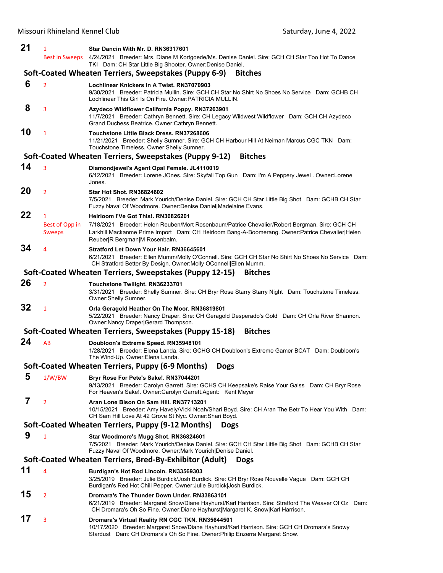| 21 | 1                                               | Star Dancin With Mr. D. RN36317601                                                                                                                                                                                                                                       |
|----|-------------------------------------------------|--------------------------------------------------------------------------------------------------------------------------------------------------------------------------------------------------------------------------------------------------------------------------|
|    | <b>Best in Sweeps</b>                           | 4/24/2021 Breeder: Mrs. Diane M Kortgoede/Ms. Denise Daniel. Sire: GCH CH Star Too Hot To Dance<br>TKI Dam: CH Star Little Big Shooter. Owner: Denise Daniel.                                                                                                            |
|    |                                                 | Soft-Coated Wheaten Terriers, Sweepstakes (Puppy 6-9)<br><b>Bitches</b>                                                                                                                                                                                                  |
| 6  | $\overline{2}$                                  | Lochlinear Knickers In A Twist, RN37070903<br>9/30/2021 Breeder: Patricia Mullin. Sire: GCH CH Star No Shirt No Shoes No Service Dam: GCHB CH<br>Lochlinear This Girl Is On Fire, Owner: PATRICIA MULLIN.                                                                |
| 8  | 3                                               | Azydeco Wildflower California Poppy. RN37263901<br>11/7/2021 Breeder: Cathryn Bennett. Sire: CH Legacy Wildwest Wildflower Dam: GCH CH Azydeco<br>Grand Duchess Beatrice. Owner: Cathryn Bennett.                                                                        |
| 10 | $\mathbf{1}$                                    | Touchstone Little Black Dress, RN37268606<br>11/21/2021 Breeder: Shelly Sumner. Sire: GCH CH Harbour Hill At Neiman Marcus CGC TKN Dam:<br>Touchstone Timeless. Owner: Shelly Sumner.                                                                                    |
|    |                                                 | Soft-Coated Wheaten Terriers, Sweepstakes (Puppy 9-12)<br><b>Bitches</b>                                                                                                                                                                                                 |
| 14 | 3                                               | Diamondjewel's Agent Opal Female. JL4110019<br>6/12/2021 Breeder: Lorene JOnes. Sire: Skyfall Top Gun Dam: I'm A Peppery Jewel . Owner:Lorene<br>Jones.                                                                                                                  |
| 20 | $\overline{2}$                                  | <b>Star Hot Shot, RN36824602</b><br>7/5/2021 Breeder: Mark Yourich/Denise Daniel. Sire: GCH CH Star Little Big Shot Dam: GCHB CH Star<br>Fuzzy Naval Of Woodmore. Owner:Denise Daniel Madelaine Evans.                                                                   |
| 22 | $\mathbf{1}$<br>Best of Opp in<br><b>Sweeps</b> | Heirloom I'Ve Got This!. RN36826201<br>7/18/2021 Breeder: Helen Reuben/Mort Rosenbaum/Patrice Chevalier/Robert Bergman. Sire: GCH CH<br>Larkhill Mackanme Prime Import Dam: CH Heirloom Bang-A-Boomerang. Owner:Patrice Chevalier Helen<br>Reuber R Bergman M Rosenbalm. |
| 34 | 4                                               | Stratford Let Down Your Hair. RN36645601<br>6/21/2021 Breeder: Ellen Mumm/Molly O'Connell. Sire: GCH CH Star No Shirt No Shoes No Service Dam:<br>CH Stratford Better By Design. Owner: Molly OConnell Ellen Mumm.                                                       |
|    |                                                 | Soft-Coated Wheaten Terriers, Sweepstakes (Puppy 12-15)<br><b>Bitches</b>                                                                                                                                                                                                |
| 26 | $\overline{2}$                                  | Touchstone Twilight. RN36233701<br>3/31/2021 Breeder: Shelly Sumner. Sire: CH Bryr Rose Starry Starry Night Dam: Touchstone Timeless.<br>Owner: Shelly Sumner.                                                                                                           |
| 32 | $\mathbf{1}$                                    | Orla Geragold Heather On The Moor. RN36819801<br>5/22/2021 Breeder: Nancy Draper. Sire: CH Geragold Desperado's Gold Dam: CH Orla River Shannon.<br>Owner: Nancy Draper Gerard Thompson.                                                                                 |
|    |                                                 | <b>Bitches</b><br>Soft-Coated Wheaten Terriers, Sweepstakes (Puppy 15-18)                                                                                                                                                                                                |
| 24 | AB                                              | Doubloon's Extreme Speed. RN35948101<br>1/28/2021 Breeder: Elena Landa. Sire: GCHG CH Doubloon's Extreme Gamer BCAT Dam: Doubloon's<br>The Wind-Up. Owner: Elena Landa.                                                                                                  |
|    |                                                 | Soft-Coated Wheaten Terriers, Puppy (6-9 Months)<br><b>Dogs</b>                                                                                                                                                                                                          |
| 5  | 1/W/BW                                          | Bryr Rose For Pete's Sake!. RN37044201<br>9/13/2021 Breeder: Carolyn Garrett. Sire: GCHS CH Keepsake's Raise Your Galss Dam: CH Bryr Rose<br>For Heaven's Sake!. Owner:Carolyn Garrett.Agent: Kent Meyer                                                                 |
| 7  | $\overline{2}$                                  | Aran Lone Bison On Sam Hill. RN37713201<br>10/15/2021 Breeder: Amy Havely/Vicki Noah/Shari Boyd. Sire: CH Aran The Betr To Hear You With Dam:<br>CH Sam Hill Love At 42 Grove St Nyc. Owner: Shari Boyd.                                                                 |
|    |                                                 | Soft-Coated Wheaten Terriers, Puppy (9-12 Months)<br><b>Dogs</b>                                                                                                                                                                                                         |
| 9  | $\mathbf{1}$                                    | Star Woodmore's Mugg Shot. RN36824601<br>7/5/2021 Breeder: Mark Yourich/Denise Daniel. Sire: GCH CH Star Little Big Shot Dam: GCHB CH Star<br>Fuzzy Naval Of Woodmore. Owner: Mark Yourich Denise Daniel.                                                                |
|    |                                                 | Soft-Coated Wheaten Terriers, Bred-By-Exhibitor (Adult)<br><b>Dogs</b>                                                                                                                                                                                                   |
| 11 | 4                                               | Burdigan's Hot Rod Lincoln. RN33569303                                                                                                                                                                                                                                   |
|    |                                                 | 3/25/2019 Breeder: Julie Burdick/Josh Burdick. Sire: CH Bryr Rose Nouvelle Vague Dam: GCH CH<br>Burdigan's Red Hot Chili Pepper. Owner: Julie Burdick  Josh Burdick.                                                                                                     |
| 15 | $\overline{2}$                                  | Dromara's The Thunder Down Under. RN33863101<br>6/21/2019 Breeder: Margaret Snow/Diane Hayhurst/Karl Harrison. Sire: Stratford The Weaver Of Oz Dam:<br>CH Dromara's Oh So Fine. Owner: Diane Hayhurst Margaret K. Snow Karl Harrison.                                   |
| 17 | 3                                               | Dromara's Virtual Reality RN CGC TKN. RN35644501<br>10/17/2020 Breeder: Margaret Snow/Diane Hayhurst/Karl Harrison. Sire: GCH CH Dromara's Snowy<br>Stardust Dam: CH Dromara's Oh So Fine. Owner: Philip Enzerra Margaret Snow.                                          |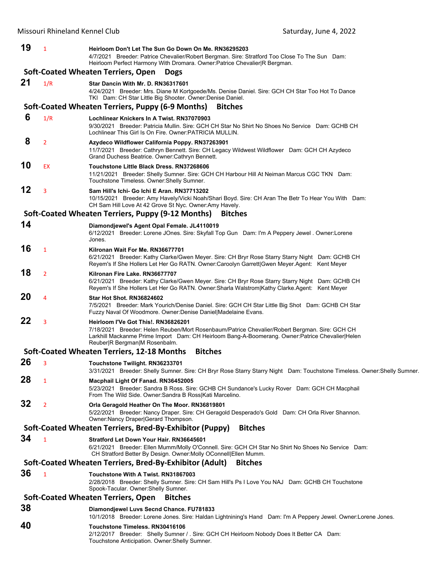| 19 | $\mathbf{1}$                                      | Heirloom Don't Let The Sun Go Down On Me. RN36295203<br>4/7/2021 Breeder: Patrice Chevalier/Robert Bergman. Sire: Stratford Too Close To The Sun Dam:<br>Heirloom Perfect Harmony With Dromara. Owner:Patrice Chevalier R Bergman.                                       |  |  |  |
|----|---------------------------------------------------|--------------------------------------------------------------------------------------------------------------------------------------------------------------------------------------------------------------------------------------------------------------------------|--|--|--|
|    | Soft-Coated Wheaten Terriers, Open<br><b>Dogs</b> |                                                                                                                                                                                                                                                                          |  |  |  |
| 21 | 1/R                                               | Star Dancin With Mr. D. RN36317601<br>4/24/2021 Breeder: Mrs. Diane M Kortgoede/Ms. Denise Daniel. Sire: GCH CH Star Too Hot To Dance<br>TKI Dam: CH Star Little Big Shooter. Owner: Denise Daniel.                                                                      |  |  |  |
|    |                                                   | Soft-Coated Wheaten Terriers, Puppy (6-9 Months)<br><b>Bitches</b>                                                                                                                                                                                                       |  |  |  |
| 6  | 1/R                                               | Lochlinear Knickers In A Twist. RN37070903<br>9/30/2021 Breeder: Patricia Mullin. Sire: GCH CH Star No Shirt No Shoes No Service Dam: GCHB CH<br>Lochlinear This Girl Is On Fire, Owner: PATRICIA MULLIN.                                                                |  |  |  |
| 8  | $\overline{2}$                                    | Azydeco Wildflower California Poppy. RN37263901<br>11/7/2021 Breeder: Cathryn Bennett. Sire: CH Legacy Wildwest Wildflower Dam: GCH CH Azydeco<br>Grand Duchess Beatrice. Owner: Cathryn Bennett.                                                                        |  |  |  |
| 10 | EX                                                | Touchstone Little Black Dress. RN37268606<br>11/21/2021 Breeder: Shelly Sumner. Sire: GCH CH Harbour Hill At Neiman Marcus CGC TKN Dam:<br>Touchstone Timeless. Owner: Shelly Sumner.                                                                                    |  |  |  |
| 12 | 3                                                 | Sam Hill's Ichi- Go Ichi E Aran. RN37713202<br>10/15/2021 Breeder: Amy Havely/Vicki Noah/Shari Boyd. Sire: CH Aran The Betr To Hear You With Dam:<br>CH Sam Hill Love At 42 Grove St Nyc. Owner: Amy Havely.                                                             |  |  |  |
|    |                                                   | Soft-Coated Wheaten Terriers, Puppy (9-12 Months)<br><b>Bitches</b>                                                                                                                                                                                                      |  |  |  |
| 14 |                                                   | Diamondjewel's Agent Opal Female. JL4110019<br>6/12/2021 Breeder: Lorene JOnes. Sire: Skyfall Top Gun Dam: I'm A Peppery Jewel . Owner: Lorene<br>Jones.                                                                                                                 |  |  |  |
| 16 | $\mathbf{1}$                                      | Kilronan Wait For Me. RN36677701<br>6/21/2021 Breeder: Kathy Clarke/Gwen Meyer. Sire: CH Bryr Rose Starry Starry Night Dam: GCHB CH<br>Reyem's If She Hollers Let Her Go RATN. Owner:Caroolyn Garrett Gwen Meyer.Agent: Kent Meyer                                       |  |  |  |
| 18 | $\overline{2}$                                    | Kilronan Fire Lake, RN36677707<br>6/21/2021 Breeder: Kathy Clarke/Gwen Meyer. Sire: CH Bryr Rose Starry Starry Night Dam: GCHB CH<br>Reyem's If She Hollers Let Her Go RATN. Owner: Sharla Walstrom Kathy Clarke. Agent: Kent Meyer                                      |  |  |  |
| 20 | $\overline{4}$                                    | Star Hot Shot. RN36824602<br>7/5/2021 Breeder: Mark Yourich/Denise Daniel. Sire: GCH CH Star Little Big Shot Dam: GCHB CH Star<br>Fuzzy Naval Of Woodmore. Owner: Denise Daniel Madelaine Evans.                                                                         |  |  |  |
| 22 | $\overline{3}$                                    | Heirloom I'Ve Got This!, RN36826201<br>7/18/2021 Breeder: Helen Reuben/Mort Rosenbaum/Patrice Chevalier/Robert Bergman. Sire: GCH CH<br>Larkhill Mackanme Prime Import Dam: CH Heirloom Bang-A-Boomerang. Owner:Patrice Chevalier Helen<br>Reuber R Bergman M Rosenbalm. |  |  |  |
|    |                                                   | Soft-Coated Wheaten Terriers, 12-18 Months<br><b>Bitches</b>                                                                                                                                                                                                             |  |  |  |
| 26 | 3                                                 | Touchstone Twilight. RN36233701<br>3/31/2021 Breeder: Shelly Sumner. Sire: CH Bryr Rose Starry Starry Night Dam: Touchstone Timeless. Owner: Shelly Sumner.                                                                                                              |  |  |  |
| 28 | $\mathbf{1}$                                      | Macphail Light Of Fanad. RN36452005<br>5/23/2021 Breeder: Sandra B Ross. Sire: GCHB CH Sundance's Lucky Rover Dam: GCH CH Macphail<br>From The Wild Side. Owner: Sandra B Ross Kati Marcelino.                                                                           |  |  |  |
| 32 | $\overline{2}$                                    | Orla Geragold Heather On The Moor. RN36819801<br>5/22/2021 Breeder: Nancy Draper. Sire: CH Geragold Desperado's Gold Dam: CH Orla River Shannon.<br>Owner: Nancy Draper Gerard Thompson.                                                                                 |  |  |  |
|    |                                                   | Soft-Coated Wheaten Terriers, Bred-By-Exhibitor (Puppy)<br><b>Bitches</b>                                                                                                                                                                                                |  |  |  |
| 34 | $\mathbf{1}$                                      | Stratford Let Down Your Hair. RN36645601<br>6/21/2021 Breeder: Ellen Mumm/Molly O'Connell. Sire: GCH CH Star No Shirt No Shoes No Service Dam:<br>CH Stratford Better By Design. Owner: Molly OConnell Ellen Mumm.                                                       |  |  |  |
|    |                                                   | Soft-Coated Wheaten Terriers, Bred-By-Exhibitor (Adult)<br><b>Bitches</b>                                                                                                                                                                                                |  |  |  |
| 36 | $\mathbf{1}$                                      | Touchstone With A Twist. RN31867003<br>2/28/2018 Breeder: Shelly Sumner. Sire: CH Sam Hill's Ps I Love You NAJ Dam: GCHB CH Touchstone<br>Spook-Tacular. Owner: Shelly Sumner.                                                                                           |  |  |  |
|    |                                                   | Soft-Coated Wheaten Terriers, Open<br><b>Bitches</b>                                                                                                                                                                                                                     |  |  |  |
| 38 |                                                   | Diamondjewel Luvs Secnd Chance. FU781833<br>10/1/2018 Breeder: Lorene Jones. Sire: Haldan Lightnining's Hand Dam: I'm A Peppery Jewel. Owner: Lorene Jones.                                                                                                              |  |  |  |
| 40 |                                                   | Touchstone Timeless. RN30416106<br>2/12/2017 Breeder: Shelly Sumner / . Sire: GCH CH Heirloom Nobody Does It Better CA Dam:<br>Touchstone Anticipation. Owner: Shelly Sumner.                                                                                            |  |  |  |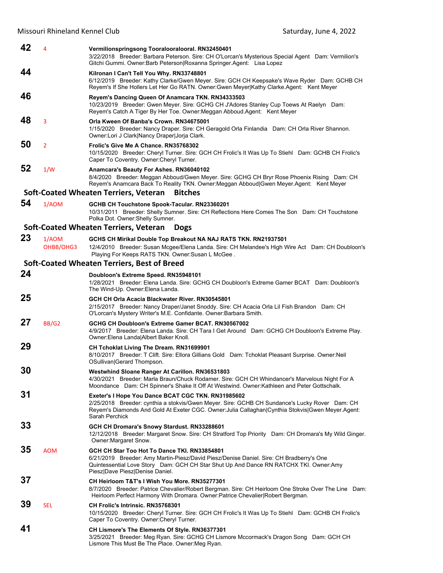**42** <sup>4</sup> **Vermilionspringsong Tooralooralooral. RN32450401** 3/22/2018 Breeder: Barbara Peterson. Sire: CH O'Lorcan's Mysterious Special Agent Dam: Vermilion's Gitchi Gummi. Owner:Barb Peterson|Roxanna Springer.Agent: Lisa Lopez **44 Kilronan I Can't Tell You Why. RN33748801** 6/12/2019 Breeder: Kathy Clarke/Gwen Meyer. Sire: GCH CH Keepsake's Wave Ryder Dam: GCHB CH Reyem's If She Hollers Let Her Go RATN. Owner:Gwen Meyer|Kathy Clarke.Agent: Kent Meyer **46 Reyem's Dancing Queen Of Anamcara TKN. RN34333503** 10/23/2019 Breeder: Gwen Meyer. Sire: GCHG CH J'Adores Stanley Cup Toews At Raelyn Dam: Reyem's Catch A Tiger By Her Toe. Owner: Meggan Abboud.Agent: Kent Meyer **48** <sup>3</sup> **Orla Kween Of Banba's Crown. RN34675001** 1/15/2020 Breeder: Nancy Draper. Sire: CH Geragold Orla Finlandia Dam: CH Orla River Shannon. Owner:Lori J Clark|Nancy Draper|Jorja Clark. **50** <sup>2</sup> **Frolic's Give Me A Chance. RN35768302** 10/15/2020 Breeder: Cheryl Turner. Sire: GCH CH Frolic's It Was Up To Stiehl Dam: GCHB CH Frolic's Caper To Coventry. Owner:Cheryl Turner. **52** 1/W **Anamcara's Beauty For Ashes. RN36040102** 8/4/2020 Breeder: Meggan Abboud/Gwen Meyer. Sire: GCHG CH Bryr Rose Phoenix Rising Dam: CH Reyem's Anamcara Back To Reality TKN. Owner:Meggan Abboud|Gwen Meyer.Agent: Kent Meyer **Soft‐Coated Wheaten Terriers, Veteran Bitches 54** 1/AOM **GCHB CH Touchstone Spook-Tacular. RN23360201** 10/31/2011 Breeder: Shelly Sumner. Sire: CH Reflections Here Comes The Son Dam: CH Touchstone Polka Dot. Owner:Shelly Sumner. **Soft‐Coated Wheaten Terriers, Veteran Dogs 23** 1/AOM **GCHS CH Mirikal Double Top Breakout NA NAJ RATS TKN. RN21937501** OHBB/OHG3 12/4/2010 Breeder: Susan Mcgee/Elena Landa. Sire: CH Melandee's High Wire Act Dam: CH Doubloon's Playing For Keeps RATS TKN. Owner:Susan L McGee . **Soft‐Coated Wheaten Terriers, Best of Breed 24 Doubloon's Extreme Speed. RN35948101** 1/28/2021 Breeder: Elena Landa. Sire: GCHG CH Doubloon's Extreme Gamer BCAT Dam: Doubloon's The Wind-Up. Owner:Elena Landa. **25 GCH CH Orla Acacia Blackwater River. RN30545801** 2/15/2017 Breeder: Nancy Draper/Janet Snoddy. Sire: CH Acacia Orla Lil Fish Brandon Dam: CH O'Lorcan's Mystery Writer's M.E. Confidante. Owner:Barbara Smith. **27** BB/G2 **GCHG CH Doubloon's Extreme Gamer BCAT. RN30567002** 4/9/2017 Breeder: Elena Landa. Sire: CH Tara I Get Around Dam: GCHG CH Doubloon's Extreme Play. Owner:Elena Landa|Albert Baker Knoll. **29 CH Tchoklat Living The Dream. RN31699901** 8/10/2017 Breeder: T Clift. Sire: Ellora Gillians Gold Dam: Tchoklat Pleasant Surprise. Owner:Neil OSullivan|Gerard Thompson. **30 Westwhind Sloane Ranger At Carillon. RN36531803** 4/30/2021 Breeder: Marla Braun/Chuck Rodamer. Sire: GCH CH Whindancer's Marvelous Night For A Moondance Dam: CH Spinner's Shake It Off At Westwind. Owner:Kathleen and Peter Gottschalk. **31 Exeter's I Hope You Dance BCAT CGC TKN. RN31985602** 2/25/2018 Breeder: cynthia a stokvis/Gwen Meyer. Sire: GCHB CH Sundance's Lucky Rover Dam: CH Reyem's Diamonds And Gold At Exeter CGC. Owner:Julia Callaghan|Cynthia Stokvis|Gwen Meyer.Agent: Sarah Perchick **33 GCH CH Dromara's Snowy Stardust. RN33288601** 12/12/2018 Breeder: Margaret Snow. Sire: CH Stratford Top Priority Dam: CH Dromara's My Wild Ginger. Owner:Margaret Snow. **35** AOM **GCH CH Star Too Hot To Dance TKI. RN33854801** 6/21/2019 Breeder: Amy Martin-Piesz/David Piesz/Denise Daniel. Sire: CH Bradberry's One Quintessential Love Story Dam: GCH CH Star Shut Up And Dance RN RATCHX TKI. Owner:Amy Piesz|Dave Piesz|Denise Daniel. **37 CH Heirloom T&T's I Wish You More. RN35277301** 8/7/2020 Breeder: Patrice Chevalier/Robert Bergman. Sire: CH Heirloom One Stroke Over The Line Dam: Heirloom Perfect Harmony With Dromara. Owner:Patrice Chevalier|Robert Bergman. **39** SEL **CH Frolic's Intrinsic. RN35768301** 10/15/2020 Breeder: Cheryl Turner. Sire: GCH CH Frolic's It Was Up To Stiehl Dam: GCHB CH Frolic's Caper To Coventry. Owner:Cheryl Turner. **41 CH Lismore's The Elements Of Style. RN36377301** 3/25/2021 Breeder: Meg Ryan. Sire: GCHG CH Lismore Mccormack's Dragon Song Dam: GCH CH Lismore This Must Be The Place. Owner:Meg Ryan.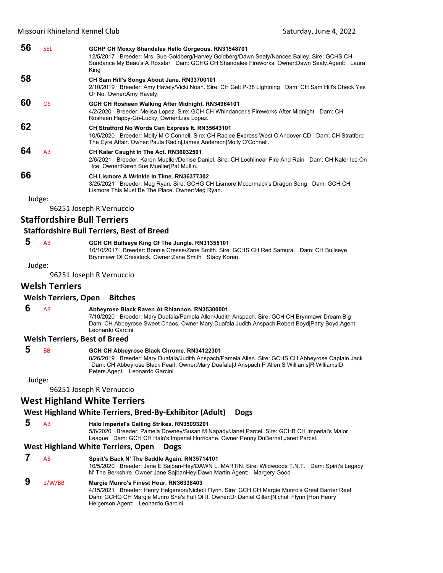| 56 | <b>SEL</b> | GCHP CH Moxxy Shandalee Hello Gorgeous. RN31548701<br>12/5/2017 Breeder: Mrs. Sue Goldberg/Harvey Goldberg/Dawn Sealy/Nancee Bailey. Sire: GCHS CH<br>Sundance My Beau's A Roxstar Dam: GCHG CH Shandalee Fireworks. Owner:Dawn Sealy.Agent: Laura<br>King |
|----|------------|------------------------------------------------------------------------------------------------------------------------------------------------------------------------------------------------------------------------------------------------------------|
| 58 |            | CH Sam Hill's Songs About Jane. RN33700101<br>2/10/2019 Breeder: Amy Havely/Vicki Noah. Sire: CH Gelt P-38 Lightning Dam: CH Sam Hill's Check Yes<br>Or No. Owner: Amy Havely.                                                                             |
| 60 | <b>OS</b>  | GCH CH Rosheen Walking After Midnight. RN34964101<br>4/2/2020 Breeder: Melisa Lopez. Sire: GCH CH Whindancer's Fireworks After Midnight Dam: CH<br>Rosheen Happy-Go-Lucky. Owner: Lisa Lopez.                                                              |
| 62 |            | CH Stratford No Words Can Express It. RN35643101<br>10/5/2020 Breeder: Molly M O'Connell. Sire: CH Raclee Express West O'Andover CD Dam: CH Stratford<br>The Eyre Affair. Owner:Paula Radin James Anderson Molly O'Connell.                                |
| 64 | AB         | CH Kaler Caught In The Act. RN36032501<br>2/6/2021 Breeder: Karen Mueller/Denise Daniel, Sire: CH Lochlinear Fire And Rain Dam: CH Kaler Ice On<br>Ice. Owner: Karen Sue Mueller Pat Mullin.                                                               |
| 66 |            | CH Lismore A Wrinkle In Time, RN36377302<br>3/25/2021 Breeder: Meg Ryan. Sire: GCHG CH Lismore Mccormack's Dragon Song Dam: GCH CH<br>Lismore This Must Be The Place. Owner: Meg Ryan.                                                                     |
|    | Judge:     |                                                                                                                                                                                                                                                            |

96251 Joseph R Vernuccio

# **Staffordshire Bull Terriers**

#### **Staffordshire Bull Terriers, Best of Breed**

#### **5** AB **GCH CH Bullseye King Of The Jungle. RN31355101**

10/10/2017 Breeder: Bonnie Cresse/Zane Smith. Sire: GCHS CH Red Samurai Dam: CH Bullseye Brynmawr Of Cresstock. Owner:Zane Smith Stacy Koren.

Judge:

96251 Joseph R Vernuccio

### **Welsh Terriers**

#### **Welsh Terriers, Open Bitches**

 **6** AB **Abbeyrose Black Raven At Rhiannon. RN35300001**

7/10/2020 Breeder: Mary Duafala/Pamela Allen/Judith Anspach. Sire: GCH CH Brynmawr Dream Big Dam: CH Abbeyrose Sweet Chaos. Owner:Mary Duafala|Judith Anspach|Robert Boyd|Patty Boyd.Agent: Leonardo Garcini

#### **Welsh Terriers, Best of Breed**

# **5** BB **GCH CH Abbeyrose Black Chrome. RN34122301**

8/26/2019 Breeder: Mary Duafala/Judith Anspach/Pamela Allen. Sire: GCHS CH Abbeyrose Captain Jack Dam: CH Abbeyrose Black Pearl. Owner:Mary Duafala|J Anspach|P Allen|S Williams|R Williams|D Peters.Agent: Leonardo Garcini

Judge:

96251 Joseph R Vernuccio

# **West Highland White Terriers**

#### **West Highland White Terriers, Bred‐By‐Exhibitor (Adult) Dogs**

#### **5** AB **Halo Imperial's Calling Strikes. RN35093201**

5/6/2020 Breeder: Pamela Downey/Susan M Napady/Janet Parcel. Sire: GCHB CH Imperial's Major League Dam: GCH CH Halo's Imperial Hurricane. Owner:Penny DuBernat|Janet Parcel.

#### **West Highland White Terriers, Open Dogs**

 **7** AB **Spirit's Back N' The Saddle Again. RN35714101** 10/5/2020 Breeder: Jane E Sajban-Hey/DAWN L. MARTIN. Sire: Wildwoods T.N.T. Dam: Spirit's Legacy N' The Berkshire. Owner:Jane SajbanHey|Dawn Martin.Agent: Margery Good  **9** 1/W/BB **Margie Munro's Finest Hour. RN36338403**

4/15/2021 Breeder: Henry Helgerson/Nicholi Flynn. Sire: GCH CH Margie Munro's Great Barrier Reef Dam: GCHG CH Margie Munro She's Full Of It. Owner:Dr Daniel Gillen|Nicholi Flynn |Hon Henry Helgerson.Agent: Leonardo Garcini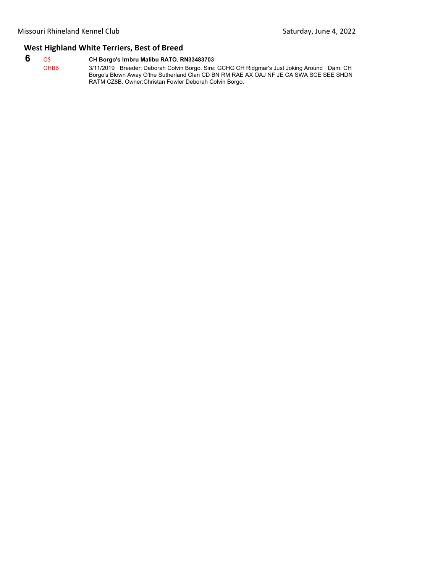# **West Highland White Terriers, Best of Breed**

# **6** OS **CH Borgo's Irnbru Malibu RATO. RN33483703**

| <b>OHBB</b> | 3/11/2019 Breeder: Deborah Colvin Borgo. Sire: GCHG CH Ridgmar's Just Joking Around Dam: CH |
|-------------|---------------------------------------------------------------------------------------------|
|             | Borgo's Blown Away O'the Sutherland Clan CD BN RM RAE AX OAJ NF JE CA SWA SCE SEE SHDN      |
|             | RATM CZ8B, Owner:Christan Fowler Deborah Colvin Borgo.                                      |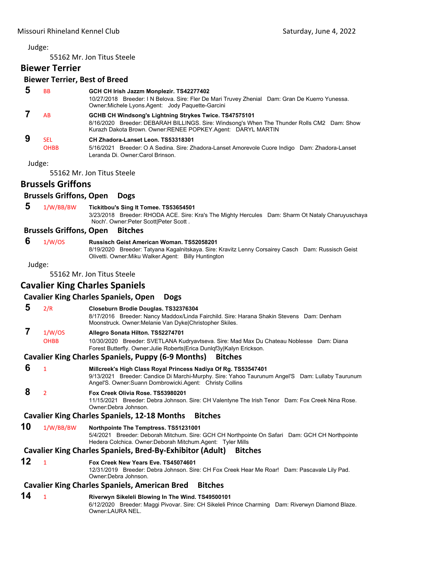55162 Mr. Jon Titus Steele

# **Biewer Terrier**

#### **Biewer Terrier, Best of Breed**

| <b>BB</b>                 | GCH CH Irish Jazzm Monplezir. TS42277402<br>10/27/2018 Breeder: I N Belova. Sire: Fler De Mari Truvey Zhenial Dam: Gran De Kuerro Yunessa.<br>Owner: Michele Lyons Agent: Jody Paquette-Garcini                              |
|---------------------------|------------------------------------------------------------------------------------------------------------------------------------------------------------------------------------------------------------------------------|
| AB                        | <b>GCHB CH Windsong's Lightning Strykes Twice. TS47575101</b><br>8/16/2020 Breeder: DEBARAH BILLINGS. Sire: Windsong's When The Thunder Rolls CM2 Dam: Show<br>Kurazh Dakota Brown. Owner: RENEE POPKEY. Agent: DARYL MARTIN |
| <b>SEL</b><br><b>OHBB</b> | CH Zhadora-Lanset Leon. TS53318301<br>5/16/2021 Breeder: O A Sedina. Sire: Zhadora-Lanset Amorevole Cuore Indigo Dam: Zhadora-Lanset<br>Leranda Di, Owner:Carol Brinson.                                                     |
| Judge:                    |                                                                                                                                                                                                                              |
|                           | $FFACA$ $A.A.$ $A.A.$ $T1.$ $A.A.$ $C1.$                                                                                                                                                                                     |

55162 Mr. Jon Titus Steele

# **Brussels Griffons**

#### **Brussels Griffons, Open Dogs**

 **5** 1/W/BB/BW **Tickitbou's Sing It Tomee. TS53654501** 3/23/2018 Breeder: RHODA ACE. Sire: Kra's The Mighty Hercules Dam: Sharm Ot Nataly Charuyuschaya Noch'. Owner:Peter Scott|Peter Scott .

#### **Brussels Griffons, Open Bitches**

#### **6** 1/W/OS **Russisch Geist American Woman. TS52058201**

8/19/2020 Breeder: Tatyana Kagalnitskaya. Sire: Kravitz Lenny Corsairey Casch Dam: Russisch Geist Olivetti. Owner:Miku Walker.Agent: Billy Huntington

Judge:

55162 Mr. Jon Titus Steele

# **Cavalier King Charles Spaniels**

# **Cavalier King Charles Spaniels, Open Dogs**

 **5** 2/R **Closeburn Brodie Douglas. TS32376304**

8/17/2016 Breeder: Nancy Maddox/Linda Fairchild. Sire: Harana Shakin Stevens Dam: Denham Moonstruck. Owner:Melanie Van Dyke|Christopher Skiles.

## **7** 1/W/OS **Allegro Sonata Hilton. TS52274701**

OHBB 10/30/2020 Breeder: SVETLANA Kudryavtseva. Sire: Mad Max Du Chateau Noblesse Dam: Diana Forest Butterfly. Owner:Julie Roberts|Erica Dunlqf3y|Kalyn Erickson.

#### **Cavalier King Charles Spaniels, Puppy (6‐9 Months) Bitches**

 **6** <sup>1</sup> **Millcreek's High Class Royal Princess Nadiya Of Rg. TS53547401** 9/13/2021 Breeder: Candice Di Marchi-Murphy. Sire: Yahoo Taurunum Angel'S Dam: Lullaby Taurunum Angel'S. Owner:Suann Dombrowicki.Agent: Christy Collins

### **8** <sup>2</sup> **Fox Creek Olivia Rose. TS53980201**

11/15/2021 Breeder: Debra Johnson. Sire: CH Valentyne The Irish Tenor Dam: Fox Creek Nina Rose. Owner:Debra Johnson.

#### **Cavalier King Charles Spaniels, 12‐18 Months Bitches**

#### **10** 1/W/BB/BW **Northpointe The Temptress. TS51231001**

5/4/2021 Breeder: Deborah Mitchum. Sire: GCH CH Northpointe On Safari Dam: GCH CH Northpointe Hedera Colchica. Owner:Deborah Mitchum.Agent: Tyler Mills

#### **Cavalier King Charles Spaniels, Bred‐By‐Exhibitor (Adult) Bitches**

#### **12** <sup>1</sup> **Fox Creek New Years Eve. TS45074601**

12/31/2019 Breeder: Debra Johnson. Sire: CH Fox Creek Hear Me Roar! Dam: Pascavale Lily Pad. Owner:Debra Johnson.

#### **Cavalier King Charles Spaniels, American Bred Bitches**

**14** <sup>1</sup> **Riverwyn Sikeleli Blowing In The Wind. TS49500101** 6/12/2020 Breeder: Maggi Pivovar. Sire: CH Sikeleli Prince Charming Dam: Riverwyn Diamond Blaze. Owner:LAURA NEL.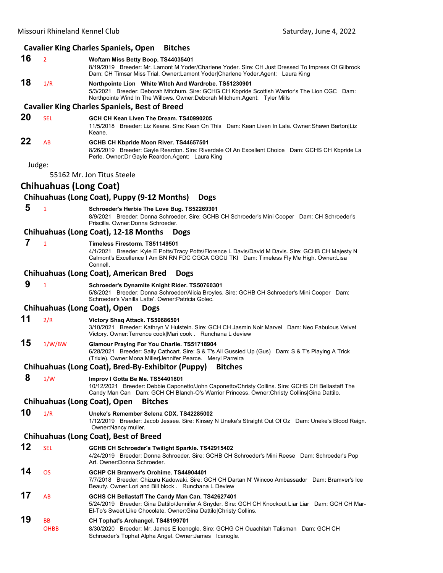| <b>Cavalier King Charles Spaniels, Open</b><br><b>Bitches</b> |                               |                                                                                                                                                                                                                                             |
|---------------------------------------------------------------|-------------------------------|---------------------------------------------------------------------------------------------------------------------------------------------------------------------------------------------------------------------------------------------|
| 16                                                            | $\overline{2}$                | Woftam Miss Betty Boop. TS44035401<br>8/19/2019 Breeder: Mr. Lamont M Yoder/Charlene Yoder. Sire: CH Just Dressed To Impress Of Gilbrook<br>Dam: CH Timsar Miss Trial. Owner:Lamont Yoder Charlene Yoder.Agent: Laura King                  |
| 18                                                            | 1/R                           | Northpointe Lion White Witch And Wardrobe. TS51230901<br>5/3/2021 Breeder: Deborah Mitchum. Sire: GCHG CH Kbpride Scottish Warrior's The Lion CGC Dam:<br>Northpointe Wind In The Willows. Owner: Deborah Mitchum. Agent: Tyler Mills       |
|                                                               |                               | <b>Cavalier King Charles Spaniels, Best of Breed</b>                                                                                                                                                                                        |
| 20                                                            | <b>SEL</b>                    | GCH CH Kean Liven The Dream, TS40990205<br>11/5/2018 Breeder: Liz Keane. Sire: Kean On This Dam: Kean Liven In Lala. Owner: Shawn Barton Liz<br>Keane.                                                                                      |
| 22                                                            | AB                            | GCHB CH Kbpride Moon River. TS44657501<br>8/26/2019 Breeder: Gayle Reardon. Sire: Riverdale Of An Excellent Choice Dam: GCHS CH Kbpride La<br>Perle. Owner: Dr Gayle Reardon. Agent: Laura King                                             |
| Judge:                                                        |                               |                                                                                                                                                                                                                                             |
|                                                               |                               | 55162 Mr. Jon Titus Steele                                                                                                                                                                                                                  |
|                                                               | <b>Chihuahuas (Long Coat)</b> |                                                                                                                                                                                                                                             |
|                                                               |                               | Chihuahuas (Long Coat), Puppy (9-12 Months)<br><b>Dogs</b>                                                                                                                                                                                  |
| 5                                                             | $\mathbf{1}$                  | Schroeder's Herbie The Love Bug. TS52269301<br>8/9/2021 Breeder: Donna Schroeder. Sire: GCHB CH Schroeder's Mini Cooper Dam: CH Schroeder's<br>Priscilla, Owner: Donna Schroeder,                                                           |
|                                                               |                               | Chihuahuas (Long Coat), 12-18 Months<br><b>Dogs</b>                                                                                                                                                                                         |
| 7                                                             | $\mathbf{1}$                  | Timeless Firestorm. TS51149501<br>4/1/2021 Breeder: Kyle E Potts/Tracy Potts/Florence L Davis/David M Davis. Sire: GCHB CH Majesty N<br>Calmont's Excellence I Am BN RN FDC CGCA CGCU TKI Dam: Timeless Fly Me High. Owner:Lisa<br>Connell. |
|                                                               |                               | <b>Chihuahuas (Long Coat), American Bred</b><br><b>Dogs</b>                                                                                                                                                                                 |
| 9                                                             | $\mathbf{1}$                  | Schroeder's Dynamite Knight Rider. TS50760301<br>5/8/2021 Breeder: Donna Schroeder/Alicia Broyles. Sire: GCHB CH Schroeder's Mini Cooper Dam:<br>Schroeder's Vanilla Latte'. Owner: Patricia Golec.                                         |
|                                                               |                               | <b>Chihuahuas (Long Coat), Open</b><br><b>Dogs</b>                                                                                                                                                                                          |
| 11                                                            | 2/R                           | Victory Shaq Attack. TS50686501<br>3/10/2021 Breeder: Kathryn V Hulstein. Sire: GCH CH Jasmin Noir Marvel Dam: Neo Fabulous Velvet<br>Victory. Owner: Terrence cook Mari cook . Runchana L deview                                           |
| 15                                                            | 1/W/BW                        | Glamour Praying For You Charlie. TS51718904<br>6/28/2021 Breeder: Sally Cathcart. Sire: S & T's All Gussied Up (Gus) Dam: S & T's Playing A Trick<br>(Trixie). Owner: Mona Miller Jennifer Pearce. Meryl Parreira                           |
|                                                               |                               | Chihuahuas (Long Coat), Bred-By-Exhibitor (Puppy) Bitches                                                                                                                                                                                   |
| 8                                                             | 1/W                           | Improv I Gotta Be Me. TS54401801<br>10/12/2021 Breeder: Debbie Caponetto/John Caponetto/Christy Collins. Sire: GCHS CH Bellastaff The<br>Candy Man Can Dam: GCH CH Blanch-O's Warrior Princess. Owner: Christy Collins Gina Dattilo.        |
|                                                               |                               | <b>Chihuahuas (Long Coat), Open</b><br><b>Bitches</b>                                                                                                                                                                                       |
| 10                                                            | 1/R                           | Uneke's Remember Selena CDX. TS42285002<br>1/12/2019 Breeder: Jacob Jessee. Sire: Kinsey N Uneke's Straight Out Of Oz Dam: Uneke's Blood Reign.<br>Owner: Nancy muller.                                                                     |
|                                                               |                               | <b>Chihuahuas (Long Coat), Best of Breed</b>                                                                                                                                                                                                |
| 12                                                            | <b>SEL</b>                    | GCHB CH Schroeder's Twilight Sparkle. TS42915402<br>4/24/2019 Breeder: Donna Schroeder. Sire: GCHB CH Schroeder's Mini Reese Dam: Schroeder's Pop<br>Art. Owner: Donna Schroeder.                                                           |
| 14                                                            | <b>OS</b>                     | GCHP CH Bramver's Orohime. TS44904401<br>7/7/2018 Breeder: Chizuru Kadowaki. Sire: GCH CH Dartan N' Wincoo Ambassador Dam: Bramver's Ice<br>Beauty. Owner: Lori and Bill block . Runchana L Deview                                          |
| 17                                                            | AB                            | GCHS CH Bellastaff The Candy Man Can. TS42627401<br>5/24/2019 Breeder: Gina Dattilo/Jennifer A Snyder. Sire: GCH CH Knockout Liar Liar Dam: GCH CH Mar-<br>El-To's Sweet Like Chocolate. Owner: Gina Dattilo Christy Collins.               |
| 19                                                            | BB<br><b>OHBB</b>             | CH Tophat's Archangel. TS48199701<br>8/30/2020 Breeder: Mr. James E Icenogle. Sire: GCHG CH Ouachitah Talisman Dam: GCH CH<br>Schroeder's Tophat Alpha Angel. Owner: James Icenogle.                                                        |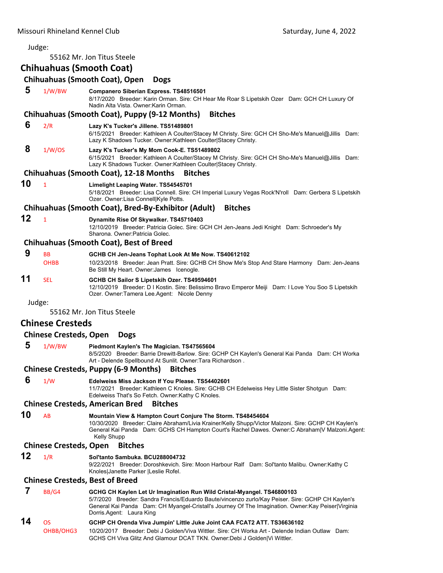#### Judge: 55162 Mr. Jon Titus Steele **Chihuahuas (Smooth Coat) Chihuahuas (Smooth Coat), Open Dogs 5** 1/W/BW **Companero Siberian Express. TS48516501** 8/17/2020 Breeder: Karin Orman. Sire: CH Hear Me Roar S Lipetskih Ozer Dam: GCH CH Luxury Of Nadin Alta Vista. Owner:Karin Orman. **Chihuahuas (Smooth Coat), Puppy (9‐12 Months) Bitches 6** 2/R **Lazy K's Tucker's Jillene. TS51489801** 6/15/2021 Breeder: Kathleen A Coulter/Stacey M Christy. Sire: GCH CH Sho-Me's Manuel@Jillis Dam: Lazy K Shadows Tucker. Owner:Kathleen Coulter|Stacey Christy.  **8** 1/W/OS **Lazy K's Tucker's My Mom Cook-E. TS51489802** 6/15/2021 Breeder: Kathleen A Coulter/Stacey M Christy. Sire: GCH CH Sho-Me's Manuel@Jillis Dam: Lazy K Shadows Tucker. Owner:Kathleen Coulter|Stacey Christy. **Chihuahuas (Smooth Coat), 12‐18 Months Bitches 10** <sup>1</sup> **Limelight Leaping Water. TS54545701** 5/18/2021 Breeder: Lisa Connell. Sire: CH Imperial Luxury Vegas Rock'N'roll Dam: Gerbera S Lipetskih Ozer. Owner:Lisa Connell|Kyle Potts. **Chihuahuas (Smooth Coat), Bred‐By‐Exhibitor (Adult) Bitches 12** <sup>1</sup> **Dynamite Rise Of Skywalker. TS45710403** 12/10/2019 Breeder: Patricia Golec. Sire: GCH CH Jen-Jeans Jedi Knight Dam: Schroeder's My Sharona. Owner:Patricia Golec. **Chihuahuas (Smooth Coat), Best of Breed 9** BB **GCHB CH Jen-Jeans Tophat Look At Me Now. TS40612102** OHBB 10/23/2018 Breeder: Jean Pratt. Sire: GCHB CH Show Me's Stop And Stare Harmony Dam: Jen-Jeans Be Still My Heart. Owner:James Icenogle. **11** SEL **GCHB CH Sailor S Lipetskih Ozer. TS49594601** 12/10/2019 Breeder: D I Kostin. Sire: Belissimo Bravo Emperor Meiji Dam: I Love You Soo S Lipetskih Ozer. Owner:Tamera Lee.Agent: Nicole Denny Judge: 55162 Mr. Jon Titus Steele **Chinese Cresteds Chinese Cresteds, Open Dogs 5** 1/W/BW **Piedmont Kaylen's The Magician. TS47565604** 8/5/2020 Breeder: Barrie Drewitt-Barlow. Sire: GCHP CH Kaylen's General Kai Panda Dam: CH Worka Art - Delende Spellbound At Sunlit. Owner:Tara Richardson . **Chinese Cresteds, Puppy (6‐9 Months) Bitches 6** 1/W **Edelweiss Miss Jackson If You Please. TS54402601** 11/7/2021 Breeder: Kathleen C Knoles. Sire: GCHB CH Edelweiss Hey Little Sister Shotgun Dam: Edelweiss That's So Fetch. Owner:Kathy C Knoles. **Chinese Cresteds, American Bred Bitches 10** AB **Mountain View & Hampton Court Conjure The Storm. TS48454604** 10/30/2020 Breeder: Claire Abraham/Livia Krainer/Kelly Shupp/Victor Malzoni. Sire: GCHP CH Kaylen's General Kai Panda Dam: GCHS CH Hampton Court's Rachel Dawes. Owner:C Abraham|V Malzoni.Agent: Kelly Shupp **Chinese Cresteds, Open Bitches 12** 1/R **Sol'tanto Sambuka. BCU288004732** 9/22/2021 Breeder: Doroshkevich. Sire: Moon Harbour Ralf Dam: Sol'tanto Malibu. Owner:Kathy C Knoles|Janette Parker |Leslie Rofel. **Chinese Cresteds, Best of Breed 7** BB/G4 **GCHG CH Kaylen Let Ur Imagination Run Wild Cristal-Myangel. TS46800103** 5/7/2020 Breeder: Sandra Francis/Eduardo Baute/vincenzo zurlo/Kay Peiser. Sire: GCHP CH Kaylen's General Kai Panda Dam: CH Myangel-Cristall's Journey Of The Imagination. Owner:Kay Peiser|Virginia Dorris.Agent: Laura King **14** OS **GCHP CH Orenda Viva Jumpin' Little Juke Joint CAA FCAT2 ATT. TS36636102** OHBB/OHG3 10/20/2017 Breeder: Debi J Golden/Viva Wittler. Sire: CH Worka Art - Delende Indian Outlaw Dam: GCHS CH Viva Glitz And Glamour DCAT TKN. Owner:Debi J Golden|Vi Wittler.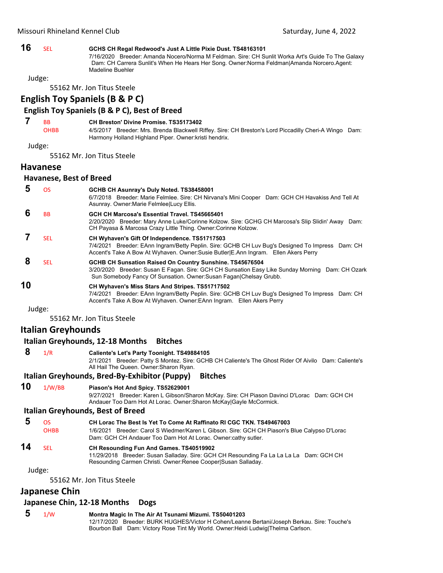# **16** SEL **GCHS CH Regal Redwood's Just A Little Pixie Dust. TS48163101**

7/16/2020 Breeder: Amanda Nocero/Norma M Feldman. Sire: CH Sunlit Worka Art's Guide To The Galaxy Dam: CH Carrera Sunlit's When He Hears Her Song. Owner:Norma Feldman|Amanda Norcero.Agent: Madeline Buehler

Judge:

55162 Mr. Jon Titus Steele

# **English Toy Spaniels (B & P C)**

#### **English Toy Spaniels (B & P C), Best of Breed**

#### **7** BB **CH Breston' Divine Promise. TS35173402**

OHBB 4/5/2017 Breeder: Mrs. Brenda Blackwell Riffey. Sire: CH Breston's Lord Piccadilly Cheri-A Wingo Dam: Harmony Holland Highland Piper. Owner:kristi hendrix.

Judge:

55162 Mr. Jon Titus Steele

#### **Havanese**

#### **Havanese, Best of Breed**

|    | <b>OS</b>  | GCHB CH Asunray's Duly Noted. TS38458001<br>6/7/2018 Breeder: Marie Felmlee. Sire: CH Nirvana's Mini Cooper Dam: GCH CH Havakiss And Tell At<br>Asunray. Owner Marie Felmlee Lucy Ellis.                                                 |
|----|------------|------------------------------------------------------------------------------------------------------------------------------------------------------------------------------------------------------------------------------------------|
|    | BB.        | GCH CH Marcosa's Essential Travel. TS45665401<br>2/20/2020 Breeder: Mary Anne Luke/Corinne Kolzow. Sire: GCHG CH Marcosa's Slip Slidin' Away Dam:<br>CH Payasa & Marcosa Crazy Little Thing. Owner: Corinne Kolzow.                      |
|    | <b>SEL</b> | CH Wyhaven's Gift Of Independence. TS51717503<br>7/4/2021 Breeder: EAnn Ingram/Betty Peplin, Sire: GCHB CH Luv Bug's Designed To Impress Dam: CH<br>Accent's Take A Bow At Wyhaven. Owner: Susie Butler (E.Ann Ingram. Ellen Akers Perry |
| 8  | SEL.       | GCHB CH Sunsation Raised On Country Sunshine. TS45676504<br>3/20/2020 Breeder: Susan E Fagan. Sire: GCH CH Sunsation Easy Like Sunday Morning Dam: CH Ozark<br>Sun Somebody Fancy Of Sunsation. Owner: Susan Fagan Chelsay Grubb.        |
| 10 |            | CH Wyhaven's Miss Stars And Stripes. TS51717502<br>7/4/2021 Breeder: EAnn Ingram/Betty Peplin. Sire: GCHB CH Luv Bug's Designed To Impress Dam: CH<br>Accent's Take A Bow At Wyhaven. Owner: EAnn Ingram. Ellen Akers Perry              |
|    | Judge:     |                                                                                                                                                                                                                                          |

55162 Mr. Jon Titus Steele

# **Italian Greyhounds**

#### **Italian Greyhounds, 12‐18 Months Bitches**

 **8** 1/R **Caliente's Let's Party Toonight. TS49884105**

2/1/2021 Breeder: Patty S Montez. Sire: GCHB CH Caliente's The Ghost Rider Of Aivilo Dam: Caliente's All Hail The Queen. Owner:Sharon Ryan.

#### **Italian Greyhounds, Bred‐By‐Exhibitor (Puppy) Bitches**

**10** 1/W/BB **Piason's Hot And Spicy. TS52629001**

9/27/2021 Breeder: Karen L Gibson/Sharon McKay. Sire: CH Piason Davinci D'Lorac Dam: GCH CH Andauer Too Darn Hot At Lorac. Owner:Sharon McKay|Gayle McCormick.

#### **Italian Greyhounds, Best of Breed**

| $5 \circ s$ |      | CH Lorac The Best Is Yet To Come At Raffinato RI CGC TKN, TS49467003                         |
|-------------|------|----------------------------------------------------------------------------------------------|
|             | OHBB | 1/6/2021 Breeder: Carol S Wiedmer/Karen L Gibson. Sire: GCH CH Piason's Blue Calypso D'Lorac |
|             |      | Dam: GCH CH Andauer Too Darn Hot At Lorac. Owner:cathy sutler.                               |

#### **14** SEL **CH Resounding Fun And Games. TS40519902**

11/29/2018 Breeder: Susan Salladay. Sire: GCH CH Resounding Fa La La La La Dam: GCH CH Resounding Carmen Christi. Owner:Renee Cooper|Susan Salladay.

Judge:

55162 Mr. Jon Titus Steele

#### **Japanese Chin**

#### **Japanese Chin, 12‐18 Months Dogs**

- **5** 1/W **Montra Magic In The Air At Tsunami Mizumi. TS50401203**
	- 12/17/2020 Breeder: BURK HUGHES/Victor H Cohen/Leanne Bertani/Joseph Berkau. Sire: Touche's Bourbon Ball Dam: Victory Rose Tint My World. Owner:Heidi Ludwig|Thelma Carlson.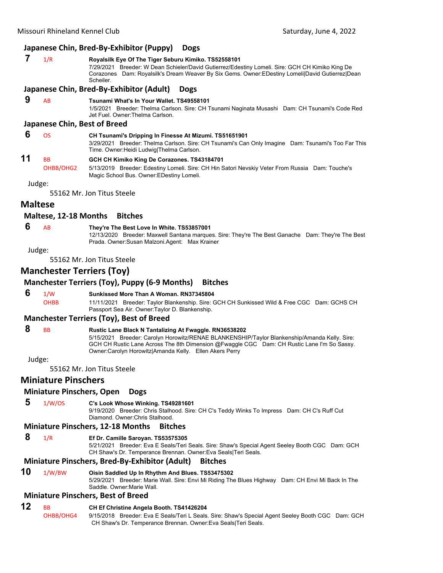#### **Japanese Chin, Bred‐By‐Exhibitor (Puppy) Dogs**

# **7** 1/R **Royalsilk Eye Of The Tiger Seburu Kimiko. TS52558101**

7/29/2021 Breeder: W Dean Schieler/David Gutierrez/Edestiny Lomeli. Sire: GCH CH Kimiko King De Corazones Dam: Royalsilk's Dream Weaver By Six Gems. Owner:EDestiny Lomeli|David Gutierrez|Dean **Scheiler** 

#### **Japanese Chin, Bred‐By‐Exhibitor (Adult) Dogs**

 **9** AB **Tsunami What's In Your Wallet. TS49558101** 1/5/2021 Breeder: Thelma Carlson. Sire: CH Tsunami Naginata Musashi Dam: CH Tsunami's Code Red Jet Fuel. Owner:Thelma Carlson.

#### **Japanese Chin, Best of Breed**

 **6** OS **CH Tsunami's Dripping In Finesse At Mizumi. TS51651901** 3/29/2021 Breeder: Thelma Carlson. Sire: CH Tsunami's Can Only Imagine Dam: Tsunami's Too Far This Time. Owner:Heidi Ludwig|Thelma Carlson.

# **11** BB **GCH CH Kimiko King De Corazones. TS43184701**

OHBB/OHG2 5/13/2019 Breeder: Edestiny Lomeli. Sire: CH Hin Satori Nevskiy Veter From Russia Dam: Touche's Magic School Bus. Owner:EDestiny Lomeli.

Judge:

55162 Mr. Jon Titus Steele

### **Maltese**

#### **Maltese, 12‐18 Months Bitches**

#### **6** AB **They're The Best Love In White. TS53857001**

12/13/2020 Breeder: Maxwell Santana marques. Sire: They're The Best Ganache Dam: They're The Best Prada. Owner:Susan Malzoni.Agent: Max Krainer

Judge:

55162 Mr. Jon Titus Steele

# **Manchester Terriers (Toy)**

#### **Manchester Terriers (Toy), Puppy (6‐9 Months) Bitches**

 **6** 1/W **Sunkissed More Than A Woman. RN37345804**

OHBB 11/11/2021 Breeder: Taylor Blankenship. Sire: GCH CH Sunkissed Wild & Free CGC Dam: GCHS CH Passport Sea Air. Owner:Taylor D. Blankenship.

#### **Manchester Terriers (Toy), Best of Breed**

 **8** BB **Rustic Lane Black N Tantalizing At Fwaggle. RN36538202** 5/15/2021 Breeder: Carolyn Horowitz/RENAE BLANKENSHIP/Taylor Blankenship/Amanda Kelly. Sire: GCH CH Rustic Lane Across The 8th Dimension @Fwaggle CGC Dam: CH Rustic Lane I'm So Sassy. Owner:Carolyn Horowitz|Amanda Kelly. Ellen Akers Perry

Judge:

55162 Mr. Jon Titus Steele

#### **Miniature Pinschers**

#### **Miniature Pinschers, Open Dogs**

 **5** 1/W/OS **C's Look Whose Winking. TS49281601**

9/19/2020 Breeder: Chris Stalhood. Sire: CH C's Teddy Winks To Impress Dam: CH C's Ruff Cut Diamond. Owner:Chris Stalhood.

#### **Miniature Pinschers, 12‐18 Months Bitches**

 **8** 1/R **Ef Dr. Camille Saroyan. TS53575305**

5/21/2021 Breeder: Eva E Seals/Teri Seals. Sire: Shaw's Special Agent Seeley Booth CGC Dam: GCH CH Shaw's Dr. Temperance Brennan. Owner:Eva Seals|Teri Seals.

#### **Miniature Pinschers, Bred‐By‐Exhibitor (Adult) Bitches**

**10** 1/W/BW **Oisin Saddled Up In Rhythm And Blues. TS53475302** 5/29/2021 Breeder: Marie Wall. Sire: Envi Mi Riding The Blues Highway Dam: CH Envi Mi Back In The Saddle. Owner:Marie Wall.

#### **Miniature Pinschers, Best of Breed**

# **12** BB **CH Ef Christine Angela Booth. TS41426204**

OHBB/OHG4 9/15/2018 Breeder: Eva E Seals/Teri L Seals. Sire: Shaw's Special Agent Seeley Booth CGC Dam: GCH CH Shaw's Dr. Temperance Brennan. Owner:Eva Seals|Teri Seals.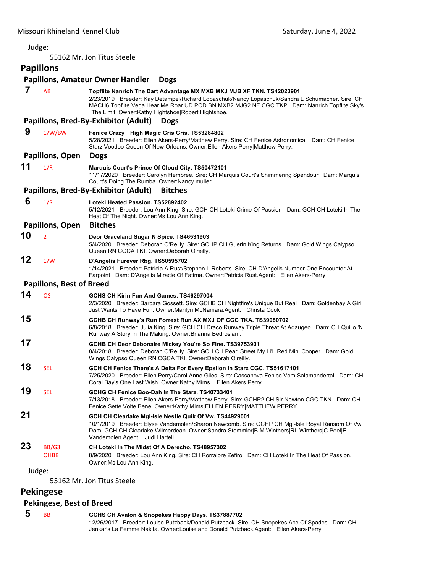55162 Mr. Jon Titus Steele

# **Papillons**

# **Papillons, Amateur Owner Handler Dogs**

| 7      | AB                              | Topflite Nanrich The Dart Advantage MX MXB MXJ MJB XF TKN. TS42023901<br>2/23/2019 Breeder: Kay Detampel/Richard Lopaschuk/Nancy Lopaschuk/Sandra L Schumacher. Sire: CH<br>MACH6 Topflite Vega Hear Me Roar UD PCD BN MXB2 MJG2 NF CGC TKP Dam: Nanrich Topflite Sky's<br>The Limit. Owner: Kathy Hightshoe Robert Hightshoe.<br>Papillons, Bred-By-Exhibitor (Adult)<br><b>Dogs</b> |
|--------|---------------------------------|---------------------------------------------------------------------------------------------------------------------------------------------------------------------------------------------------------------------------------------------------------------------------------------------------------------------------------------------------------------------------------------|
| 9      | 1/W/BW                          | Fenice Crazy High Magic Gris Gris. TS53284802<br>5/28/2021 Breeder: Ellen Akers-Perry/Matthew Perry. Sire: CH Fenice Astronomical Dam: CH Fenice<br>Starz Voodoo Queen Of New Orleans. Owner: Ellen Akers Perry Matthew Perry.                                                                                                                                                        |
|        | Papillons, Open                 | <b>Dogs</b>                                                                                                                                                                                                                                                                                                                                                                           |
| 11     | 1/R                             | Marquis Court's Prince Of Cloud City. TS50472101<br>11/17/2020 Breeder: Carolyn Hembree. Sire: CH Marquis Court's Shimmering Spendour Dam: Marquis<br>Court's Doing The Rumba. Owner: Nancy muller.                                                                                                                                                                                   |
|        |                                 | Papillons, Bred-By-Exhibitor (Adult)<br><b>Bitches</b>                                                                                                                                                                                                                                                                                                                                |
| 6      | 1/R                             | Loteki Heated Passion. TS52892402<br>5/12/2021 Breeder: Lou Ann King. Sire: GCH CH Loteki Crime Of Passion Dam: GCH CH Loteki In The<br>Heat Of The Night. Owner: Ms Lou Ann King.                                                                                                                                                                                                    |
|        | Papillons, Open                 | <b>Bitches</b>                                                                                                                                                                                                                                                                                                                                                                        |
| 10     | $\overline{2}$                  | Deor Graceland Sugar N Spice. TS46531903<br>5/4/2020 Breeder: Deborah O'Reilly. Sire: GCHP CH Guerin King Returns Dam: Gold Wings Calypso<br>Queen RN CGCA TKI. Owner: Deborah O'reilly.                                                                                                                                                                                              |
| 12     | 1/W                             | D'Angelis Furever Rbg. TS50595702<br>1/14/2021 Breeder: Patricia A Rust/Stephen L Roberts. Sire: CH D'Angelis Number One Encounter At<br>Farpoint Dam: D'Angelis Miracle Of Fatima. Owner:Patricia Rust.Agent: Ellen Akers-Perry                                                                                                                                                      |
|        | <b>Papillons, Best of Breed</b> |                                                                                                                                                                                                                                                                                                                                                                                       |
| 14     | <b>OS</b>                       | GCHS CH Kirin Fun And Games. TS46297004<br>2/3/2020 Breeder: Barbara Gossett. Sire: GCHB CH Nightfire's Unique But Real Dam: Goldenbay A Girl<br>Just Wants To Have Fun. Owner: Marilyn McNamara. Agent: Christa Cook                                                                                                                                                                 |
| 15     |                                 | GCHB CH Runway's Run Forrest Run AX MXJ OF CGC TKA. TS39080702<br>6/8/2018 Breeder: Julia King. Sire: GCH CH Draco Runway Triple Threat At Adaugeo Dam: CH Quillo 'N<br>Runway A Story In The Making. Owner: Brianna Bedrosian.                                                                                                                                                       |
| 17     |                                 | GCHB CH Deor Debonaire Mickey You're So Fine. TS39753901<br>8/4/2018 Breeder: Deborah O'Reilly. Sire: GCH CH Pearl Street My Li'L Red Mini Cooper Dam: Gold<br>Wings Calypso Queen RN CGCA TKI. Owner: Deborah O'reilly.                                                                                                                                                              |
| 18     | <b>SEL</b>                      | GCH CH Fenice There's A Delta For Every Epsilon In Starz CGC. TS51617101<br>7/25/2020 Breeder: Ellen Perry/Carol Anne Giles. Sire: Cassanova Fenice Vom Salamandertal Dam: CH<br>Coral Bay's One Last Wish. Owner: Kathy Mims. Ellen Akers Perry                                                                                                                                      |
| 19     | <b>SEL</b>                      | GCHG CH Fenice Boo-Dah In The Starz. TS40733401<br>7/13/2018 Breeder: Ellen Akers-Perry/Matthew Perry. Sire: GCHP2 CH Sir Newton CGC TKN Dam: CH<br>Fenice Sette Volte Bene. Owner: Kathy Mims ELLEN PERRY MATTHEW PERRY.                                                                                                                                                             |
| 21     |                                 | GCH CH Clearlake MgI-Isle Nestle Quik Of Vw. TS44929001<br>10/1/2019 Breeder: Elyse Vandemolen/Sharon Newcomb. Sire: GCHP CH MgI-Isle Royal Ransom Of Vw<br>Dam: GCH CH Clearlake Wilmerdean. Owner:Sandra Stemmler B M Winthers RL Winthers C Peel E<br>Vandemolen.Agent: Judi Hartell                                                                                               |
| 23     | BB/G3<br><b>OHBB</b>            | CH Loteki In The Midst Of A Derecho. TS48957302<br>8/9/2020 Breeder: Lou Ann King. Sire: CH Rorralore Zefiro Dam: CH Loteki In The Heat Of Passion.<br>Owner: Ms Lou Ann King.                                                                                                                                                                                                        |
| Judge: |                                 |                                                                                                                                                                                                                                                                                                                                                                                       |

55162 Mr. Jon Titus Steele

# **Pekingese**

# **Pekingese, Best of Breed**

 **5** BB **GCHS CH Avalon & Snopekes Happy Days. TS37887702** 12/26/2017 Breeder: Louise Putzback/Donald Putzback. Sire: CH Snopekes Ace Of Spades Dam: CH Jenkar's La Femme Nakita. Owner:Louise and Donald Putzback.Agent: Ellen Akers-Perry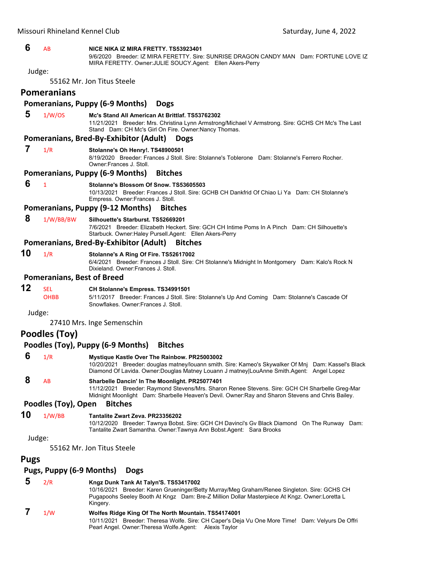# Missouri Rhineland Kennel Club Saturday, June 4, 2022  **6** AB **NICE NIKA IZ MIRA FRETTY. TS53923401** 9/6/2020 Breeder: IZ MIRA FERETTY. Sire: SUNRISE DRAGON CANDY MAN Dam: FORTUNE LOVE IZ MIRA FERETTY. Owner:JULIE SOUCY.Agent: Ellen Akers-Perry Judge: 55162 Mr. Jon Titus Steele **Pomeranians Pomeranians, Puppy (6‐9 Months) Dogs 5** 1/W/OS **Mc's Stand All American At Brittlaf. TS53762302** 11/21/2021 Breeder: Mrs. Christina Lynn Armstrong/Michael V Armstrong. Sire: GCHS CH Mc's The Last Stand Dam: CH Mc's Girl On Fire. Owner:Nancy Thomas. **Pomeranians, Bred‐By‐Exhibitor (Adult) Dogs 7** 1/R **Stolanne's Oh Henry!. TS48900501** 8/19/2020 Breeder: Frances J Stoll. Sire: Stolanne's Toblerone Dam: Stolanne's Ferrero Rocher. Owner:Frances J. Stoll. **Pomeranians, Puppy (6‐9 Months) Bitches 6** <sup>1</sup> **Stolanne's Blossom Of Snow. TS53605503** 10/13/2021 Breeder: Frances J Stoll. Sire: GCHB CH Dankfrid Of Chiao Li Ya Dam: CH Stolanne's Empress. Owner:Frances J. Stoll. **Pomeranians, Puppy (9‐12 Months) Bitches 8** 1/W/BB/BW **Silhouette's Starburst. TS52669201** 7/6/2021 Breeder: Elizabeth Heckert. Sire: GCH CH Intime Poms In A Pinch Dam: CH Silhouette's Starbuck. Owner:Haley Pursell.Agent: Ellen Akers-Perry **Pomeranians, Bred‐By‐Exhibitor (Adult) Bitches 10** 1/R **Stolanne's A Ring Of Fire. TS52617002** 6/4/2021 Breeder: Frances J Stoll. Sire: CH Stolanne's Midnight In Montgomery Dam: Kalo's Rock N Dixieland. Owner:Frances J. Stoll. **Pomeranians, Best of Breed 12** SEL **CH Stolanne's Empress. TS34991501** OHBB 5/11/2017 Breeder: Frances J Stoll. Sire: Stolanne's Up And Coming Dam: Stolanne's Cascade Of Snowflakes. Owner:Frances J. Stoll. Judge: 27410 Mrs. Inge Semenschin **Poodles (Toy) Poodles (Toy), Puppy (6‐9 Months) Bitches 6** 1/R **Mystique Kastle Over The Rainbow. PR25003002** 10/20/2021 Breeder: douglas matney/louann smith. Sire: Kameo's Skywalker Of Mnj Dam: Kassel's Black Diamond Of Lavida. Owner:Douglas Matney Louann J matney|LouAnne Smith.Agent: Angel Lopez  **8** AB **Sharbelle Dancin' In The Moonlight. PR25077401** 11/12/2021 Breeder: Raymond Stevens/Mrs. Sharon Renee Stevens. Sire: GCH CH Sharbelle Greg-Mar Midnight Moonlight Dam: Sharbelle Heaven's Devil. Owner:Ray and Sharon Stevens and Chris Bailey. **Poodles (Toy), Open Bitches 10** 1/W/BB **Tantalite Zwart Zeva. PR23356202** 10/12/2020 Breeder: Tawnya Bobst. Sire: GCH CH Davinci's Gv Black Diamond On The Runway Dam: Tantalite Zwart Samantha. Owner:Tawnya Ann Bobst.Agent: Sara Brooks Judge: 55162 Mr. Jon Titus Steele **Pugs Pugs, Puppy (6‐9 Months) Dogs 5** 2/R **Kngz Dunk Tank At Talyn'S. TS53417002** 10/16/2021 Breeder: Karen Grueninger/Betty Murray/Meg Graham/Renee Singleton. Sire: GCHS CH

Kingery.  **7** 1/W **Wolfes Ridge King Of The North Mountain. TS54174001** 10/11/2021 Breeder: Theresa Wolfe. Sire: CH Caper's Deja Vu One More Time! Dam: Velyurs De Offri Pearl Angel. Owner:Theresa Wolfe.Agent: Alexis Taylor

Pugapoohs Seeley Booth At Kngz Dam: Bre-Z Million Dollar Masterpiece At Kngz. Owner:Loretta L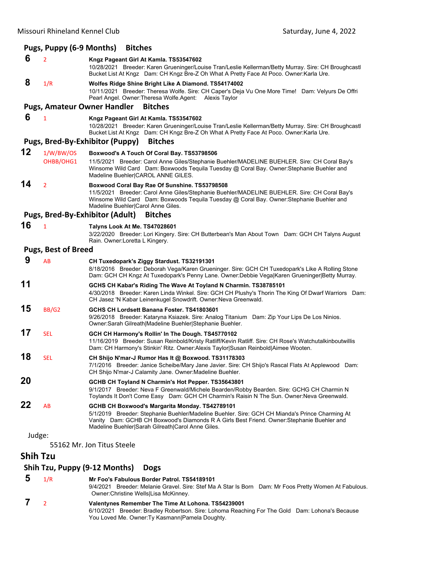#### **Pugs, Puppy (6‐9 Months) Bitches 6** <sup>2</sup> **Kngz Pageant Girl At Kamla. TS53547602** 10/28/2021 Breeder: Karen Grueninger/Louise Tran/Leslie Kellerman/Betty Murray. Sire: CH Broughcastl Bucket List At Kngz Dam: CH Kngz Bre-Z Oh What A Pretty Face At Poco. Owner:Karla Ure.  **8** 1/R **Wolfes Ridge Shine Bright Like A Diamond. TS54174002** 10/11/2021 Breeder: Theresa Wolfe. Sire: CH Caper's Deja Vu One More Time! Dam: Velyurs De Offri Pearl Angel. Owner:Theresa Wolfe.Agent: Alexis Taylor **Pugs, Amateur Owner Handler Bitches 6** <sup>1</sup> **Kngz Pageant Girl At Kamla. TS53547602** 10/28/2021 Breeder: Karen Grueninger/Louise Tran/Leslie Kellerman/Betty Murray. Sire: CH Broughcastl Bucket List At Kngz Dam: CH Kngz Bre-Z Oh What A Pretty Face At Poco. Owner:Karla Ure. **Pugs, Bred‐By‐Exhibitor (Puppy) Bitches 12** 1/W/BW/OS **Boxwood's A Touch Of Coral Bay. TS53798506** OHBB/OHG1 11/5/2021 Breeder: Carol Anne Giles/Stephanie Buehler/MADELINE BUEHLER. Sire: CH Coral Bay's Winsome Wild Card Dam: Boxwoods Tequila Tuesday @ Coral Bay. Owner:Stephanie Buehler and Madeline Buehler|CAROL ANNE GILES. **14** <sup>2</sup> **Boxwood Coral Bay Rae Of Sunshine. TS53798508** 11/5/2021 Breeder: Carol Anne Giles/Stephanie Buehler/MADELINE BUEHLER. Sire: CH Coral Bay's Winsome Wild Card Dam: Boxwoods Tequila Tuesday @ Coral Bay. Owner:Stephanie Buehler and Madeline Buehler|Carol Anne Giles. **Pugs, Bred‐By‐Exhibitor (Adult) Bitches 16** <sup>1</sup> **Talyns Look At Me. TS47028601** 3/22/2020 Breeder: Lori Kingery. Sire: CH Butterbean's Man About Town Dam: GCH CH Talyns August Rain. Owner:Loretta L Kingery. **Pugs, Best of Breed 9** AB **CH Tuxedopark's Ziggy Stardust. TS32191301** 8/18/2016 Breeder: Deborah Vega/Karen Grueninger. Sire: GCH CH Tuxedopark's Like A Rolling Stone Dam: GCH CH Kngz At Tuxedopark's Penny Lane. Owner:Debbie Vega|Karen Grueninger|Betty Murray. **11 GCHS CH Kabar's Riding The Wave At Toyland N Charmin. TS38785101** 4/30/2018 Breeder: Karen Linda Winkel. Sire: GCH CH Plushy's Thorin The King Of Dwarf Warriors Dam: CH Jasez 'N Kabar Leinenkugel Snowdrift. Owner:Neva Greenwald. **15** BB/G2 **GCHS CH Lordsett Banana Foster. TS41803601** 9/26/2018 Breeder: Kataryna Ksiazek. Sire: Analog Titanium Dam: Zip Your Lips De Los Ninios. Owner:Sarah Gilreath|Madeline Buehler|Stephanie Buehler. **17** SEL **GCH CH Harmony's Rollin' In The Dough. TS45770102** 11/16/2019 Breeder: Susan Reinbold/Kristy Ratliff/Kevin Ratliff. Sire: CH Rose's Watchutalkinboutwillis Dam: CH Harmony's Stinkin' Ritz. Owner:Alexis Taylor|Susan Reinbold|Aimee Wooten. **18** SEL **CH Shijo N'mar-J Rumor Has It @ Boxwood. TS31178303** 7/1/2016 Breeder: Janice Scheibe/Mary Jane Javier. Sire: CH Shijo's Rascal Flats At Applewood Dam: CH Shijo N'mar-J Calamity Jane. Owner:Madeline Buehler. **20 GCHB CH Toyland N Charmin's Hot Pepper. TS35643801** 9/1/2017 Breeder: Neva F Greenwald/Michele Bearden/Robby Bearden. Sire: GCHG CH Charmin N Toylands It Don't Come Easy Dam: GCH CH Charmin's Raisin N The Sun. Owner:Neva Greenwald. **22** AB **GCHB CH Boxwood's Margarita Monday. TS42789101** 5/1/2019 Breeder: Stephanie Buehler/Madeline Buehler. Sire: GCH CH Mianda's Prince Charming At Vanity Dam: GCHB CH Boxwood's Diamonds R A Girls Best Friend. Owner:Stephanie Buehler and Madeline Buehler|Sarah Gilreath|Carol Anne Giles. Judge: 55162 Mr. Jon Titus Steele **Shih Tzu Shih Tzu, Puppy (9‐12 Months) Dogs**

 **5** 1/R **Mr Foo's Fabulous Border Patrol. TS54189101** 9/4/2021 Breeder: Melanie Gravel. Sire: Stef Ma A Star Is Born Dam: Mr Foos Pretty Women At Fabulous. Owner:Christine Wells|Lisa McKinney.  **7** <sup>2</sup> **Valentynes Remember The Time At Lohona. TS54239001** 6/10/2021 Breeder: Bradley Robertson. Sire: Lohoma Reaching For The Gold Dam: Lohona's Because You Loved Me. Owner:Ty Kasmann|Pamela Doughty.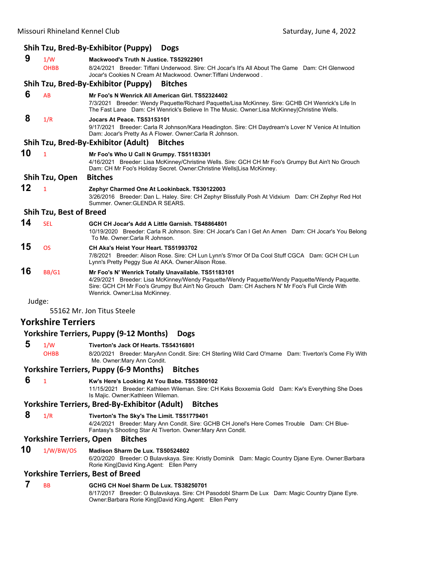# **Shih Tzu, Bred‐By‐Exhibitor (Puppy) Dogs**

|        |                                 | $\mathcal{L}$ . $\mathcal{L}$ $\mathcal{L}$ $\mathcal{L}$ $\mathcal{L}$ . The state $\mathcal{L}$                                                                                                                                                                                      |  |
|--------|---------------------------------|----------------------------------------------------------------------------------------------------------------------------------------------------------------------------------------------------------------------------------------------------------------------------------------|--|
| 9      | 1/W<br><b>OHBB</b>              | Mackwood's Truth N Justice. TS52922901<br>8/24/2021 Breeder: Tiffani Underwood. Sire: CH Jocar's It's All About The Game Dam: CH Glenwood<br>Jocar's Cookies N Cream At Mackwood. Owner:Tiffani Underwood.                                                                             |  |
|        |                                 | Shih Tzu, Bred-By-Exhibitor (Puppy)<br><b>Bitches</b>                                                                                                                                                                                                                                  |  |
| 6      | AB                              | Mr Foo's N Wenrick All American Girl. TS52324402<br>7/3/2021 Breeder: Wendy Paquette/Richard Paquette/Lisa McKinney. Sire: GCHB CH Wenrick's Life In<br>The Fast Lane Dam: CH Wenrick's Believe In The Music. Owner: Lisa McKinney Christine Wells.                                    |  |
| 8      | 1/R                             | Jocars At Peace. TS53153101<br>9/17/2021 Breeder: Carla R Johnson/Kara Headington. Sire: CH Daydream's Lover N' Venice At Intuition<br>Dam: Jocar's Pretty As A Flower. Owner: Carla R Johnson.                                                                                        |  |
|        |                                 | Shih Tzu, Bred-By-Exhibitor (Adult)<br><b>Bitches</b>                                                                                                                                                                                                                                  |  |
| 10     | $\mathbf{1}$                    | Mr Foo's Who U Call N Grumpy. TS51183301<br>4/16/2021 Breeder: Lisa McKinney/Christine Wells. Sire: GCH CH Mr Foo's Grumpy But Ain't No Grouch<br>Dam: CH Mr Foo's Holiday Secret. Owner: Christine Wells Lisa McKinney.                                                               |  |
|        | Shih Tzu, Open                  | <b>Bitches</b>                                                                                                                                                                                                                                                                         |  |
| 12     | 1                               | Zephyr Charmed One At Lookinback. TS30122003<br>3/26/2016 Breeder: Dan L. Haley. Sire: CH Zephyr Blissfully Posh At Vidxium Dam: CH Zephyr Red Hot<br>Summer, Owner: GLENDA R SEARS.                                                                                                   |  |
|        | <b>Shih Tzu, Best of Breed</b>  |                                                                                                                                                                                                                                                                                        |  |
| 14     | <b>SEL</b>                      | GCH CH Jocar's Add A Little Garnish. TS48864801<br>10/19/2020 Breeder: Carla R Johnson. Sire: CH Jocar's Can I Get An Amen Dam: CH Jocar's You Belong<br>To Me. Owner: Carla R Johnson.                                                                                                |  |
| 15     | <b>OS</b>                       | CH Aka's Heist Your Heart. TS51993702<br>7/8/2021 Breeder: Alison Rose. Sire: CH Lun Lynn's S'mor Of Da Cool Stuff CGCA Dam: GCH CH Lun<br>Lynn's Pretty Peggy Sue At AKA. Owner: Alison Rose.                                                                                         |  |
| 16     | BB/G1                           | Mr Foo's N' Wenrick Totally Unavailable. TS51183101<br>4/29/2021 Breeder: Lisa McKinney/Wendy Paquette/Wendy Paquette/Wendy Paquette/Wendy Paquette.<br>Sire: GCH CH Mr Foo's Grumpy But Ain't No Grouch Dam: CH Aschers N' Mr Foo's Full Circle With<br>Wenrick. Owner:Lisa McKinney. |  |
| Judge: |                                 |                                                                                                                                                                                                                                                                                        |  |
|        |                                 | 55162 Mr. Jon Titus Steele                                                                                                                                                                                                                                                             |  |
|        | <b>Yorkshire Terriers</b>       |                                                                                                                                                                                                                                                                                        |  |
|        |                                 | <b>Yorkshire Terriers, Puppy (9-12 Months)</b><br><b>Dogs</b>                                                                                                                                                                                                                          |  |
| 5      | 1/W<br>OHBB                     | Tiverton's Jack Of Hearts, TS54316801<br>8/20/2021 Breeder: MaryAnn Condit. Sire: CH Sterling Wild Card O'marne Dam: Tiverton's Come Fly With<br>Me. Owner: Mary Ann Condit.                                                                                                           |  |
|        |                                 | <b>Yorkshire Terriers, Puppy (6-9 Months)</b><br><b>Bitches</b>                                                                                                                                                                                                                        |  |
| 6      | 1                               | Kw's Here's Looking At You Babe. TS53800102<br>11/15/2021 Breeder: Kathleen Wileman. Sire: CH Keks Boxxemia Gold Dam: Kw's Everything She Does<br>Is Majic. Owner: Kathleen Wileman.                                                                                                   |  |
|        |                                 | <b>Yorkshire Terriers, Bred-By-Exhibitor (Adult)</b><br><b>Bitches</b>                                                                                                                                                                                                                 |  |
| 8      | 1/R                             | Tiverton's The Sky's The Limit. TS51779401<br>4/24/2021 Breeder: Mary Ann Condit. Sire: GCHB CH Jonel's Here Comes Trouble Dam: CH Blue-<br>Fantasy's Shooting Star At Tiverton. Owner: Mary Ann Condit.                                                                               |  |
|        | <b>Yorkshire Terriers, Open</b> | <b>Bitches</b>                                                                                                                                                                                                                                                                         |  |
| 10     | 1/W/BW/OS                       | Madison Sharm De Lux, TS50524802<br>6/20/2020 Breeder: O Bulavskaya. Sire: Kristly Dominik Dam: Magic Country Djane Eyre. Owner: Barbara<br>Rorie King David King.Agent: Ellen Perry                                                                                                   |  |
|        |                                 | <b>Yorkshire Terriers, Best of Breed</b>                                                                                                                                                                                                                                               |  |
| 7      | <b>BB</b>                       | GCHG CH Noel Sharm De Lux. TS38250701<br>8/17/2017 Breeder: O Bulavskaya. Sire: CH Pasodobl Sharm De Lux Dam: Magic Country Djane Eyre.<br>Owner: Barbara Rorie King David King. Agent: Ellen Perry                                                                                    |  |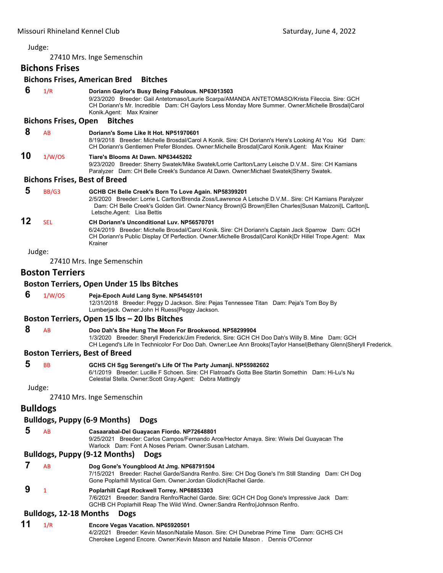27410 Mrs. Inge Semenschin

# **Bichons Frises**

# **Bichons Frises, American Bred Bitches**

|    |                                      | bithous inses, Anientali bied bittiles                                                                                                                                                                                                                                              |  |  |
|----|--------------------------------------|-------------------------------------------------------------------------------------------------------------------------------------------------------------------------------------------------------------------------------------------------------------------------------------|--|--|
| 6  | 1/R                                  | Doriann Gaylor's Busy Being Fabulous. NP63013503<br>9/23/2020 Breeder: Gail Antetomaso/Laurie Scarpa/AMANDA ANTETOMASO/Krista Fileccia. Sire: GCH<br>CH Doriann's Mr. Incredible Dam: CH Gaylors Less Monday More Summer. Owner: Michelle Brosdal Carol<br>Konik Agent: Max Krainer |  |  |
|    | <b>Bichons Frises, Open</b>          | <b>Bitches</b>                                                                                                                                                                                                                                                                      |  |  |
| 8  | AB                                   | Doriann's Some Like It Hot. NP51970601<br>8/19/2018 Breeder: Michelle Brosdal/Carol A Konik. Sire: CH Doriann's Here's Looking At You Kid Dam:<br>CH Doriann's Gentlemen Prefer Blondes. Owner:Michelle Brosdal Carol Konik.Agent: Max Krainer                                      |  |  |
| 10 | 1/W/OS                               | Tiare's Blooms At Dawn, NP63445202<br>9/23/2020 Breeder: Sherry Swatek/Mike Swatek/Lorrie Carlton/Larry Leische D.V.M Sire: CH Kamians<br>Paralyzer Dam: CH Belle Creek's Sundance At Dawn. Owner: Michael Swatek Sherry Swatek.                                                    |  |  |
|    | <b>Bichons Frises, Best of Breed</b> |                                                                                                                                                                                                                                                                                     |  |  |
| 5  | BB/G3                                | GCHB CH Belle Creek's Born To Love Again. NP58399201                                                                                                                                                                                                                                |  |  |
|    |                                      | 2/5/2020 Breeder: Lorrie L Carlton/Brenda Zoss/Lawrence A Letsche D.V.M Sire: CH Kamians Paralyzer<br>Dam: CH Belle Creek's Golden Girl. Owner:Nancy Brown G Brown Ellen Charles Susan Malzoni L Carlton L<br>Letsche.Agent: Lisa Bettis                                            |  |  |
| 12 | <b>SEL</b>                           | <b>CH Doriann's Unconditional Luv. NP56570701</b><br>6/24/2019 Breeder: Michelle Brosdal/Carol Konik. Sire: CH Doriann's Captain Jack Sparrow Dam: GCH<br>CH Doriann's Public Display Of Perfection. Owner: Michelle Brosdal Carol Konik Dr Hillel Trope. Agent: Max<br>Krainer     |  |  |
|    | Judge:                               |                                                                                                                                                                                                                                                                                     |  |  |
|    |                                      | 27410 Mrs. Inge Semenschin                                                                                                                                                                                                                                                          |  |  |
|    | <b>Boston Terriers</b>               |                                                                                                                                                                                                                                                                                     |  |  |
|    |                                      | <b>Boston Terriers, Open Under 15 lbs Bitches</b>                                                                                                                                                                                                                                   |  |  |
| 6  | 1/W/OS                               | Peja-Epoch Auld Lang Syne. NP54545101<br>12/31/2018 Breeder: Peggy D Jackson. Sire: Pejas Tennessee Titan Dam: Peja's Tom Boy By<br>Lumberjack. Owner: John H Ruess Peggy Jackson.                                                                                                  |  |  |
|    |                                      | Boston Terriers, Open 15 lbs - 20 lbs Bitches                                                                                                                                                                                                                                       |  |  |
| 8  | AB                                   | Doo Dah's She Hung The Moon For Brookwood. NP58299904<br>1/3/2020 Breeder: Sheryll Frederick/Jim Frederick. Sire: GCH CH Doo Dah's Willy B. Mine Dam: GCH<br>CH Legend's Life In Technicolor For Doo Dah. Owner:Lee Ann Brooks Taylor Hansel Bethany Glenn Sheryll Frederick.       |  |  |
|    |                                      | <b>Boston Terriers, Best of Breed</b>                                                                                                                                                                                                                                               |  |  |
| 5  | <b>BB</b>                            | GCHS CH Sgg Serengeti's Life Of The Party Jumanji. NP55982602<br>6/1/2019 Breeder: Lucille F Schoen. Sire: CH Flatroad's Gotta Bee Startin Somethin Dam: Hi-Lu's Nu<br>Celestial Stella. Owner: Scott Gray. Agent: Debra Mattingly                                                  |  |  |
|    | Judge:                               |                                                                                                                                                                                                                                                                                     |  |  |
|    |                                      | 27410 Mrs. Inge Semenschin                                                                                                                                                                                                                                                          |  |  |
|    | <b>Bulldogs</b>                      |                                                                                                                                                                                                                                                                                     |  |  |
|    |                                      | <b>Bulldogs, Puppy (6-9 Months)</b><br><b>Dogs</b>                                                                                                                                                                                                                                  |  |  |
| 5  | AB                                   | Casaarabal-Del Guayacan Fiordo. NP72648801                                                                                                                                                                                                                                          |  |  |
|    |                                      | 9/25/2021 Breeder: Carlos Campos/Fernando Arce/Hector Amaya. Sire: Wiwis Del Guayacan The<br>Warlock Dam: Font A Noses Periam. Owner: Susan Latcham.                                                                                                                                |  |  |
|    |                                      | <b>Bulldogs, Puppy (9-12 Months)</b><br><b>Dogs</b>                                                                                                                                                                                                                                 |  |  |
| 7  | AB                                   | Dog Gone's Youngblood At Jmg. NP68791504                                                                                                                                                                                                                                            |  |  |
|    |                                      | 7/15/2021 Breeder: Rachel Garde/Sandra Renfro. Sire: CH Dog Gone's I'm Still Standing Dam: CH Dog<br>Gone Poplarhill Mystical Gem. Owner:Jordan Glodich Rachel Garde.                                                                                                               |  |  |
| 9  | 1                                    | Poplarhill Capt Rockwell Torrey. NP68853303<br>7/6/2021 Breeder: Sandra Renfro/Rachel Garde. Sire: GCH CH Dog Gone's Impressive Jack Dam:<br>GCHB CH Poplarhill Reap The Wild Wind. Owner:Sandra Renfro Johnson Renfro.                                                             |  |  |
|    | <b>Bulldogs, 12-18 Months</b>        | <b>Dogs</b>                                                                                                                                                                                                                                                                         |  |  |
| 11 | 1/R                                  | Encore Vegas Vacation. NP65920501                                                                                                                                                                                                                                                   |  |  |

4/2/2021 Breeder: Kevin Mason/Natalie Mason. Sire: CH Dunebrae Prime Time Dam: GCHS CH Cherokee Legend Encore. Owner:Kevin Mason and Natalie Mason . Dennis O'Connor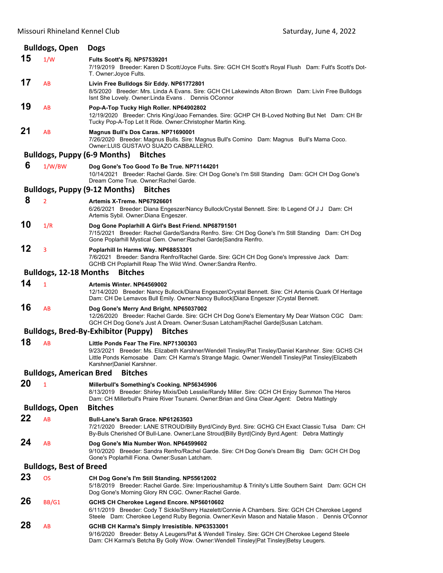| <b>Bulldogs, Open</b>          |                                | <b>Dogs</b>                                                                                                                                                                                                                                                                          |  |
|--------------------------------|--------------------------------|--------------------------------------------------------------------------------------------------------------------------------------------------------------------------------------------------------------------------------------------------------------------------------------|--|
| 15                             | 1/W                            | Fults Scott's Rj. NP57539201<br>7/19/2019 Breeder: Karen D Scott/Joyce Fults. Sire: GCH CH Scott's Royal Flush Dam: Fult's Scott's Dot-<br>T. Owner: Joyce Fults.                                                                                                                    |  |
| 17                             | AB                             | Livin Free Bulldogs Sir Eddy. NP61772801<br>8/5/2020 Breeder: Mrs. Linda A Evans. Sire: GCH CH Lakewinds Alton Brown Dam: Livin Free Bulldogs<br>Isnt She Lovely. Owner: Linda Evans. Dennis OConnor                                                                                 |  |
| 19                             | AB                             | Pop-A-Top Tucky High Roller. NP64902802<br>12/19/2020 Breeder: Chris King/Joao Fernandes. Sire: GCHP CH B-Loved Nothing But Net Dam: CH Br<br>Tucky Pop-A-Top Let It Ride. Owner: Christopher Martin King.                                                                           |  |
| 21                             | AB                             | Magnus Bull's Dos Caras. NP71690001<br>7/26/2020 Breeder: Magnus Bulls. Sire: Magnus Bull's Comino Dam: Magnus Bull's Mama Coco.<br>Owner LUIS GUSTAVO SUAZO CABBALLERO.                                                                                                             |  |
|                                |                                | <b>Bulldogs, Puppy (6-9 Months)</b><br><b>Bitches</b>                                                                                                                                                                                                                                |  |
| 6                              | 1/W/BW                         | Dog Gone's Too Good To Be True. NP71144201<br>10/14/2021 Breeder: Rachel Garde. Sire: CH Dog Gone's I'm Still Standing Dam: GCH CH Dog Gone's<br>Dream Come True. Owner: Rachel Garde.                                                                                               |  |
|                                |                                | <b>Bulldogs, Puppy (9-12 Months)</b><br><b>Bitches</b>                                                                                                                                                                                                                               |  |
| 8                              | $\overline{2}$                 | Artemis X-Treme, NP67926601<br>6/26/2021 Breeder: Diana Engeszer/Nancy Bullock/Crystal Bennett. Sire: Ib Legend Of J J Dam: CH<br>Artemis Sybil. Owner: Diana Engeszer.                                                                                                              |  |
| 10                             | 1/R                            | Dog Gone Poplarhill A Girl's Best Friend. NP68791501<br>7/15/2021 Breeder: Rachel Garde/Sandra Renfro. Sire: CH Dog Gone's I'm Still Standing Dam: CH Dog<br>Gone Poplarhill Mystical Gem. Owner: Rachel Garde Sandra Renfro.                                                        |  |
| 12                             | 3                              | Poplarhill In Harms Way. NP68853301<br>7/6/2021 Breeder: Sandra Renfro/Rachel Garde. Sire: GCH CH Dog Gone's Impressive Jack Dam:<br>GCHB CH Poplarhill Reap The Wild Wind. Owner: Sandra Renfro.                                                                                    |  |
|                                | <b>Bulldogs, 12-18 Months</b>  | <b>Bitches</b>                                                                                                                                                                                                                                                                       |  |
| 14                             | $\mathbf{1}$                   | Artemis Winter, NP64569002<br>12/14/2020 Breeder: Nancy Bullock/Diana Engeszer/Crystal Bennett. Sire: CH Artemis Quark Of Heritage<br>Dam: CH De Lemavos Bull Emily. Owner:Nancy Bullock   Diana Engeszer   Crystal Bennett.                                                         |  |
| 16                             | AB                             | Dog Gone's Merry And Bright. NP65037002<br>12/26/2020 Breeder: Rachel Garde. Sire: GCH CH Dog Gone's Elementary My Dear Watson CGC Dam:<br>GCH CH Dog Gone's Just A Dream. Owner:Susan Latcham Rachel Garde Susan Latcham.                                                           |  |
|                                |                                | <b>Bulldogs, Bred-By-Exhibitor (Puppy)</b><br><b>Bitches</b>                                                                                                                                                                                                                         |  |
| 18                             | AB                             | Little Ponds Fear The Fire. NP71300303<br>9/23/2021 Breeder: Ms. Elizabeth Karshner/Wendell Tinsley/Pat Tinsley/Daniel Karshner. Sire: GCHS CH<br>Little Ponds Kemosabe Dam: CH Karma's Strange Magic. Owner: Wendell Tinsley   Pat Tinsley   Elizabeth<br>Karshner Daniel Karshner. |  |
|                                | <b>Bulldogs, American Bred</b> | <b>Bitches</b>                                                                                                                                                                                                                                                                       |  |
| 20                             | 1                              | Millerbull's Something's Cooking. NP56345906<br>8/13/2019 Breeder: Shirley Mixis/Deb Lesslie/Randy Miller. Sire: GCH CH Enjoy Summon The Heros<br>Dam: CH Millerbull's Praire River Tsunami. Owner: Brian and Gina Clear. Agent: Debra Mattingly                                     |  |
|                                | <b>Bulldogs, Open</b>          | <b>Bitches</b>                                                                                                                                                                                                                                                                       |  |
| 22                             | AB                             | Bull-Lane's Sarah Grace. NP61263503<br>7/21/2020 Breeder: LANE STROUD/Billy Byrd/Cindy Byrd. Sire: GCHG CH Exact Classic Tulsa Dam: CH<br>By-Buls Cherished Of Bull-Lane. Owner:Lane Stroud Billy Byrd Cindy Byrd.Agent: Debra Mattingly                                             |  |
| 24                             | AB                             | Dog Gone's Mia Number Won. NP64599602<br>9/10/2020 Breeder: Sandra Renfro/Rachel Garde. Sire: CH Dog Gone's Dream Big Dam: GCH CH Dog<br>Gone's Poplarhill Fiona. Owner: Susan Latcham.                                                                                              |  |
| <b>Bulldogs, Best of Breed</b> |                                |                                                                                                                                                                                                                                                                                      |  |
| 23                             | <b>OS</b>                      | CH Dog Gone's I'm Still Standing. NP55612002<br>5/18/2019 Breeder: Rachel Garde. Sire: Imperioushamitup & Trinity's Little Southern Saint Dam: GCH CH<br>Dog Gone's Morning Glory RN CGC. Owner: Rachel Garde.                                                                       |  |
| 26                             | BB/G1                          | GCHS CH Cherokee Legend Encore. NP56010602<br>6/11/2019 Breeder: Cody T Sickle/Sherry Hazelett/Connie A Chambers. Sire: GCH CH Cherokee Legend<br>Steele Dam: Cherokee Legend Ruby Begonia. Owner: Kevin Mason and Natalie Mason . Dennis O'Connor                                   |  |
| 28                             | AB                             | GCHB CH Karma's Simply Irresistible. NP63533001<br>9/16/2020 Breeder: Betsy A Leugers/Pat & Wendell Tinsley. Sire: GCH CH Cherokee Legend Steele<br>Dam: CH Karma's Betcha By Golly Wow. Owner: Wendell Tinsley Pat Tinsley Betsy Leugers.                                           |  |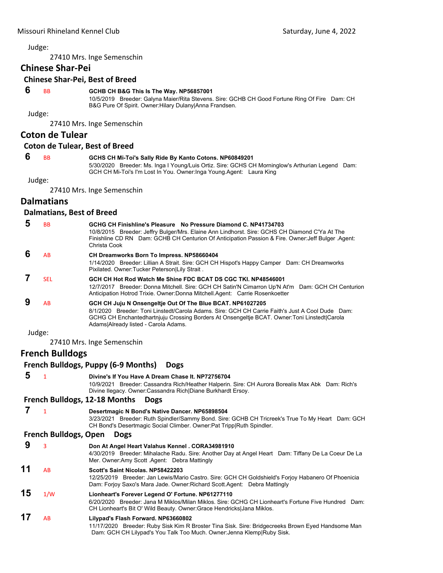27410 Mrs. Inge Semenschin

# **Chinese Shar‐Pei**

# **Chinese Shar‐Pei, Best of Breed**

#### **6** BB **GCHB CH B&G This Is The Way. NP56857001**

10/5/2019 Breeder: Galyna Maier/Rita Stevens. Sire: GCHB CH Good Fortune Ring Of Fire Dam: CH B&G Pure Of Spirit. Owner:Hilary Dulany|Anna Frandsen.

Judge:

27410 Mrs. Inge Semenschin

#### **Coton de Tulear**

#### **Coton de Tulear, Best of Breed**

# **6** BB **GCHS CH Mi-Toi's Sally Ride By Kanto Cotons. NP60849201**

5/30/2020 Breeder: Ms. Inga I Young/Luis Ortiz. Sire: GCHS CH Morninglow's Arthurian Legend Dam: GCH CH Mi-Toi's I'm Lost In You. Owner:Inga Young.Agent: Laura King

Judge:

27410 Mrs. Inge Semenschin

# **Dalmatians**

#### **Dalmatians, Best of Breed**

| <b>BB</b>  | GCHG CH Finishline's Pleasure No Pressure Diamond C. NP41734703<br>10/8/2015 Breeder: Jeffry Bulger/Mrs. Elaine Ann Lindhorst. Sire: GCHS CH Diamond C'Ya At The<br>Finishline CD RN Dam: GCHB CH Centurion Of Anticipation Passion & Fire. Owner: Jeff Bulger . Agent:<br>Christa Cook               |
|------------|-------------------------------------------------------------------------------------------------------------------------------------------------------------------------------------------------------------------------------------------------------------------------------------------------------|
| AB         | CH Dreamworks Born To Impress. NP58660404<br>1/14/2020 Breeder: Lillian A Strait. Sire: GCH CH Hispot's Happy Camper Dam: CH Dreamworks<br>Pixilated. Owner: Tucker Peterson Lily Strait.                                                                                                             |
| <b>SEL</b> | GCH CH Hot Rod Watch Me Shine FDC BCAT DS CGC TKI. NP48546001<br>12/7/2017 Breeder: Donna Mitchell. Sire: GCH CH Satin'N Cimarron Up'N At'm Dam: GCH CH Centurion<br>Anticipation Hotrod Trixie. Owner: Donna Mitchell. Agent: Carrie Rosenkoetter                                                    |
| AB         | GCH CH Juju N Onsengeltje Out Of The Blue BCAT. NP61027205<br>8/1/2020 Breeder: Toni Linstedt/Carola Adams, Sire: GCH CH Carrie Faith's Just A Cool Dude Dam:<br>GCHG CH Enchantedhartnjuju Crossing Borders At Onsengeltje BCAT. Owner: Toni Linstedt Carola<br>Adams Already listed - Carola Adams. |
| Judge:     |                                                                                                                                                                                                                                                                                                       |

27410 Mrs. Inge Semenschin

# **French Bulldogs**

#### **French Bulldogs, Puppy (6‐9 Months) Dogs**

 **5** <sup>1</sup> **Divine's If You Have A Dream Chase It. NP72756704**

10/9/2021 Breeder: Cassandra Rich/Heather Halperin. Sire: CH Aurora Borealis Max Abk Dam: Rich's Divine Ilegacy. Owner:Cassandra Rich|Diane Burkhardt Ersoy.

# **French Bulldogs, 12‐18 Months Dogs**

 **7** <sup>1</sup> **Desertmagic N Bond's Native Dancer. NP65898504** 3/23/2021 Breeder: Ruth Spindler/Sammy Bond. Sire: GCHB CH Tricreek's True To My Heart Dam: GCH CH Bond's Desertmagic Social Climber. Owner:Pat Tripp|Ruth Spindler.

#### **French Bulldogs, Open Dogs**

| 9  |                | Don At Angel Heart Valahus Kennel . CORA34981910<br>4/30/2019 Breeder: Mihalache Radu. Sire: Another Day at Angel Heart Dam: Tiffany De La Coeur De La<br>Mer. Owner: Amy Scott . Agent: Debra Mattingly                          |
|----|----------------|-----------------------------------------------------------------------------------------------------------------------------------------------------------------------------------------------------------------------------------|
| 11 | A <sub>R</sub> | Scott's Saint Nicolas, NP58422203<br>12/25/2019 Breeder: Jan Lewis/Mario Castro. Sire: GCH CH Goldshield's Forjoy Habanero Of Phoenicia<br>Dam: Forjoy Saxo's Mara Jade. Owner: Richard Scott Agent: Debra Mattingly              |
| 15 | 1/W            | Lionheart's Forever Legend O' Fortune. NP61277110<br>6/20/2020 Breeder: Jana M Miklos/Milan Miklos, Sire: GCHG CH Lionheart's Fortune Five Hundred Dam:<br>CH Lionheart's Bit O' Wild Beauty. Owner: Grace Hendricks Jana Miklos. |
| 17 | AB             | Lilypad's Flash Forward. NP63660802<br>11/17/2020 Breeder: Ruby Sisk Kim R Broster Tina Sisk Sire: Bridgecreeks Brown Eved Handsome Man                                                                                           |

11/17/2020 Breeder: Ruby Sisk Kim R Broster Tina Sisk. Sire: Bridgecreeks Brown Eyed Handsome Man Dam: GCH CH Lilypad's You Talk Too Much. Owner:Jenna Klemp|Ruby Sisk.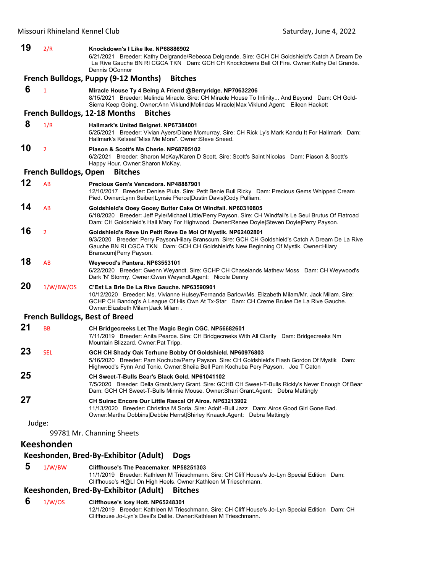#### Missouri Rhineland Kennel Club **Club** *Missouri Rhineland Kennel Club*  **Saturday**, June 4, 2022 **19** 2/R **Knockdown's I Like Ike. NP68886902** 6/21/2021 Breeder: Kathy Delgrande/Rebecca Delgrande. Sire: GCH CH Goldshield's Catch A Dream De La Rive Gauche BN RI CGCA TKN Dam: GCH CH Knockdowns Ball Of Fire. Owner:Kathy Del Grande. Dennis OConnor **French Bulldogs, Puppy (9‐12 Months) Bitches 6** <sup>1</sup> **Miracle House Ty 4 Being A Friend @Berryridge. NP70632206** 8/15/2021 Breeder: Melinda Miracle. Sire: CH Miracle House To Infinity... And Beyond Dam: CH Gold-Sierra Keep Going. Owner:Ann Viklund|Melindas Miracle|Max Viklund.Agent: Eileen Hackett **French Bulldogs, 12‐18 Months Bitches 8** 1/R **Hallmark's United Beignet. NP67384001** 5/25/2021 Breeder: Vivian Ayers/Diane Mcmurray. Sire: CH Rick Ly's Mark Kandu It For Hallmark Dam: Hallmark's Kelsea!"Miss Me More". Owner:Steve Sneed. **10** <sup>2</sup> **Piason & Scott's Ma Cherie. NP68705102** 6/2/2021 Breeder: Sharon McKay/Karen D Scott. Sire: Scott's Saint Nicolas Dam: Piason & Scott's Happy Hour. Owner:Sharon McKay. **French Bulldogs, Open Bitches 12** AB **Precious Gem's Vencedora. NP48887901** 12/10/2017 Breeder: Denise Pluta. Sire: Petit Benie Bull Ricky Dam: Precious Gems Whipped Cream Pied. Owner:Lynn Seiber|Lynsie Pierce|Dustin Davis|Cody Pulliam. **14** AB **Goldshield's Ooey Gooey Butter Cake Of Windfall. NP60310805** 6/18/2020 Breeder: Jeff Pyle/Michael Little/Perry Payson. Sire: CH Windfall's Le Seul Brutus Of Flatroad Dam: CH Goldshield's Hail Mary For Highwood. Owner:Renee Doyle|Steven Doyle|Perry Payson. **16** <sup>2</sup> **Goldshield's Reve Un Petit Reve De Moi Of Mystik. NP62402801** 9/3/2020 Breeder: Perry Payson/Hilary Branscum. Sire: GCH CH Goldshield's Catch A Dream De La Rive Gauche BN RI CGCA TKN Dam: GCH CH Goldshield's New Beginning Of Mystik. Owner:Hilary Branscum|Perry Payson. **18** AB **Weywood's Pantera. NP63553101** 6/22/2020 Breeder: Gwenn Weyandt. Sire: GCHP CH Chaselands Mathew Moss Dam: CH Weywood's Dark 'N' Stormy. Owner:Gwen Weyandt.Agent: Nicole Denny **20** 1/W/BW/OS **C'Est La Brie De La Rive Gauche. NP63590901** 10/12/2020 Breeder: Ms. Vivianne Hulsey/Fernanda Barlow/Ms. Elizabeth Milam/Mr. Jack Milam. Sire: GCHP CH Bandog's A League Of His Own At Tx-Star Dam: CH Creme Brulee De La Rive Gauche. Owner:Elizabeth Milam|Jack Milam . **French Bulldogs, Best of Breed 21** BB **CH Bridgecreeks Let The Magic Begin CGC. NP56682601** 7/11/2019 Breeder: Anita Pearce. Sire: CH Bridgecreeks With All Clarity Dam: Bridgecreeks Nm Mountain Blizzard. Owner:Pat Tripp. **23** SEL **GCH CH Shady Oak Terhune Bobby Of Goldshield. NP60976803** 5/16/2020 Breeder: Pam Kochuba/Perry Payson. Sire: CH Goldshield's Flash Gordon Of Mystik Dam: Highwood's Fynn And Tonic. Owner:Sheila Bell Pam Kochuba Pery Payson. Joe T Caton **25 CH Sweet-T-Bulls Bear's Black Gold. NP61041102** 7/5/2020 Breeder: Della Grant/Jerry Grant. Sire: GCHB CH Sweet-T-Bulls Rickly's Never Enough Of Bear Dam: GCH CH Sweet-T-Bulls Minnie Mouse. Owner:Shari Grant.Agent: Debra Mattingly **27 CH Suirac Encore Our Little Rascal Of Airos. NP63213902** 11/13/2020 Breeder: Christina M Soria. Sire: Adolf -Bull Jazz Dam: Airos Good Girl Gone Bad. Owner:Martha Dobbins|Debbie Herrst|Shirley Knaack.Agent: Debra Mattingly Judge: 99781 Mr. Channing Sheets **Keeshonden Keeshonden, Bred‐By‐Exhibitor (Adult) Dogs**

# **5** 1/W/BW **Cliffhouse's The Peacemaker. NP58251303**

11/1/2019 Breeder: Kathleen M Trieschmann. Sire: CH Cliff House's Jo-Lyn Special Edition Dam: Cliffhouse's H@Ll On High Heels. Owner:Kathleen M Trieschmann.

#### **Keeshonden, Bred‐By‐Exhibitor (Adult) Bitches**

#### **6** 1/W/OS **Cliffhouse's Icey Hott. NP65248301**

12/1/2019 Breeder: Kathleen M Trieschmann. Sire: CH Cliff House's Jo-Lyn Special Edition Dam: CH Cliffhouse Jo-Lyn's Devil's Delite. Owner:Kathleen M Trieschmann.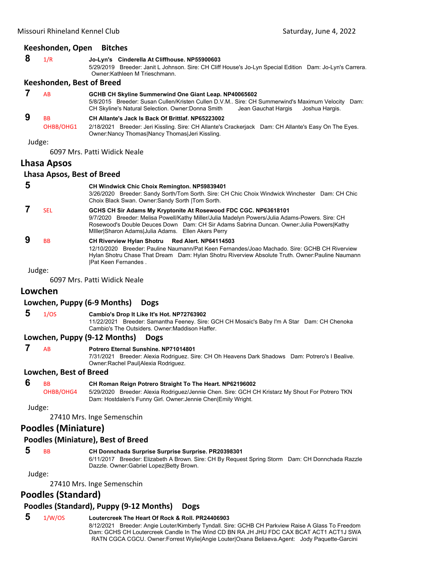#### **Keeshonden, Open Bitches**

| $8 \frac{1}{R}$ |  | Jo-Lyn's Cinderella At Cliffhouse. NP55900603                                                            |  |
|-----------------|--|----------------------------------------------------------------------------------------------------------|--|
|                 |  | 5/29/2019 Breeder: Janit L Johnson. Sire: CH Cliff House's Jo-Lyn Special Edition Dam: Jo-Lyn's Carrera. |  |
|                 |  | Owner:Kathleen M Trieschmann.                                                                            |  |

#### **Keeshonden, Best of Breed**

| <b>AB</b>                         | GCHB CH Skyline Summerwind One Giant Leap. NP40065602<br>5/8/2015 Breeder: Susan Cullen/Kristen Cullen D.V.M Sire: CH Summerwind's Maximum Velocity Dam:<br>Jean Gauchat Hargis Joshua Hargis.<br>CH Skyline's Natural Selection. Owner: Donna Smith |
|-----------------------------------|------------------------------------------------------------------------------------------------------------------------------------------------------------------------------------------------------------------------------------------------------|
| <b>B<sub>B</sub></b><br>OHBB/OHG1 | CH Allante's Jack Is Back Of Brittlaf, NP65223002<br>2/18/2021 Breeder: Jeri Kissling. Sire: CH Allante's Crackerjack Dam: CH Allante's Easy On The Eyes.                                                                                            |
|                                   | Owner: Nancy Thomas Nancy Thomas Jeri Kissling.                                                                                                                                                                                                      |

#### Judge:

6097 Mrs. Patti Widick Neale

#### **Lhasa Apsos**

#### **Lhasa Apsos, Best of Breed**

| 5 |            | <b>CH Windwick Chic Choix Remington. NP59839401</b>                                                                                                                                                                                                                                                                     |
|---|------------|-------------------------------------------------------------------------------------------------------------------------------------------------------------------------------------------------------------------------------------------------------------------------------------------------------------------------|
|   |            | 3/26/2020 Breeder: Sandy Sorth/Tom Sorth. Sire: CH Chic Choix Windwick Winchester Dam: CH Chic<br>Choix Black Swan. Owner: Sandy Sorth   Tom Sorth.                                                                                                                                                                     |
|   | <b>SEL</b> | GCHS CH Sir Adams My Kryptonite At Rosewood FDC CGC. NP63618101<br>Breeder: Melisa Powell/Kathy Miller/Julia Madelyn Powers/Julia Adams-Powers, Sire: CH<br>9/7/2020<br>Rosewood's Double Deuces Down Dam: CH Sir Adams Sabrina Duncan. Owner: Julia Powers Kathy<br>Miller Sharon Adams Julia Adams. Ellen Akers Perry |
|   | <b>BB</b>  | CH Riverview Hylan Shotru Red Alert. NP64114503<br>12/10/2020 Breeder: Pauline Naumann/Pat Keen Fernandes/Joao Machado, Sire: GCHB CH Riverview<br>Hylan Shotru Chase That Dream Dam: Hylan Shotru Riverview Absolute Truth. Owner: Pauline Naumann<br><b>Pat Keen Fernandes.</b>                                       |
|   | Judge:     |                                                                                                                                                                                                                                                                                                                         |

6097 Mrs. Patti Widick Neale

# **Lowchen**

#### **Lowchen, Puppy (6‐9 Months) Dogs**

 **5** 1/OS **Cambio's Drop It Like It's Hot. NP72763902**

11/22/2021 Breeder: Samantha Feeney. Sire: GCH CH Mosaic's Baby I'm A Star Dam: CH Chenoka Cambio's The Outsiders. Owner:Maddison Haffer.

#### **Lowchen, Puppy (9‐12 Months) Dogs**

#### **7** AB **Potrero Eternal Sunshine. NP71014801**

7/31/2021 Breeder: Alexia Rodriguez. Sire: CH Oh Heavens Dark Shadows Dam: Potrero's I Bealive. Owner:Rachel Paul|Alexia Rodriguez.

#### **Lowchen, Best of Breed**

#### **6** BB **CH Roman Reign Potrero Straight To The Heart. NP62196002**

OHBB/OHG4 5/29/2020 Breeder: Alexia Rodriguez/Jennie Chen. Sire: GCH CH Kristarz My Shout For Potrero TKN Dam: Hostdalen's Funny Girl. Owner:Jennie Chen|Emily Wright.

Judge:

27410 Mrs. Inge Semenschin

# **Poodles (Miniature)**

#### **Poodles (Miniature), Best of Breed**

#### **5** BB **CH Donnchada Surprise Surprise Surprise. PR20398301**

6/11/2017 Breeder: Elizabeth A Brown. Sire: CH By Request Spring Storm Dam: CH Donnchada Razzle Dazzle. Owner:Gabriel Lopez|Betty Brown.

### Judge:

27410 Mrs. Inge Semenschin

# **Poodles (Standard)**

#### **Poodles (Standard), Puppy (9‐12 Months) Dogs**

#### **5** 1/W/OS **Loutercreek The Heart Of Rock & Roll. PR24406903** 8/12/2021 Breeder: Angie Louter/Kimberly Tyndall. Sire: GCHB CH Parkview Raise A Glass To Freedom Dam: GCHS CH Loutercreek Candle In The Wind CD BN RA JH JHU FDC CAX BCAT ACT1 ACT1J SWA RATN CGCA CGCU. Owner:Forrest Wylie|Angie Louter|Oxana Beliaeva.Agent: Jody Paquette-Garcini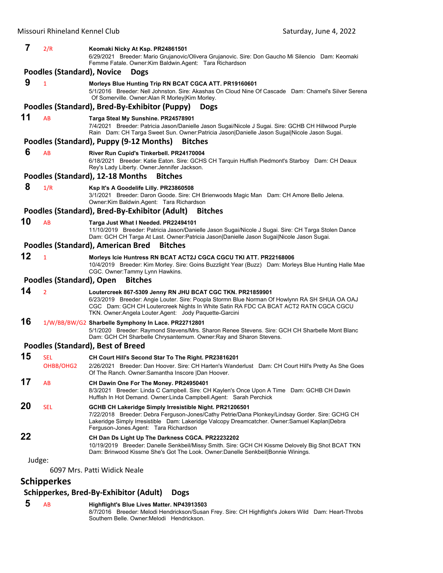| 7      | 2/R                               | Keomaki Nicky At Ksp. PR24861501<br>6/29/2021 Breeder: Mario Grujanovic/Olivera Grujanovic. Sire: Don Gaucho Mi Silencio Dam: Keomaki<br>Femme Fatale. Owner: Kim Baldwin. Agent: Tara Richardson                                                                                                              |
|--------|-----------------------------------|----------------------------------------------------------------------------------------------------------------------------------------------------------------------------------------------------------------------------------------------------------------------------------------------------------------|
|        | <b>Poodles (Standard), Novice</b> | <b>Dogs</b>                                                                                                                                                                                                                                                                                                    |
| 9      | $\mathbf{1}$                      | Morleys Blue Hunting Trip RN BCAT CGCA ATT. PR19160601<br>5/1/2016 Breeder: Nell Johnston. Sire: Akashas On Cloud Nine Of Cascade Dam: Charnel's Silver Serena<br>Of Somerville. Owner: Alan R Morley Kim Morley.                                                                                              |
|        |                                   | Poodles (Standard), Bred-By-Exhibitor (Puppy)<br><b>Dogs</b>                                                                                                                                                                                                                                                   |
| 11     | <b>AB</b>                         | Targa Steal My Sunshine. PR24578901<br>7/4/2021 Breeder: Patricia Jason/Danielle Jason Sugai/Nicole J Sugai. Sire: GCHB CH Hillwood Purple<br>Rain Dam: CH Targa Sweet Sun. Owner: Patricia Jason   Danielle Jason Sugai  Nicole Jason Sugai.                                                                  |
|        |                                   | Poodles (Standard), Puppy (9-12 Months)<br><b>Bitches</b>                                                                                                                                                                                                                                                      |
| 6      | AB                                | River Run Cupid's Tinkerbell. PR24170004<br>6/18/2021 Breeder: Katie Eaton. Sire: GCHS CH Tarquin Huffish Piedmont's Starboy Dam: CH Deaux<br>Rey's Lady Liberty. Owner: Jennifer Jackson.                                                                                                                     |
|        |                                   | Poodles (Standard), 12-18 Months<br><b>Bitches</b>                                                                                                                                                                                                                                                             |
| 8      | 1/R                               | Ksp It's A Goodelife Lilly. PR23860508<br>3/1/2021 Breeder: Daron Goode. Sire: CH Brienwoods Magic Man Dam: CH Amore Bello Jelena.<br>Owner: Kim Baldwin. Agent: Tara Richardson                                                                                                                               |
|        |                                   | Poodles (Standard), Bred-By-Exhibitor (Adult)<br><b>Bitches</b>                                                                                                                                                                                                                                                |
| 10     | AB                                | Targa Just What I Needed. PR22494101<br>11/10/2019 Breeder: Patricia Jason/Danielle Jason Sugai/Nicole J Sugai. Sire: CH Targa Stolen Dance<br>Dam: GCH CH Targa At Last. Owner:Patricia Jason Danielle Jason Sugai Nicole Jason Sugai.                                                                        |
|        |                                   | Poodles (Standard), American Bred<br><b>Bitches</b>                                                                                                                                                                                                                                                            |
| 12     | $\mathbf{1}$                      | Morleys Icie Huntress RN BCAT ACT2J CGCA CGCU TKI ATT. PR22168006<br>10/4/2019 Breeder: Kim Morley. Sire: Goins Buzzlight Year (Buzz) Dam: Morleys Blue Hunting Halle Mae<br>CGC. Owner:Tammy Lynn Hawkins.                                                                                                    |
|        | Poodles (Standard), Open          | <b>Bitches</b>                                                                                                                                                                                                                                                                                                 |
| 14     | $\overline{2}$                    | Loutercreek 867-5309 Jenny RN JHU BCAT CGC TKN. PR21859901<br>6/23/2019 Breeder: Angie Louter. Sire: Poopla Stormn Blue Norman Of Howlynn RA SH SHUA OA OAJ<br>CGC Dam: GCH CH Loutercreek Nights In White Satin RA FDC CA BCAT ACT2 RATN CGCA CGCU<br>TKN. Owner: Angela Louter. Agent: Jody Paquette-Garcini |
| 16     |                                   | 1/W/BB/BW/G2 Sharbelle Symphony In Lace. PR22712801<br>5/1/2020 Breeder: Raymond Stevens/Mrs. Sharon Renee Stevens. Sire: GCH CH Sharbelle Mont Blanc<br>Dam: GCH CH Sharbelle Chrysantemum. Owner: Ray and Sharon Stevens.                                                                                    |
|        |                                   | Poodles (Standard), Best of Breed                                                                                                                                                                                                                                                                              |
| 15     | <b>SEL</b>                        | CH Court Hill's Second Star To The Right. PR23816201                                                                                                                                                                                                                                                           |
|        | OHBB/OHG2                         | 2/26/2021 Breeder: Dan Hoover. Sire: CH Harten's Wanderlust Dam: CH Court Hill's Pretty As She Goes<br>Of The Ranch. Owner: Samantha Inscore   Dan Hoover.                                                                                                                                                     |
| 17     | AB                                | CH Dawin One For The Money. PR24950401<br>8/3/2021 Breeder: Linda C Campbell. Sire: CH Kaylen's Once Upon A Time Dam: GCHB CH Dawin<br>Huffish In Hot Demand. Owner: Linda Campbell. Agent: Sarah Perchick                                                                                                     |
| 20     | <b>SEL</b>                        | GCHB CH Lakeridge Simply Irresistible Night. PR21206501<br>7/22/2018 Breeder: Debra Ferguson-Jones/Cathy Petrie/Dana Plonkey/Lindsay Gorder. Sire: GCHG CH<br>Lakeridge Simply Irresistible Dam: Lakeridge Valcopy Dreamcatcher. Owner: Samuel Kaplan Debra<br>Ferguson-Jones.Agent: Tara Richardson           |
| 22     |                                   | CH Dan Ds Light Up The Darkness CGCA. PR22232202<br>10/19/2019 Breeder: Danelle Senkbeil/Missy Smith. Sire: GCH CH Kissme Delovely Big Shot BCAT TKN<br>Dam: Brinwood Kissme She's Got The Look. Owner:Danelle Senkbeil Bonnie Winings.                                                                        |
| Judge: |                                   |                                                                                                                                                                                                                                                                                                                |
|        |                                   | 6097 Mrs. Patti Widick Neale                                                                                                                                                                                                                                                                                   |
|        | <b>Schipperkes</b>                |                                                                                                                                                                                                                                                                                                                |
|        |                                   | Schipperkes, Bred-By-Exhibitor (Adult)<br><b>Dogs</b>                                                                                                                                                                                                                                                          |

#### **5** AB **Highflight's Blue Lives Matter. NP43913503** 8/7/2016 Breeder: Melodi Hendrickson/Susan Frey. Sire: CH Highflight's Jokers Wild Dam: Heart-Throbs Southern Belle. Owner:Melodi Hendrickson.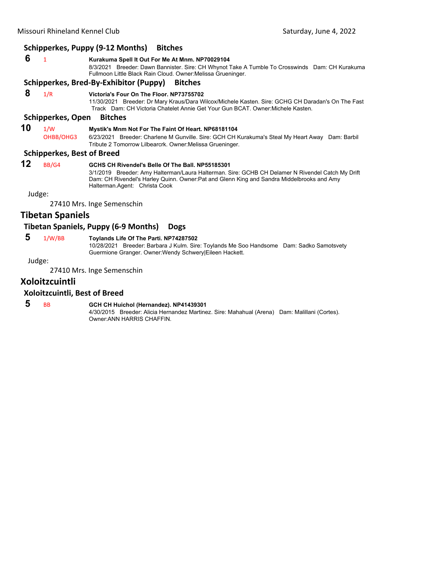#### **Schipperkes, Puppy (9‐12 Months) Bitches**

 **6** <sup>1</sup> **Kurakuma Spell It Out For Me At Mnm. NP70029104** 8/3/2021 Breeder: Dawn Bannister. Sire: CH Whynot Take A Tumble To Crosswinds Dam: CH Kurakuma Fullmoon Little Black Rain Cloud. Owner:Melissa Grueninger.

#### **Schipperkes, Bred‐By‐Exhibitor (Puppy) Bitches**

 **8** 1/R **Victoria's Four On The Floor. NP73755702**

11/30/2021 Breeder: Dr Mary Kraus/Dara Wilcox/Michele Kasten. Sire: GCHG CH Daradan's On The Fast Track Dam: CH Victoria Chatelet Annie Get Your Gun BCAT. Owner:Michele Kasten.

#### **Schipperkes, Open Bitches**

# **10** 1/W **Mystik's Mnm Not For The Faint Of Heart. NP68181104**<br>OHBB/OHG3 6/23/2021 Breeder: Charlene M Gunville. Sire: GCH CH K

6/23/2021 Breeder: Charlene M Gunville. Sire: GCH CH Kurakuma's Steal My Heart Away Dam: Barbil Tribute 2 Tomorrow Lilbearcrk. Owner:Melissa Grueninger.

#### **Schipperkes, Best of Breed**

### **12** BB/G4 **GCHS CH Rivendel's Belle Of The Ball. NP55185301**

3/1/2019 Breeder: Amy Halterman/Laura Halterman. Sire: GCHB CH Delamer N Rivendel Catch My Drift Dam: CH Rivendel's Harley Quinn. Owner:Pat and Glenn King and Sandra Middelbrooks and Amy Halterman.Agent: Christa Cook

Judge:

27410 Mrs. Inge Semenschin

### **Tibetan Spaniels**

#### **Tibetan Spaniels, Puppy (6‐9 Months) Dogs**

 **5** 1/W/BB **Toylands Life Of The Parti. NP74287502**

10/28/2021 Breeder: Barbara J Kulm. Sire: Toylands Me Soo Handsome Dam: Sadko Samotsvety Guermione Granger. Owner:Wendy Schwery|Eileen Hackett.

Judge:

27410 Mrs. Inge Semenschin

# **Xoloitzcuintli**

#### **Xoloitzcuintli, Best of Breed**

# **5** BB **GCH CH Huichol (Hernandez). NP41439301**

4/30/2015 Breeder: Alicia Hernandez Martinez. Sire: Mahahual (Arena) Dam: Malillani (Cortes). Owner:ANN HARRIS CHAFFIN.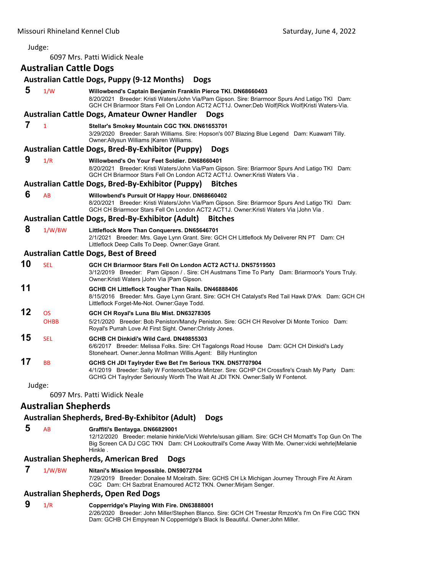Judge:

6097 Mrs. Patti Widick Neale

## **Australian Cattle Dogs**

## **Australian Cattle Dogs, Puppy (9‐12 Months) Dogs 5** 1/W **Willowbend's Captain Benjamin Franklin Pierce TKI. DN68660403** 8/20/2021 Breeder: Kristi Waters/John Via/Pam Gipson. Sire: Briarmoor Spurs And Latigo TKI Dam: GCH CH Briarmoor Stars Fell On London ACT2 ACT1J. Owner:Deb Wolf|Rick Wolf|Kristi Waters-Via. **Australian Cattle Dogs, Amateur Owner Handler Dogs 7** <sup>1</sup> **Stellar's Smokey Mountain CGC TKN. DN61653701** 3/29/2020 Breeder: Sarah Williams. Sire: Hopson's 007 Blazing Blue Legend Dam: Kuawarri Tilly. Owner:Allysun Williams |Karen Williams. **Australian Cattle Dogs, Bred‐By‐Exhibitor (Puppy) Dogs 9** 1/R **Willowbend's On Your Feet Soldier. DN68660401** 8/20/2021 Breeder: Kristi Waters/John Via/Pam Gipson. Sire: Briarmoor Spurs And Latigo TKI Dam: GCH CH Briarmoor Stars Fell On London ACT2 ACT1J. Owner:Kristi Waters Via . **Australian Cattle Dogs, Bred‐By‐Exhibitor (Puppy) Bitches 6** AB **Willowbend's Pursuit Of Happy Hour. DN68660402** 8/20/2021 Breeder: Kristi Waters/John Via/Pam Gipson. Sire: Briarmoor Spurs And Latigo TKI Dam: GCH CH Briarmoor Stars Fell On London ACT2 ACT1J. Owner:Kristi Waters Via |John Via . **Australian Cattle Dogs, Bred‐By‐Exhibitor (Adult) Bitches 8** 1/W/BW **Littleflock More Than Conquerers. DN65646701** 2/1/2021 Breeder: Mrs. Gaye Lynn Grant. Sire: GCH CH Littleflock My Deliverer RN PT Dam: CH Littleflock Deep Calls To Deep. Owner:Gaye Grant. **Australian Cattle Dogs, Best of Breed 10** SEL **GCH CH Briarmoor Stars Fell On London ACT2 ACT1J. DN57519503** 3/12/2019 Breeder: Pam Gipson / . Sire: CH Austmans Time To Party Dam: Briarmoor's Yours Truly. Owner:Kristi Waters |John Via |Pam Gipson. **11 GCHB CH Littleflock Tougher Than Nails. DN46888406** 8/15/2016 Breeder: Mrs. Gaye Lynn Grant. Sire: GCH CH Catalyst's Red Tail Hawk D'Ark Dam: GCH CH Littleflock Forget-Me-Not. Owner:Gaye Todd. **12** OS **GCH CH Royal's Luna Blu Mist. DN63278305** OHBB 5/21/2020 Breeder: Bob Peniston/Mandy Peniston. Sire: GCH CH Revolver Di Monte Tonico Dam: Royal's Purrah Love At First Sight. Owner:Christy Jones. **15** SEL **GCHB CH Dinkidi's Wild Card. DN49855303** 6/6/2017 Breeder: Melissa Folks. Sire: CH Tagalongs Road House Dam: GCH CH Dinkidi's Lady Stoneheart. Owner:Jenna Mollman Willis.Agent: Billy Huntington **17** BB **GCHS CH JDI Taylryder Ewe Bet I'm Serious TKN. DN57707904** 4/1/2019 Breeder: Sally W Fontenot/Debra Mintzer. Sire: GCHP CH Crossfire's Crash My Party Dam: GCHG CH Taylryder Seriously Worth The Wait At JDI TKN. Owner:Sally W Fontenot. Judge: 6097 Mrs. Patti Widick Neale **Australian Shepherds**

## **Australian Shepherds, Bred‐By‐Exhibitor (Adult) Dogs**

## **5** AB **Graffiti's Bentayga. DN66829001**

12/12/2020 Breeder: melanie hinkle/Vicki Wehrle/susan gilliam. Sire: GCH CH Mcmatt's Top Gun On The Big Screen CA DJ CGC TKN Dam: CH Lookouttrail's Come Away With Me. Owner:vicki wehrle|Melanie Hinkle .

# **Australian Shepherds, American Bred Dogs**

 **7** 1/W/BW **Nitani's Mission Impossible. DN59072704**

7/29/2019 Breeder: Donalee M Mcelrath. Sire: GCHS CH Lk Michigan Journey Through Fire At Airam CGC Dam: CH Sazbrat Enamoured ACT2 TKN. Owner:Mirjam Senger.

# **Australian Shepherds, Open Red Dogs**

## **9** 1/R **Copperridge's Playing With Fire. DN63888001**

2/26/2020 Breeder: John Miller/Stephen Blanco. Sire: GCH CH Treestar Rmzcrk's I'm On Fire CGC TKN Dam: GCHB CH Empyrean N Copperridge's Black Is Beautiful. Owner:John Miller.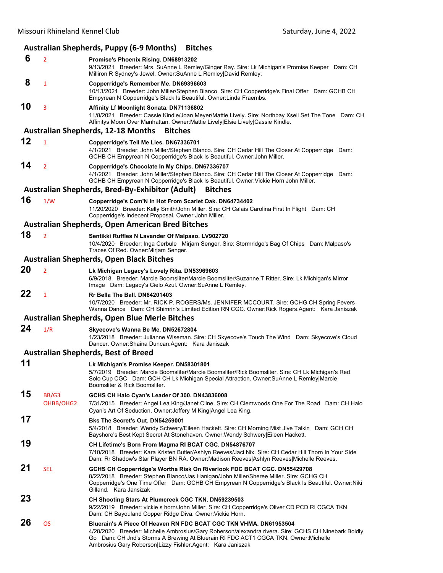# **Australian Shepherds, Puppy (6‐9 Months) Bitches**

|    |                    | $\sim$ , , , , , ,                                                                                                                                                                                                                                                                                                            |
|----|--------------------|-------------------------------------------------------------------------------------------------------------------------------------------------------------------------------------------------------------------------------------------------------------------------------------------------------------------------------|
| 6  | $\overline{2}$     | Promise's Phoenix Rising. DN68913202<br>9/13/2021 Breeder: Mrs. SuAnne L Remley/Ginger Ray. Sire: Lk Michigan's Promise Keeper Dam: CH<br>Milliron R Sydney's Jewel. Owner: SuAnne L Remley David Remley.                                                                                                                     |
| 8  | 1                  | Copperridge's Remember Me. DN69396603<br>10/13/2021 Breeder: John Miller/Stephen Blanco. Sire: CH Copperridge's Final Offer Dam: GCHB CH<br>Empyrean N Copperridge's Black Is Beautiful. Owner: Linda Fraembs.                                                                                                                |
| 10 | 3                  | Affinity Lf Moonlight Sonata. DN71136802<br>11/8/2021 Breeder: Cassie Kindle/Joan Meyer/Mattie Lively. Sire: Northbay Xsell Set The Tone Dam: CH<br>Affinitys Moon Over Manhattan. Owner: Mattie Lively Elsie Lively Cassie Kindle.                                                                                           |
|    |                    | <b>Australian Shepherds, 12-18 Months</b><br><b>Bitches</b>                                                                                                                                                                                                                                                                   |
| 12 | $\mathbf{1}$       | Copperridge's Tell Me Lies. DN67336701<br>4/1/2021 Breeder: John Miller/Stephen Blanco. Sire: CH Cedar Hill The Closer At Copperridge Dam:<br>GCHB CH Empyrean N Copperridge's Black Is Beautiful. Owner: John Miller.                                                                                                        |
| 14 | $\overline{2}$     | Copperridge's Chocolate In My Chips. DN67336707<br>4/1/2021 Breeder: John Miller/Stephen Blanco. Sire: CH Cedar Hill The Closer At Copperridge Dam:<br>GCHB CH Empyrean N Copperridge's Black Is Beautiful. Owner: Vickie Horn John Miller.                                                                                   |
|    |                    | Australian Shepherds, Bred-By-Exhibitor (Adult)<br><b>Bitches</b>                                                                                                                                                                                                                                                             |
| 16 | 1/W                | Copperridge's Com'N In Hot From Scarlet Oak. DN64734402<br>11/20/2020 Breeder: Kelly Smith/John Miller. Sire: CH Calais Carolina First In Flight Dam: CH<br>Copperridge's Indecent Proposal. Owner: John Miller.                                                                                                              |
|    |                    | Australian Shepherds, Open American Bred Bitches                                                                                                                                                                                                                                                                              |
| 18 | $\overline{2}$     | Sentikki Ruffles N Lavander Of Malpaso. LV902720<br>10/4/2020 Breeder: Inga Cerbule Mirjam Senger. Sire: Stormridge's Bag Of Chips Dam: Malpaso's<br>Traces Of Red. Owner: Mirjam Senger.                                                                                                                                     |
|    |                    | <b>Australian Shepherds, Open Black Bitches</b>                                                                                                                                                                                                                                                                               |
| 20 | $\overline{2}$     | Lk Michigan Legacy's Lovely Rita. DN53969603<br>6/9/2018 Breeder: Marcie Boomsliter/Marcie Boomsliter/Suzanne T Ritter. Sire: Lk Michigan's Mirror<br>Image Dam: Legacy's Cielo Azul. Owner: SuAnne L Remley.                                                                                                                 |
| 22 | $\mathbf{1}$       | Rr Bella The Ball. DN64201403<br>10/7/2020 Breeder: Mr. RICK P. ROGERS/Ms. JENNIFER MCCOURT. Sire: GCHG CH Spring Fevers<br>Wanna Dance Dam: CH Shimrin's Limited Edition RN CGC. Owner: Rick Rogers. Agent: Kara Janiszak                                                                                                    |
|    |                    | Australian Shepherds, Open Blue Merle Bitches                                                                                                                                                                                                                                                                                 |
| 24 | 1/R                | Skyecove's Wanna Be Me. DN52672804<br>1/23/2018 Breeder: Julianne Wiseman. Sire: CH Skyecove's Touch The Wind Dam: Skyecove's Cloud<br>Dancer. Owner: Shaina Duncan. Agent: Kara Janiszak                                                                                                                                     |
|    |                    | <b>Australian Shepherds, Best of Breed</b>                                                                                                                                                                                                                                                                                    |
| 11 |                    | Lk Michigan's Promise Keeper. DN58301801<br>5/7/2019 Breeder: Marcie Boomsliter/Marcie Boomsliter/Rick Boomsliter. Sire: CH Lk Michigan's Red<br>Solo Cup CGC Dam: GCH CH Lk Michigan Special Attraction. Owner: SuAnne L Remley Marcie<br>Boomsliter & Rick Boomsliter.                                                      |
| 15 | BB/G3<br>OHBB/OHG2 | GCHS CH Halo Cyan's Leader Of 300. DN43836008<br>7/31/2015 Breeder: Angel Lea King/Janet Cline. Sire: CH Clemwoods One For The Road Dam: CH Halo<br>Cyan's Art Of Seduction. Owner: Jeffery M King Angel Lea King.                                                                                                            |
| 17 |                    | Bks The Secret's Out. DN54259001<br>5/4/2018 Breeder: Wendy Schwery/Eileen Hackett. Sire: CH Morning Mist Jive Talkin Dam: GCH CH<br>Bayshore's Best Kept Secret At Stonehaven. Owner: Wendy Schwery Eileen Hackett.                                                                                                          |
| 19 |                    | CH Lifetime's Born From Magma RI BCAT CGC. DN54876707<br>7/10/2018 Breeder: Kara Kristen Butler/Ashlyn Reeves/Jaci Nix. Sire: CH Cedar Hill Thorn In Your Side<br>Dam: Rr Shadow's Star Player BN RA. Owner:Madison Reeves Ashlyn Reeves Michelle Reeves.                                                                     |
| 21 | <b>SEL</b>         | GCHS CH Copperridge's Wortha Risk On Riverlook FDC BCAT CGC. DN55429708<br>8/22/2018 Breeder: Stephen Blanco/Jas Hanigan/John Miller/Sheree Miller. Sire: GCHG CH<br>Copperridge's One Time Offer Dam: GCHB CH Empyrean N Copperridge's Black Is Beautiful. Owner: Niki<br>Gilland. Kara Jansizak                             |
| 23 |                    | CH Shooting Stars At Plumcreek CGC TKN. DN59239503<br>9/22/2019 Breeder: vickie s horn/John Miller. Sire: CH Copperridge's Oliver CD PCD RI CGCA TKN<br>Dam: CH Bayouland Copper Ridge Diva. Owner: Vickie Horn.                                                                                                              |
| 26 | <b>OS</b>          | Bluerain's A Piece Of Heaven RN FDC BCAT CGC TKN VHMA. DN61953504<br>4/28/2020 Breeder: Michelle Ambrosius/Gary Roberson/alexandra rivera. Sire: GCHS CH Ninebark Boldly<br>Go Dam: CH Jnd's Storms A Brewing At Bluerain RI FDC ACT1 CGCA TKN. Owner: Michelle<br>Ambrosius Gary Roberson Lizzy Fishler Agent: Kara Janiszak |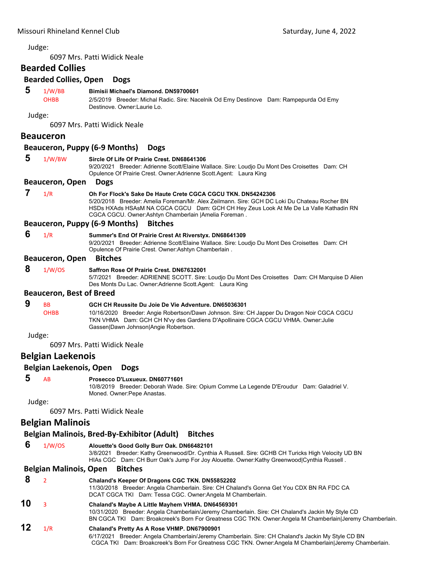Judge:

6097 Mrs. Patti Widick Neale

# **Bearded Collies**

|   | DEAIUEU CUIIIES                 |                                                                                                                                                                                                                                                                                                                |
|---|---------------------------------|----------------------------------------------------------------------------------------------------------------------------------------------------------------------------------------------------------------------------------------------------------------------------------------------------------------|
|   | <b>Bearded Collies, Open</b>    | <b>Dogs</b>                                                                                                                                                                                                                                                                                                    |
| 5 | 1/W/BB<br><b>OHBB</b>           | Bimisii Michael's Diamond. DN59700601<br>2/5/2019 Breeder: Michal Radic. Sire: Nacelnik Od Emy Destinove Dam: Rampepurda Od Emy<br>Destinove, Owner: Laurie Lo.                                                                                                                                                |
|   | Judge:                          |                                                                                                                                                                                                                                                                                                                |
|   |                                 | 6097 Mrs. Patti Widick Neale                                                                                                                                                                                                                                                                                   |
|   | Beauceron                       |                                                                                                                                                                                                                                                                                                                |
|   |                                 | Beauceron, Puppy (6-9 Months)<br><b>Dogs</b>                                                                                                                                                                                                                                                                   |
| 5 | 1/W/BW                          | Sircle Of Life Of Prairie Crest, DN68641306<br>9/20/2021 Breeder: Adrienne Scott/Elaine Wallace. Sire: Loudjo Du Mont Des Croisettes Dam: CH<br>Opulence Of Prairie Crest. Owner: Adrienne Scott. Agent: Laura King                                                                                            |
|   | <b>Beauceron, Open</b>          | <b>Dogs</b>                                                                                                                                                                                                                                                                                                    |
| 7 | 1/R                             | Oh For Flock's Sake De Haute Crete CGCA CGCU TKN, DN54242306<br>5/20/2018 Breeder: Amelia Foreman/Mr. Alex Zeilmann. Sire: GCH DC Loki Du Chateau Rocher BN<br>HSDs HXAds HSAsM NA CGCA CGCU Dam: GCH CH Hey Zeus Look At Me De La Valle Kathadin RN<br>CGCA CGCU. Owner: Ashtyn Chamberlain   Amelia Foreman. |
|   |                                 | <b>Beauceron, Puppy (6-9 Months)</b><br><b>Bitches</b>                                                                                                                                                                                                                                                         |
| 6 | 1/R                             | Summer's End Of Prairie Crest At Riverstyx. DN68641309<br>9/20/2021 Breeder: Adrienne Scott/Elaine Wallace. Sire: Loudio Du Mont Des Croisettes Dam: CH<br>Opulence Of Prairie Crest. Owner: Ashtyn Chamberlain.                                                                                               |
|   | <b>Beauceron, Open</b>          | <b>Bitches</b>                                                                                                                                                                                                                                                                                                 |
| 8 | 1/W/OS                          | Saffron Rose Of Prairie Crest, DN67632001<br>5/7/2021 Breeder: ADRIENNE SCOTT. Sire: Loudjo Du Mont Des Croisettes Dam: CH Marquise D Alien<br>Des Monts Du Lac. Owner: Adrienne Scott. Agent: Laura King                                                                                                      |
|   | <b>Beauceron, Best of Breed</b> |                                                                                                                                                                                                                                                                                                                |
| 9 | <b>BB</b><br><b>OHBB</b>        | GCH CH Reussite Du Joie De Vie Adventure. DN65036301<br>10/16/2020 Breeder: Angie Robertson/Dawn Johnson. Sire: CH Japper Du Dragon Noir CGCA CGCU<br>TKN VHMA Dam: GCH CH N'vy des Gardiens D'Apollinaire CGCA CGCU VHMA. Owner: Julie<br>Gassen Dawn Johnson Angie Robertson.                                |
|   | Judge:                          |                                                                                                                                                                                                                                                                                                                |
|   |                                 | 6097 Mrs. Patti Widick Neale                                                                                                                                                                                                                                                                                   |
|   | <b>Belgian Laekenois</b>        |                                                                                                                                                                                                                                                                                                                |
|   | Belgian Laekenois, Open         | <b>Dogs</b>                                                                                                                                                                                                                                                                                                    |
| 5 | AB                              | Prosecco D'Luxueux, DN60771601<br>10/8/2019 Breeder: Deborah Wade. Sire: Opium Comme La Legende D'Eroudur Dam: Galadriel V.<br>Moned. Owner: Pepe Anastas.                                                                                                                                                     |
|   | Judge:                          |                                                                                                                                                                                                                                                                                                                |
|   |                                 | 6097 Mrs. Patti Widick Neale                                                                                                                                                                                                                                                                                   |
|   | <b>Belgian Malinois</b>         |                                                                                                                                                                                                                                                                                                                |
|   |                                 | Belgian Malinois, Bred-By-Exhibitor (Adult)<br><b>Bitches</b>                                                                                                                                                                                                                                                  |
| 6 | 1/W/OS                          | Alouette's Good Golly Burr Oak. DN66482101<br>3/8/2021 Breeder: Kathy Greenwood/Dr. Cynthia A Russell. Sire: GCHB CH Turicks High Velocity UD BN<br>HIAs CGC Dam: CH Burr Oak's Jump For Joy Alouette. Owner: Kathy Greenwood Cynthia Russell.                                                                 |
|   | <b>Belgian Malinois, Open</b>   | <b>Bitches</b>                                                                                                                                                                                                                                                                                                 |
| 8 | $\overline{2}$                  | Chaland's Keeper Of Dragons CGC TKN. DN55852202                                                                                                                                                                                                                                                                |
|   |                                 | 11/30/2018 Breeder: Angela Chamberlain. Sire: CH Chaland's Gonna Get You CDX BN RA FDC CA<br>DCAT CGCA TKI Dam: Tessa CGC. Owner: Angela M Chamberlain.                                                                                                                                                        |

**10** <sup>3</sup> **Chaland's Maybe A Little Mayhem VHMA. DN64569301** 10/31/2020 Breeder: Angela Chamberlain/Jeremy Chamberlain. Sire: CH Chaland's Jackin My Style CD

# BN CGCA TKI Dam: Broakcreek's Born For Greatness CGC TKN. Owner:Angela M Chamberlain|Jeremy Chamberlain.

**12** 1/R **Chaland's Pretty As A Rose VHMP. DN67900901** 6/17/2021 Breeder: Angela Chamberlain/Jeremy Chamberlain. Sire: CH Chaland's Jackin My Style CD BN CGCA TKI Dam: Broakcreek's Born For Greatness CGC TKN. Owner:Angela M Chamberlain|Jeremy Chamberlain.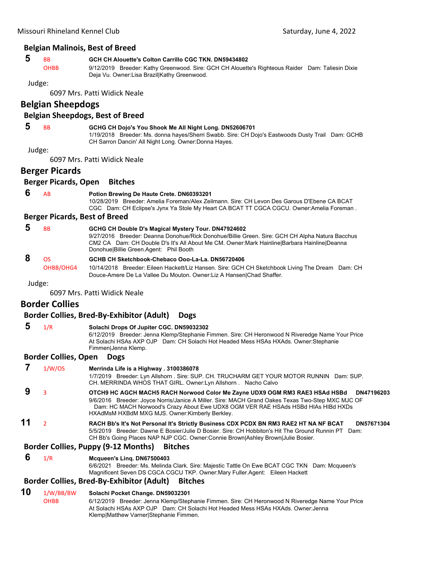#### **Belgian Malinois, Best of Breed**

## **5** BB **GCH CH Alouette's Colton Carrillo CGC TKN. DN59434802**

OHBB 9/12/2019 Breeder: Kathy Greenwood. Sire: GCH CH Alouette's Righteous Raider Dam: Taliesin Dixie Deja Vu. Owner:Lisa Brazil|Kathy Greenwood.

#### Judge:

6097 Mrs. Patti Widick Neale

## **Belgian Sheepdogs**

## **Belgian Sheepdogs, Best of Breed**

## **5** BB **GCHG CH Dojo's You Shook Me All Night Long. DN52606701**

1/19/2018 Breeder: Ms. donna hayes/Sherri Swabb. Sire: CH Dojo's Eastwoods Dusty Trail Dam: GCHB CH Sarron Dancin' All Night Long. Owner:Donna Hayes.

#### Judge:

6097 Mrs. Patti Widick Neale

## **Berger Picards**

#### **Berger Picards, Open Bitches**

#### **6** AB **Potion Brewing De Haute Crete. DN60393201**

10/28/2019 Breeder: Amelia Foreman/Alex Zeilmann. Sire: CH Levon Des Garous D'Ebene CA BCAT CGC Dam: CH Eclipse's Jynx Ya Stole My Heart CA BCAT TT CGCA CGCU. Owner:Amelia Foreman .

#### **Berger Picards, Best of Breed**

| <b>B<sub>B</sub></b> | GCHG CH Double D's Magical Mystery Tour. DN47924602                                            |
|----------------------|------------------------------------------------------------------------------------------------|
|                      | 9/27/2016 Breeder: Deanna Donohue/Rick Donohue/Billie Green. Sire: GCH CH Alpha Natura Bacchus |
|                      | CM2 CA Dam: CH Double D's It's All About Me CM. Owner: Mark Hainline Barbara Hainline Deanna   |
|                      | Donohue Billie Green Agent: Phil Booth                                                         |
| ns.                  | GCHB CH Sketchbook-Chebaco Ooo-La-La, DN56720406                                               |
|                      |                                                                                                |

OHBB/OHG4 10/14/2018 Breeder: Eileen Hackett/Liz Hansen. Sire: GCH CH Sketchbook Living The Dream Dam: CH Douce-Amere De La Vallee Du Mouton. Owner:Liz A Hansen|Chad Shaffer.

Judge:

6097 Mrs. Patti Widick Neale

## **Border Collies**

## **Border Collies, Bred‐By‐Exhibitor (Adult) Dogs**

# **5** 1/R **Solachi Drops Of Jupiter CGC. DN59032302**

6/12/2019 Breeder: Jenna Klemp/Stephanie Fimmen. Sire: CH Heronwood N Riveredge Name Your Price At Solachi HSAs AXP OJP Dam: CH Solachi Hot Headed Mess HSAs HXAds. Owner:Stephanie Fimmen|Jenna Klemp.

#### **Border Collies, Open Dogs**

|    | 1/W/OS | Merrinda Life is a Highway . 3100386078<br>1/7/2019 Breeder: Lyn Allshorn . Sire: SUP. CH. TRUCHARM GET YOUR MOTOR RUNNIN Dam: SUP.<br>CH. MERRINDA WHOS THAT GIRL. Owner: Lyn Allshorn Nacho Calvo                                                                                                                                   |
|----|--------|---------------------------------------------------------------------------------------------------------------------------------------------------------------------------------------------------------------------------------------------------------------------------------------------------------------------------------------|
| 9  |        | OTCH9 HC AGCH MACH5 RACH Norwood Color Me Zayne UDX9 OGM RM3 RAE3 HSAd HSBd<br>DN47196203<br>9/6/2016 Breeder: Joyce Norris/Janice A Miller. Sire: MACH Grand Oakes Texas Two-Step MXC MJC OF<br>Dam: HC MACH Norwood's Crazy About Ewe UDX8 OGM VER RAE HSAds HSBd HIAs HIBd HXDs<br>HXAdMsM HXBdM MXG MJS. Owner: Kimberly Berkley. |
| 11 |        | RACH Bb's It's Not Personal It's Strictly Business CDX PCDX BN RM3 RAE2 HT NA NF BCAT<br>DN57671304<br>5/5/2019 Breeder: Dawne E Bosier/Julie D Bosier, Sire: CH Hobbiton's Hit The Ground Runnin PT Dam:<br>CH Bb's Going Places NAP NJP CGC. Owner: Connie Brown Ashley Brown Julie Bosier.                                         |

#### **Border Collies, Puppy (9‐12 Months) Bitches**

#### **6** 1/R **Mcqueen's Linq. DN67500403**

6/6/2021 Breeder: Ms. Melinda Clark. Sire: Majestic Tattle On Ewe BCAT CGC TKN Dam: Mcqueen's Magnificent Seven DS CGCA CGCU TKP. Owner:Mary Fuller.Agent: Eileen Hackett

## **Border Collies, Bred‐By‐Exhibitor (Adult) Bitches**

## **10** 1/W/BB/BW **Solachi Pocket Change. DN59032301**

OHBB 6/12/2019 Breeder: Jenna Klemp/Stephanie Fimmen. Sire: CH Heronwood N Riveredge Name Your Price At Solachi HSAs AXP OJP Dam: CH Solachi Hot Headed Mess HSAs HXAds. Owner:Jenna Klemp|Matthew Varner|Stephanie Fimmen.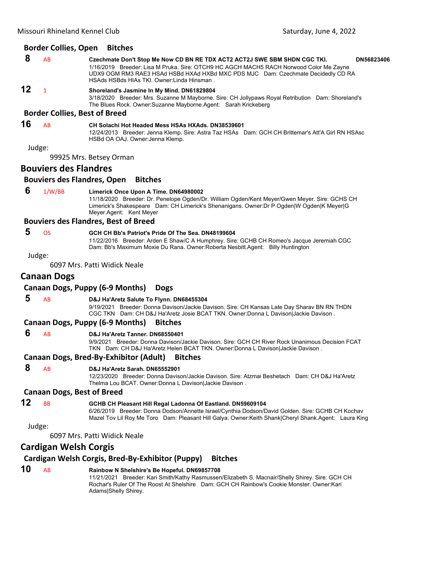#### **Border Collies, Open Bitches**

| -8 | <b>AB</b> | Czechmate Don't Stop Me Now CD BN RE TDX ACT2 ACT2J SWE SBM SHDN CGC TKI.                                                       | DN56823406 |
|----|-----------|---------------------------------------------------------------------------------------------------------------------------------|------------|
|    |           | 1/16/2019 Breeder: Lisa M Pruka. Sire: OTCH9 HC AGCH MACH5 RACH Norwood Color Me Zayne                                          |            |
|    |           | UDX9 OGM RM3 RAE3 HSAd HSBd HXAd HXBd MXC PDS MJC Dam: Czechmate Decidedly CD RA<br>HSAds HSBds HIAs TKI. Owner: Linda Hinsman. |            |
| 12 |           | Shoreland's Jasmine In My Mind. DN61829804                                                                                      |            |

3/18/2020 Breeder: Mrs. Suzanne M Mayborne. Sire: CH Jollypaws Royal Retribution Dam: Shoreland's The Blues Rock. Owner:Suzanne Mayborne.Agent: Sarah Krickeberg

#### **Border Collies, Best of Breed**

**16** AB **CH Solachi Hot Headed Mess HSAs HXAds. DN38539601**

12/24/2013 Breeder: Jenna Klemp. Sire: Astra Taz HSAs Dam: GCH CH Brittemar's Att'A Girl RN HSAsc HSBd OA OAJ. Owner:Jenna Klemp.

Judge:

99925 Mrs. Betsey Orman

## **Bouviers des Flandres**

#### **Bouviers des Flandres, Open Bitches**

 **6** 1/W/BB **Limerick Once Upon A Time. DN64980002**

11/18/2020 Breeder: Dr. Penelope Ogden/Dr. William Ogden/Kent Meyer/Gwen Meyer. Sire: GCHS CH Limerick's Shakespeare Dam: CH Limerick's Shenanigans. Owner:Dr P Ogden|W Ogden|K Meyer|G Meyer.Agent: Kent Meyer

#### **Bouviers des Flandres, Best of Breed**

## **5** OS **GCH CH Bb's Patriot's Pride Of The Sea. DN48199604**

11/22/2016 Breeder: Arden E Shaw/C A Humphrey. Sire: GCHB CH Romeo's Jacque Jeremiah CGC Dam: Bb's Maximum Moxie Du Rana. Owner:Roberta Nesbitt.Agent: Billy Huntington

Judge:

6097 Mrs. Patti Widick Neale

## **Canaan Dogs**

#### **Canaan Dogs, Puppy (6‐9 Months) Dogs**

 **5** AB **D&J Ha'Aretz Salute To Flynn. DN68455304**

9/19/2021 Breeder: Donna Davison/Jackie Davison. Sire: CH Kansas Late Day Sharav BN RN THDN CGC TKN Dam: CH D&J Ha'Aretz Josie BCAT TKN. Owner:Donna L Davison|Jackie Davison .

#### **Canaan Dogs, Puppy (6‐9 Months) Bitches**

#### **6** AB **D&J Ha'Aretz Tanner. DN68550401**

9/9/2021 Breeder: Donna Davison/Jackie Davison. Sire: GCH CH River Rock Unanimous Decision FCAT TKN Dam: CH D&J Ha'Aretz Helen BCAT TKN. Owner:Donna L Davison|Jackie Davison .

#### **Canaan Dogs, Bred‐By‐Exhibitor (Adult) Bitches**

 **8** AB **D&J Ha'Aretz Sarah. DN65552901**

12/23/2020 Breeder: Donna Davison/Jackie Davison. Sire: Atzmai Beshetach Dam: CH D&J Ha'Aretz Thelma Lou BCAT. Owner:Donna L Davison|Jackie Davison .

#### **Canaan Dogs, Best of Breed**

## **12** BB **GCHB CH Pleasant Hill Regal Ladonna Of Eastland. DN59609104**

6/26/2019 Breeder: Donna Dodson/Annette Israel/Cynthia Dodson/David Golden. Sire: GCHB CH Kochav Mazel Tov Lil Roy Me Toro Dam: Pleasant Hill Galya. Owner:Keith Shank|Cheryl Shank.Agent: Laura King

#### Judge:

6097 Mrs. Patti Widick Neale

## **Cardigan Welsh Corgis**

# **Cardigan Welsh Corgis, Bred‐By‐Exhibitor (Puppy) Bitches**

# **10** AB **Rainbow N Shelshire's Be Hopeful. DN69857708**

11/21/2021 Breeder: Kari Smith/Kathy Rasmussen/Elizabeth S. Macnair/Shelly Shirey. Sire: GCH CH Rochar's Ruler Of The Roost At Shelshire Dam: GCH CH Rainbow's Cookie Monster. Owner:Kari Adams|Shelly Shirey.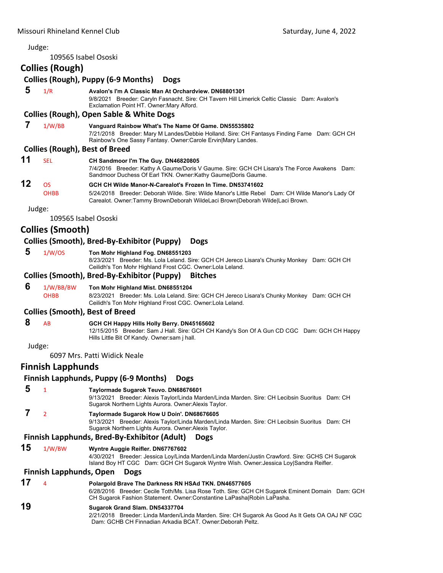## Judge: 109565 Isabel Ososki **Collies (Rough) Collies (Rough), Puppy (6‐9 Months) Dogs 5** 1/R **Avalon's I'm A Classic Man At Orchardview. DN68801301** 9/8/2021 Breeder: Caryln Fasnacht. Sire: CH Tavern Hill Limerick Celtic Classic Dam: Avalon's Exclamation Point HT. Owner:Mary Alford. **Collies (Rough), Open Sable & White Dogs 7** 1/W/BB **Vanguard Rainbow What's The Name Of Game. DN55535802** 7/21/2018 Breeder: Mary M Landes/Debbie Holland. Sire: CH Fantasys Finding Fame Dam: GCH CH Rainbow's One Sassy Fantasy. Owner:Carole Ervin|Mary Landes. **Collies (Rough), Best of Breed 11** SEL **CH Sandmoor I'm The Guy. DN46820805** 7/4/2016 Breeder: Kathy A Gaume/Doris V Gaume. Sire: GCH CH Lisara's The Force Awakens Dam: Sandmoor Duchess Of Earl TKN. Owner:Kathy Gaume|Doris Gaume. **12** OS **GCH CH Wilde Manor-N-Carealot's Frozen In Time. DN53741602** OHBB 5/24/2018 Breeder: Deborah Wilde. Sire: Wilde Manor's Little Rebel Dam: CH Wilde Manor's Lady Of Carealot. Owner:Tammy BrownDeborah WildeLaci Brown|Deborah Wilde|Laci Brown. Judge: 109565 Isabel Ososki **Collies (Smooth) Collies (Smooth), Bred‐By‐Exhibitor (Puppy) Dogs 5** 1/W/OS **Ton Mohr Highland Fog. DN68551203** 8/23/2021 Breeder: Ms. Lola Leland. Sire: GCH CH Jereco Lisara's Chunky Monkey Dam: GCH CH Ceilidh's Ton Mohr Highland Frost CGC. Owner:Lola Leland. **Collies (Smooth), Bred‐By‐Exhibitor (Puppy) Bitches 6** 1/W/BB/BW **Ton Mohr Highland Mist. DN68551204** OHBB 8/23/2021 Breeder: Ms. Lola Leland. Sire: GCH CH Jereco Lisara's Chunky Monkey Dam: GCH CH Ceilidh's Ton Mohr Highland Frost CGC. Owner:Lola Leland. **Collies (Smooth), Best of Breed 8** AB **GCH CH Happy Hills Holly Berry. DN45165602** 12/15/2015 Breeder: Sam J Hall. Sire: GCH CH Kandy's Son Of A Gun CD CGC Dam: GCH CH Happy Hills Little Bit Of Kandy. Owner:sam j hall. Judge: 6097 Mrs. Patti Widick Neale **Finnish Lapphunds Finnish Lapphunds, Puppy (6‐9 Months) Dogs 5** <sup>1</sup> **Taylormade Sugarok Teuvo. DN68676601** 9/13/2021 Breeder: Alexis Taylor/Linda Marden/Linda Marden. Sire: CH Lecibsin Suoritus Dam: CH Sugarok Northern Lights Aurora. Owner:Alexis Taylor.  **7** <sup>2</sup> **Taylormade Sugarok How U Doin'. DN68676605** 9/13/2021 Breeder: Alexis Taylor/Linda Marden/Linda Marden. Sire: CH Lecibsin Suoritus Dam: CH Sugarok Northern Lights Aurora. Owner:Alexis Taylor. **Finnish Lapphunds, Bred‐By‐Exhibitor (Adult) Dogs 15** 1/W/BW **Wyntre Auggie Reifler. DN67767602** 4/30/2021 Breeder: Jessica Loy/Linda Marden/Linda Marden/Justin Crawford. Sire: GCHS CH Sugarok Island Boy HT CGC Dam: GCH CH Sugarok Wyntre Wish. Owner:Jessica Loy|Sandra Reifler. **Finnish Lapphunds, Open Dogs 17** <sup>4</sup> **Polargold Brave The Darkness RN HSAd TKN. DN46577605** 6/28/2016 Breeder: Cecile Toth/Ms. Lisa Rose Toth. Sire: GCH CH Sugarok Eminent Domain Dam: GCH CH Sugarok Fashion Statement. Owner:Constantine LaPasha|Robin LaPasha. **19 Sugarok Grand Slam. DN54337704** 2/21/2018 Breeder: Linda Marden/Linda Marden. Sire: CH Sugarok As Good As It Gets OA OAJ NF CGC Dam: GCHB CH Finnadian Arkadia BCAT. Owner:Deborah Peltz.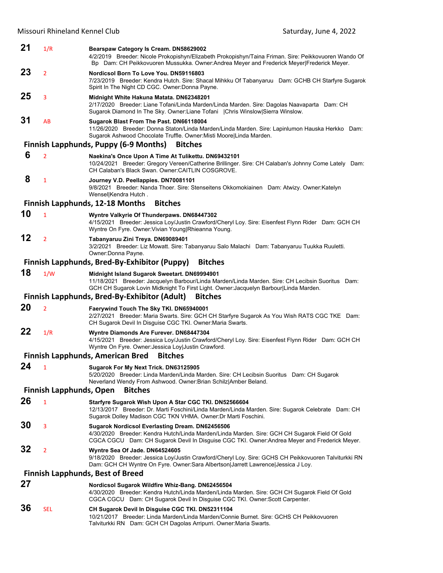| 21 | 1/R                            | Bearspaw Category Is Cream. DN58629002<br>4/2/2019 Breeder: Nicole Prokopishyn/Elizabeth Prokopishyn/Taina Friman. Sire: Peikkovuoren Wando Of<br>Bp Dam: CH Peikkovuoren Mussukka. Owner:Andrea Meyer and Frederick Meyer Frederick Meyer.             |
|----|--------------------------------|---------------------------------------------------------------------------------------------------------------------------------------------------------------------------------------------------------------------------------------------------------|
| 23 | $\overline{2}$                 | Nordicsol Born To Love You. DN59116803<br>7/23/2019 Breeder: Kendra Hutch. Sire: Shacal Mihkku Of Tabanyaruu Dam: GCHB CH Starfyre Sugarok<br>Spirit In The Night CD CGC. Owner: Donna Payne.                                                           |
| 25 | 3                              | Midnight White Hakuna Matata. DN62348201<br>2/17/2020 Breeder: Liane Tofani/Linda Marden/Linda Marden. Sire: Dagolas Naavaparta Dam: CH<br>Sugarok Diamond In The Sky. Owner:Liane Tofani   Chris Winslow Sierra Winslow.                               |
| 31 | AB                             | Sugarok Blast From The Past. DN66118004<br>11/26/2020 Breeder: Donna Staton/Linda Marden/Linda Marden. Sire: Lapinlumon Hauska Herkko Dam:<br>Sugarok Ashwood Chocolate Truffle. Owner: Misti Moore Linda Marden.                                       |
|    |                                | <b>Finnish Lapphunds, Puppy (6-9 Months)</b><br><b>Bitches</b>                                                                                                                                                                                          |
| 6  | $\overline{2}$                 | Naekina's Once Upon A Time At Tulikettu. DN69432101<br>10/24/2021 Breeder: Gregory Vereen/Catherine Brillinger. Sire: CH Calaban's Johnny Come Lately Dam:<br>CH Calaban's Black Swan. Owner: CAITLIN COSGROVE.                                         |
| 8  | $\mathbf{1}$                   | Journey V.D. Peellappies. DN70081101<br>9/8/2021 Breeder: Nanda Thoer. Sire: Stenseitens Okkomokiainen Dam: Atwizy. Owner: Katelyn<br>WensellKendra Hutch.                                                                                              |
|    |                                | <b>Finnish Lapphunds, 12-18 Months</b><br><b>Bitches</b>                                                                                                                                                                                                |
| 10 | $\mathbf{1}$                   | Wyntre Valkyrie Of Thunderpaws. DN68447302<br>4/15/2021 Breeder: Jessica Loy/Justin Crawford/Cheryl Loy. Sire: Eisenfest Flynn Rider Dam: GCH CH<br>Wyntre On Fyre. Owner: Vivian Young Rhieanna Young.                                                 |
| 12 | $\overline{2}$                 | Tabanyaruu Zini Treya. DN69089401<br>3/2/2021 Breeder: Liz Mowatt. Sire: Tabanyaruu Salo Malachi Dam: Tabanyaruu Tuukka Ruuletti.<br>Owner: Donna Payne.                                                                                                |
|    |                                | Finnish Lapphunds, Bred-By-Exhibitor (Puppy)<br><b>Bitches</b>                                                                                                                                                                                          |
| 18 | 1/W                            | Midnight Island Sugarok Sweetart. DN69994901<br>11/18/2021 Breeder: Jacquelyn Barbour/Linda Marden/Linda Marden. Sire: CH Lecibsin Suoritus Dam:<br>GCH CH Sugarok Lovin Midknight To First Light. Owner: Jacquelyn Barbour Linda Marden.               |
|    |                                | <b>Finnish Lapphunds, Bred-By-Exhibitor (Adult)</b><br><b>Bitches</b>                                                                                                                                                                                   |
| 20 | $\overline{2}$                 | Faerywind Touch The Sky TKI. DN65940001<br>2/27/2021 Breeder: Maria Swarts. Sire: GCH CH Starfyre Sugarok As You Wish RATS CGC TKE Dam:<br>CH Sugarok Devil In Disguise CGC TKI. Owner: Maria Swarts.                                                   |
| 22 | 1/R                            | Wyntre Diamonds Are Furever. DN68447304<br>4/15/2021 Breeder: Jessica Loy/Justin Crawford/Cheryl Loy. Sire: Eisenfest Flynn Rider Dam: GCH CH<br>Wyntre On Fyre. Owner: Jessica Loy Justin Crawford.                                                    |
|    |                                | <b>Finnish Lapphunds, American Bred</b><br><b>Bitches</b>                                                                                                                                                                                               |
| 24 | $\mathbf{1}$                   | Sugarok For My Next Trick. DN63125905<br>5/20/2020 Breeder: Linda Marden/Linda Marden. Sire: CH Lecibsin Suoritus Dam: CH Sugarok<br>Neverland Wendy From Ashwood. Owner:Brian Schilz Amber Beland.                                                     |
|    | <b>Finnish Lapphunds, Open</b> | <b>Bitches</b>                                                                                                                                                                                                                                          |
| 26 | $\mathbf{1}$                   | Starfyre Sugarok Wish Upon A Star CGC TKI. DN52566604<br>12/13/2017 Breeder: Dr. Marti Foschini/Linda Marden/Linda Marden. Sire: Sugarok Celebrate Dam: CH<br>Sugarok Dolley Madison CGC TKN VHMA. Owner:Dr Marti Foschini.                             |
| 30 | 3                              | <b>Sugarok Nordicsol Everlasting Dream. DN62456506</b><br>4/30/2020 Breeder: Kendra Hutch/Linda Marden/Linda Marden. Sire: GCH CH Sugarok Field Of Gold<br>CGCA CGCU Dam: CH Sugarok Devil In Disguise CGC TKI. Owner:Andrea Meyer and Frederick Meyer. |
| 32 | $\overline{2}$                 | Wyntre Sea Of Jade. DN64524605<br>9/18/2020 Breeder: Jessica Loy/Justin Crawford/Cheryl Loy. Sire: GCHS CH Peikkovuoren Talviturkki RN<br>Dam: GCH CH Wyntre On Fyre. Owner:Sara Albertson Jarrett Lawrence Jessica J Loy.                              |
|    |                                | <b>Finnish Lapphunds, Best of Breed</b>                                                                                                                                                                                                                 |
| 27 |                                | Nordicsol Sugarok Wildfire Whiz-Bang. DN62456504<br>4/30/2020 Breeder: Kendra Hutch/Linda Marden/Linda Marden. Sire: GCH CH Sugarok Field Of Gold<br>CGCA CGCU Dam: CH Sugarok Devil In Disguise CGC TKI. Owner:Scott Carpenter.                        |
| 36 | <b>SEL</b>                     | CH Sugarok Devil In Disguise CGC TKI. DN52311104<br>10/21/2017 Breeder: Linda Marden/Linda Marden/Connie Burnet. Sire: GCHS CH Peikkovuoren                                                                                                             |

Talviturkki RN Dam: GCH CH Dagolas Arripurri. Owner:Maria Swarts.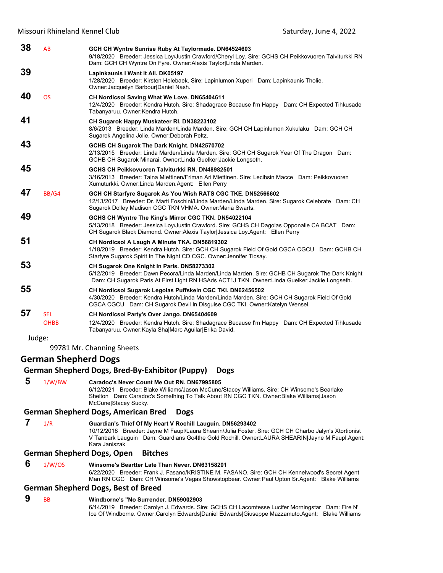| 38 | AB                          | GCH CH Wyntre Sunrise Ruby At Taylormade. DN64524603<br>9/18/2020 Breeder: Jessica Loy/Justin Crawford/Cheryl Loy. Sire: GCHS CH Peikkovuoren Talviturkki RN<br>Dam: GCH CH Wyntre On Fyre. Owner: Alexis Taylor Linda Marden.                  |
|----|-----------------------------|-------------------------------------------------------------------------------------------------------------------------------------------------------------------------------------------------------------------------------------------------|
| 39 |                             | Lapinkaunis I Want It All. DK05197<br>1/28/2020 Breeder: Kirsten Holebaek. Sire: Lapinlumon Xuperi Dam: Lapinkaunis Tholie.<br>Owner: Jacquelyn Barbour Daniel Nash.                                                                            |
| 40 | <b>OS</b>                   | CH Nordicsol Saving What We Love. DN65404611<br>12/4/2020 Breeder: Kendra Hutch. Sire: Shadagrace Because I'm Happy Dam: CH Expected Tihkusade<br>Tabanyaruu. Owner:Kendra Hutch.                                                               |
| 41 |                             | CH Sugarok Happy Muskateer RI. DN38223102<br>8/6/2013 Breeder: Linda Marden/Linda Marden. Sire: GCH CH Lapinlumon Xukulaku Dam: GCH CH<br>Sugarok Angelina Jolie. Owner: Deborah Peltz.                                                         |
| 43 |                             | GCHB CH Sugarok The Dark Knight. DN42570702<br>2/13/2015 Breeder: Linda Marden/Linda Marden. Sire: GCH CH Sugarok Year Of The Dragon Dam:<br>GCHB CH Sugarok Minarai. Owner: Linda Guelker Jackie Longseth.                                     |
| 45 |                             | GCHS CH Peikkovuoren Talviturkki RN. DN48982501<br>3/16/2013 Breeder: Taina Miettinen/Friman Ari Miettinen, Sire: Lecibsin Macce Dam: Peikkovuoren<br>Xumuturkki. Owner: Linda Marden. Agent: Ellen Perry                                       |
| 47 | BB/G4                       | GCH CH Starfyre Sugarok As You Wish RATS CGC TKE. DN52566602<br>12/13/2017 Breeder: Dr. Marti Foschini/Linda Marden/Linda Marden. Sire: Sugarok Celebrate Dam: CH<br>Sugarok Dolley Madison CGC TKN VHMA. Owner: Maria Swarts.                  |
| 49 |                             | GCHS CH Wyntre The King's Mirror CGC TKN. DN54022104<br>5/13/2018 Breeder: Jessica Loy/Justin Crawford. Sire: GCHS CH Dagolas Opponalle CA BCAT Dam:<br>CH Sugarok Black Diamond. Owner: Alexis Taylor Jessica Loy. Agent: Ellen Perry          |
| 51 |                             | CH Nordicsol A Laugh A Minute TKA. DN56819302<br>1/18/2019 Breeder: Kendra Hutch. Sire: GCH CH Sugarok Field Of Gold CGCA CGCU Dam: GCHB CH<br>Starfyre Sugarok Spirit In The Night CD CGC. Owner: Jennifer Ticsay.                             |
| 53 |                             | CH Sugarok One Knight In Paris. DN58273302<br>5/12/2019 Breeder: Dawn Pecora/Linda Marden/Linda Marden. Sire: GCHB CH Sugarok The Dark Knight<br>Dam: CH Sugarok Paris At First Light RN HSAds ACT1J TKN. Owner: Linda Guelker Jackie Longseth. |
| 55 |                             | CH Nordicsol Sugarok Legolas Puffskein CGC TKI. DN62456502<br>4/30/2020 Breeder: Kendra Hutch/Linda Marden/Linda Marden. Sire: GCH CH Sugarok Field Of Gold<br>CGCA CGCU Dam: CH Sugarok Devil In Disguise CGC TKI. Owner: Katelyn Wensel.      |
| 57 | <b>SEL</b><br><b>OHBB</b>   | CH Nordicsol Party's Over Jango. DN65404609<br>12/4/2020 Breeder: Kendra Hutch. Sire: Shadagrace Because I'm Happy Dam: CH Expected Tihkusade<br>Tabanyaruu. Owner:Kayla Sha Marc Aguilar Erika David.                                          |
|    | Judge:                      |                                                                                                                                                                                                                                                 |
|    |                             | 99781 Mr. Channing Sheets                                                                                                                                                                                                                       |
|    | <b>German Shepherd Dogs</b> | Cormon Chanhord Dogs, Brod By Eyhibitor (Bunny) Dogs                                                                                                                                                                                            |

#### **German Shepherd Dogs, Bred‐By‐Exhibitor (Puppy) Dogs**

 **5** 1/W/BW **Caradoc's Never Count Me Out RN. DN67995805**

6/12/2021 Breeder: Blake Williams/Jason McCune/Stacey Williams. Sire: CH Winsome's Bearlake Shelton Dam: Caradoc's Something To Talk About RN CGC TKN. Owner:Blake Williams|Jason McCune|Stacey Sucky.

#### **German Shepherd Dogs, American Bred Dogs**

 **7** 1/R **Guardian's Thief Of My Heart V Rochill Lauguin. DN56293402** 10/12/2018 Breeder: Jayne M Faupl/Laura Shearin/Julia Foster. Sire: GCH CH Charbo Jalyn's Xtortionist V Tanbark Lauguin Dam: Guardians Go4the Gold Rochill. Owner:LAURA SHEARIN|Jayne M Faupl.Agent: Kara Janiszak

## **German Shepherd Dogs, Open Bitches**

 **6** 1/W/OS **Winsome's Beartter Late Than Never. DN63158201**

6/22/2020 Breeder: Frank J. Fasano/KRISTINE M. FASANO. Sire: GCH CH Kennelwood's Secret Agent Man RN CGC Dam: CH Winsome's Vegas Showstopbear. Owner:Paul Upton Sr.Agent: Blake Williams

#### **German Shepherd Dogs, Best of Breed**

## **9** BB **Windborne's "No Surrender. DN59002903**

6/14/2019 Breeder: Carolyn J. Edwards. Sire: GCHS CH Lacomtesse Lucifer Morningstar Dam: Fire N' Ice Of Windborne. Owner:Carolyn Edwards|Daniel Edwards|Giuseppe Mazzamuto.Agent: Blake Williams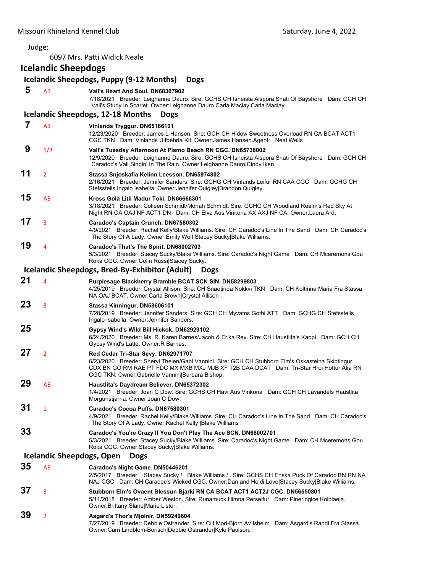Judge:

6097 Mrs. Patti Widick Neale

# **Icelandic Sheepdogs**

|    |                                  | Icelandic Sheepdogs, Puppy (9-12 Months)<br><b>Dogs</b>                                                                                                                                                                                                                                 |
|----|----------------------------------|-----------------------------------------------------------------------------------------------------------------------------------------------------------------------------------------------------------------------------------------------------------------------------------------|
| 5  | <b>AB</b>                        | Vali's Heart And Soul, DN68307902<br>7/18/2021 Breeder: Leighanne Dauro. Sire: GCHS CH Isneista Alspora Snati Of Bayshore Dam: GCH CH<br>Vali's Study In Scarlet. Owner: Leighanne Dauro Carla Maclay Carla Maclay.                                                                     |
|    |                                  | <b>Icelandic Sheepdogs, 12-18 Months</b><br><b>Dogs</b>                                                                                                                                                                                                                                 |
| 7  | <b>AB</b>                        | Vinlands Tryggur. DN65186101<br>12/23/2020 Breeder: James L Hansen. Sire: GCH CH Hidow Sweetness Overload RN CA BCAT ACT1<br>CGC TKN Dam: Vinlands Ulfbehrta Kit. Owner: James Hansen. Agent: Neal Wells                                                                                |
| 9  | 1/R                              | Vali's Tuesday Afternoon At Pismo Beach RN CGC. DN65738002<br>12/9/2020 Breeder: Leighanne Dauro. Sire: GCHS CH Isneista Alspora Snati Of Bayshore Dam: GCH CH<br>Caradoc's Vali Singin' In The Rain. Owner: Leighanne Dauro Cindy Iken.                                                |
| 11 | $\overline{2}$                   | Stassa Snjoskafla Kelinn Leesson. DN65974802<br>2/16/2021 Breeder: Jennifer Sanders. Sire: GCHG CH Vinlands Leifur RN CAA CGC Dam: GCHG CH<br>Stefsstells Ingalo Isabella. Owner: Jennifer Quigley Brandon Quigley.                                                                     |
| 15 | AB                               | Kross Gola Litli Madur Toki, DN66666301<br>3/18/2021 Breeder: Colleen Schmidt/Moriah Schmidt. Sire: GCHG CH Woodland Realm's Red Sky At<br>Night RN OA OAJ NF ACT1 DN Dam: CH Elva Aus Vinkona AX AXJ NF CA. Owner:Laura Ard.                                                           |
| 17 | 3                                | Caradoc's Captain Crunch. DN67580302<br>4/9/2021 Breeder: Rachel Kelly/Blake Williams. Sire: CH Caradoc's Line In The Sand Dam: CH Caradoc's<br>The Story Of A Lady. Owner: Emily Wolf Stacey Sucky Blake Williams.                                                                     |
| 19 | $\overline{4}$                   | Caradoc's That's The Spirit. DN68002703<br>5/3/2021 Breeder: Stacey Sucky/Blake Williams. Sire: Caradoc's Night Game Dam: CH Mceremons Gou<br>Roka CGC. Owner: Colin Russi Stacey Sucky.                                                                                                |
|    |                                  | Icelandic Sheepdogs, Bred-By-Exhibitor (Adult)<br><b>Dogs</b>                                                                                                                                                                                                                           |
| 21 | 4                                | Purplesage Blackberry Bramble BCAT SCN SIN. DN58299803<br>4/25/2019 Breeder: Crystal Allison. Sire: CH Snaetinda Nokkvi TKN Dam: CH Koltinna Maria Fra Stassa<br>NA OAJ BCAT. Owner:Carla Brown Crystal Allison.                                                                        |
| 23 | 3                                | Stassa Kinningur. DN58606101<br>7/28/2019 Breeder: Jennifer Sanders. Sire: GCH CH Myvatns Gothi ATT Dam: GCHG CH Stefsstells<br>Ingalo Isabella. Owner: Jennifer Sanders.                                                                                                               |
| 25 |                                  | Gypsy Wind's Wild Bill Hickok. DN62929102<br>6/24/2020 Breeder: Ms. R. Karen Barnes/Jacob & Erika Rey. Sire: CH Haustlita's Kappi Dam: GCH CH<br>Gypsy Wind's Latte. Owner: R Barnes.                                                                                                   |
| 27 | $\overline{2}$                   | Red Cedar Tri-Star Sevy. DN62971707<br>6/23/2020 Breeder: Sheryl Thelen/Gabi Vannini. Sire: GCH CH Stubborn Elm's Oskasteina Skiptingur<br>CDX BN GO RM RAE PT FDC MX MXB MXJ MJB XF T2B CAA DCAT Dam: Tri-Star Hroi Hottur Alia RN<br>CGC TKN. Owner:Gabrielle Vannini Barbara Bishop. |
| 29 | AB                               | Haustlita's Daydream Believer. DN65372302<br>1/4/2021 Breeder: Joan C Dow. Sire: GCHS CH Havi Aus Vinkona Dam: GCH CH Lavandels Haustlita<br>Morgunstjarna. Owner: Joan C Dow.                                                                                                          |
| 31 | 1                                | Caradoc's Cocoa Puffs. DN67580301<br>4/9/2021 Breeder: Rachel Kelly/Blake Williams. Sire: CH Caradoc's Line In The Sand Dam: CH Caradoc's<br>The Story Of A Lady. Owner: Rachel Kelly   Blake Williams.                                                                                 |
| 33 |                                  | Caradoc's You're Crazy If You Don't Play The Ace SCN. DN68002701<br>5/3/2021 Breeder: Stacey Sucky/Blake Williams. Sire: Caradoc's Night Game Dam: CH Mceremons Gou<br>Roka CGC. Owner:Stacey Sucky Blake Williams.                                                                     |
|    | <b>Icelandic Sheepdogs, Open</b> | <b>Dogs</b>                                                                                                                                                                                                                                                                             |
| 35 | AB                               | Caradoc's Night Game. DN50446201<br>2/5/2017 Breeder: Stacey Sucky / Blake Williams / . Sire: GCHS CH Enska Puck Of Caradoc BN RN NA<br>NAJ CGC Dam: CH Caradoc's Wicked CGC. Owner:Dan and Heidi Love Stacey Sucky Blake Williams.                                                     |
| 37 | 3                                | Stubborn Elm's Ovaent Blessun Bjarki RN CA BCAT ACT1 ACT2J CGC. DN56550801<br>5/11/2018 Breeder: Amber Weston. Sire: Runamuck Himna Perseifur Dam: Pineridgice Kolblaeja.<br>Owner: Brittany Slane Marie Lister.                                                                        |
| 39 | $\overline{2}$                   | Asgard's Thor's Mjolnir. DN59249804<br>7/27/2019 Breeder: Debbie Ostrander. Sire: CH Mori-Bjorn Av Isheim Dam: Asgard's Randi Fra Stassa.<br>Owner:Carri Lindblom-Borisch Debbie Ostrander Kyle Paulson.                                                                                |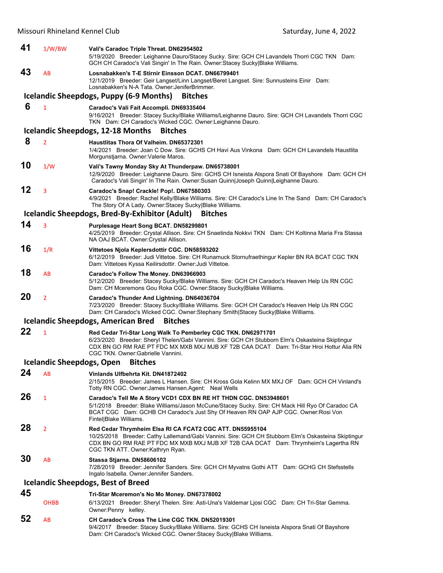| 41 | 1/W/BW                           | Vali's Caradoc Triple Threat. DN62954502<br>5/19/2020 Breeder: Leighanne Dauro/Stacey Sucky. Sire: GCH CH Lavandels Thorri CGC TKN Dam:<br>GCH CH Caradoc's Vali Singin' In The Rain. Owner: Stacey Sucky Blake Williams.                                                                           |
|----|----------------------------------|-----------------------------------------------------------------------------------------------------------------------------------------------------------------------------------------------------------------------------------------------------------------------------------------------------|
| 43 | AB                               | Losnabakken's T-E Stirnir Einsson DCAT. DN66799401<br>12/1/2019 Breeder: Geir Langset/Linn Langset/Beret Langset. Sire: Sunnusteins Einir Dam:<br>Losnabakken's N-A Tata, Owner: JeniferBrimmer.                                                                                                    |
|    |                                  | Icelandic Sheepdogs, Puppy (6-9 Months)<br><b>Bitches</b>                                                                                                                                                                                                                                           |
| 6  | $\mathbf{1}$                     | Caradoc's Vali Fait Accompli. DN69335404<br>9/16/2021 Breeder: Stacey Sucky/Blake Williams/Leighanne Dauro. Sire: GCH CH Lavandels Thorri CGC<br>TKN Dam: CH Caradoc's Wicked CGC. Owner: Leighanne Dauro.                                                                                          |
|    |                                  | <b>Icelandic Sheepdogs, 12-18 Months</b><br><b>Bitches</b>                                                                                                                                                                                                                                          |
| 8  | $\overline{2}$                   | Haustlitas Thora Of Valheim, DN65372301<br>1/4/2021 Breeder: Joan C Dow. Sire: GCHS CH Havi Aus Vinkona Dam: GCH CH Lavandels Haustlita<br>Morgunstiarna. Owner: Valerie Maros.                                                                                                                     |
| 10 | 1/W                              | Vali's Tawny Monday Sky At Thunderpaw. DN65738001<br>12/9/2020 Breeder: Leighanne Dauro. Sire: GCHS CH Isneista Alspora Snati Of Bayshore Dam: GCH CH<br>Caradoc's Vali Singin' In The Rain. Owner:Susan Quinn Joseph Quinn Leighanne Dauro.                                                        |
| 12 | 3                                | Caradoc's Snap! Crackle! Pop!. DN67580303<br>4/9/2021 Breeder: Rachel Kelly/Blake Williams. Sire: CH Caradoc's Line In The Sand Dam: CH Caradoc's<br>The Story Of A Lady. Owner: Stacey Sucky Blake Williams.                                                                                       |
|    |                                  | Icelandic Sheepdogs, Bred-By-Exhibitor (Adult)<br><b>Bitches</b>                                                                                                                                                                                                                                    |
| 14 | 3                                | Purplesage Heart Song BCAT. DN58299801<br>4/25/2019 Breeder: Crystal Allison. Sire: CH Snaetinda Nokkvi TKN Dam: CH Koltinna Maria Fra Stassa<br>NA OAJ BCAT. Owner: Crystal Allison.                                                                                                               |
| 16 | 1/R                              | Vittetoes Njola Keplersdottir CGC. DN58593202<br>6/12/2019 Breeder: Judi Vittetoe. Sire: CH Runamuck Stornufraethingur Kepler BN RA BCAT CGC TKN<br>Dam: Vittetoes Kyssa Keilirsdottir. Owner: Judi Vittetoe.                                                                                       |
| 18 | AB                               | Caradoc's Follow The Money. DN63966903<br>5/12/2020 Breeder: Stacey Sucky/Blake Williams. Sire: GCH CH Caradoc's Heaven Help Us RN CGC<br>Dam: CH Mceremons Gou Roka CGC. Owner: Stacey Sucky Blake Williams.                                                                                       |
| 20 | $\overline{2}$                   | Caradoc's Thunder And Lightning. DN64036704<br>7/23/2020 Breeder: Stacey Sucky/Blake Williams. Sire: GCH CH Caradoc's Heaven Help Us RN CGC<br>Dam: CH Caradoc's Wicked CGC. Owner:Stephany Smith Stacey Sucky Blake Williams.                                                                      |
|    |                                  | <b>Icelandic Sheepdogs, American Bred</b><br><b>Bitches</b>                                                                                                                                                                                                                                         |
| 22 | $\mathbf{1}$                     | Red Cedar Tri-Star Long Walk To Pemberley CGC TKN. DN62971701<br>6/23/2020 Breeder: Sheryl Thelen/Gabi Vannini. Sire: GCH CH Stubborn Elm's Oskasteina Skiptingur<br>CDX BN GO RM RAE PT FDC MX MXB MXJ MJB XF T2B CAA DCAT Dam: Tri-Star Hroi Hottur Alia RN<br>CGC TKN. Owner: Gabrielle Vannini. |
|    | <b>Icelandic Sheepdogs, Open</b> | <b>Bitches</b>                                                                                                                                                                                                                                                                                      |
| 24 | AB                               | Vinlands Ulfbehrta Kit. DN41872402<br>2/15/2015 Breeder: James L Hansen, Sire: CH Kross Gola Kelinn MX MXJ OF Dam: GCH CH Vinland's<br>Totty RN CGC. Owner: James Hansen. Agent: Neal Wells                                                                                                         |
| 26 | $\mathbf{1}$                     | Caradoc's Tell Me A Story VCD1 CDX BN RE HT THDN CGC. DN53948601<br>5/1/2018 Breeder: Blake Williams/Jason McCune/Stacey Sucky. Sire: CH Mack Hill Ryo Of Caradoc CA<br>BCAT CGC Dam: GCHB CH Caradoc's Just Shy Of Heaven RN OAP AJP CGC. Owner: Rosi Von<br>Fintel Blake Williams.                |
| 28 | $\overline{2}$                   | Red Cedar Thrymheim Elsa RI CA FCAT2 CGC ATT. DN55955104<br>10/25/2018 Breeder: Cathy Lallemand/Gabi Vannini. Sire: GCH CH Stubborn Elm's Oskasteina Skiptingur<br>CDX BN GO RM RAE PT FDC MX MXB MXJ MJB XF T2B CAA DCAT Dam: Thrymheim's Lagertha RN<br>CGC TKN ATT. Owner: Kathryn Ryan.         |
| 30 | AB                               | Stassa Stjarna. DN58606102<br>7/28/2019 Breeder: Jennifer Sanders. Sire: GCH CH Myvatns Gothi ATT Dam: GCHG CH Stefsstells<br>Ingalo Isabella. Owner: Jennifer Sanders.                                                                                                                             |
|    |                                  | <b>Icelandic Sheepdogs, Best of Breed</b>                                                                                                                                                                                                                                                           |
| 45 | <b>OHBB</b>                      | Tri-Star Mceremon's No Mo Money. DN67378002<br>6/13/2021 Breeder: Sheryl Thelen. Sire: Asti-Una's Valdemar Ljosi CGC Dam: CH Tri-Star Gemma.<br>Owner: Penny kelley.                                                                                                                                |
| 52 | AB                               | CH Caradoc's Cross The Line CGC TKN. DN52019301<br>9/4/2017 Breeder: Stacey Sucky/Blake Williams. Sire: GCHS CH Isneista Alspora Snati Of Bayshore                                                                                                                                                  |

Dam: CH Caradoc's Wicked CGC. Owner:Stacey Sucky|Blake Williams.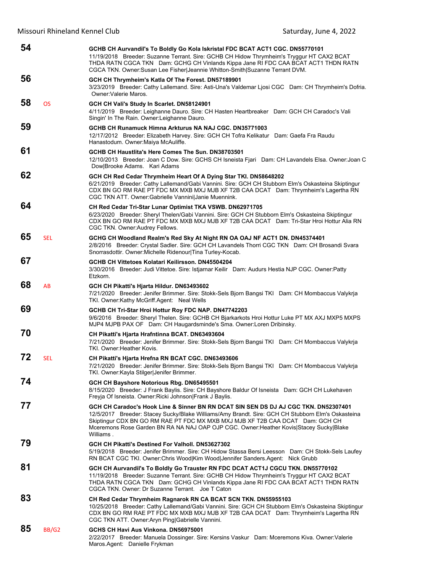| 54 |            | GCHB CH Aurvandil's To Boldly Go Kola Iskristal FDC BCAT ACT1 CGC. DN55770101<br>11/19/2018 Breeder: Suzanne Terrant. Sire: GCHB CH Hidow Thrymheim's Tryggur HT CAX2 BCAT<br>THDA RATN CGCA TKN Dam: GCHG CH Vinlands Kippa Jane RI FDC CAA BCAT ACT1 THDN RATN<br>CGCA TKN. Owner:Susan Lee Fisher Jeannie Whitton-Smith Suzanne Terrant DVM.                                   |
|----|------------|-----------------------------------------------------------------------------------------------------------------------------------------------------------------------------------------------------------------------------------------------------------------------------------------------------------------------------------------------------------------------------------|
| 56 |            | GCH CH Thrymheim's Katla Of The Forest. DN57189901<br>3/23/2019 Breeder: Cathy Lallemand. Sire: Asti-Una's Valdemar Ljosi CGC Dam: CH Thrymheim's Dofria.<br>Owner: Valerie Maros.                                                                                                                                                                                                |
| 58 | <b>OS</b>  | GCH CH Vali's Study In Scarlet. DN58124901<br>4/11/2019 Breeder: Leighanne Dauro. Sire: CH Hasten Heartbreaker Dam: GCH CH Caradoc's Vali<br>Singin' In The Rain. Owner: Leighanne Dauro.                                                                                                                                                                                         |
| 59 |            | GCHB CH Runamuck Himna Arkturus NA NAJ CGC, DN35771003<br>12/17/2012 Breeder: Elizabeth Harvey. Sire: GCH CH Tofra Kelikatur Dam: Gaefa Fra Raudu<br>Hanastodum. Owner: Maiya McAuliffe.                                                                                                                                                                                          |
| 61 |            | GCHB CH Haustlita's Here Comes The Sun. DN38703501<br>12/10/2013 Breeder: Joan C Dow. Sire: GCHS CH Isneista Fjari Dam: CH Lavandels Elsa. Owner: Joan C<br>Dow Brooke Adams. Kari Adams                                                                                                                                                                                          |
| 62 |            | GCH CH Red Cedar Thrymheim Heart Of A Dying Star TKI. DN58648202<br>6/21/2019 Breeder: Cathy Lallemand/Gabi Vannini. Sire: GCH CH Stubborn Elm's Oskasteina Skiptingur<br>CDX BN GO RM RAE PT FDC MX MXB MXJ MJB XF T2B CAA DCAT Dam: Thrymheim's Lagertha RN<br>CGC TKN ATT. Owner:Gabrielle Vannini Janie Muennink.                                                             |
| 64 |            | CH Red Cedar Tri-Star Lunar Optimist TKA VSWB. DN62971705<br>6/23/2020 Breeder: Sheryl Thelen/Gabi Vannini. Sire: GCH CH Stubborn Elm's Oskasteina Skiptingur<br>CDX BN GO RM RAE PT FDC MX MXB MXJ MJB XF T2B CAA DCAT Dam: Tri-Star Hroi Hottur Alia RN<br>CGC TKN. Owner: Audrey Fellows.                                                                                      |
| 65 | <b>SEL</b> | GCHG CH Woodland Realm's Red Sky At Night RN OA OAJ NF ACT1 DN. DN45374401<br>2/8/2016 Breeder: Crystal Sadler. Sire: GCH CH Lavandels Thorri CGC TKN Dam: CH Brosandi Svara<br>Snorrasdottir. Owner: Michelle Ridenour Tina Turley-Kocab.                                                                                                                                        |
| 67 |            | GCHB CH Vittetoes Kolatari Keilirsson, DN45504204<br>3/30/2016 Breeder: Judi Vittetoe. Sire: Istjarnar Keilir Dam: Audurs Hestia NJP CGC. Owner:Patty<br>Etzkorn.                                                                                                                                                                                                                 |
| 68 | AB         | GCH CH Pikatti's Hjarta Hildur. DN63493602<br>7/21/2020 Breeder: Jenifer Brimmer. Sire: Stokk-Sels Bjorn Bangsi TKI Dam: CH Mombaccus Valykrja<br>TKI. Owner: Kathy McGriff Agent: Neal Wells                                                                                                                                                                                     |
| 69 |            | GCHB CH Tri-Star Hroi Hottur Roy FDC NAP. DN47742203<br>9/6/2016 Breeder: Sheryl Thelen. Sire: GCHB CH Bjarkarkots Hroi Hottur Luke PT MX AXJ MXP5 MXPS<br>MJP4 MJPB PAX OF Dam: CH Haugardsminde's Sma. Owner:Loren Dribinsky.                                                                                                                                                   |
| 70 |            | CH Pikatti's Hjarta Hrafntinna BCAT. DN63493604<br>7/21/2020 Breeder: Jenifer Brimmer. Sire: Stokk-Sels Bjorn Bangsi TKI Dam: CH Mombaccus Valykrja<br>TKI, Owner: Heather Kovis.                                                                                                                                                                                                 |
| 72 | <b>SEL</b> | CH Pikatti's Hjarta Hrefna RN BCAT CGC. DN63493606<br>7/21/2020 Breeder: Jenifer Brimmer. Sire: Stokk-Sels Bjorn Bangsi TKI Dam: CH Mombaccus Valykrja<br>TKI. Owner: Kayla Stilger Jenifer Brimmer.                                                                                                                                                                              |
| 74 |            | GCH CH Bayshore Notorious Rbg. DN65495501<br>8/15/2020 Breeder: J Frank Baylis. Sire: CH Bayshore Baldur Of Isneista Dam: GCH CH Lukehaven<br>Freyja Of Isneista. Owner: Ricki Johnson Frank J Baylis.                                                                                                                                                                            |
| 77 |            | GCH CH Caradoc's Hook Line & Sinner BN RN DCAT SIN SEN DS DJ AJ CGC TKN. DN52307401<br>12/5/2017 Breeder: Stacey Sucky/Blake Williams/Amy Brandt. Sire: GCH CH Stubborn Elm's Oskasteina<br>Skiptingur CDX BN GO RM RAE PT FDC MX MXB MXJ MJB XF T2B CAA DCAT Dam: GCH CH<br>Mceremons Rose Garden BN RA NA NAJ OAP OJP CGC. Owner: Heather Kovis Stacey Sucky Blake<br>Williams. |
| 79 |            | GCH CH Pikatti's Destined For Valholl, DN53627302<br>5/19/2018 Breeder: Jenifer Brimmer. Sire: CH Hidow Stassa Bersi Leesson Dam: CH Stokk-Sels Laufey<br>RN BCAT CGC TKI. Owner: Chris Wood Kim Wood Jennifer Sanders. Agent: Nick Grubb                                                                                                                                         |
| 81 |            | GCH CH Aurvandil's To Boldly Go Trauster RN FDC DCAT ACT1J CGCU TKN. DN55770102<br>11/19/2018 Breeder: Suzanne Terrant. Sire: GCHB CH Hidow Thrymheim's Tryggur HT CAX2 BCAT<br>THDA RATN CGCA TKN Dam: GCHG CH Vinlands Kippa Jane RI FDC CAA BCAT ACT1 THDN RATN<br>CGCA TKN. Owner: Dr Suzanne Terrant. Joe T Caton                                                            |
| 83 |            | CH Red Cedar Thrymheim Ragnarok RN CA BCAT SCN TKN. DN55955103<br>10/25/2018 Breeder: Cathy Lallemand/Gabi Vannini. Sire: GCH CH Stubborn Elm's Oskasteina Skiptingur<br>CDX BN GO RM RAE PT FDC MX MXB MXJ MJB XF T2B CAA DCAT Dam: Thrymheim's Lagertha RN<br>CGC TKN ATT. Owner: Aryn Ping Gabrielle Vannini.                                                                  |
| 85 | BB/G2      | GCHS CH Havi Aus Vinkona. DN56975001<br>2/22/2017 Breeder: Manuela Dossinger. Sire: Kersins Vaskur Dam: Mceremons Kiva. Owner: Valerie<br>Maros.Agent: Danielle Frykman                                                                                                                                                                                                           |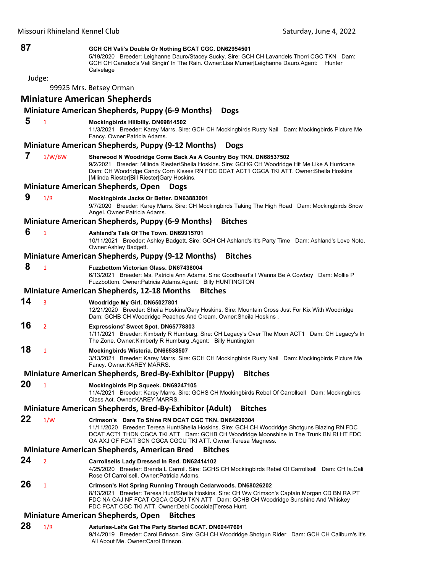## **87 GCH CH Vali's Double Or Nothing BCAT CGC. DN62954501**

5/19/2020 Breeder: Leighanne Dauro/Stacey Sucky. Sire: GCH CH Lavandels Thorri CGC TKN Dam: GCH CH Caradoc's Vali Singin' In The Rain. Owner:Lisa Murner|Leighanne Dauro.Agent: Hunter **Calvelage** 

Judge:

99925 Mrs. Betsey Orman

# **Miniature American Shepherds**

## **Miniature American Shepherds, Puppy (6‐9 Months) Dogs**

#### **5** <sup>1</sup> **Mockingbirds Hillbilly. DN69814502**

11/3/2021 Breeder: Karey Marrs. Sire: GCH CH Mockingbirds Rusty Nail Dam: Mockingbirds Picture Me Fancy. Owner:Patricia Adams.

#### **Miniature American Shepherds, Puppy (9‐12 Months) Dogs**

 **7** 1/W/BW **Sherwood N Woodridge Come Back As A Country Boy TKN. DN68537502**

9/2/2021 Breeder: Milinda Riester/Sheila Hoskins. Sire: GCHG CH Woodridge Hit Me Like A Hurricane Dam: CH Woodridge Candy Corn Kisses RN FDC DCAT ACT1 CGCA TKI ATT. Owner:Sheila Hoskins |Milinda Riester|Bill Riester|Gary Hoskins.

#### **Miniature American Shepherds, Open Dogs**

#### **9** 1/R **Mockingbirds Jacks Or Better. DN63883001**

9/7/2020 Breeder: Karey Marrs. Sire: CH Mockingbirds Taking The High Road Dam: Mockingbirds Snow Angel. Owner:Patricia Adams.

## **Miniature American Shepherds, Puppy (6‐9 Months) Bitches**

#### **6** <sup>1</sup> **Ashland's Talk Of The Town. DN69915701**

10/11/2021 Breeder: Ashley Badgett. Sire: GCH CH Ashland's It's Party Time Dam: Ashland's Love Note. Owner:Ashley Badgett.

## **Miniature American Shepherds, Puppy (9‐12 Months) Bitches**

## **8** <sup>1</sup> **Fuzzbottom Victorian Glass. DN67438004**

6/13/2021 Breeder: Ms. Patricia Ann Adams. Sire: Goodheart's I Wanna Be A Cowboy Dam: Mollie P Fuzzbottom. Owner:Patricia Adams.Agent: Billy HUNTINGTON

#### **Miniature American Shepherds, 12‐18 Months Bitches**

**14** <sup>3</sup> **Woodridge My Girl. DN65027801**

12/21/2020 Breeder: Sheila Hoskins/Gary Hoskins. Sire: Mountain Cross Just For Kix With Woodridge Dam: GCHB CH Woodridge Peaches And Cream. Owner:Sheila Hoskins .

## **16** <sup>2</sup> **Expressions' Sweet Spot. DN65778803**

1/11/2021 Breeder: Kimberly R Humburg. Sire: CH Legacy's Over The Moon ACT1 Dam: CH Legacy's In The Zone. Owner:Kimberly R Humburg .Agent: Billy Huntington

## **18** <sup>1</sup> **Mockingbirds Wisteria. DN66538507**

3/13/2021 Breeder: Karey Marrs. Sire: GCH CH Mockingbirds Rusty Nail Dam: Mockingbirds Picture Me Fancy. Owner:KAREY MARRS.

## **Miniature American Shepherds, Bred‐By‐Exhibitor (Puppy) Bitches**

**20** <sup>1</sup> **Mockingbirds Pip Squeek. DN69247105** 11/4/2021 Breeder: Karey Marrs. Sire: GCHS CH Mockingbirds Rebel Of Carrollsell Dam: Mockingbirds Class Act. Owner:KAREY MARRS.

## **Miniature American Shepherds, Bred‐By‐Exhibitor (Adult) Bitches**

**22** 1/W **Crimson's Dare To Shine RN DCAT CGC TKN. DN64290304**

11/11/2020 Breeder: Teresa Hunt/Sheila Hoskins. Sire: GCH CH Woodridge Shotguns Blazing RN FDC DCAT ACT1 THDN CGCA TKI ATT Dam: GCHB CH Woodridge Moonshine In The Trunk BN RI HT FDC OA AXJ OF FCAT SCN CGCA CGCU TKI ATT. Owner:Teresa Magness.

#### **Miniature American Shepherds, American Bred Bitches**

## **24** <sup>2</sup> **Carrollsells Lady Dressed In Red. DN62414102**

4/25/2020 Breeder: Brenda L Carroll. Sire: GCHS CH Mockingbirds Rebel Of Carrollsell Dam: CH Ia.Cali Rose Of Carrollsell. Owner:Patricia Adams.

## **26** <sup>1</sup> **Crimson's Hot Spring Running Through Cedarwoods. DN68026202**

8/13/2021 Breeder: Teresa Hunt/Sheila Hoskins. Sire: CH Ww Crimson's Captain Morgan CD BN RA PT FDC NA OAJ NF FCAT CGCA CGCU TKN ATT Dam: GCHB CH Woodridge Sunshine And Whiskey FDC FCAT CGC TKI ATT. Owner:Debi Cocciola|Teresa Hunt.

## **Miniature American Shepherds, Open Bitches**

#### **28** 1/R **Asturias-Let's Get The Party Started BCAT. DN60447601** 9/14/2019 Breeder: Carol Brinson. Sire: GCH CH Woodridge Shotgun Rider Dam: GCH CH Caliburn's It's All About Me. Owner:Carol Brinson.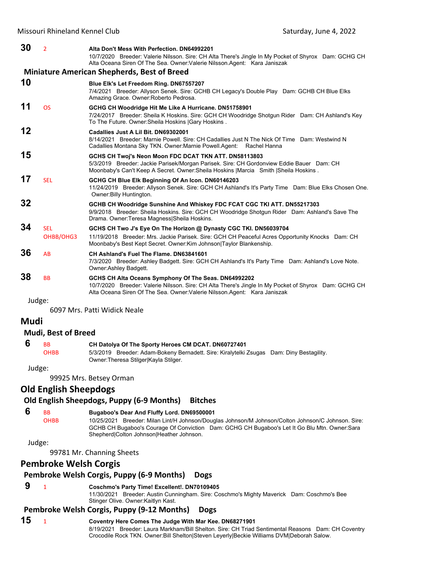**30** <sup>2</sup> **Alta Don't Mess With Perfection. DN64992201** 10/7/2020 Breeder: Valerie Nilsson. Sire: CH Alta There's Jingle In My Pocket of Shyrox Dam: GCHG CH Alta Oceana Siren Of The Sea. Owner:Valerie Nilsson.Agent: Kara Janiszak **Miniature American Shepherds, Best of Breed 10 Blue Elk's Let Freedom Ring. DN67557207** 7/4/2021 Breeder: Allyson Senek. Sire: GCHB CH Legacy's Double Play Dam: GCHB CH Blue Elks Amazing Grace. Owner:Roberto Pedrosa. **11** OS **GCHG CH Woodridge Hit Me Like A Hurricane. DN51758901** 7/24/2017 Breeder: Sheila K Hoskins. Sire: GCH CH Woodridge Shotgun Rider Dam: CH Ashland's Key To The Future. Owner:Sheila Hoskins |Gary Hoskins . **12 Cadallies Just A Lil Bit. DN69302001** 8/14/2021 Breeder: Marnie Powell. Sire: CH Cadallies Just N The Nick Of Time Dam: Westwind N Cadallies Montana Sky TKN. Owner:Marnie Powell.Agent: Rachel Hanna **15 GCHS CH Twoj's Neon Moon FDC DCAT TKN ATT. DN58113803** 5/3/2019 Breeder: Jackie Parisek/Morgan Parisek. Sire: CH Gordonview Eddie Bauer Dam: CH Moonbaby's Can't Keep A Secret. Owner:Sheila Hoskins |Marcia Smith |Sheila Hoskins . **17** SEL **GCHG CH Blue Elk Beginning Of An Icon. DN60146203** 11/24/2019 Breeder: Allyson Senek. Sire: GCH CH Ashland's It's Party Time Dam: Blue Elks Chosen One. Owner:Billy Huntington. **32 GCHB CH Woodridge Sunshine And Whiskey FDC FCAT CGC TKI ATT. DN55217303** 9/9/2018 Breeder: Sheila Hoskins. Sire: GCH CH Woodridge Shotgun Rider Dam: Ashland's Save The Drama. Owner:Teresa Magness|Sheila Hoskins. **34** SEL **GCHS CH Two J's Eye On The Horizon @ Dynasty CGC TKI. DN56039704** OHBB/OHG3 11/19/2018 Breeder: Mrs. Jackie Parisek. Sire: GCH CH Peaceful Acres Opportunity Knocks Dam: CH Moonbaby's Best Kept Secret. Owner:Kim Johnson|Taylor Blankenship. **36** AB **CH Ashland's Fuel The Flame. DN63841601** 7/3/2020 Breeder: Ashley Badgett. Sire: GCH CH Ashland's It's Party Time Dam: Ashland's Love Note. Owner:Ashley Badgett. **38** BB **GCHS CH Alta Oceans Symphony Of The Seas. DN64992202** 10/7/2020 Breeder: Valerie Nilsson. Sire: CH Alta There's Jingle In My Pocket of Shyrox Dam: GCHG CH Alta Oceana Siren Of The Sea. Owner:Valerie Nilsson.Agent: Kara Janiszak Judge:

6097 Mrs. Patti Widick Neale

## **Mudi**

## **Mudi, Best of Breed**

 **6** BB **CH Datolya Of The Sporty Heroes CM DCAT. DN60727401**

OHBB 5/3/2019 Breeder: Adam-Bokeny Bernadett. Sire: Kiralytelki Zsugas Dam: Diny Bestagility. Owner:Theresa Stilger|Kayla Stilger.

Judge:

99925 Mrs. Betsey Orman

# **Old English Sheepdogs**

## **Old English Sheepdogs, Puppy (6‐9 Months) Bitches**

## **6** BB **Bugaboo's Dear And Fluffy Lord. DN69500001**

OHBB 10/25/2021 Breeder: Milan Lint/H Johnson/Douglas Johnson/M Johnson/Colton Johnson/C Johnson. Sire: GCHB CH Bugaboo's Courage Of Conviction Dam: GCHG CH Bugaboo's Let It Go Blu Mtn. Owner:Sara Shepherd|Colton Johnson|Heather Johnson.

Judge:

99781 Mr. Channing Sheets

## **Pembroke Welsh Corgis**

## **Pembroke Welsh Corgis, Puppy (6‐9 Months) Dogs**

 **9** <sup>1</sup> **Coschmo's Party Time! Excellent!. DN70109405**

11/30/2021 Breeder: Austin Cunningham. Sire: Coschmo's Mighty Maverick Dam: Coschmo's Bee Stinger Olive. Owner:Kaitlyn Kast.

# **Pembroke Welsh Corgis, Puppy (9‐12 Months) Dogs**

**15** <sup>1</sup> **Coventry Here Comes The Judge With Mar Kee. DN68271901** 8/19/2021 Breeder: Laura Markham/Bill Shelton. Sire: CH Triad Sentimental Reasons Dam: CH Coventry Crocodile Rock TKN. Owner:Bill Shelton|Steven Leyerly|Beckie Williams DVM|Deborah Salow.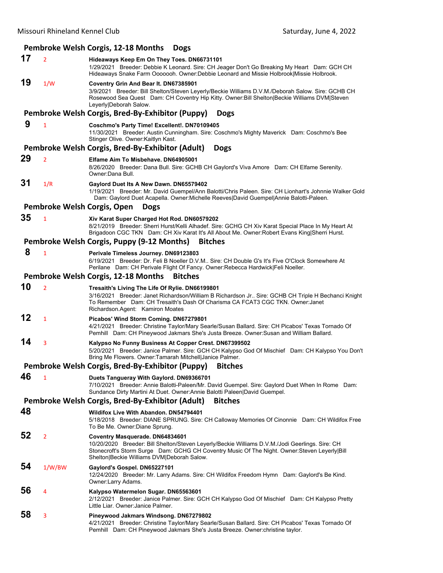## **Pembroke Welsh Corgis, 12‐18 Months Dogs 17** <sup>2</sup> **Hideaways Keep Em On They Toes. DN66731101** 1/29/2021 Breeder: Debbie K Leonard. Sire: CH Jeager Don't Go Breaking My Heart Dam: GCH CH Hideaways Snake Farm Ooooooh. Owner:Debbie Leonard and Missie Holbrook|Missie Holbrook. **19** 1/W **Coventry Grin And Bear It. DN67385901** 3/9/2021 Breeder: Bill Shelton/Steven Leyerly/Beckie Williams D.V.M./Deborah Salow. Sire: GCHB CH Rosewood Sea Quest Dam: CH Coventry Hip Kitty. Owner:Bill Shelton|Beckie Williams DVM|Steven Leyerly|Deborah Salow. **Pembroke Welsh Corgis, Bred‐By‐Exhibitor (Puppy) Dogs 9** <sup>1</sup> **Coschmo's Party Time! Excellent!. DN70109405** 11/30/2021 Breeder: Austin Cunningham. Sire: Coschmo's Mighty Maverick Dam: Coschmo's Bee Stinger Olive. Owner:Kaitlyn Kast. **Pembroke Welsh Corgis, Bred‐By‐Exhibitor (Adult) Dogs 29** <sup>2</sup> **Elfame Aim To Misbehave. DN64905001** 8/26/2020 Breeder: Dana Bull. Sire: GCHB CH Gaylord's Viva Amore Dam: CH Elfame Serenity. Owner:Dana Bull. **31** 1/R **Gaylord Duet Its A New Dawn. DN65579402** 1/19/2021 Breeder: Mr. David Guempel/Ann Balotti/Chris Paleen. Sire: CH Lionhart's Johnnie Walker Gold Dam: Gaylord Duet Acapella. Owner:Michelle Reeves|David Guempel|Annie Balotti-Paleen. **Pembroke Welsh Corgis, Open Dogs 35** <sup>1</sup> **Xiv Karat Super Charged Hot Rod. DN60579202** 8/21/2019 Breeder: Sherri Hurst/Kelli Alhadef. Sire: GCHG CH Xiv Karat Special Place In My Heart At Brigadoon CGC TKN Dam: CH Xiv Karat It's All About Me. Owner:Robert Evans King|Sherri Hurst. **Pembroke Welsh Corgis, Puppy (9‐12 Months) Bitches 8** <sup>1</sup> **Perivale Timeless Journey. DN69123803** 6/19/2021 Breeder: Dr. Feli B Noeller D.V.M.. Sire: CH Double G's It's Five O'Clock Somewhere At Perilane Dam: CH Perivale Flight Of Fancy. Owner:Rebecca Hardwick|Feli Noeller. **Pembroke Welsh Corgis, 12‐18 Months Bitches 10** <sup>2</sup> **Tresaith's Living The Life Of Rylie. DN66199801** 3/16/2021 Breeder: Janet Richardson/William B Richardson Jr.. Sire: GCHB CH Triple H Bechanci Knight To Remember Dam: CH Tresaith's Dash Of Charisma CA FCAT3 CGC TKN. Owner:Janet Richardson.Agent: Kamiron Moates **12** <sup>1</sup> **Picabos' Wind Storm Coming. DN67279801** 4/21/2021 Breeder: Christine Taylor/Mary Searle/Susan Ballard. Sire: CH Picabos' Texas Tornado Of Pemhill Dam: CH Pineywood Jakmars She's Justa Breeze. Owner:Susan and William Ballard. **14** <sup>3</sup> **Kalypso No Funny Business At Copper Crest. DN67399502** 5/20/2021 Breeder: Janice Palmer. Sire: GCH CH Kalypso God Of Mischief Dam: CH Kalypso You Don't Bring Me Flowers. Owner:Tamarah Mitchell|Janice Palmer. **Pembroke Welsh Corgis, Bred‐By‐Exhibitor (Puppy) Bitches 46** <sup>1</sup> **Duets Tangueray With Gaylord. DN69366701** 7/10/2021 Breeder: Annie Balotti-Paleen/Mr. David Guempel. Sire: Gaylord Duet When In Rome Dam: Sundance Dirty Martini At Duet. Owner:Annie Balotti Paleen|David Guempel. **Pembroke Welsh Corgis, Bred‐By‐Exhibitor (Adult) Bitches 48 Wildifox Live With Abandon. DN54794401** 5/18/2018 Breeder: DIANE SPRUNG. Sire: CH Calloway Memories Of Cinonnie Dam: CH Wildifox Free To Be Me. Owner:Diane Sprung. **52** <sup>2</sup> **Coventry Masquerade. DN64834601** 10/20/2020 Breeder: Bill Shelton/Steven Leyerly/Beckie Williams D.V.M./Jodi Geerlings. Sire: CH Stonecroft's Storm Surge Dam: GCHG CH Coventry Music Of The Night. Owner:Steven Leyerly|Bill Shelton|Beckie Williams DVM|Deborah Salow. **54** 1/W/BW **Gaylord's Gospel. DN65227101** 12/24/2020 Breeder: Mr. Larry Adams. Sire: CH Wildifox Freedom Hymn Dam: Gaylord's Be Kind. Owner:Larry Adams. **56** <sup>4</sup> **Kalypso Watermelon Sugar. DN65563601** 2/12/2021 Breeder: Janice Palmer. Sire: GCH CH Kalypso God Of Mischief Dam: CH Kalypso Pretty Little Liar. Owner:Janice Palmer. **58** <sup>3</sup> **Pineywood Jakmars Windsong. DN67279802** 4/21/2021 Breeder: Christine Taylor/Mary Searle/Susan Ballard. Sire: CH Picabos' Texas Tornado Of Pemhill Dam: CH Pineywood Jakmars She's Justa Breeze. Owner:christine taylor.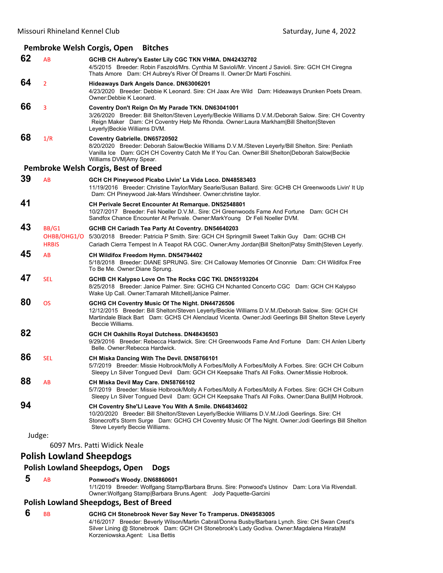## **Pembroke Welsh Corgis, Open Bitches**

| 62     | AB                                   | GCHB CH Aubrey's Easter Lily CGC TKN VHMA. DN42432702<br>4/5/2015 Breeder: Robin Faszold/Mrs. Cynthia M Savioli/Mr. Vincent J Savioli. Sire: GCH CH Ciregna<br>Thats Amore Dam: CH Aubrey's River Of Dreams II. Owner: Dr Marti Foschini.                                                           |
|--------|--------------------------------------|-----------------------------------------------------------------------------------------------------------------------------------------------------------------------------------------------------------------------------------------------------------------------------------------------------|
| 64     | $\overline{2}$                       | Hideaways Dark Angels Dance. DN63006201<br>4/23/2020 Breeder: Debbie K Leonard. Sire: CH Jaax Are Wild Dam: Hideaways Drunken Poets Dream.<br>Owner: Debbie K Leonard.                                                                                                                              |
| 66     | 3                                    | Coventry Don't Reign On My Parade TKN. DN63041001<br>3/26/2020 Breeder: Bill Shelton/Steven Leyerly/Beckie Williams D.V.M./Deborah Salow. Sire: CH Coventry<br>Reign Maker Dam: CH Coventry Help Me Rhonda. Owner:Laura Markham   Bill Shelton   Steven<br>Leyerly Beckie Williams DVM.             |
| 68     | 1/R                                  | Coventry Gabrielle. DN65720502<br>8/20/2020 Breeder: Deborah Salow/Beckie Williams D.V.M./Steven Leyerly/Bill Shelton. Sire: Penliath<br>Vanilla Ice Dam: GCH CH Coventry Catch Me If You Can. Owner: Bill Shelton   Deborah Salow   Beckie<br>Williams DVM Amy Spear.                              |
|        |                                      | Pembroke Welsh Corgis, Best of Breed                                                                                                                                                                                                                                                                |
| 39     | AB                                   | GCH CH Pineywood Picabo Livin' La Vida Loco. DN48583403<br>11/19/2016 Breeder: Christine Taylor/Mary Searle/Susan Ballard. Sire: GCHB CH Greenwoods Livin' It Up<br>Dam: CH Pineywood Jak-Mars Windsheer. Owner: christine taylor.                                                                  |
| 41     |                                      | CH Perivale Secret Encounter At Remarque. DN52548801<br>10/27/2017 Breeder: Feli Noeller D.V.M Sire: CH Greenwoods Fame And Fortune Dam: GCH CH<br>Sandfox Chance Encounter At Perivale. Owner: MarkYoung Dr Feli Noeller DVM.                                                                      |
| 43     | BB/G1<br>OHBB/OHG1/O<br><b>HRBIS</b> | GCHB CH Cariadh Tea Party At Coventry. DN54640203<br>5/30/2018 Breeder: Patricia P Smith. Sire: GCH CH Springmill Sweet Talkin Guy Dam: GCHB CH<br>Cariadh Cierra Tempest In A Teapot RA CGC. Owner:Amy Jordan Bill Shelton Patsy Smith Steven Leyerly.                                             |
| 45     | AB                                   | CH Wildifox Freedom Hymn. DN54794402<br>5/18/2018 Breeder: DIANE SPRUNG. Sire: CH Calloway Memories Of Cinonnie Dam: CH Wildifox Free<br>To Be Me. Owner: Diane Sprung.                                                                                                                             |
| 47     | <b>SEL</b>                           | GCHB CH Kalypso Love On The Rocks CGC TKI. DN55193204<br>8/25/2018 Breeder: Janice Palmer. Sire: GCHG CH Nchanted Concerto CGC Dam: GCH CH Kalypso<br>Wake Up Call. Owner: Tamarah Mitchell Janice Palmer.                                                                                          |
| 80     | <b>OS</b>                            | GCHG CH Coventry Music Of The Night. DN44726506<br>12/12/2015 Breeder: Bill Shelton/Steven Leyerly/Beckie Williams D.V.M./Deborah Salow. Sire: GCH CH<br>Martindale Black Bart Dam: GCHS CH Alenclaud Vicenta. Owner: Jodi Geerlings Bill Shelton Steve Leyerly<br>Beccie Williams.                 |
| 82     |                                      | GCH CH Oakhills Royal Dutchess. DN48436503<br>9/29/2016 Breeder: Rebecca Hardwick. Sire: CH Greenwoods Fame And Fortune Dam: CH Anlen Liberty<br>Belle, Owner: Rebecca Hardwick.                                                                                                                    |
| 86     | <b>SEL</b>                           | CH Miska Dancing With The Devil. DN58766101<br>5/7/2019 Breeder: Missie Holbrook/Molly A Forbes/Molly A Forbes/Molly A Forbes. Sire: GCH CH Colburn<br>Sleepy Ln Silver Tongued Devil Dam: GCH CH Keepsake That's All Folks. Owner: Missie Holbrook.                                                |
| 88     | AB                                   | CH Miska Devil May Care. DN58766102<br>5/7/2019 Breeder: Missie Holbrook/Molly A Forbes/Molly A Forbes/Molly A Forbes. Sire: GCH CH Colburn<br>Sleepy Ln Silver Tongued Devil Dam: GCH CH Keepsake That's All Folks. Owner:Dana Bull M Holbrook.                                                    |
| 94     |                                      | CH Coventry She'Ll Leave You With A Smile. DN64834602<br>10/20/2020 Breeder: Bill Shelton/Steven Leyerly/Beckie Williams D.V.M./Jodi Geerlings. Sire: CH<br>Stonecroft's Storm Surge Dam: GCHG CH Coventry Music Of The Night. Owner: Jodi Geerlings Bill Shelton<br>Steve Leyerly Beccie Williams. |
| Judge: |                                      |                                                                                                                                                                                                                                                                                                     |
|        |                                      | 6097 Mrs. Patti Widick Neale                                                                                                                                                                                                                                                                        |
|        | <b>Polish Lowland Sheepdogs</b>      |                                                                                                                                                                                                                                                                                                     |

## **Polish Lowland Sheepdogs, Open Dogs**

## **5** AB **Ponwood's Woody. DN68860601**

1/1/2019 Breeder: Wolfgang Stamp/Barbara Bruns. Sire: Ponwood's Ustinov Dam: Lora Via Rivendall. Owner:Wolfgang Stamp|Barbara Bruns.Agent: Jody Paquette-Garcini

## **Polish Lowland Sheepdogs, Best of Breed**

 **6** BB **GCHG CH Stonebrook Never Say Never To Tramperus. DN49583005**

4/16/2017 Breeder: Beverly Wilson/Martin Cabral/Donna Busby/Barbara Lynch. Sire: CH Swan Crest's Silver Lining @ Stonebrook Dam: GCH CH Stonebrook's Lady Godiva. Owner:Magdalena Hirata|M Korzeniowska.Agent: Lisa Bettis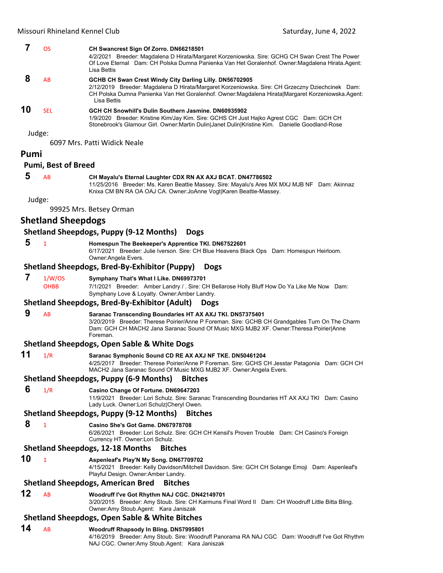| 7    | <b>OS</b>                  | CH Swancrest Sign Of Zorro. DN66218501<br>4/2/2021 Breeder: Magdalena D Hirata/Margaret Korzeniowska. Sire: GCHG CH Swan Crest The Power<br>Of Love Eternal Dam: CH Polska Dumna Panienka Van Het Goralenhof. Owner: Magdalena Hirata. Agent:<br>Lisa Bettis                  |
|------|----------------------------|-------------------------------------------------------------------------------------------------------------------------------------------------------------------------------------------------------------------------------------------------------------------------------|
| 8    | AB                         | GCHB CH Swan Crest Windy City Darling Lilly. DN56702905<br>2/12/2019 Breeder: Magdalena D Hirata/Margaret Korzeniowska. Sire: CH Grzeczny Dziechcinek Dam:<br>CH Polska Dumna Panienka Van Het Goralenhof. Owner:Magdalena Hirata Margaret Korzeniowska.Agent:<br>Lisa Bettis |
| 10   | <b>SEL</b>                 | GCH CH Snowhill's Dulin Southern Jasmine, DN60935902<br>1/9/2020 Breeder: Kristine Kim/Jay Kim. Sire: GCHS CH Just Hajko Agrest CGC Dam: GCH CH<br>Stonebrook's Glamour Girl. Owner:Martin Dulin Janet Dulin Kristine Kim. Danielle Goodland-Rose                             |
|      | Judge:                     | 6097 Mrs. Patti Widick Neale                                                                                                                                                                                                                                                  |
| Pumi |                            |                                                                                                                                                                                                                                                                               |
|      | <b>Pumi, Best of Breed</b> |                                                                                                                                                                                                                                                                               |
| 5    | AB                         | CH Mayalu's Eternal Laughter CDX RN AX AXJ BCAT. DN47786502<br>11/25/2016 Breeder: Ms. Karen Beattie Massey. Sire: Mayalu's Ares MX MXJ MJB NF Dam: Akinnaz<br>Knixa CM BN RA OA OAJ CA. Owner: JoAnne Vogt Karen Beattie-Massey.                                             |
|      | Judge:                     | 99925 Mrs. Betsey Orman                                                                                                                                                                                                                                                       |
|      | <b>Shetland Sheepdogs</b>  |                                                                                                                                                                                                                                                                               |
|      |                            | <b>Shetland Sheepdogs, Puppy (9-12 Months)</b><br><b>Dogs</b>                                                                                                                                                                                                                 |
| 5    | $\mathbf{1}$               | Homespun The Beekeeper's Apprentice TKI. DN67522601                                                                                                                                                                                                                           |
|      |                            | 6/17/2021 Breeder: Julie Iverson. Sire: CH Blue Heavens Black Ops Dam: Homespun Heirloom.<br>Owner: Angela Evers.                                                                                                                                                             |
|      |                            | <b>Shetland Sheepdogs, Bred-By-Exhibitor (Puppy)</b><br><b>Dogs</b>                                                                                                                                                                                                           |
| 7    | 1/W/OS<br><b>OHBB</b>      | Symphany That's What I Like. DN69973701<br>7/1/2021 Breeder: Amber Landry / . Sire: CH Bellarose Holly Bluff How Do Ya Like Me Now Dam:<br>Symphany Love & Loyalty. Owner: Amber Landry.                                                                                      |
|      |                            | <b>Shetland Sheepdogs, Bred-By-Exhibitor (Adult)</b><br><b>Dogs</b>                                                                                                                                                                                                           |
| 9    | AB                         | Saranac Transcending Boundaries HT AX AXJ TKI. DN57375401<br>3/20/2019 Breeder: Therese Poirier/Anne P Foreman. Sire: GCHB CH Grandgables Turn On The Charm<br>Dam: GCH CH MACH2 Jana Saranac Sound Of Music MXG MJB2 XF. Owner:Theresa Poirier Anne<br>Foreman.              |
|      |                            | <b>Shetland Sheepdogs, Open Sable &amp; White Dogs</b>                                                                                                                                                                                                                        |
| 11   | 1/R                        | Saranac Symphonic Sound CD RE AX AXJ NF TKE. DN50461204<br>4/25/2017 Breeder: Therese Poirier/Anne P Foreman. Sire: GCHS CH Jesstar Patagonia Dam: GCH CH<br>MACH2 Jana Saranac Sound Of Music MXG MJB2 XF. Owner: Angela Evers.                                              |
|      |                            | <b>Shetland Sheepdogs, Puppy (6-9 Months)</b><br><b>Bitches</b>                                                                                                                                                                                                               |
| 6    | 1/R                        | Casino Change Of Fortune. DN69647203<br>11/9/2021 Breeder: Lori Schulz. Sire: Saranac Transcending Boundaries HT AX AXJ TKI Dam: Casino<br>Lady Luck. Owner:Lori Schulz Cheryl Owen.                                                                                          |
|      |                            | <b>Shetland Sheepdogs, Puppy (9-12 Months)</b><br><b>Bitches</b>                                                                                                                                                                                                              |
| 8    | $\mathbf{1}$               | Casino She's Got Game. DN67978708<br>6/26/2021 Breeder: Lori Schulz. Sire: GCH CH Kensil's Proven Trouble Dam: CH Casino's Foreign<br>Currency HT. Owner: Lori Schulz.                                                                                                        |
|      |                            | <b>Shetland Sheepdogs, 12-18 Months</b><br><b>Bitches</b>                                                                                                                                                                                                                     |
| 10   | $\mathbf{1}$               | Aspenieaf's Play'N My Song. DN67709702<br>4/15/2021 Breeder: Kelly Davidson/Mitchell Davidson. Sire: GCH CH Solange Emoji Dam: Aspenleaf's<br>Playful Design. Owner: Amber Landry.                                                                                            |
|      |                            | <b>Shetland Sheepdogs, American Bred</b><br><b>Bitches</b>                                                                                                                                                                                                                    |
| 12   | AB                         | Woodruff I've Got Rhythm NAJ CGC. DN42149701<br>3/20/2015 Breeder: Amy Stoub. Sire: CH Karmuns Final Word II Dam: CH Woodruff Little Bitta Bling.<br>Owner:Amy Stoub.Agent: Kara Janiszak                                                                                     |
|      |                            | <b>Shetland Sheepdogs, Open Sable &amp; White Bitches</b>                                                                                                                                                                                                                     |
| 14   | AB                         | Woodruff Rhapsody In Bling. DN57995801<br>4/16/2019 Breeder: Amy Stoub. Sire: Woodruff Panorama RA NAJ CGC Dam: Woodruff I've Got Rhythm<br>NAJ CGC. Owner:Amy Stoub.Agent: Kara Janiszak                                                                                     |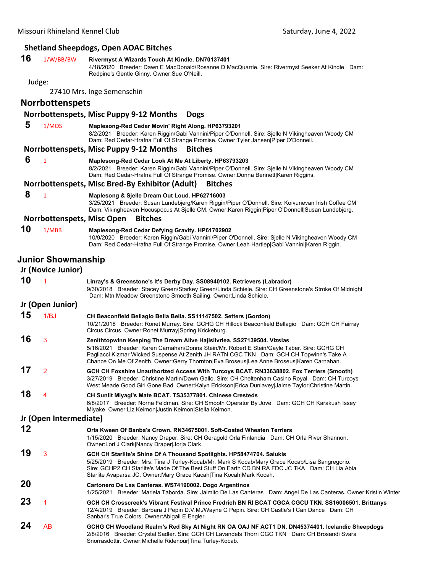# **Shetland Sheepdogs, Open AOAC Bitches**

| ١<br>ı | ı<br>٠<br>× |
|--------|-------------|
|--------|-------------|

## **16** 1/W/BB/BW **Rivermyst A Wizards Touch At Kindle. DN70137401**

4/18/2020 Breeder: Dawn E MacDonald/Rosanne D MacQuarrie. Sire: Rivermyst Seeker At Kindle Dam: Redpine's Gentle Ginny. Owner:Sue O'Neill.

#### Judge:

27410 Mrs. Inge Semenschin

## **Norrbottenspets**

#### **Norrbottenspets, Misc Puppy 9‐12 Months Dogs**

- **5** 1/MOS **Maplesong-Red Cedar Movin' Right Along. HP63793201** 8/2/2021 Breeder: Karen Riggin/Gabi Vannini/Piper O'Donnell. Sire: Sjelle N Vikingheaven Woody CM Dam: Red Cedar-Hrafna Full Of Strange Promise. Owner:Tyler Jansen|Piper O'Donnell. **Norrbottenspets, Misc Puppy 9‐12 Months Bitches 6** <sup>1</sup> **Maplesong-Red Cedar Look At Me At Liberty. HP63793203** 8/2/2021 Breeder: Karen Riggin/Gabi Vannini/Piper O'Donnell. Sire: Sjelle N Vikingheaven Woody CM Dam: Red Cedar-Hrafna Full Of Strange Promise. Owner:Donna Bennett|Karen Riggins. **Norrbottenspets, Misc Bred‐By Exhibitor (Adult) Bitches 8** <sup>1</sup> **Maplesong & Sjelle Dream Out Loud. HP62716003**
	- 3/25/2021 Breeder: Susan Lundebjerg/Karen Riggin/Piper O'Donnell. Sire: Koivunevan Irish Coffee CM Dam: Vikingheaven Hocuspocus At Sjelle CM. Owner:Karen Riggin|Piper O'Donnell|Susan Lundebjerg.

#### **Norrbottenspets, Misc Open Bitches**

**10** 1/MBB **Maplesong-Red Cedar Defying Gravity. HP61702902** 10/9/2020 Breeder: Karen Riggin/Gabi Vannini/Piper O'Donnell. Sire: Sjelle N Vikingheaven Woody CM Dam: Red Cedar-Hrafna Full Of Strange Promise. Owner:Leah Hartlep|Gabi Vannini|Karen Riggin.

## **Junior Showmanship**

| Jr (Novice Junior)     |                         |                                                                                                                                                                                                                                                                                                                                                                |  |  |
|------------------------|-------------------------|----------------------------------------------------------------------------------------------------------------------------------------------------------------------------------------------------------------------------------------------------------------------------------------------------------------------------------------------------------------|--|--|
| 10                     | 1                       | Linray's & Greenstone's It's Derby Day. SS08940102. Retrievers (Labrador)<br>9/30/2018 Breeder: Stacey Green/Starkey Green/Linda Schiele. Sire: CH Greenstone's Stroke Of Midnight<br>Dam: Mtn Meadow Greenstone Smooth Sailing. Owner: Linda Schiele.                                                                                                         |  |  |
| Jr (Open Junior)       |                         |                                                                                                                                                                                                                                                                                                                                                                |  |  |
| 15                     | 1/BJ                    | CH Beaconfield Bellagio Bella Bella. SS11147502. Setters (Gordon)<br>10/21/2018 Breeder: Ronet Murray, Sire: GCHG CH Hillock Beaconfield Bellagio Dam: GCH CH Fairray<br>Circus Circus. Owner: Ronet Murray Spring Krickeburg.                                                                                                                                 |  |  |
| 16                     | 3                       | Zenithtopwinn Keeping The Dream Alive Hajisilvrlea. SS27139504. Vizslas<br>5/16/2021 Breeder: Karen Carnahan/Donna Stein/Mr. Robert E Stein/Gayle Taber. Sire: GCHG CH<br>Pagliacci Kizmar Wicked Suspense At Zenith JH RATN CGC TKN Dam: GCH CH Topwinn's Take A<br>Chance On Me Of Zenith. Owner:Gerry Thornton Eva Broseus Lea Anne Broseus Karen Carnahan. |  |  |
| 17                     | $\overline{2}$          | GCH CH Foxshire Unauthorized Access With Turcoys BCAT. RN33638802. Fox Terriers (Smooth)<br>3/27/2019 Breeder: Christine Martin/Dawn Gallo. Sire: CH Cheltenham Casino Royal Dam: CH Turcoys<br>West Meade Good Girl Gone Bad. Owner:Kalyn Erickson Erica Dunlavey Jaime Taylor Christine Martin.                                                              |  |  |
| 18                     | $\overline{\mathbf{4}}$ | CH Sunlit Miyagi's Mate BCAT. TS35377801. Chinese Cresteds<br>6/8/2017 Breeder: Norna Feldman, Sire: CH Smooth Operator By Jove Dam: GCH CH Karakush Issey<br>Miyake. Owner: Liz Keimon Justin Keimon Stella Keimon.                                                                                                                                           |  |  |
| Jr (Open Intermediate) |                         |                                                                                                                                                                                                                                                                                                                                                                |  |  |
| 12                     |                         | Orla Kween Of Banba's Crown, RN34675001, Soft-Coated Wheaten Terriers<br>1/15/2020 Breeder: Nancy Draper. Sire: CH Geragold Orla Finlandia Dam: CH Orla River Shannon.<br>Owner:Lori J Clark Nancy Draper Jorja Clark.                                                                                                                                         |  |  |
| 19                     | 3                       | GCH CH Starlite's Shine Of A Thousand Spotlights. HP58474704. Salukis<br>5/25/2019 Breeder: Mrs. Tina J Turley-Kocab/Mr. Mark S Kocab/Mary Grace Kocab/Lisa Sangregorio.<br>Sire: GCHP2 CH Starlite's Made Of The Best Stuff On Earth CD BN RA FDC JC TKA Dam: CH Lia Abia<br>Starlite Avaparsa JC. Owner: Mary Grace Kacah   Tina Kocah   Mark Kocah.         |  |  |
| 20                     |                         | Cartonero De Las Canteras. WS74190002. Dogo Argentinos<br>1/25/2021 Breeder: Mariela Taborda. Sire: Jaimito De Las Canteras Dam: Angel De Las Canteras. Owner: Kristin Winter.                                                                                                                                                                                 |  |  |
| 23                     | 1                       | GCH CH Crosscreek's Vibrant Festival Prince Fredrich BN RI BCAT CGCA CGCU TKN. SS16006501. Brittanys<br>12/4/2019 Breeder: Barbara J Pepin D.V.M./Wayne C Pepin. Sire: CH Castle's I Can Dance Dam: CH<br>Sanbar's True Colors. Owner: Abigail E Engler.                                                                                                       |  |  |
| 24                     | <b>AB</b>               | GCHG CH Woodland Realm's Red Sky At Night RN OA OAJ NF ACT1 DN. DN45374401. Icelandic Sheepdogs<br>2/8/2016 Breeder: Crystal Sadler. Sire: GCH CH Lavandels Thorri CGC TKN Dam: CH Brosandi Svara<br>Snorrasdottir. Owner: Michelle Ridenour Tina Turley-Kocab.                                                                                                |  |  |